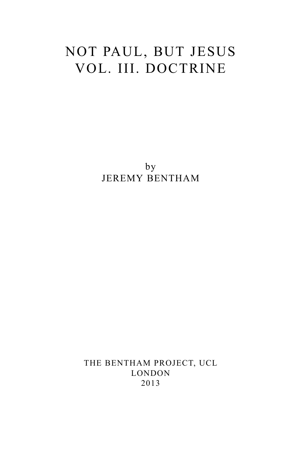# NOT PAUL, BUT JESUS VOL. III. DOCTRINE

by JEREMY BENTHAM

THE BENTHAM PROJECT, UCL LONDON 2013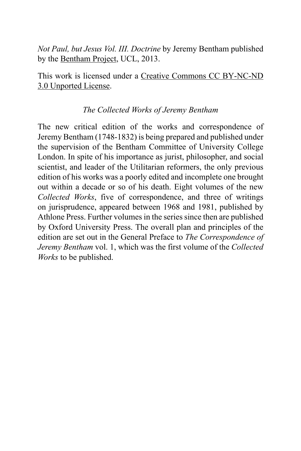*Not Paul, but Jesus Vol. III. Doctrine* by Jeremy Bentham published by the [Bentham Project,](http://www.ucl.ac.uk/Bentham-Project) UCL, 2013.

This work is licensed under a [Creative Commons CC BY-NC-ND](http://creativecommons.org/licenses/by-nc-nd/3.0/deed.en_GB) [3.0 Unported License.](http://creativecommons.org/licenses/by-nc-nd/3.0/deed.en_GB)

### *The Collected Works of Jeremy Bentham*

The new critical edition of the works and correspondence of Jeremy Bentham (1748-1832) is being prepared and published under the supervision of the Bentham Committee of University College London. In spite of his importance as jurist, philosopher, and social scientist, and leader of the Utilitarian reformers, the only previous edition of his works was a poorly edited and incomplete one brought out within a decade or so of his death. Eight volumes of the new *Collected Works*, five of correspondence, and three of writings on jurisprudence, appeared between 1968 and 1981, published by Athlone Press. Further volumes in the series since then are published by Oxford University Press. The overall plan and principles of the edition are set out in the General Preface to *The Correspondence of Jeremy Bentham* vol. 1, which was the first volume of the *Collected Works* to be published.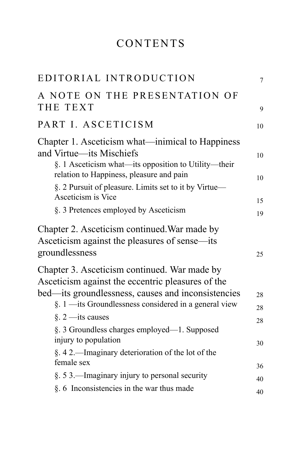# CONTENTS

| EDITORIAL INTRODUCTION                                                                                                               | 7        |
|--------------------------------------------------------------------------------------------------------------------------------------|----------|
| A NOTE ON THE PRESENTATION OF<br>THE TEXT                                                                                            | 9        |
| PART I. ASCETICISM                                                                                                                   | 10       |
| Chapter 1. Asceticism what—inimical to Happiness<br>and Virtue—its Mischiefs<br>§. 1 Asceticism what—its opposition to Utility—their | 10       |
| relation to Happiness, pleasure and pain<br>§. 2 Pursuit of pleasure. Limits set to it by Virtue—<br>Asceticism is Vice              | 10       |
| §. 3 Pretences employed by Asceticism                                                                                                | 15<br>19 |
| Chapter 2. Asceticism continued. War made by<br>Asceticism against the pleasures of sense—its<br>groundlessness                      | 25       |
| Chapter 3. Asceticism continued. War made by<br>Asceticism against the eccentric pleasures of the                                    |          |
| bed—its groundlessness, causes and inconsistencies<br>§. 1 —its Groundlessness considered in a general view                          | 28<br>28 |
| $\S.$ 2 —its causes<br>§. 3 Groundless charges employed—1. Supposed                                                                  | 28       |
| injury to population<br>$\S. 42$ —Imaginary deterioration of the lot of the                                                          | 30       |
| female sex                                                                                                                           | 36       |
| §. 5 3.—Imaginary injury to personal security<br>§. 6 Inconsistencies in the war thus made                                           | 40       |
|                                                                                                                                      | 40       |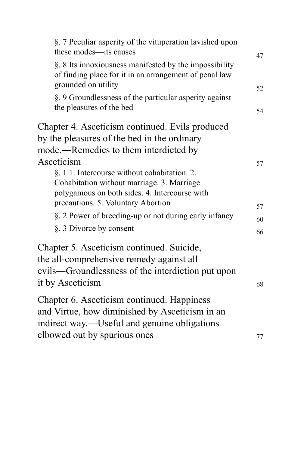| §. 7 Peculiar asperity of the vituperation lavished upon<br>these modes—its causes                                                                                                              | 47       |
|-------------------------------------------------------------------------------------------------------------------------------------------------------------------------------------------------|----------|
| §. 8 Its innoxiousness manifested by the impossibility<br>of finding place for it in an arrangement of penal law<br>grounded on utility                                                         | 52       |
| §. 9 Groundlessness of the particular asperity against<br>the pleasures of the bed                                                                                                              | 54       |
| Chapter 4. Asceticism continued. Evils produced<br>by the pleasures of the bed in the ordinary<br>mode.—Remedies to them interdicted by                                                         |          |
| Asceticism<br>§. 1 1. Intercourse without cohabitation. 2.<br>Cohabitation without marriage. 3. Marriage<br>polygamous on both sides. 4. Intercourse with<br>precautions. 5. Voluntary Abortion | 57<br>57 |
| §. 2 Power of breeding-up or not during early infancy                                                                                                                                           | 60       |
| §. 3 Divorce by consent                                                                                                                                                                         | 66       |
| Chapter 5. Asceticism continued. Suicide,<br>the all-comprehensive remedy against all<br>evils—Groundlessness of the interdiction put upon<br>it by Asceticism                                  | 68       |
| Chapter 6. Asceticism continued. Happiness<br>and Virtue, how diminished by Asceticism in an<br>indirect way.—Useful and genuine obligations                                                    |          |
| elbowed out by spurious ones                                                                                                                                                                    | 77       |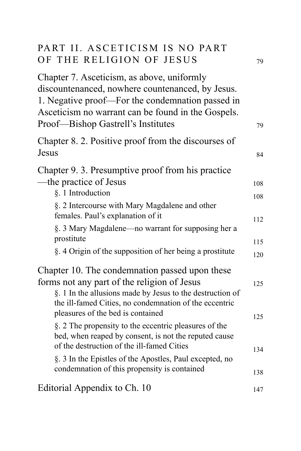| PART II. ASCETICISM IS NO PART<br>OF THE RELIGION OF JESUS                                                                                                                                                                                     | 79  |
|------------------------------------------------------------------------------------------------------------------------------------------------------------------------------------------------------------------------------------------------|-----|
| Chapter 7. Asceticism, as above, uniformly<br>discountenanced, nowhere countenanced, by Jesus.<br>1. Negative proof—For the condemnation passed in<br>Asceticism no warrant can be found in the Gospels.<br>Proof—Bishop Gastrell's Institutes | 79  |
| Chapter 8. 2. Positive proof from the discourses of<br>Jesus                                                                                                                                                                                   | 84  |
| Chapter 9. 3. Presumptive proof from his practice                                                                                                                                                                                              |     |
| —the practice of Jesus                                                                                                                                                                                                                         | 108 |
| §. 1 Introduction                                                                                                                                                                                                                              | 108 |
| §. 2 Intercourse with Mary Magdalene and other<br>females. Paul's explanation of it                                                                                                                                                            | 112 |
| §. 3 Mary Magdalene—no warrant for supposing her a<br>prostitute                                                                                                                                                                               | 115 |
| §. 4 Origin of the supposition of her being a prostitute                                                                                                                                                                                       | 120 |
| Chapter 10. The condemnation passed upon these<br>forms not any part of the religion of Jesus<br>§. 1 In the allusions made by Jesus to the destruction of<br>the ill-famed Cities, no condemnation of the eccentric                           | 125 |
| pleasures of the bed is contained<br>§. 2 The propensity to the eccentric pleasures of the<br>bed, when reaped by consent, is not the reputed cause<br>of the destruction of the ill-famed Cities                                              | 125 |
| §. 3 In the Epistles of the Apostles, Paul excepted, no                                                                                                                                                                                        | 134 |
| condemnation of this propensity is contained                                                                                                                                                                                                   | 138 |
| Editorial Appendix to Ch. 10                                                                                                                                                                                                                   | 147 |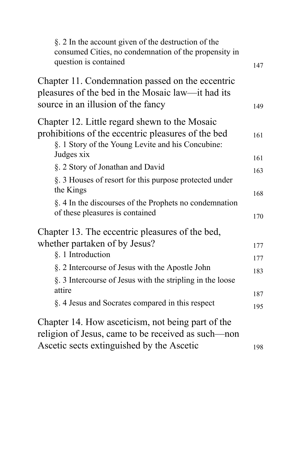| §. 2 In the account given of the destruction of the<br>consumed Cities, no condemnation of the propensity in<br>question is contained                                  | 147        |
|------------------------------------------------------------------------------------------------------------------------------------------------------------------------|------------|
| Chapter 11. Condemnation passed on the eccentric<br>pleasures of the bed in the Mosaic law—it had its<br>source in an illusion of the fancy                            | 149        |
| Chapter 12. Little regard shewn to the Mosaic<br>prohibitions of the eccentric pleasures of the bed<br>§. 1 Story of the Young Levite and his Concubine:<br>Judges xix | 161        |
| §. 2 Story of Jonathan and David                                                                                                                                       | 161        |
| §. 3 Houses of resort for this purpose protected under<br>the Kings                                                                                                    | 163<br>168 |
| §. 4 In the discourses of the Prophets no condemnation<br>of these pleasures is contained                                                                              | 170        |
| Chapter 13. The eccentric pleasures of the bed,                                                                                                                        |            |
| whether partaken of by Jesus?                                                                                                                                          | 177        |
| §. 1 Introduction                                                                                                                                                      | 177        |
| §. 2 Intercourse of Jesus with the Apostle John<br>§. 3 Intercourse of Jesus with the stripling in the loose                                                           | 183        |
| attire                                                                                                                                                                 | 187        |
| §. 4 Jesus and Socrates compared in this respect                                                                                                                       | 195        |
| Chapter 14. How asceticism, not being part of the<br>religion of Jesus, came to be received as such-non                                                                |            |
| Ascetic sects extinguished by the Ascetic                                                                                                                              | 198        |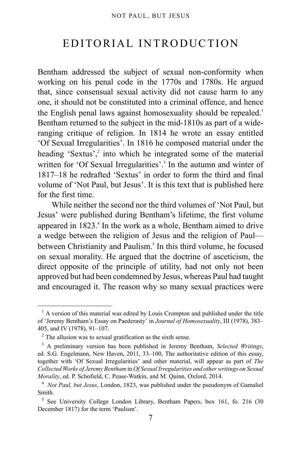# <span id="page-6-0"></span>EDITORIAL INTRODUCTION

Bentham addressed the subject of sexual non-conformity when working on his penal code in the 1770s and 1780s. He argued that, since consensual sexual activity did not cause harm to any one, it should not be constituted into a criminal offence, and hence the English penal laws against homosexuality should be repealed.<sup>[1](#page-6-1)</sup> Bentham returned to the subject in the mid-1810s as part of a wideranging critique of religion. In 1814 he wrote an essay entitled 'Of Sexual Irregularities'. In 1816 he composed material under the heading 'Sextus',<sup>[2](#page-6-2)</sup> into which he integrated some of the material written for 'Of Sexual Irregularities'.<sup>[3](#page-6-3)</sup> In the autumn and winter of 1817–18 he redrafted 'Sextus' in order to form the third and final volume of 'Not Paul, but Jesus'. It is this text that is published here for the first time.

While neither the second nor the third volumes of 'Not Paul, but Jesus' were published during Bentham's lifetime, the first volume appeared in 1823.<sup>[4](#page-6-4)</sup> In the work as a whole, Bentham aimed to drive a wedge between the religion of Jesus and the religion of Paul— between Christianity and Paulism.<sup>[5](#page-6-5)</sup> In this third volume, he focused on sexual morality. He argued that the doctrine of asceticism, the direct opposite of the principle of utility, had not only not been approved but had been condemned by Jesus, whereas Paul had taught and encouraged it. The reason why so many sexual practices were

<span id="page-6-1"></span> $<sup>1</sup>$  A version of this material was edited by Louis Crompton and published under the title</sup> of 'Jeremy Bentham's Essay on Paederasty' in *Journal of Homosexuality*, III (1978), 383– 405, and IV (1978), 91–107.

<span id="page-6-2"></span> $2$  The allusion was to sexual gratification as the sixth sense.

<span id="page-6-3"></span><sup>3</sup> A preliminary version has been published in Jeremy Bentham, *Selected Writings*, ed. S.G. Engelmann, New Haven, 2011, 33–100, The authoritative edition of this essay, together with 'Of Sexual Irregularities' and other material, will appear as part of *The Collected Works of Jeremy Bentham* in *Of Sexual Irregularities and other writings on Sexual Morality*, ed. P. Schofield, C. Pease-Watkin, and M. Quinn, Oxford, 2014.

<span id="page-6-4"></span><sup>4</sup> *Not Paul, but Jesus*, London, 1823, was published under the pseudonym of Gamaliel Smith.

<span id="page-6-5"></span><sup>&</sup>lt;sup>5</sup> See University College London Library, Bentham Papers, box 161, fo. 216 (30 December 1817) for the term 'Paulism'.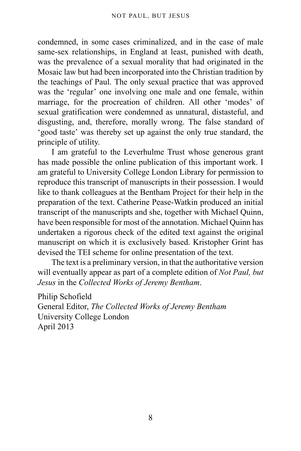condemned, in some cases criminalized, and in the case of male same-sex relationships, in England at least, punished with death, was the prevalence of a sexual morality that had originated in the Mosaic law but had been incorporated into the Christian tradition by the teachings of Paul. The only sexual practice that was approved was the 'regular' one involving one male and one female, within marriage, for the procreation of children. All other 'modes' of sexual gratification were condemned as unnatural, distasteful, and disgusting, and, therefore, morally wrong. The false standard of 'good taste' was thereby set up against the only true standard, the principle of utility.

I am grateful to the Leverhulme Trust whose generous grant has made possible the online publication of this important work. I am grateful to University College London Library for permission to reproduce this transcript of manuscripts in their possession. I would like to thank colleagues at the Bentham Project for their help in the preparation of the text. Catherine Pease-Watkin produced an initial transcript of the manuscripts and she, together with Michael Quinn, have been responsible for most of the annotation. Michael Quinn has undertaken a rigorous check of the edited text against the original manuscript on which it is exclusively based. Kristopher Grint has devised the TEI scheme for online presentation of the text.

The text is a preliminary version, in that the authoritative version will eventually appear as part of a complete edition of *Not Paul, but Jesus* in the *Collected Works of Jeremy Bentham*.

Philip Schofield General Editor, *The Collected Works of Jeremy Bentham* University College London April 2013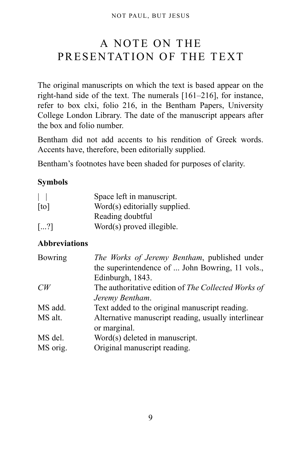# <span id="page-8-0"></span>A NOTE ON THE PRESENTATION OF THE TEXT

The original manuscripts on which the text is based appear on the right-hand side of the text. The numerals [161–216], for instance, refer to box clxi, folio 216, in the Bentham Papers, University College London Library. The date of the manuscript appears after the box and folio number.

Bentham did not add accents to his rendition of Greek words. Accents have, therefore, been editorially supplied.

Bentham's footnotes have been shaded for purposes of clarity.

### **Symbols**

| $\Box$                | Space left in manuscript.     |
|-----------------------|-------------------------------|
| [t <sub>o</sub> ]     | Word(s) editorially supplied. |
|                       | Reading doubtful              |
| $\left[\ldots\right]$ | Word(s) proved illegible.     |

### **Abbreviations**

| <b>Bowring</b> | The Works of Jeremy Bentham, published under        |
|----------------|-----------------------------------------------------|
|                | the superintendence of  John Bowring, 11 vols.,     |
|                | Edinburgh, 1843.                                    |
| CW             | The authoritative edition of The Collected Works of |
|                | Jeremy Bentham.                                     |
| MS add.        | Text added to the original manuscript reading.      |
| MS alt.        | Alternative manuscript reading, usually interlinear |
|                | or marginal.                                        |
| MS del.        | Word(s) deleted in manuscript.                      |
| MS orig.       | Original manuscript reading.                        |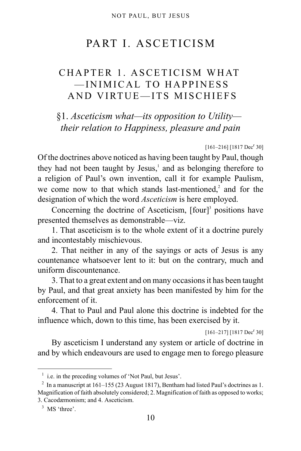# PART I. ASCETICISM

# <span id="page-9-1"></span><span id="page-9-0"></span>CHAPTER 1. ASCETICISM WHAT —INIMICAL TO HAPPINESS AND VIRTUE—ITS MISCHIEFS

<span id="page-9-2"></span>§1. *Asceticism what—its opposition to Utility their relation to Happiness, pleasure and pain*

 $[161-216]$   $[1817 \text{ Dec}^r 30]$ 

Of the doctrines above noticed as having been taught by Paul, though they had not been taught by Jesus,<sup>[1](#page-9-3)</sup> and as belonging therefore to a religion of Paul's own invention, call it for example Paulism, we come now to that which stands last-mentioned, $2$  and for the designation of which the word *Asceticism* is here employed.

Concerning the doctrine of Asceticism,  $[four]^3$  $[four]^3$  positions have presented themselves as demonstrable—viz.

1. That asceticism is to the whole extent of it a doctrine purely and incontestably mischievous.

2. That neither in any of the sayings or acts of Jesus is any countenance whatsoever lent to it: but on the contrary, much and uniform discountenance.

3. That to a great extent and on many occasions it has been taught by Paul, and that great anxiety has been manifested by him for the enforcement of it.

4. That to Paul and Paul alone this doctrine is indebted for the influence which, down to this time, has been exercised by it.

 $[161-217]$   $[1817 \text{ Dec}^r 30]$ 

By asceticism I understand any system or article of doctrine in and by which endeavours are used to engage men to forego pleasure

<span id="page-9-3"></span><sup>&</sup>lt;sup>1</sup> i.e. in the preceding volumes of 'Not Paul, but Jesus'.

<span id="page-9-4"></span><sup>&</sup>lt;sup>2</sup> In a manuscript at 161–155 (23 August 1817), Bentham had listed Paul's doctrines as 1. Magnification of faith absolutely considered; 2. Magnification of faith as opposed to works; 3. Cacodæmonism; and 4. Asceticism.

<span id="page-9-5"></span><sup>&</sup>lt;sup>3</sup> MS 'three'.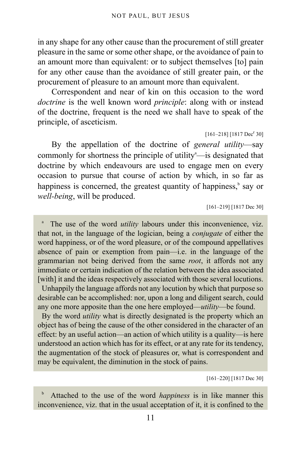in any shape for any other cause than the procurement of still greater pleasure in the same or some other shape, or the avoidance of pain to an amount more than equivalent: or to subject themselves [to] pain for any other cause than the avoidance of still greater pain, or the procurement of pleasure to an amount more than equivalent.

Correspondent and near of kin on this occasion to the word *doctrine* is the well known word *principle*: along with or instead of the doctrine, frequent is the need we shall have to speak of the principle, of asceticism.

 $[161-218]$   $[1817$  Dec<sup>r</sup> 30]

By the appellation of the doctrine of *general utility*—say commonly for shortness the principle of utility $\alpha$  $\alpha$  $\alpha$ —is designated that doctrine by which endeavours are used to engage men on every occasion to pursue that course of action by which, in so far as happiness is concerned, the greatest quantity of happiness,<sup>[b](#page-10-1)</sup> say or *well-being*, will be produced.

[161–219] [1817 Dec 30]

<span id="page-10-0"></span>a The use of the word *utility* labours under this inconvenience, viz. that not, in the language of the logician, being a *conjugate* of either the word happiness, or of the word pleasure, or of the compound appellatives absence of pain or exemption from pain—i.e. in the language of the grammarian not being derived from the same *root*, it affords not any immediate or certain indication of the relation between the idea associated [with] it and the ideas respectively associated with those several locutions.

Unhappily the language affords not any locution by which that purpose so desirable can be accomplished: nor, upon a long and diligent search, could any one more apposite than the one here employed—*utility*—be found.

By the word *utility* what is directly designated is the property which an object has of being the cause of the other considered in the character of an effect: by an useful action—an action of which utility is a quality—is here understood an action which has for its effect, or at any rate for its tendency, the augmentation of the stock of pleasures or, what is correspondent and may be equivalent, the diminution in the stock of pains.

[161–220] [1817 Dec 30]

<span id="page-10-1"></span>b Attached to the use of the word *happiness* is in like manner this inconvenience, viz. that in the usual acceptation of it, it is confined to the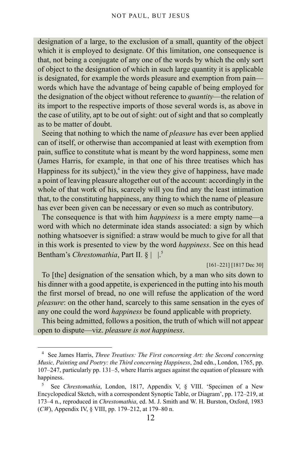designation of a large, to the exclusion of a small, quantity of the object which it is employed to designate. Of this limitation, one consequence is that, not being a conjugate of any one of the words by which the only sort of object to the designation of which in such large quantity it is applicable is designated, for example the words pleasure and exemption from pain words which have the advantage of being capable of being employed for the designation of the object without reference to *quantity*—the relation of its import to the respective imports of those several words is, as above in the case of utility, apt to be out of sight: out of sight and that so compleatly as to be matter of doubt.

Seeing that nothing to which the name of *pleasure* has ever been applied can of itself, or otherwise than accompanied at least with exemption from pain, suffice to constitute what is meant by the word happiness, some men (James Harris, for example, in that one of his three treatises which has Happiness for its subject), $4$  in the view they give of happiness, have made a point of leaving pleasure altogether out of the account: accordingly in the whole of that work of his, scarcely will you find any the least intimation that, to the constituting happiness, any thing to which the name of pleasure has ever been given can be necessary or even so much as contributory.

The consequence is that with him *happiness* is a mere empty name—a word with which no determinate idea stands associated: a sign by which nothing whatsoever is signified: a straw would be much to give for all that in this work is presented to view by the word *happiness*. See on this head Bentham's *Chrestomathia*, Part II. § |  $\vert \cdot \vert^5$  $\vert \cdot \vert^5$ 

[161–221] [1817 Dec 30]

To [the] designation of the sensation which, by a man who sits down to his dinner with a good appetite, is experienced in the putting into his mouth the first morsel of bread, no one will refuse the application of the word *pleasure*: on the other hand, scarcely to this same sensation in the eyes of any one could the word *happiness* be found applicable with propriety.

This being admitted, follows a position, the truth of which will not appear open to dispute—viz. *pleasure is not happiness*.

<span id="page-11-0"></span><sup>4</sup> See James Harris, *Three Treatises: The First concerning Art: the Second concerning Music, Painting and Poetry: the Third concerning Happiness*, 2nd edn., London, 1765, pp. 107–247, particularly pp. 131–5, where Harris argues against the equation of pleasure with happiness.

<span id="page-11-1"></span><sup>5</sup> See *Chrestomathia*, London, 1817, Appendix V, § VIII. 'Specimen of a New Encyclopedical Sketch, with a correspondent Synoptic Table, or Diagram', pp. 172–219, at 173–4 n., reproduced in *Chrestomathia*, ed. M. J. Smith and W. H. Burston, Oxford, 1983 (*CW*), Appendix IV, § VIII, pp. 179–212, at 179–80 n.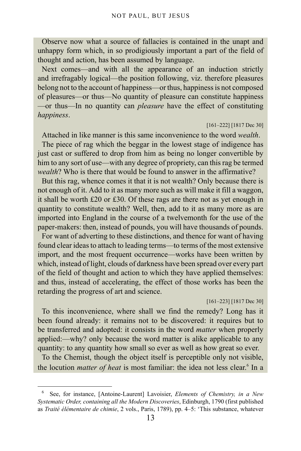Observe now what a source of fallacies is contained in the unapt and unhappy form which, in so prodigiously important a part of the field of thought and action, has been assumed by language.

Next comes—and with all the appearance of an induction strictly and irrefragably logical—the position following, viz. therefore pleasures belong not to the account of happiness—or thus, happiness is not composed of pleasures—or thus—No quantity of pleasure can constitute happiness —or thus—In no quantity can *pleasure* have the effect of constituting *happiness*.

#### [161–222] [1817 Dec 30]

Attached in like manner is this same inconvenience to the word *wealth*. The piece of rag which the beggar in the lowest stage of indigence has just cast or suffered to drop from him as being no longer convertible by him to any sort of use—with any degree of propriety, can this rag be termed *wealth*? Who is there that would be found to answer in the affirmative?

But this rag, whence comes it that it is not wealth? Only because there is not enough of it. Add to it as many more such as will make it fill a waggon, it shall be worth £20 or £30. Of these rags are there not as yet enough in quantity to constitute wealth? Well, then, add to it as many more as are imported into England in the course of a twelvemonth for the use of the paper-makers: then, instead of pounds, you will have thousands of pounds. For want of adverting to these distinctions, and thence for want of having found clear ideas to attach to leading terms—to terms of the most extensive import, and the most frequent occurrence—works have been written by which, instead of light, clouds of darkness have been spread over every part of the field of thought and action to which they have applied themselves: and thus, instead of accelerating, the effect of those works has been the retarding the progress of art and science.

#### [161–223] [1817 Dec 30]

To this inconvenience, where shall we find the remedy? Long has it been found already: it remains not to be discovered: it requires but to be transferred and adopted: it consists in the word *matter* when properly applied:—why? only because the word matter is alike applicable to any quantity: to any quantity how small so ever as well as how great so ever.

To the Chemist, though the object itself is perceptible only not visible, the locution *matter of heat* is most familiar: the idea not less clear.<sup>[6](#page-12-0)</sup> In a

<span id="page-12-0"></span><sup>6</sup> See, for instance, [Antoine-Laurent] Lavoisier, *Elements of Chemistry, in a New Systematic Order, containing all the Modern Discoveries*, Edinburgh, 1790 (first published as *Traité élémentaire de chimie*, 2 vols., Paris, 1789), pp. 4–5: 'This substance, whatever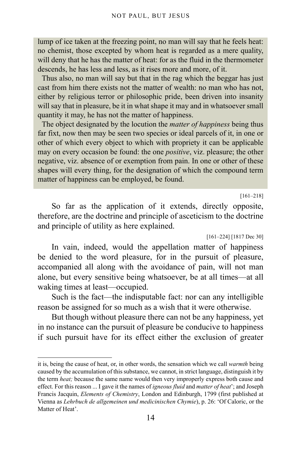lump of ice taken at the freezing point, no man will say that he feels heat: no chemist, those excepted by whom heat is regarded as a mere quality, will deny that he has the matter of heat: for as the fluid in the thermometer descends, he has less and less, as it rises more and more, of it.

Thus also, no man will say but that in the rag which the beggar has just cast from him there exists not the matter of wealth: no man who has not, either by religious terror or philosophic pride, been driven into insanity will say that in pleasure, be it in what shape it may and in whatsoever small quantity it may, he has not the matter of happiness.

The object designated by the locution the *matter of happiness* being thus far fixt, now then may be seen two species or ideal parcels of it, in one or other of which every object to which with propriety it can be applicable may on every occasion be found: the one *positive*, viz. pleasure; the other negative, viz. absence of or exemption from pain. In one or other of these shapes will every thing, for the designation of which the compound term matter of happiness can be employed, be found.

#### [161–218]

So far as the application of it extends, directly opposite, therefore, are the doctrine and principle of asceticism to the doctrine and principle of utility as here explained.

[161–224] [1817 Dec 30]

In vain, indeed, would the appellation matter of happiness be denied to the word pleasure, for in the pursuit of pleasure, accompanied all along with the avoidance of pain, will not man alone, but every sensitive being whatsoever, be at all times—at all waking times at least—occupied.

Such is the fact—the indisputable fact: nor can any intelligible reason be assigned for so much as a wish that it were otherwise.

But though without pleasure there can not be any happiness, yet in no instance can the pursuit of pleasure be conducive to happiness if such pursuit have for its effect either the exclusion of greater

it is, being the cause of heat, or, in other words, the sensation which we call *warmth* being caused by the accumulation of this substance, we cannot, in strict language, distinguish it by the term *heat;* because the same name would then very improperly express both cause and effect. For this reason ... I gave it the names of *igneous fluid* and *matter of heat*'; and Joseph Francis Jacquin, *Elements of Chemistry*, London and Edinburgh, 1799 (first published at Vienna as *Lehrbuch de allgemeinen und medicinischen Chymie*), p. 26: 'Of Caloric, or the Matter of Heat'.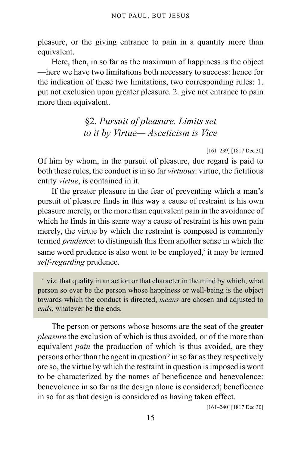pleasure, or the giving entrance to pain in a quantity more than equivalent.

Here, then, in so far as the maximum of happiness is the object —here we have two limitations both necessary to success: hence for the indication of these two limitations, two corresponding rules: 1. put not exclusion upon greater pleasure. 2. give not entrance to pain more than equivalent.

> <span id="page-14-0"></span>§2. *Pursuit of pleasure. Limits set to it by Virtue— Asceticism is Vice*

> > [161–239] [1817 Dec 30]

Of him by whom, in the pursuit of pleasure, due regard is paid to both these rules, the conduct is in so far *virtuous*: virtue, the fictitious entity *virtue*, is contained in it.

If the greater pleasure in the fear of preventing which a man's pursuit of pleasure finds in this way a cause of restraint is his own pleasure merely, or the more than equivalent pain in the avoidance of which he finds in this same way a cause of restraint is his own pain merely, the virtue by which the restraint is composed is commonly termed *prudence*: to distinguish this from another sense in which the same word pruden[c](#page-14-1)e is also wont to be employed, it may be termed *self-regarding* prudence.

<span id="page-14-1"></span> $\alpha$  viz. that quality in an action or that character in the mind by which, what person so ever be the person whose happiness or well-being is the object towards which the conduct is directed, *means* are chosen and adjusted to *ends*, whatever be the ends.

The person or persons whose bosoms are the seat of the greater *pleasure* the exclusion of which is thus avoided, or of the more than equivalent *pain* the production of which is thus avoided, are they persons other than the agent in question? in so far as they respectively are so, the virtue by which the restraint in question is imposed is wont to be characterized by the names of beneficence and benevolence: benevolence in so far as the design alone is considered; beneficence in so far as that design is considered as having taken effect.

[161–240] [1817 Dec 30]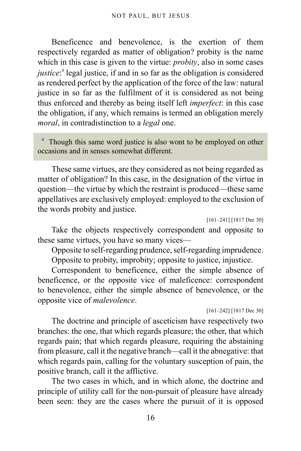Beneficence and benevolence, is the exertion of them respectively regarded as matter of obligation? probity is the name which in this case is given to the virtue: *probity*, also in some cases *justice*:<sup>4</sup> legal justice, if an[d](#page-15-0) in so far as the obligation is considered as rendered perfect by the application of the force of the law: natural justice in so far as the fulfilment of it is considered as not being thus enforced and thereby as being itself left *imperfect*: in this case the obligation, if any, which remains is termed an obligation merely *moral*, in contradistinction to a *legal* one.

<span id="page-15-0"></span><sup>d</sup> Though this same word justice is also wont to be employed on other occasions and in senses somewhat different.

These same virtues, are they considered as not being regarded as matter of obligation? In this case, in the designation of the virtue in question—the virtue by which the restraint is produced—these same appellatives are exclusively employed: employed to the exclusion of the words probity and justice.

```
[161–241] [1817 Dec 30]
```
Take the objects respectively correspondent and opposite to these same virtues, you have so many vices—

Opposite to self-regarding prudence, self-regarding imprudence.

Opposite to probity, improbity; opposite to justice, injustice.

Correspondent to beneficence, either the simple absence of beneficence, or the opposite vice of maleficence: correspondent to benevolence, either the simple absence of benevolence, or the opposite vice of *malevolence*.

[161–242] [1817 Dec 30]

The doctrine and principle of asceticism have respectively two branches: the one, that which regards pleasure; the other, that which regards pain; that which regards pleasure, requiring the abstaining from pleasure, call it the negative branch—call it the abnegative: that which regards pain, calling for the voluntary susception of pain, the positive branch, call it the afflictive.

The two cases in which, and in which alone, the doctrine and principle of utility call for the non-pursuit of pleasure have already been seen: they are the cases where the pursuit of it is opposed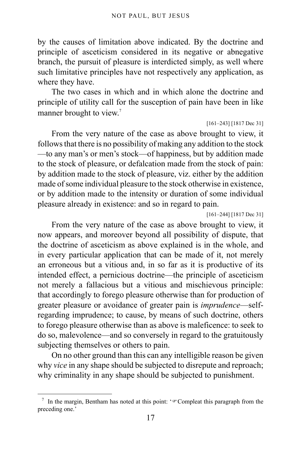by the causes of limitation above indicated. By the doctrine and principle of asceticism considered in its negative or abnegative branch, the pursuit of pleasure is interdicted simply, as well where such limitative principles have not respectively any application, as where they have.

The two cases in which and in which alone the doctrine and principle of utility call for the susception of pain have been in like manner brought to view.<sup>[7](#page-16-0)</sup>

#### [161–243] [1817 Dec 31]

From the very nature of the case as above brought to view, it follows that there is no possibility of making any addition to the stock —to any man's or men's stock—of happiness, but by addition made to the stock of pleasure, or defalcation made from the stock of pain: by addition made to the stock of pleasure, viz. either by the addition made of some individual pleasure to the stock otherwise in existence, or by addition made to the intensity or duration of some individual pleasure already in existence: and so in regard to pain.

[161–244] [1817 Dec 31]

From the very nature of the case as above brought to view, it now appears, and moreover beyond all possibility of dispute, that the doctrine of asceticism as above explained is in the whole, and in every particular application that can be made of it, not merely an erroneous but a vitious and, in so far as it is productive of its intended effect, a pernicious doctrine—the principle of asceticism not merely a fallacious but a vitious and mischievous principle: that accordingly to forego pleasure otherwise than for production of greater pleasure or avoidance of greater pain is *imprudence*—selfregarding imprudence; to cause, by means of such doctrine, others to forego pleasure otherwise than as above is maleficence: to seek to do so, malevolence—and so conversely in regard to the gratuitously subjecting themselves or others to pain.

On no other ground than this can any intelligible reason be given why *vice* in any shape should be subjected to disrepute and reproach; why criminality in any shape should be subjected to punishment.

<span id="page-16-0"></span><sup>&</sup>lt;sup>7</sup> In the margin, Bentham has noted at this point: ' $\infty$ Compleat this paragraph from the preceding one.'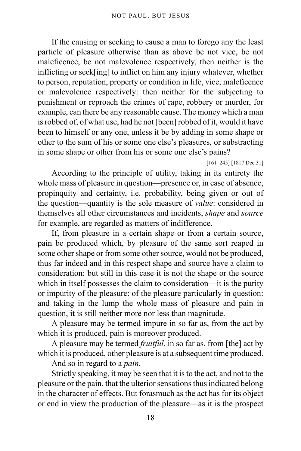If the causing or seeking to cause a man to forego any the least particle of pleasure otherwise than as above be not vice, be not maleficence, be not malevolence respectively, then neither is the inflicting or seek[ing] to inflict on him any injury whatever, whether to person, reputation, property or condition in life, vice, maleficence or malevolence respectively: then neither for the subjecting to punishment or reproach the crimes of rape, robbery or murder, for example, can there be any reasonable cause. The money which a man is robbed of, of what use, had he not [been] robbed of it, would it have been to himself or any one, unless it be by adding in some shape or other to the sum of his or some one else's pleasures, or substracting in some shape or other from his or some one else's pains?

[161–245] [1817 Dec 31]

According to the principle of utility, taking in its entirety the whole mass of pleasure in question—presence or, in case of absence, propinquity and certainty, i.e. probability, being given or out of the question—quantity is the sole measure of *value*: considered in themselves all other circumstances and incidents, *shape* and *source* for example, are regarded as matters of indifference.

If, from pleasure in a certain shape or from a certain source, pain be produced which, by pleasure of the same sort reaped in some other shape or from some other source, would not be produced, thus far indeed and in this respect shape and source have a claim to consideration: but still in this case it is not the shape or the source which in itself possesses the claim to consideration—it is the purity or impurity of the pleasure: of the pleasure particularly in question: and taking in the lump the whole mass of pleasure and pain in question, it is still neither more nor less than magnitude.

A pleasure may be termed impure in so far as, from the act by which it is produced, pain is moreover produced.

A pleasure may be termed *fruitful*, in so far as, from [the] act by which it is produced, other pleasure is at a subsequent time produced.

And so in regard to a *pain*.

Strictly speaking, it may be seen that it is to the act, and not to the pleasure or the pain, that the ulterior sensations thus indicated belong in the character of effects. But forasmuch as the act has for its object or end in view the production of the pleasure—as it is the prospect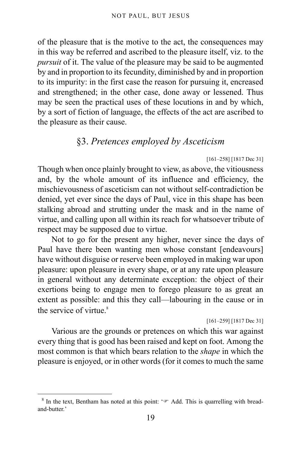of the pleasure that is the motive to the act, the consequences may in this way be referred and ascribed to the pleasure itself, viz. to the *pursuit* of it. The value of the pleasure may be said to be augmented by and in proportion to its fecundity, diminished by and in proportion to its impurity: in the first case the reason for pursuing it, encreased and strengthened; in the other case, done away or lessened. Thus may be seen the practical uses of these locutions in and by which, by a sort of fiction of language, the effects of the act are ascribed to the pleasure as their cause.

### §3. *Pretences employed by Asceticism*

#### [161–258] [1817 Dec 31]

<span id="page-18-0"></span>Though when once plainly brought to view, as above, the vitiousness and, by the whole amount of its influence and efficiency, the mischievousness of asceticism can not without self-contradiction be denied, yet ever since the days of Paul, vice in this shape has been stalking abroad and strutting under the mask and in the name of virtue, and calling upon all within its reach for whatsoever tribute of respect may be supposed due to virtue.

Not to go for the present any higher, never since the days of Paul have there been wanting men whose constant [endeavours] have without disguise or reserve been employed in making war upon pleasure: upon pleasure in every shape, or at any rate upon pleasure in general without any determinate exception: the object of their exertions being to engage men to forego pleasure to as great an extent as possible: and this they call—labouring in the cause or in the service of virtue. $8$ 

#### [161–259] [1817 Dec 31]

Various are the grounds or pretences on which this war against every thing that is good has been raised and kept on foot. Among the most common is that which bears relation to the *shape* in which the pleasure is enjoyed, or in other words (for it comes to much the same

<span id="page-18-1"></span><sup>&</sup>lt;sup>8</sup> In the text, Bentham has noted at this point: ' $\mathcal{F}$  Add. This is quarrelling with breadand-butter.'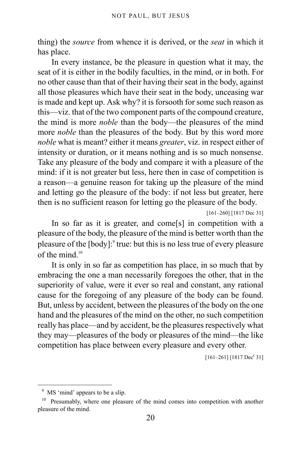thing) the *source* from whence it is derived, or the *seat* in which it has place.

In every instance, be the pleasure in question what it may, the seat of it is either in the bodily faculties, in the mind, or in both. For no other cause than that of their having their seat in the body, against all those pleasures which have their seat in the body, unceasing war is made and kept up. Ask why? it is forsooth for some such reason as this—viz. that of the two component parts of the compound creature, the mind is more *noble* than the body—the pleasures of the mind more *noble* than the pleasures of the body. But by this word more *noble* what is meant? either it means *greater*, viz. in respect either of intensity or duration, or it means nothing and is so much nonsense. Take any pleasure of the body and compare it with a pleasure of the mind: if it is not greater but less, here then in case of competition is a reason—a genuine reason for taking up the pleasure of the mind and letting go the pleasure of the body: if not less but greater, here then is no sufficient reason for letting go the pleasure of the body.

[161–260] [1817 Dec 31]

In so far as it is greater, and come[s] in competition with a pleasure of the body, the pleasure of the mind is better worth than the pleasure of the [body]:<sup>[9](#page-19-0)</sup> true: but this is no less true of every pleasure of the mind.<sup>[10](#page-19-1)</sup>

It is only in so far as competition has place, in so much that by embracing the one a man necessarily foregoes the other, that in the superiority of value, were it ever so real and constant, any rational cause for the foregoing of any pleasure of the body can be found. But, unless by accident, between the pleasures of the body on the one hand and the pleasures of the mind on the other, no such competition really has place—and by accident, be the pleasures respectively what they may—pleasures of the body or pleasures of the mind—the like competition has place between every pleasure and every other.

 $[161-261]$   $[1817 \text{ Dec}^r 31]$ 

<span id="page-19-0"></span><sup>&</sup>lt;sup>9</sup> MS 'mind' appears to be a slip.

<span id="page-19-1"></span><sup>&</sup>lt;sup>10</sup> Presumably, where one pleasure of the mind comes into competition with another pleasure of the mind.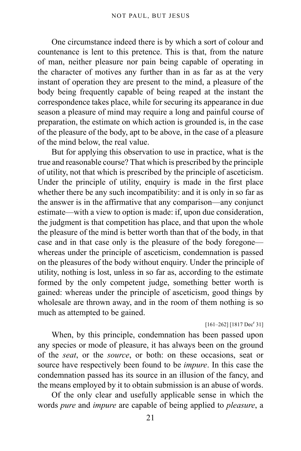One circumstance indeed there is by which a sort of colour and countenance is lent to this pretence. This is that, from the nature of man, neither pleasure nor pain being capable of operating in the character of motives any further than in as far as at the very instant of operation they are present to the mind, a pleasure of the body being frequently capable of being reaped at the instant the correspondence takes place, while for securing its appearance in due season a pleasure of mind may require a long and painful course of preparation, the estimate on which action is grounded is, in the case of the pleasure of the body, apt to be above, in the case of a pleasure of the mind below, the real value.

But for applying this observation to use in practice, what is the true and reasonable course? That which is prescribed by the principle of utility, not that which is prescribed by the principle of asceticism. Under the principle of utility, enquiry is made in the first place whether there be any such incompatibility: and it is only in so far as the answer is in the affirmative that any comparison—any conjunct estimate—with a view to option is made: if, upon due consideration, the judgment is that competition has place, and that upon the whole the pleasure of the mind is better worth than that of the body, in that case and in that case only is the pleasure of the body foregone whereas under the principle of asceticism, condemnation is passed on the pleasures of the body without enquiry. Under the principle of utility, nothing is lost, unless in so far as, according to the estimate formed by the only competent judge, something better worth is gained: whereas under the principle of asceticism, good things by wholesale are thrown away, and in the room of them nothing is so much as attempted to be gained.

#### $[161-262] [1817 \text{ Dec}^r 31]$

When, by this principle, condemnation has been passed upon any species or mode of pleasure, it has always been on the ground of the *seat*, or the *source*, or both: on these occasions, seat or source have respectively been found to be *impure*. In this case the condemnation passed has its source in an illusion of the fancy, and the means employed by it to obtain submission is an abuse of words.

Of the only clear and usefully applicable sense in which the words *pure* and *impure* are capable of being applied to *pleasure*, a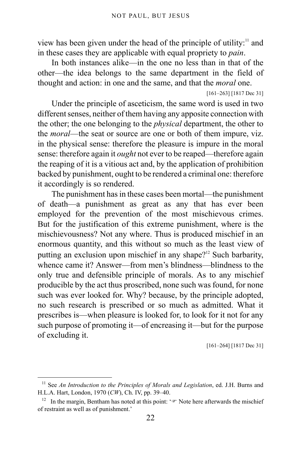view has been given under the head of the principle of utility:<sup>[11](#page-21-0)</sup> and in these cases they are applicable with equal propriety to *pain*.

In both instances alike—in the one no less than in that of the other—the idea belongs to the same department in the field of thought and action: in one and the same, and that the *moral* one.

[161–263] [1817 Dec 31]

Under the principle of asceticism, the same word is used in two different senses, neither of them having any apposite connection with the other; the one belonging to the *physical* department, the other to the *moral*—the seat or source are one or both of them impure, viz. in the physical sense: therefore the pleasure is impure in the moral sense: therefore again it *ought* not ever to be reaped—therefore again the reaping of it is a vitious act and, by the application of prohibition backed by punishment, ought to be rendered a criminal one: therefore it accordingly is so rendered.

The punishment has in these cases been mortal—the punishment of death—a punishment as great as any that has ever been employed for the prevention of the most mischievous crimes. But for the justification of this extreme punishment, where is the mischievousness? Not any where. Thus is produced mischief in an enormous quantity, and this without so much as the least view of putting an exclusion upon mischief in any shape?<sup>[12](#page-21-1)</sup> Such barbarity, whence came it? Answer—from men's blindness—blindness to the only true and defensible principle of morals. As to any mischief producible by the act thus proscribed, none such was found, for none such was ever looked for. Why? because, by the principle adopted, no such research is prescribed or so much as admitted. What it prescribes is—when pleasure is looked for, to look for it not for any such purpose of promoting it—of encreasing it—but for the purpose of excluding it.

[161–264] [1817 Dec 31]

<span id="page-21-0"></span><sup>&</sup>lt;sup>11</sup> See *An Introduction to the Principles of Morals and Legislation*, ed. J.H. Burns and H.L.A. Hart, London, 1970 (*CW*), Ch. IV, pp. 39–40.

<span id="page-21-1"></span><sup>&</sup>lt;sup>12</sup> In the margin, Bentham has noted at this point:  $\mathcal{F}$  Note here afterwards the mischief of restraint as well as of punishment.'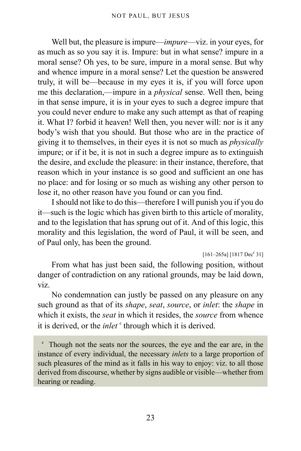Well but, the pleasure is impure—*impure*—viz. in your eyes, for as much as so you say it is. Impure: but in what sense? impure in a moral sense? Oh yes, to be sure, impure in a moral sense. But why and whence impure in a moral sense? Let the question be answered truly, it will be—because in my eyes it is, if you will force upon me this declaration,—impure in a *physical* sense. Well then, being in that sense impure, it is in your eyes to such a degree impure that you could never endure to make any such attempt as that of reaping it. What I? forbid it heaven! Well then, you never will: nor is it any body's wish that you should. But those who are in the practice of giving it to themselves, in their eyes it is not so much as *physically* impure; or if it be, it is not in such a degree impure as to extinguish the desire, and exclude the pleasure: in their instance, therefore, that reason which in your instance is so good and sufficient an one has no place: and for losing or so much as wishing any other person to lose it, no other reason have you found or can you find.

I should not like to do this—therefore I will punish you if you do it—such is the logic which has given birth to this article of morality, and to the legislation that has sprung out of it. And of this logic, this morality and this legislation, the word of Paul, it will be seen, and of Paul only, has been the ground.

 $[161-265a]$   $[1817$  Dec<sup>r</sup> 31]

From what has just been said, the following position, without danger of contradiction on any rational grounds, may be laid down, viz.

No condemnation can justly be passed on any pleasure on any such ground as that of its *shape*, *seat*, *source*, or *inlet*: the *shape* in which it exists, the *seat* in which it resides, the *source* from whence it is d[e](#page-22-0)rived, or the *inlet*  $\epsilon$  through which it is derived.

<span id="page-22-0"></span>e Though not the seats nor the sources, the eye and the ear are, in the instance of every individual, the necessary *inlets* to a large proportion of such pleasures of the mind as it falls in his way to enjoy: viz. to all those derived from discourse, whether by signs audible or visible—whether from hearing or reading.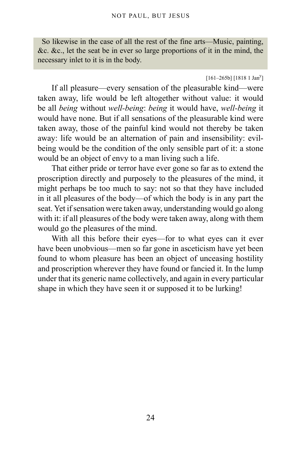So likewise in the case of all the rest of the fine arts—Music, painting, &c. &c., let the seat be in ever so large proportions of it in the mind, the necessary inlet to it is in the body.

#### $[161-265b]$   $[1818 1$  Jan<sup>y</sup>]

If all pleasure—every sensation of the pleasurable kind—were taken away, life would be left altogether without value: it would be all *being* without *well-being*: *being* it would have, *well-being* it would have none. But if all sensations of the pleasurable kind were taken away, those of the painful kind would not thereby be taken away: life would be an alternation of pain and insensibility: evilbeing would be the condition of the only sensible part of it: a stone would be an object of envy to a man living such a life.

That either pride or terror have ever gone so far as to extend the proscription directly and purposely to the pleasures of the mind, it might perhaps be too much to say: not so that they have included in it all pleasures of the body—of which the body is in any part the seat. Yet if sensation were taken away, understanding would go along with it: if all pleasures of the body were taken away, along with them would go the pleasures of the mind.

With all this before their eyes—for to what eyes can it ever have been unobvious—men so far gone in asceticism have yet been found to whom pleasure has been an object of unceasing hostility and proscription wherever they have found or fancied it. In the lump under that its generic name collectively, and again in every particular shape in which they have seen it or supposed it to be lurking!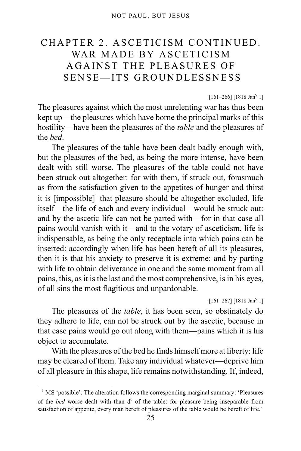# <span id="page-24-0"></span>CHAPTER 2. ASCETICISM CONTINUED. WAR MADE BY ASCETICISM AGAINST THE PLEASURES OF SENSE—ITS GROUNDLESSNESS

 $[161-266]$  [1818 Jan<sup>y</sup> 1]

The pleasures against which the most unrelenting war has thus been kept up—the pleasures which have borne the principal marks of this hostility—have been the pleasures of the *table* and the pleasures of the *bed*.

The pleasures of the table have been dealt badly enough with, but the pleasures of the bed, as being the more intense, have been dealt with still worse. The pleasures of the table could not have been struck out altogether: for with them, if struck out, forasmuch as from the satisfaction given to the appetites of hunger and thirst it is [impossible]<sup>[1](#page-24-1)</sup> that pleasure should be altogether excluded, life itself—the life of each and every individual—would be struck out: and by the ascetic life can not be parted with—for in that case all pains would vanish with it—and to the votary of asceticism, life is indispensable, as being the only receptacle into which pains can be inserted: accordingly when life has been bereft of all its pleasures, then it is that his anxiety to preserve it is extreme: and by parting with life to obtain deliverance in one and the same moment from all pains, this, as it is the last and the most comprehensive, is in his eyes, of all sins the most flagitious and unpardonable.

#### $[161-267]$  [1818 Jan<sup>y</sup> 1]

The pleasures of the *table*, it has been seen, so obstinately do they adhere to life, can not be struck out by the ascetic, because in that case pains would go out along with them—pains which it is his object to accumulate.

With the pleasures of the bed he finds himself more at liberty: life may be cleared of them. Take any individual whatever—deprive him of all pleasure in this shape, life remains notwithstanding. If, indeed,

<span id="page-24-1"></span><sup>&</sup>lt;sup>1</sup> MS 'possible'. The alteration follows the corresponding marginal summary: 'Pleasures of the *bed* worse dealt with than d<sup>o</sup> of the table: for pleasure being inseparable from satisfaction of appetite, every man bereft of pleasures of the table would be bereft of life.'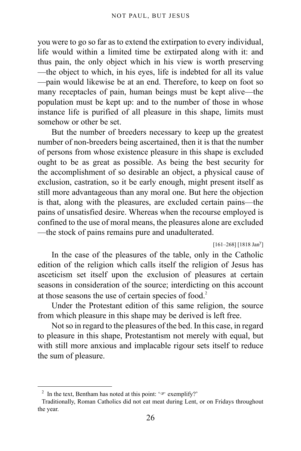you were to go so far as to extend the extirpation to every individual, life would within a limited time be extirpated along with it: and thus pain, the only object which in his view is worth preserving —the object to which, in his eyes, life is indebted for all its value —pain would likewise be at an end. Therefore, to keep on foot so many receptacles of pain, human beings must be kept alive—the population must be kept up: and to the number of those in whose instance life is purified of all pleasure in this shape, limits must somehow or other be set.

But the number of breeders necessary to keep up the greatest number of non-breeders being ascertained, then it is that the number of persons from whose existence pleasure in this shape is excluded ought to be as great as possible. As being the best security for the accomplishment of so desirable an object, a physical cause of exclusion, castration, so it be early enough, might present itself as still more advantageous than any moral one. But here the objection is that, along with the pleasures, are excluded certain pains—the pains of unsatisfied desire. Whereas when the recourse employed is confined to the use of moral means, the pleasures alone are excluded —the stock of pains remains pure and unadulterated.

 $[161-268]$  [1818 Jan<sup>y</sup>]

In the case of the pleasures of the table, only in the Catholic edition of the religion which calls itself the religion of Jesus has asceticism set itself upon the exclusion of pleasures at certain seasons in consideration of the source; interdicting on this account at those seasons the use of certain species of food.<sup>[2](#page-25-0)</sup>

Under the Protestant edition of this same religion, the source from which pleasure in this shape may be derived is left free.

Not so in regard to the pleasures of the bed. In this case, in regard to pleasure in this shape, Protestantism not merely with equal, but with still more anxious and implacable rigour sets itself to reduce the sum of pleasure.

<span id="page-25-0"></span><sup>&</sup>lt;sup>2</sup> In the text, Bentham has noted at this point:  $\infty$  exemplify?'

Traditionally, Roman Catholics did not eat meat during Lent, or on Fridays throughout the year.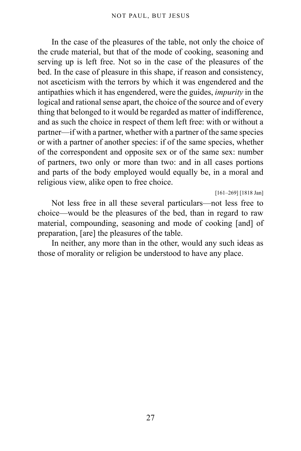In the case of the pleasures of the table, not only the choice of the crude material, but that of the mode of cooking, seasoning and serving up is left free. Not so in the case of the pleasures of the bed. In the case of pleasure in this shape, if reason and consistency, not asceticism with the terrors by which it was engendered and the antipathies which it has engendered, were the guides, *impurity* in the logical and rational sense apart, the choice of the source and of every thing that belonged to it would be regarded as matter of indifference, and as such the choice in respect of them left free: with or without a partner—if with a partner, whether with a partner of the same species or with a partner of another species: if of the same species, whether of the correspondent and opposite sex or of the same sex: number of partners, two only or more than two: and in all cases portions and parts of the body employed would equally be, in a moral and religious view, alike open to free choice.

[161–269] [1818 Jan]

Not less free in all these several particulars—not less free to choice—would be the pleasures of the bed, than in regard to raw material, compounding, seasoning and mode of cooking [and] of preparation, [are] the pleasures of the table.

In neither, any more than in the other, would any such ideas as those of morality or religion be understood to have any place.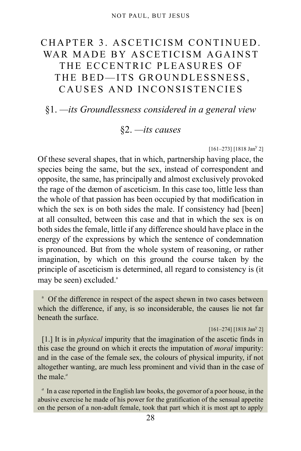# <span id="page-27-0"></span>CHAPTER 3. ASCETICISM CONTINUED. WAR MADE BY ASCETICISM AGAINST THE ECCENTRIC PLEASURES OF THE BED—ITS GROUNDLESSNESS, CAUSES AND INCONSISTENCIES

### <span id="page-27-2"></span><span id="page-27-1"></span>§1. *—its Groundlessness considered in a general view*

### §2. *—its causes*

#### $[161-273]$   $[1818$  Jan<sup>y</sup> 2]

Of these several shapes, that in which, partnership having place, the species being the same, but the sex, instead of correspondent and opposite, the same, has principally and almost exclusively provoked the rage of the dæmon of asceticism. In this case too, little less than the whole of that passion has been occupied by that modification in which the sex is on both sides the male. If consistency had [been] at all consulted, between this case and that in which the sex is on both sides the female, little if any difference should have place in the energy of the expressions by which the sentence of condemnation is pronounced. But from the whole system of reasoning, or rather imagination, by which on this ground the course taken by the principle of asceticism is determined, all regard to consistency is (it m[a](#page-27-3)y be seen) excluded.<sup>a</sup>

<span id="page-27-3"></span><sup>a</sup> Of the difference in respect of the aspect shewn in two cases between which the difference, if any, is so inconsiderable, the causes lie not far beneath the surface.

#### $[161-274]$  [1818 Jan<sup>y</sup> 2]

[1.] It is in *physical* impurity that the imagination of the ascetic finds in this case the ground on which it erects the imputation of *moral* impurity: and in the case of the female sex, the colours of physical impurity, if not altogether wanting, are much less prominent and vivid than in the case of the male.*[a](#page-27-4)*

<span id="page-27-4"></span><sup>a</sup> In a case reported in the English law books, the governor of a poor house, in the abusive exercise he made of his power for the gratification of the sensual appetite on the person of a non-adult female, took that part which it is most apt to apply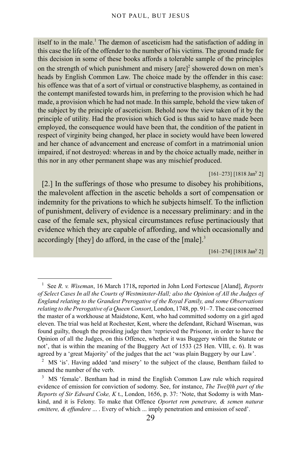itself to in the male.<sup>[1](#page-28-0)</sup> The dæmon of asceticism had the satisfaction of adding in this case the life of the offender to the number of his victims. The ground made for this decision in some of these books affords a tolerable sample of the principles on the strength of which punishment and misery  $[are]^2$  $[are]^2$  showered down on men's heads by English Common Law. The choice made by the offender in this case: his offence was that of a sort of virtual or constructive blasphemy, as contained in the contempt manifested towards him, in preferring to the provision which he had made, a provision which he had not made. In this sample, behold the view taken of the subject by the principle of asceticism. Behold now the view taken of it by the principle of utility. Had the provision which God is thus said to have made been employed, the consequence would have been that, the condition of the patient in respect of virginity being changed, her place in society would have been lowered and her chance of advancement and encrease of comfort in a matrimonial union impaired, if not destroyed: whereas in and by the choice actually made, neither in this nor in any other permanent shape was any mischief produced.

 $[161-273]$  [1818 Jan<sup>y</sup> 2]

[2.] In the sufferings of those who presume to disobey his prohibitions, the malevolent affection in the ascetic beholds a sort of compensation or indemnity for the privations to which he subjects himself. To the infliction of punishment, delivery of evidence is a necessary preliminary: and in the case of the female sex, physical circumstances refuse pertinaciously that evidence which they are capable of affording, and which occasionally and accordingly [they] do afford, in the case of the [male].<sup>[3](#page-28-2)</sup>

 $[161-274]$  [1818 Jan<sup>y</sup> 2]

<span id="page-28-0"></span><sup>&</sup>lt;sup>1</sup> See *R. v. Wiseman*, 16 March 1718, reported in John Lord Fortescue [Aland], *Reports of Select Cases In all the Courts of Westminster-Hall; also the Opinion of All the Judges of England relating to the Grandest Prerogative of the Royal Family, and some Observations relating to the Prerogative of a Queen Consort*, London, 1748, pp. 91–7. The case concerned the master of a workhouse at Maidstone, Kent, who had committed sodomy on a girl aged eleven. The trial was held at Rochester, Kent, where the defendant, Richard Wiseman, was found guilty, though the presiding judge then 'reprieved the Prisoner, in order to have the Opinion of all the Judges, on this Offence, whether it was Buggery within the Statute or not', that is within the meaning of the Buggery Act of 1533 (25 Hen. VIII, c. 6). It was agreed by a 'great Majority' of the judges that the act 'was plain Buggery by our Law'.

<span id="page-28-1"></span><sup>2</sup> MS 'is'. Having added 'and misery' to the subject of the clause, Bentham failed to amend the number of the verb.

<span id="page-28-2"></span><sup>&</sup>lt;sup>3</sup> MS 'female'. Bentham had in mind the English Common Law rule which required evidence of emission for conviction of sodomy. See, for instance, *The Twelfth part of the Reports of Sir Edward Coke, K* t., London, 1656, p. 37: 'Note, that Sodomy is with Mankind, and it is Felony. To make that Offence *Oportet rem penetrare, & semen naturæ emittere, & effundere* ... . Every of which ... imply penetration and emission of seed'.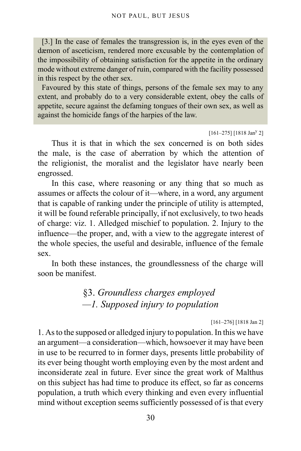[3.] In the case of females the transgression is, in the eyes even of the dæmon of asceticism, rendered more excusable by the contemplation of the impossibility of obtaining satisfaction for the appetite in the ordinary mode without extreme danger of ruin, compared with the facility possessed in this respect by the other sex.

Favoured by this state of things, persons of the female sex may to any extent, and probably do to a very considerable extent, obey the calls of appetite, secure against the defaming tongues of their own sex, as well as against the homicide fangs of the harpies of the law.

 $[161-275]$  [1818 Jan<sup>y</sup> 2]

Thus it is that in which the sex concerned is on both sides the male, is the case of aberration by which the attention of the religionist, the moralist and the legislator have nearly been engrossed.

In this case, where reasoning or any thing that so much as assumes or affects the colour of it—where, in a word, any argument that is capable of ranking under the principle of utility is attempted, it will be found referable principally, if not exclusively, to two heads of charge: viz. 1. Alledged mischief to population. 2. Injury to the influence—the proper, and, with a view to the aggregate interest of the whole species, the useful and desirable, influence of the female sex.

<span id="page-29-0"></span>In both these instances, the groundlessness of the charge will soon be manifest.

### §3. *Groundless charges employed —1. Supposed injury to population*

[161–276] [1818 Jan 2]

1. As to the supposed or alledged injury to population. In this we have an argument—a consideration—which, howsoever it may have been in use to be recurred to in former days, presents little probability of its ever being thought worth employing even by the most ardent and inconsiderate zeal in future. Ever since the great work of Malthus on this subject has had time to produce its effect, so far as concerns population, a truth which every thinking and even every influential mind without exception seems sufficiently possessed of is that every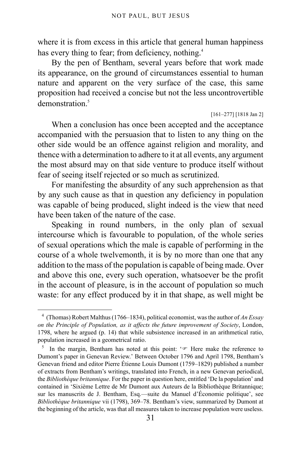where it is from excess in this article that general human happiness has every thing to fear; from deficiency, nothing.<sup>[4](#page-30-0)</sup>

By the pen of Bentham, several years before that work made its appearance, on the ground of circumstances essential to human nature and apparent on the very surface of the case, this same proposition had received a concise but not the less uncontrovertible  $d$ emonstration<sup>[5](#page-30-1)</sup>

```
[161–277] [1818 Jan 2]
```
When a conclusion has once been accepted and the acceptance accompanied with the persuasion that to listen to any thing on the other side would be an offence against religion and morality, and thence with a determination to adhere to it at all events, any argument the most absurd may on that side venture to produce itself without fear of seeing itself rejected or so much as scrutinized.

For manifesting the absurdity of any such apprehension as that by any such cause as that in question any deficiency in population was capable of being produced, slight indeed is the view that need have been taken of the nature of the case.

Speaking in round numbers, in the only plan of sexual intercourse which is favourable to population, of the whole series of sexual operations which the male is capable of performing in the course of a whole twelvemonth, it is by no more than one that any addition to the mass of the population is capable of being made. Over and above this one, every such operation, whatsoever be the profit in the account of pleasure, is in the account of population so much waste: for any effect produced by it in that shape, as well might be

<span id="page-30-0"></span><sup>4</sup> (Thomas) Robert Malthus (1766–1834), political economist, was the author of *An Essay on the Principle of Population, as it affects the future improvement of Society*, London, 1798, where he argued (p. 14) that while subsistence increased in an arithmetical ratio, population increased in a geometrical ratio.

<span id="page-30-1"></span><sup>5</sup> In the margin, Bentham has noted at this point: ' $\mathcal{F}$  Here make the reference to Dumont's paper in Genevan Review.' Between October 1796 and April 1798, Bentham's Genevan friend and editor Pierre Étienne Louis Dumont (1759–1829) published a number of extracts from Bentham's writings, translated into French, in a new Genevan periodical, the *Bibliothèque britannique*. For the paper in question here, entitled 'De la population' and contained in 'Sixième Lettre de Mr Dumont aux Auteurs de la Bibliothèque Britannique; sur les manuscrits de J. Bentham, Esq.—suite du Manuel d'Économie politique', see *Bibliothèque britannique* vii (1798), 369–78. Bentham's view, summarized by Dumont at the beginning of the article, was that all measures taken to increase population were useless.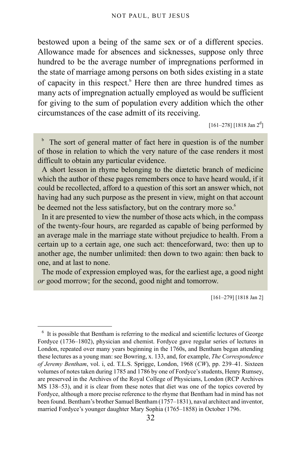bestowed upon a being of the same sex or of a different species. Allowance made for absences and sicknesses, suppose only three hundred to be the average number of impregnations performed in the state of marriage among persons on both sides existing in a state of capacity in this respect.<sup>[b](#page-31-0)</sup> Here then are three hundred times as many acts of impregnation actually employed as would be sufficient for giving to the sum of population every addition which the other circumstances of the case admitt of its receiving.

 $[161-278]$   $[1818$  Jan  $2^d]$ 

<span id="page-31-0"></span><sup>b</sup> The sort of general matter of fact here in question is of the number of those in relation to which the very nature of the case renders it most difficult to obtain any particular evidence.

A short lesson in rhyme belonging to the diætetic branch of medicine which the author of these pages remembers once to have heard would, if it could be recollected, afford to a question of this sort an answer which, not having had any such purpose as the present in view, might on that account be deemed not the less satisfactory, but on the contrary more so.<sup>[6](#page-31-1)</sup>

In it are presented to view the number of those acts which, in the compass of the twenty-four hours, are regarded as capable of being performed by an average male in the marriage state without prejudice to health. From a certain up to a certain age, one such act: thenceforward, two: then up to another age, the number unlimited: then down to two again: then back to one, and at last to none.

The mode of expression employed was, for the earliest age, a good night *or* good morrow; for the second, good night and tomorrow.

[161–279] [1818 Jan 2]

<span id="page-31-1"></span><sup>&</sup>lt;sup>6</sup> It is possible that Bentham is referring to the medical and scientific lectures of George Fordyce (1736–1802), physician and chemist. Fordyce gave regular series of lectures in London, repeated over many years beginning in the 1760s, and Bentham began attending these lectures as a young man: see Bowring, x. 133, and, for example, *The Correspondence of Jeremy Bentham*, vol. i, ed. T.L.S. Sprigge, London, 1968 (*CW*), pp. 239–41. Sixteen volumes of notes taken during 1785 and 1786 by one of Fordyce's students, Henry Rumsey, are preserved in the Archives of the Royal College of Physicians, London (RCP Archives MS 138–53), and it is clear from these notes that diet was one of the topics covered by Fordyce, although a more precise reference to the rhyme that Bentham had in mind has not been found. Bentham's brother Samuel Bentham (1757–1831), naval architect and inventor, married Fordyce's younger daughter Mary Sophia (1765–1858) in October 1796.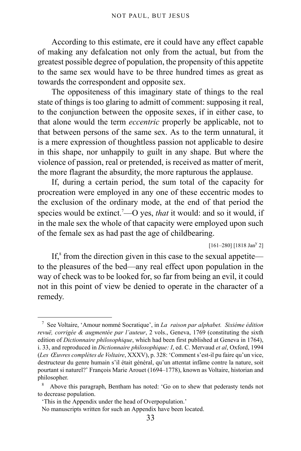According to this estimate, ere it could have any effect capable of making any defalcation not only from the actual, but from the greatest possible degree of population, the propensity of this appetite to the same sex would have to be three hundred times as great as towards the correspondent and opposite sex.

The oppositeness of this imaginary state of things to the real state of things is too glaring to admitt of comment: supposing it real, to the conjunction between the opposite sexes, if in either case, to that alone would the term *eccentric* properly be applicable, not to that between persons of the same sex. As to the term unnatural, it is a mere expression of thoughtless passion not applicable to desire in this shape, nor unhappily to guilt in any shape. But where the violence of passion, real or pretended, is received as matter of merit, the more flagrant the absurdity, the more rapturous the applause.

If, during a certain period, the sum total of the capacity for procreation were employed in any one of these eccentric modes to the exclusion of the ordinary mode, at the end of that period the species would be extinct.<sup>[7](#page-32-0)</sup>—O yes, *that* it would: and so it would, if in the male sex the whole of that capacity were employed upon such of the female sex as had past the age of childbearing.

 $[161-280]$  [1818 Jan<sup>y</sup> 2]

If, ${}^8$  ${}^8$  from the direction given in this case to the sexual appetite to the pleasures of the bed—any real effect upon population in the way of check was to be looked for, so far from being an evil, it could not in this point of view be denied to operate in the character of a remedy.

<span id="page-32-0"></span><sup>7</sup> See Voltaire, 'Amour nommé Socratique', in *La raison par alphabet. Sixiéme édition revuë, corrigée & augmentée par l'auteur*, 2 vols., Geneva, 1769 (constituting the sixth edition of *Dictionnaire philosophique*, which had been first published at Geneva in 1764), i. 33, and reproduced in *Dictionnaire philosophique: I*, ed. C. Mervaud *et al*, Oxford, 1994 (*Les Œuvres complètes de Voltaire*, XXXV), p. 328: 'Comment s'est-il pu faire qu'un vice, destructeur du genre humain s'il était général, qu'un attentat infâme contre la nature, soit pourtant si naturel?' François Marie Arouet (1694–1778), known as Voltaire, historian and philosopher.

<span id="page-32-1"></span><sup>8</sup> Above this paragraph, Bentham has noted: 'Go on to shew that pederasty tends not to decrease population.

<sup>&#</sup>x27;This in the Appendix under the head of Overpopulation.'

No manuscripts written for such an Appendix have been located.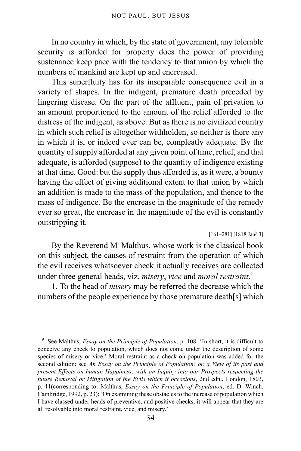In no country in which, by the state of government, any tolerable security is afforded for property does the power of providing sustenance keep pace with the tendency to that union by which the numbers of mankind are kept up and encreased.

This superfluity has for its inseparable consequence evil in a variety of shapes. In the indigent, premature death preceded by lingering disease. On the part of the affluent, pain of privation to an amount proportioned to the amount of the relief afforded to the distress of the indigent, as above. But as there is no civilized country in which such relief is altogether withholden, so neither is there any in which it is, or indeed ever can be, compleatly adequate. By the quantity of supply afforded at any given point of time, relief, and that adequate, is afforded (suppose) to the quantity of indigence existing at that time. Good: but the supply thus afforded is, as it were, a bounty having the effect of giving additional extent to that union by which an addition is made to the mass of the population, and thence to the mass of indigence. Be the encrease in the magnitude of the remedy ever so great, the encrease in the magnitude of the evil is constantly outstripping it.

#### $[161-281]$  [1818 Jan<sup>y</sup> 3]

By the Reverend M' Malthus, whose work is the classical book on this subject, the causes of restraint from the operation of which the evil receives whatsoever check it actually receives are collected under three general heads, viz. *misery*, *vice* and *moral restraint*. [9](#page-33-0)

1. To the head of *misery* may be referred the decrease which the numbers of the people experience by those premature death[s] which

<span id="page-33-0"></span><sup>9</sup> See Malthus, *Essay on the Principle of Population*, p. 108: 'In short, it is difficult to conceive any check to population, which does not come under the description of some species of misery or vice.' Moral restraint as a check on population was added for the second edition: see *An Essay on the Principle of Population; or, a View of its past and present Effects on human Happiness; with an Inquiry into our Prospects respecting the future Removal or Mitigation of the Evils which it occasions*, 2nd edn., London, 1803, p. 11(corresponding to: Malthus, *Essay on the Principle of Population*, ed. D. Winch, Cambridge, 1992, p. 23): 'On examining these obstacles to the increase of population which I have classed under heads of preventive, and positive checks, it will appear that they are all resolvable into moral restraint, vice, and misery.'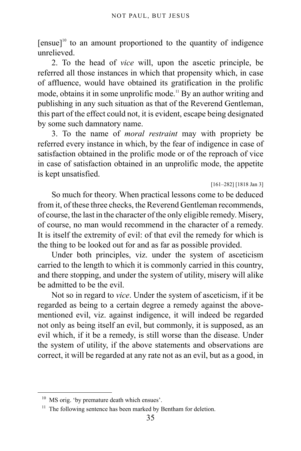$[ensure]$ <sup>[10](#page-34-0)</sup> to an amount proportioned to the quantity of indigence unrelieved.

2. To the head of *vice* will, upon the ascetic principle, be referred all those instances in which that propensity which, in case of affluence, would have obtained its gratification in the prolific mode, obtains it in some unprolific mode.<sup>[11](#page-34-1)</sup> By an author writing and publishing in any such situation as that of the Reverend Gentleman, this part of the effect could not, it is evident, escape being designated by some such damnatory name.

3. To the name of *moral restraint* may with propriety be referred every instance in which, by the fear of indigence in case of satisfaction obtained in the prolific mode or of the reproach of vice in case of satisfaction obtained in an unprolific mode, the appetite is kept unsatisfied.

[161–282] [1818 Jan 3]

So much for theory. When practical lessons come to be deduced from it, of these three checks, the Reverend Gentleman recommends, of course, the last in the character of the only eligible remedy. Misery, of course, no man would recommend in the character of a remedy. It is itself the extremity of evil: of that evil the remedy for which is the thing to be looked out for and as far as possible provided.

Under both principles, viz. under the system of asceticism carried to the length to which it is commonly carried in this country, and there stopping, and under the system of utility, misery will alike be admitted to be the evil.

Not so in regard to *vice*. Under the system of asceticism, if it be regarded as being to a certain degree a remedy against the abovementioned evil, viz. against indigence, it will indeed be regarded not only as being itself an evil, but commonly, it is supposed, as an evil which, if it be a remedy, is still worse than the disease. Under the system of utility, if the above statements and observations are correct, it will be regarded at any rate not as an evil, but as a good, in

<span id="page-34-0"></span><sup>&</sup>lt;sup>10</sup> MS orig. 'by premature death which ensues'.

<span id="page-34-1"></span><sup>&</sup>lt;sup>11</sup> The following sentence has been marked by Bentham for deletion.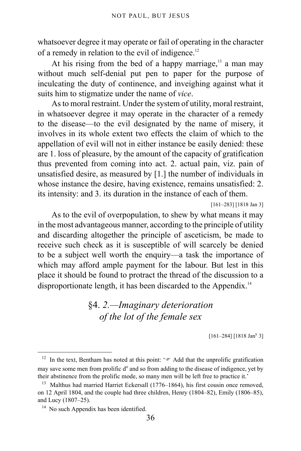whatsoever degree it may operate or fail of operating in the character of a remedy in relation to the evil of indigence.<sup>[12](#page-35-1)</sup>

At his rising from the bed of a happy marriage, $13$  a man may without much self-denial put pen to paper for the purpose of inculcating the duty of continence, and inveighing against what it suits him to stigmatize under the name of *vice*.

As to moral restraint. Under the system of utility, moral restraint, in whatsoever degree it may operate in the character of a remedy to the disease—to the evil designated by the name of misery, it involves in its whole extent two effects the claim of which to the appellation of evil will not in either instance be easily denied: these are 1. loss of pleasure, by the amount of the capacity of gratification thus prevented from coming into act. 2. actual pain, viz. pain of unsatisfied desire, as measured by [1.] the number of individuals in whose instance the desire, having existence, remains unsatisfied: 2. its intensity: and 3. its duration in the instance of each of them.

[161–283] [1818 Jan 3]

As to the evil of overpopulation, to shew by what means it may in the most advantageous manner, according to the principle of utility and discarding altogether the principle of asceticism, be made to receive such check as it is susceptible of will scarcely be denied to be a subject well worth the enquiry—a task the importance of which may afford ample payment for the labour. But lest in this place it should be found to protract the thread of the discussion to a disproportionate length, it has been discarded to the Appendix.<sup>[14](#page-35-3)</sup>

## <span id="page-35-0"></span>§4. *2.—Imaginary deterioration of the lot of the female sex*

 $[161-284]$  [1818 Jan<sup>y</sup> 3]

<span id="page-35-1"></span><sup>&</sup>lt;sup>12</sup> In the text, Bentham has noted at this point: ' $\mathcal{F}$  Add that the unprolific gratification may save some men from prolific d<sup>o</sup> and so from adding to the disease of indigence, yet by their abstinence from the prolific mode, so many men will be left free to practice it.'

<span id="page-35-2"></span><sup>&</sup>lt;sup>13</sup> Malthus had married Harriet Eckersall (1776–1864), his first cousin once removed, on 12 April 1804, and the couple had three children, Henry (1804–82), Emily (1806–85), and Lucy (1807–25).

<span id="page-35-3"></span><sup>&</sup>lt;sup>14</sup> No such Appendix has been identified.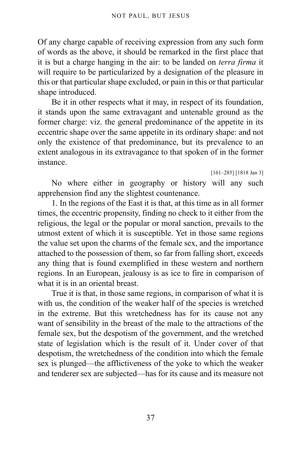Of any charge capable of receiving expression from any such form of words as the above, it should be remarked in the first place that it is but a charge hanging in the air: to be landed on *terra firma* it will require to be particularized by a designation of the pleasure in this or that particular shape excluded, or pain in this or that particular shape introduced.

Be it in other respects what it may, in respect of its foundation, it stands upon the same extravagant and untenable ground as the former charge: viz. the general predominance of the appetite in its eccentric shape over the same appetite in its ordinary shape: and not only the existence of that predominance, but its prevalence to an extent analogous in its extravagance to that spoken of in the former instance.

[161–285] [1818 Jan 3]

No where either in geography or history will any such apprehension find any the slightest countenance.

1. In the regions of the East it is that, at this time as in all former times, the eccentric propensity, finding no check to it either from the religious, the legal or the popular or moral sanction, prevails to the utmost extent of which it is susceptible. Yet in those same regions the value set upon the charms of the female sex, and the importance attached to the possession of them, so far from falling short, exceeds any thing that is found exemplified in these western and northern regions. In an European, jealousy is as ice to fire in comparison of what it is in an oriental breast.

True it is that, in those same regions, in comparison of what it is with us, the condition of the weaker half of the species is wretched in the extreme. But this wretchedness has for its cause not any want of sensibility in the breast of the male to the attractions of the female sex, but the despotism of the government, and the wretched state of legislation which is the result of it. Under cover of that despotism, the wretchedness of the condition into which the female sex is plunged—the afflictiveness of the yoke to which the weaker and tenderer sex are subjected—has for its cause and its measure not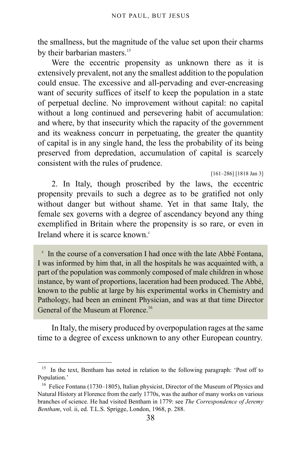the smallness, but the magnitude of the value set upon their charms by their barbarian masters.<sup>[15](#page-37-0)</sup>

Were the eccentric propensity as unknown there as it is extensively prevalent, not any the smallest addition to the population could ensue. The excessive and all-pervading and ever-encreasing want of security suffices of itself to keep the population in a state of perpetual decline. No improvement without capital: no capital without a long continued and persevering habit of accumulation: and where, by that insecurity which the rapacity of the government and its weakness concurr in perpetuating, the greater the quantity of capital is in any single hand, the less the probability of its being preserved from depredation, accumulation of capital is scarcely consistent with the rules of prudence.

[161–286] [1818 Jan 3]

2. In Italy, though proscribed by the laws, the eccentric propensity prevails to such a degree as to be gratified not only without danger but without shame. Yet in that same Italy, the female sex governs with a degree of ascendancy beyond any thing exemplified in Britain where the propensity is so rare, or even in Ireland where it is s[c](#page-37-1)arce known.<sup>c</sup>

<span id="page-37-1"></span><sup>c</sup> In the course of a conversation I had once with the late Abbé Fontana, I was informed by him that, in all the hospitals he was acquainted with, a part of the population was commonly composed of male children in whose instance, by want of proportions, laceration had been produced. The Abbé, known to the public at large by his experimental works in Chemistry and Pathology, had been an eminent Physician, and was at that time Director General of the Museum at Florence.<sup>[16](#page-37-2)</sup>

In Italy, the misery produced by overpopulation rages at the same time to a degree of excess unknown to any other European country.

<span id="page-37-0"></span><sup>&</sup>lt;sup>15</sup> In the text, Bentham has noted in relation to the following paragraph: 'Post off to Population.'

<span id="page-37-2"></span><sup>&</sup>lt;sup>16</sup> Felice Fontana (1730–1805), Italian physicist, Director of the Museum of Physics and Natural History at Florence from the early 1770s, was the author of many works on various branches of science. He had visited Bentham in 1779: see *The Correspondence of Jeremy Bentham*, vol. ii, ed. T.L.S. Sprigge, London, 1968, p. 288.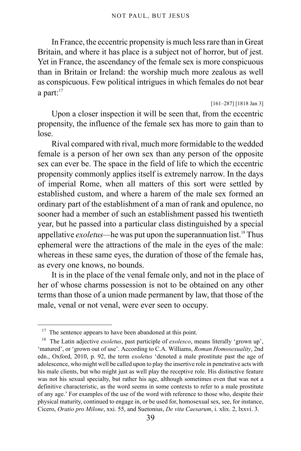In France, the eccentric propensity is much less rare than in Great Britain, and where it has place is a subject not of horror, but of jest. Yet in France, the ascendancy of the female sex is more conspicuous than in Britain or Ireland: the worship much more zealous as well as conspicuous. Few political intrigues in which females do not bear a part: $17$ 

[161–287] [1818 Jan 3]

Upon a closer inspection it will be seen that, from the eccentric propensity, the influence of the female sex has more to gain than to lose.

Rival compared with rival, much more formidable to the wedded female is a person of her own sex than any person of the opposite sex can ever be. The space in the field of life to which the eccentric propensity commonly applies itself is extremely narrow. In the days of imperial Rome, when all matters of this sort were settled by established custom, and where a harem of the male sex formed an ordinary part of the establishment of a man of rank and opulence, no sooner had a member of such an establishment passed his twentieth year, but he passed into a particular class distinguished by a special appellative *exoletus*—he was put upon the superannuation list.<sup>[18](#page-38-1)</sup> Thus ephemeral were the attractions of the male in the eyes of the male: whereas in these same eyes, the duration of those of the female has, as every one knows, no bounds.

It is in the place of the venal female only, and not in the place of her of whose charms possession is not to be obtained on any other terms than those of a union made permanent by law, that those of the male, venal or not venal, were ever seen to occupy.

<span id="page-38-0"></span><sup>&</sup>lt;sup>17</sup> The sentence appears to have been abandoned at this point.

<span id="page-38-1"></span><sup>18</sup> The Latin adjective *exoletus*, past participle of *exolesco*, means literally 'grown up', 'matured', or 'grown out of use'. According to C.A. Williams, *Roman Homosexuality*, 2nd edn., Oxford, 2010, p. 92, the term *exoletus* 'denoted a male prostitute past the age of adolescence, who might well be called upon to play the insertive role in penetrative acts with his male clients, but who might just as well play the receptive role. His distinctive feature was not his sexual specialty, but rather his age, although sometimes even that was not a definitive characteristic, as the word seems in some contexts to refer to a male prostitute of any age.' For examples of the use of the word with reference to those who, despite their physical maturity, continued to engage in, or be used for, homosexual sex, see, for instance, Cicero, *Oratio pro Milone*, xxi. 55, and Suetonius, *De vita Caesarum*, i. xlix. 2, lxxvi. 3.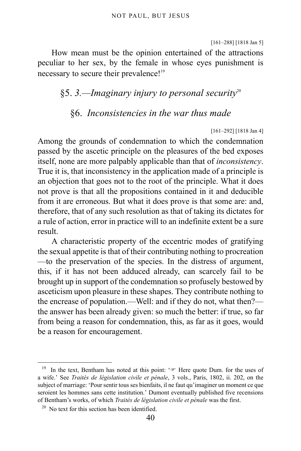[161–288] [1818 Jan 5]

How mean must be the opinion entertained of the attractions peculiar to her sex, by the female in whose eyes punishment is necessary to secure their prevalence!<sup>[19](#page-39-0)</sup>

## §5. *3.—Imaginary injury to personal security*[20](#page-39-1)

### §6. *Inconsistencies in the war thus made*

[161–292] [1818 Jan 4]

Among the grounds of condemnation to which the condemnation passed by the ascetic principle on the pleasures of the bed exposes itself, none are more palpably applicable than that of *inconsistency*. True it is, that inconsistency in the application made of a principle is an objection that goes not to the root of the principle. What it does not prove is that all the propositions contained in it and deducible from it are erroneous. But what it does prove is that some are: and, therefore, that of any such resolution as that of taking its dictates for a rule of action, error in practice will to an indefinite extent be a sure result.

A characteristic property of the eccentric modes of gratifying the sexual appetite is that of their contributing nothing to procreation —to the preservation of the species. In the distress of argument, this, if it has not been adduced already, can scarcely fail to be brought up in support of the condemnation so profusely bestowed by asceticism upon pleasure in these shapes. They contribute nothing to the encrease of population.—Well: and if they do not, what then? the answer has been already given: so much the better: if true, so far from being a reason for condemnation, this, as far as it goes, would be a reason for encouragement.

<span id="page-39-0"></span><sup>&</sup>lt;sup>19</sup> In the text, Bentham has noted at this point:  $\sqrt{\sigma}$  Here quote Dum. for the uses of a wife.' See *Traités de législation civile et pénale*, 3 vols., Paris, 1802, ii. 202, on the subject of marriage: 'Pour sentir tous ses bienfaits, il ne faut qu'imaginer un moment ce que seroient les hommes sans cette institution.' Dumont eventually published five recensions of Bentham's works, of which *Traités de législation civile et pénale* was the first.

<span id="page-39-1"></span><sup>&</sup>lt;sup>20</sup> No text for this section has been identified.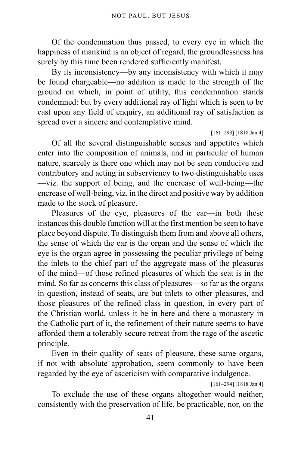Of the condemnation thus passed, to every eye in which the happiness of mankind is an object of regard, the groundlessness has surely by this time been rendered sufficiently manifest.

By its inconsistency—by any inconsistency with which it may be found chargeable—no addition is made to the strength of the ground on which, in point of utility, this condemnation stands condemned: but by every additional ray of light which is seen to be cast upon any field of enquiry, an additional ray of satisfaction is spread over a sincere and contemplative mind.

#### [161–293] [1818 Jan 4]

Of all the several distinguishable senses and appetites which enter into the composition of animals, and in particular of human nature, scarcely is there one which may not be seen conducive and contributory and acting in subserviency to two distinguishable uses —viz. the support of being, and the encrease of well-being—the encrease of well-being, viz. in the direct and positive way by addition made to the stock of pleasure.

Pleasures of the eye, pleasures of the ear—in both these instances this double function will at the first mention be seen to have place beyond dispute. To distinguish them from and above all others, the sense of which the ear is the organ and the sense of which the eye is the organ agree in possessing the peculiar privilege of being the inlets to the chief part of the aggregate mass of the pleasures of the mind—of those refined pleasures of which the seat is in the mind. So far as concerns this class of pleasures—so far as the organs in question, instead of seats, are but inlets to other pleasures, and those pleasures of the refined class in question, in every part of the Christian world, unless it be in here and there a monastery in the Catholic part of it, the refinement of their nature seems to have afforded them a tolerably secure retreat from the rage of the ascetic principle.

Even in their quality of seats of pleasure, these same organs, if not with absolute approbation, seem commonly to have been regarded by the eye of asceticism with comparative indulgence.

[161–294] [1818 Jan 4]

To exclude the use of these organs altogether would neither, consistently with the preservation of life, be practicable, nor, on the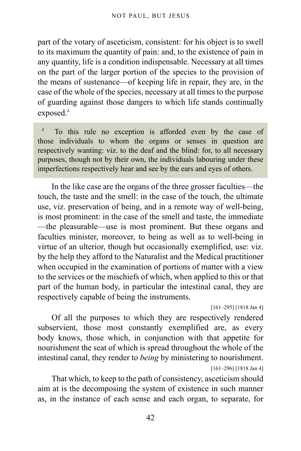part of the votary of asceticism, consistent: for his object is to swell to its maximum the quantity of pain: and, to the existence of pain in any quantity, life is a condition indispensable. Necessary at all times on the part of the larger portion of the species to the provision of the means of sustenance—of keeping life in repair, they are, in the case of the whole of the species, necessary at all times to the purpose of guarding against those dangers to which life stands continually expose[d](#page-41-0).<sup>d</sup>

<span id="page-41-0"></span>d To this rule no exception is afforded even by the case of those individuals to whom the organs or senses in question are respectively wanting: viz. to the deaf and the blind: for, to all necessary purposes, though not by their own, the individuals labouring under these imperfections respectively hear and see by the ears and eyes of others.

In the like case are the organs of the three grosser faculties—the touch, the taste and the smell: in the case of the touch, the ultimate use, viz. preservation of being, and in a remote way of well-being, is most prominent: in the case of the smell and taste, the immediate —the pleasurable—use is most prominent. But these organs and faculties minister, moreover, to being as well as to well-being in virtue of an ulterior, though but occasionally exemplified, use: viz. by the help they afford to the Naturalist and the Medical practitioner when occupied in the examination of portions of matter with a view to the services or the mischiefs of which, when applied to this or that part of the human body, in particular the intestinal canal, they are respectively capable of being the instruments.

[161–295] [1818 Jan 4]

Of all the purposes to which they are respectively rendered subservient, those most constantly exemplified are, as every body knows, those which, in conjunction with that appetite for nourishment the seat of which is spread throughout the whole of the intestinal canal, they render to *being* by ministering to nourishment. [161–296] [1818 Jan 4]

That which, to keep to the path of consistency, asceticism should aim at is the decomposing the system of existence in such manner as, in the instance of each sense and each organ, to separate, for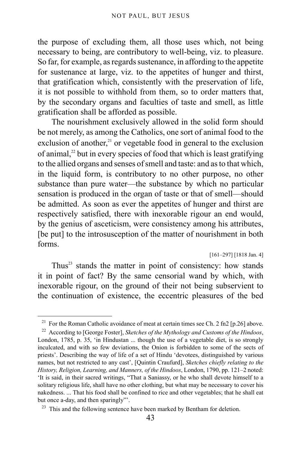the purpose of excluding them, all those uses which, not being necessary to being, are contributory to well-being, viz. to pleasure. So far, for example, as regards sustenance, in affording to the appetite for sustenance at large, viz. to the appetites of hunger and thirst, that gratification which, consistently with the preservation of life, it is not possible to withhold from them, so to order matters that, by the secondary organs and faculties of taste and smell, as little gratification shall be afforded as possible.

The nourishment exclusively allowed in the solid form should be not merely, as among the Catholics, one sort of animal food to the exclusion of another, $2<sup>1</sup>$  or vegetable food in general to the exclusion of animal, $^{22}$  $^{22}$  $^{22}$  but in every species of food that which is least gratifying to the allied organs and senses of smell and taste: and as to that which, in the liquid form, is contributory to no other purpose, no other substance than pure water—the substance by which no particular sensation is produced in the organ of taste or that of smell—should be admitted. As soon as ever the appetites of hunger and thirst are respectively satisfied, there with inexorable rigour an end would, by the genius of asceticism, were consistency among his attributes, [be put] to the introsusception of the matter of nourishment in both forms.

[161–297] [1818 Jan. 4]

Thus $^{23}$  $^{23}$  $^{23}$  stands the matter in point of consistency: how stands it in point of fact? By the same censorial wand by which, with inexorable rigour, on the ground of their not being subservient to the continuation of existence, the eccentric pleasures of the bed

<span id="page-42-0"></span><sup>&</sup>lt;sup>21</sup> For the Roman Catholic avoidance of meat at certain times see [Ch. 2 fn2 \[p.26\]](#page-25-0) above.

<span id="page-42-1"></span><sup>22</sup> According to [George Foster], *Sketches of the Mythology and Customs of the Hindoos*, London, 1785, p. 35, 'in Hindustan ... though the use of a vegetable diet, is so strongly inculcated, and with so few deviations, the Onion is forbidden to some of the sects of priests'. Describing the way of life of a set of Hindu 'devotees, distinguished by various names, but not restricted to any cast', [Quintin Craufurd], *Sketches chiefly relating to the History, Religion, Learning, and Manners, of the Hindoos*, London, 1790, pp. 121–2 noted: 'It is said, in their sacred writings, "That a Saniassy, or he who shall devote himself to a solitary religious life, shall have no other clothing, but what may be necessary to cover his nakedness. ... That his food shall be confined to rice and other vegetables; that he shall eat but once a-day, and then sparingly"'.

<span id="page-42-2"></span><sup>&</sup>lt;sup>23</sup> This and the following sentence have been marked by Bentham for deletion.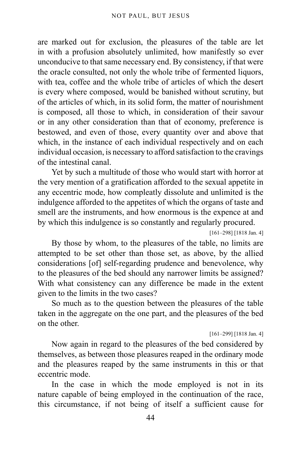are marked out for exclusion, the pleasures of the table are let in with a profusion absolutely unlimited, how manifestly so ever unconducive to that same necessary end. By consistency, if that were the oracle consulted, not only the whole tribe of fermented liquors, with tea, coffee and the whole tribe of articles of which the desert is every where composed, would be banished without scrutiny, but of the articles of which, in its solid form, the matter of nourishment is composed, all those to which, in consideration of their savour or in any other consideration than that of economy, preference is bestowed, and even of those, every quantity over and above that which, in the instance of each individual respectively and on each individual occasion, is necessary to afford satisfaction to the cravings of the intestinal canal.

Yet by such a multitude of those who would start with horror at the very mention of a gratification afforded to the sexual appetite in any eccentric mode, how compleatly dissolute and unlimited is the indulgence afforded to the appetites of which the organs of taste and smell are the instruments, and how enormous is the expence at and by which this indulgence is so constantly and regularly procured.

[161–298] [1818 Jan. 4]

By those by whom, to the pleasures of the table, no limits are attempted to be set other than those set, as above, by the allied considerations [of] self-regarding prudence and benevolence, why to the pleasures of the bed should any narrower limits be assigned? With what consistency can any difference be made in the extent given to the limits in the two cases?

So much as to the question between the pleasures of the table taken in the aggregate on the one part, and the pleasures of the bed on the other.

[161–299] [1818 Jan. 4]

Now again in regard to the pleasures of the bed considered by themselves, as between those pleasures reaped in the ordinary mode and the pleasures reaped by the same instruments in this or that eccentric mode.

In the case in which the mode employed is not in its nature capable of being employed in the continuation of the race, this circumstance, if not being of itself a sufficient cause for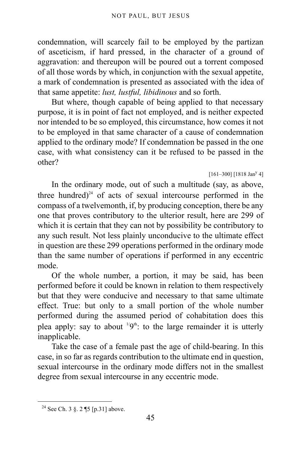condemnation, will scarcely fail to be employed by the partizan of asceticism, if hard pressed, in the character of a ground of aggravation: and thereupon will be poured out a torrent composed of all those words by which, in conjunction with the sexual appetite, a mark of condemnation is presented as associated with the idea of that same appetite: *lust, lustful, libidinous* and so forth.

But where, though capable of being applied to that necessary purpose, it is in point of fact not employed, and is neither expected nor intended to be so employed, this circumstance, how comes it not to be employed in that same character of a cause of condemnation applied to the ordinary mode? If condemnation be passed in the one case, with what consistency can it be refused to be passed in the other?

 $[161-300]$   $[1818$  Jan<sup>y</sup> 4]

In the ordinary mode, out of such a multitude (say, as above, three hundred) $24$  of acts of sexual intercourse performed in the compass of a twelvemonth, if, by producing conception, there be any one that proves contributory to the ulterior result, here are 299 of which it is certain that they can not by possibility be contributory to any such result. Not less plainly unconducive to the ultimate effect in question are these 299 operations performed in the ordinary mode than the same number of operations if performed in any eccentric mode.

Of the whole number, a portion, it may be said, has been performed before it could be known in relation to them respectively but that they were conducive and necessary to that same ultimate effect. True: but only to a small portion of the whole number performed during the assumed period of cohabitation does this plea apply: say to about  $\frac{1}{9}$ <sup>th</sup>: to the large remainder it is utterly inapplicable.

Take the case of a female past the age of child-bearing. In this case, in so far as regards contribution to the ultimate end in question, sexual intercourse in the ordinary mode differs not in the smallest degree from sexual intercourse in any eccentric mode.

<span id="page-44-0"></span><sup>&</sup>lt;sup>24</sup> See Ch. 3  $\S$ . 2 ¶5 [p.31] above.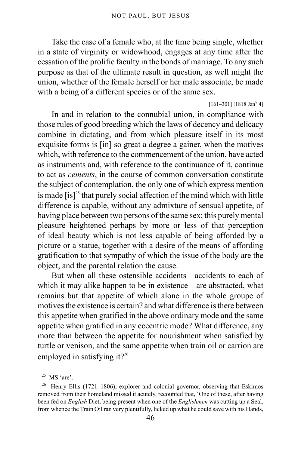Take the case of a female who, at the time being single, whether in a state of virginity or widowhood, engages at any time after the cessation of the prolific faculty in the bonds of marriage. To any such purpose as that of the ultimate result in question, as well might the union, whether of the female herself or her male associate, be made with a being of a different species or of the same sex.

 $[161-301]$   $[1818$  Jan<sup>y</sup> 4]

In and in relation to the connubial union, in compliance with those rules of good breeding which the laws of decency and delicacy combine in dictating, and from which pleasure itself in its most exquisite forms is [in] so great a degree a gainer, when the motives which, with reference to the commencement of the union, have acted as instruments and, with reference to the continuance of it, continue to act as *cements*, in the course of common conversation constitute the subject of contemplation, the only one of which express mention is made  $[$ is]<sup>[25](#page-45-0)</sup> that purely social affection of the mind which with little difference is capable, without any admixture of sensual appetite, of having place between two persons of the same sex; this purely mental pleasure heightened perhaps by more or less of that perception of ideal beauty which is not less capable of being afforded by a picture or a statue, together with a desire of the means of affording gratification to that sympathy of which the issue of the body are the object, and the parental relation the cause.

But when all these ostensible accidents—accidents to each of which it may alike happen to be in existence—are abstracted, what remains but that appetite of which alone in the whole groupe of motives the existence is certain? and what difference is there between this appetite when gratified in the above ordinary mode and the same appetite when gratified in any eccentric mode? What difference, any more than between the appetite for nourishment when satisfied by turtle or venison, and the same appetite when train oil or carrion are employed in satisfying it?<sup>[26](#page-45-1)</sup>

<span id="page-45-0"></span> $25$  MS 'are'.

<span id="page-45-1"></span><sup>&</sup>lt;sup>26</sup> Henry Ellis (1721–1806), explorer and colonial governor, observing that Eskimos removed from their homeland missed it acutely, recounted that, 'One of these, after having been fed on *English* Diet, being present when one of the *Englishmen* was cutting up a Seal, from whence the Train Oil ran very plentifully, licked up what he could save with his Hands,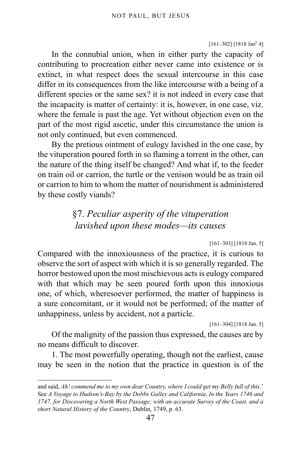$[161-302]$  [1818 Jan<sup>y</sup> 4]

In the connubial union, when in either party the capacity of contributing to procreation either never came into existence or is extinct, in what respect does the sexual intercourse in this case differ in its consequences from the like intercourse with a being of a different species or the same sex? it is not indeed in every case that the incapacity is matter of certainty: it is, however, in one case, viz. where the female is past the age. Yet without objection even on the part of the most rigid ascetic, under this circumstance the union is not only continued, but even commenced.

By the pretious ointment of eulogy lavished in the one case, by the vituperation poured forth in so flaming a torrent in the other, can the nature of the thing itself be changed? And what if, to the feeder on train oil or carrion, the turtle or the venison would be as train oil or carrion to him to whom the matter of nourishment is administered by these costly viands?

## §7. *Peculiar asperity of the vituperation lavished upon these modes—its causes*

[161–303] [1818 Jan. 5]

Compared with the innoxiousness of the practice, it is curious to observe the sort of aspect with which it is so generally regarded. The horror bestowed upon the most mischievous acts is eulogy compared with that which may be seen poured forth upon this innoxious one, of which, wheresoever performed, the matter of happiness is a sure concomitant, or it would not be performed; of the matter of unhappiness, unless by accident, not a particle.

[161-304] [1818 Jan. 5]

Of the malignity of the passion thus expressed, the causes are by no means difficult to discover.

1. The most powerfully operating, though not the earliest, cause may be seen in the notion that the practice in question is of the

and said, *Ah! commend me to my own dear Country, where I could get my Belly full of this*.' See *A Voyage to Hudson's-Bay by the Dobbs Galley and California, In the Years 1746 and 1747, for Discovering a North West Passage; with an accurate Survey of the Coast, and a short Natural History of the Country*, Dublin, 1749, p. 63.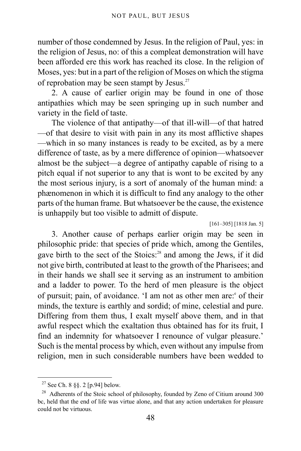number of those condemned by Jesus. In the religion of Paul, yes: in the religion of Jesus, no: of this a compleat demonstration will have been afforded ere this work has reached its close. In the religion of Moses, yes: but in a part of the religion of Moses on which the stigma of reprobation may be seen stampt by Jesus. $27$ 

2. A cause of earlier origin may be found in one of those antipathies which may be seen springing up in such number and variety in the field of taste.

The violence of that antipathy—of that ill-will—of that hatred —of that desire to visit with pain in any its most afflictive shapes —which in so many instances is ready to be excited, as by a mere difference of taste, as by a mere difference of opinion—whatsoever almost be the subject—a degree of antipathy capable of rising to a pitch equal if not superior to any that is wont to be excited by any the most serious injury, is a sort of anomaly of the human mind: a phænomenon in which it is difficult to find any analogy to the other parts of the human frame. But whatsoever be the cause, the existence is unhappily but too visible to admitt of dispute.

[161–305] [1818 Jan. 5]

3. Another cause of perhaps earlier origin may be seen in philosophic pride: that species of pride which, among the Gentiles, gave birth to the sect of the Stoics:<sup>[28](#page-47-1)</sup> and among the Jews, if it did not give birth, contributed at least to the growth of the Pharisees; and in their hands we shall see it serving as an instrument to ambition and a ladder to power. To the herd of men pleasure is the object of pursuit; pain, of avoidanc[e](#page-48-0). 'I am not as other men are:<sup>e</sup> of their minds, the texture is earthly and sordid; of mine, celestial and pure. Differing from them thus, I exalt myself above them, and in that awful respect which the exaltation thus obtained has for its fruit, I find an indemnity for whatsoever I renounce of vulgar pleasure.' Such is the mental process by which, even without any impulse from religion, men in such considerable numbers have been wedded to

<span id="page-47-0"></span><sup>&</sup>lt;sup>27</sup> See Ch. 8  $\S$ . 2 [p.94] below.

<span id="page-47-1"></span><sup>&</sup>lt;sup>28</sup> Adherents of the Stoic school of philosophy, founded by Zeno of Citium around 300 bc, held that the end of life was virtue alone, and that any action undertaken for pleasure could not be virtuous.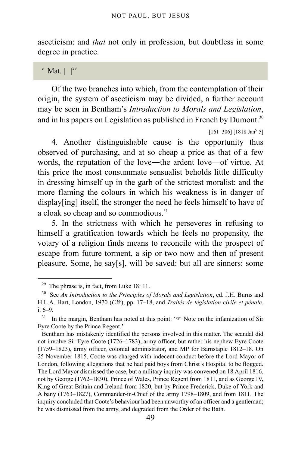asceticism: and *that* not only in profession, but doubtless in some degree in practice.

<span id="page-48-0"></span> $^{\circ}$  Mat.  $|^{29}$  $|^{29}$  $|^{29}$ 

Of the two branches into which, from the contemplation of their origin, the system of asceticism may be divided, a further account may be seen in Bentham's *Introduction to Morals and Legislation*, and in his papers on Legislation as published in French by Dumont.<sup>[30](#page-48-2)</sup>

4. Another distinguishable cause is the opportunity thus observed of purchasing, and at so cheap a price as that of a few words, the reputation of the love—the ardent love—of virtue. At this price the most consummate sensualist beholds little difficulty in dressing himself up in the garb of the strictest moralist: and the more flaming the colours in which his weakness is in danger of display[ing] itself, the stronger the need he feels himself to have of a cloak so cheap and so commodious.<sup>[31](#page-48-3)</sup>

5. In the strictness with which he perseveres in refusing to himself a gratification towards which he feels no propensity, the votary of a religion finds means to reconcile with the prospect of escape from future torment, a sip or two now and then of present pleasure. Some, he say[s], will be saved: but all are sinners: some

 $[161-306]$   $[1818$  Jan<sup>y</sup> 5]

<span id="page-48-1"></span><sup>&</sup>lt;sup>29</sup> The phrase is, in fact, from Luke 18: 11.

<span id="page-48-2"></span><sup>30</sup> See *An Introduction to the Principles of Morals and Legislation*, ed. J.H. Burns and H.L.A. Hart, London, 1970 (*CW*), pp. 17–18, and *Traités de législation civile et pénale*, i. 6–9.

<span id="page-48-3"></span><sup>31</sup> In the margin, Bentham has noted at this point: ' $\mathcal{F}$  Note on the infamization of Sir Eyre Coote by the Prince Regent.'

Bentham has mistakenly identified the persons involved in this matter. The scandal did not involve Sir Eyre Coote (1726–1783), army officer, but rather his nephew Eyre Coote (1759–1823), army officer, colonial administrator, and MP for Barnstaple 1812–18. On 25 November 1815, Coote was charged with indecent conduct before the Lord Mayor of London, following allegations that he had paid boys from Christ's Hospital to be flogged. The Lord Mayor dismissed the case, but a military inquiry was convened on 18 April 1816, not by George (1762–1830), Prince of Wales, Prince Regent from 1811, and as George IV, King of Great Britain and Ireland from 1820, but by Prince Frederick, Duke of York and Albany (1763–1827), Commander-in-Chief of the army 1798–1809, and from 1811. The inquiry concluded that Coote's behaviour had been unworthy of an officer and a gentleman; he was dismissed from the army, and degraded from the Order of the Bath.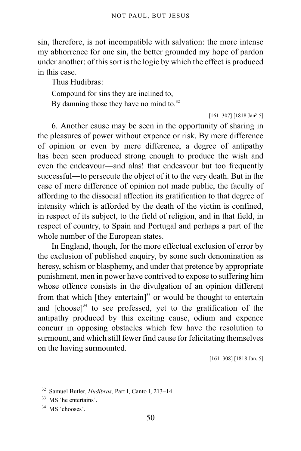sin, therefore, is not incompatible with salvation: the more intense my abhorrence for one sin, the better grounded my hope of pardon under another: of this sort is the logic by which the effect is produced in this case.

Thus Hudibras:

Compound for sins they are inclined to,

By damning those they have no mind to. $32$ 

 $[161-307]$  [1818 Jan<sup>y</sup> 5]

6. Another cause may be seen in the opportunity of sharing in the pleasures of power without expence or risk. By mere difference of opinion or even by mere difference, a degree of antipathy has been seen produced strong enough to produce the wish and even the endeavour―and alas! that endeavour but too frequently successful―to persecute the object of it to the very death. But in the case of mere difference of opinion not made public, the faculty of affording to the dissocial affection its gratification to that degree of intensity which is afforded by the death of the victim is confined, in respect of its subject, to the field of religion, and in that field, in respect of country, to Spain and Portugal and perhaps a part of the whole number of the European states.

In England, though, for the more effectual exclusion of error by the exclusion of published enquiry, by some such denomination as heresy, schism or blasphemy, and under that pretence by appropriate punishment, men in power have contrived to expose to suffering him whose offence consists in the divulgation of an opinion different from that which  $[$ they entertain $]$ <sup>[33](#page-49-1)</sup> or would be thought to entertain and  $[choose]^3$ <sup>4</sup> to see professed, yet to the gratification of the antipathy produced by this exciting cause, odium and expence concurr in opposing obstacles which few have the resolution to surmount, and which still fewer find cause for felicitating themselves on the having surmounted.

[161–308] [1818 Jan. 5]

<span id="page-49-0"></span><sup>32</sup> Samuel Butler, *Hudibras*, Part I, Canto I, 213–14.

<span id="page-49-1"></span><sup>33</sup> MS 'he entertains'.

<span id="page-49-2"></span><sup>&</sup>lt;sup>34</sup> MS 'chooses'.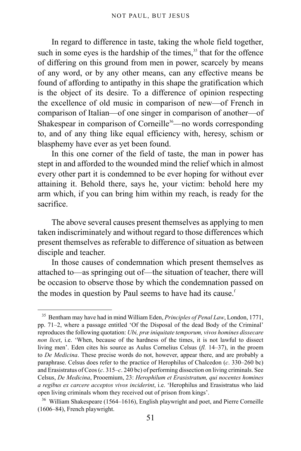In regard to difference in taste, taking the whole field together, such in some eyes is the hardship of the times, $35$  that for the offence of differing on this ground from men in power, scarcely by means of any word, or by any other means, can any effective means be found of affording to antipathy in this shape the gratification which is the object of its desire. To a difference of opinion respecting the excellence of old music in comparison of new—of French in comparison of Italian—of one singer in comparison of another—of Shakespear in comparison of Corneille<sup>[36](#page-50-1)</sup>—no words corresponding to, and of any thing like equal efficiency with, heresy, schism or blasphemy have ever as yet been found.

In this one corner of the field of taste, the man in power has stept in and afforded to the wounded mind the relief which in almost every other part it is condemned to be ever hoping for without ever attaining it. Behold there, says he, your victim: behold here my arm which, if you can bring him within my reach, is ready for the sacrifice.

The above several causes present themselves as applying to men taken indiscriminately and without regard to those differences which present themselves as referable to difference of situation as between disciple and teacher.

In those causes of condemnation which present themselves as attached to—as springing out of—the situation of teacher, there will be occasion to observe those by which the condemnation passed on the modes in question by Paul seems to have had its cause.<sup>[f](#page-51-0)</sup>

<span id="page-50-0"></span><sup>35</sup> Bentham may have had in mind William Eden, *Principles of Penal Law*, London, 1771, pp. 71–2, where a passage entitled 'Of the Disposal of the dead Body of the Criminal' reproduces the following quotation: *Ubi, præ iniquitate temporum, vivos homines dissecare non licet*, i.e. 'When, because of the hardness of the times, it is not lawful to dissect living men'. Eden cites his source as Aulus Cornelius Celsus (*fl.* 14–37), in the proem to *De Medicina*. These precise words do not, however, appear there, and are probably a paraphrase. Celsus does refer to the practice of Herophilus of Chalcedon (*c*. 330–260 bc) and Erasistratus of Ceos (*c*. 315–*c*. 240 bc) of performing dissection on living criminals. See Celsus, *De Medicina*, Prooemium, 23: *Herophilum et Erasistratum, qui nocentes homines a regibus ex carcere acceptos vivos inciderint*, i.e. 'Herophilus and Erasistratus who laid open living criminals whom they received out of prison from kings'.

<span id="page-50-1"></span> $36$  William Shakespeare (1564–1616), English playwright and poet, and Pierre Corneille (1606–84), French playwright.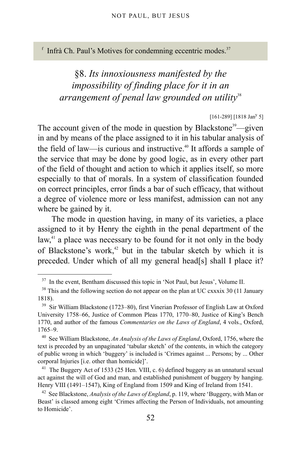<span id="page-51-0"></span> $f$  Infrà Ch. Paul's Motives for condemning eccentric modes.<sup>[37](#page-51-1)</sup>

# §8. *Its innoxiousness manifested by the impossibility of finding place for it in an arrangement of penal law grounded on utility*[38](#page-51-2)

### $[161-289]$   $[1818$  Jan<sup>y</sup> 5]

The account given of the mode in question by Blackstone<sup>[39](#page-51-3)</sup>—given in and by means of the place assigned to it in his tabular analysis of the field of law—is curious and instructive.<sup>[40](#page-51-4)</sup> It affords a sample of the service that may be done by good logic, as in every other part of the field of thought and action to which it applies itself, so more especially to that of morals. In a system of classification founded on correct principles, error finds a bar of such efficacy, that without a degree of violence more or less manifest, admission can not any where be gained by it.

The mode in question having, in many of its varieties, a place assigned to it by Henry the eighth in the penal department of the law, $41$  a place was necessary to be found for it not only in the body of Blackstone's work,<sup>[42](#page-51-6)</sup> but in the tabular sketch by which it is preceded. Under which of all my general head[s] shall I place it?

<span id="page-51-1"></span><sup>&</sup>lt;sup>37</sup> In the event, Bentham discussed this topic in 'Not Paul, but Jesus', Volume II.

<span id="page-51-2"></span> $38$  This and the following section do not appear on the plan at UC cxxxix 30 (11 January 1818).

<span id="page-51-3"></span><sup>39</sup> Sir William Blackstone (1723–80), first Vinerian Professor of English Law at Oxford University 1758–66, Justice of Common Pleas 1770, 1770–80, Justice of King's Bench 1770, and author of the famous *Commentaries on the Laws of England*, 4 vols., Oxford, 1765–9.

<span id="page-51-4"></span><sup>40</sup> See William Blackstone, *An Analysis of the Laws of England*, Oxford, 1756, where the text is preceded by an unpaginated 'tabular sketch' of the contents, in which the category of public wrong in which 'buggery' is included is 'Crimes against ... Persons; by ... Other corporal Injuries [i.e. other than homicide]'.

<span id="page-51-5"></span><sup>&</sup>lt;sup>41</sup> The Buggery Act of 1533 (25 Hen. VIII, c. 6) defined buggery as an unnatural sexual act against the will of God and man, and established punishment of buggery by hanging. Henry VIII (1491–1547), King of England from 1509 and King of Ireland from 1541.

<span id="page-51-6"></span><sup>42</sup> See Blackstone, *Analysis of the Laws of England*, p. 119, where 'Buggery, with Man or Beast' is classed among eight 'Crimes affecting the Person of Individuals, not amounting to Homicide'.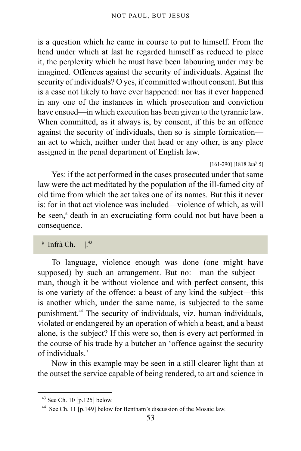is a question which he came in course to put to himself. From the head under which at last he regarded himself as reduced to place it, the perplexity which he must have been labouring under may be imagined. Offences against the security of individuals. Against the security of individuals? O yes, if committed without consent. But this is a case not likely to have ever happened: nor has it ever happened in any one of the instances in which prosecution and conviction have ensued—in which execution has been given to the tyrannic law. When committed, as it always is, by consent, if this be an offence against the security of individuals, then so is simple fornication an act to which, neither under that head or any other, is any place assigned in the penal department of English law.

 $[161-290]$   $[1818$  Jan<sup>y</sup> 5]

Yes: if the act performed in the cases prosecuted under that same law were the act meditated by the population of the ill-famed city of old time from which the act takes one of its names. But this it never is: for in that act violence was included—violence of which, as will be seen,<sup>[g](#page-52-0)</sup> death in an excruciating form could not but have been a consequence.

<span id="page-52-0"></span> $\mathrm{f}$  Infrà Ch.  $\vert \ \vert^{43}$  $\vert \ \vert^{43}$  $\vert \ \vert^{43}$ 

To language, violence enough was done (one might have supposed) by such an arrangement. But no: --- man the subjectman, though it be without violence and with perfect consent, this is one variety of the offence: a beast of any kind the subject—this is another which, under the same name, is subjected to the same punishment.[44](#page-52-2) The security of individuals, viz. human individuals, violated or endangered by an operation of which a beast, and a beast alone, is the subject? If this were so, then is every act performed in the course of his trade by a butcher an 'offence against the security of individuals.'

Now in this example may be seen in a still clearer light than at the outset the service capable of being rendered, to art and science in

<span id="page-52-1"></span><sup>43</sup> See [Ch. 10 \[p.125\]](#page-124-0) below.

<span id="page-52-2"></span><sup>44</sup> See [Ch. 11 \[p.149\]](#page-148-0) below for Bentham's discussion of the Mosaic law.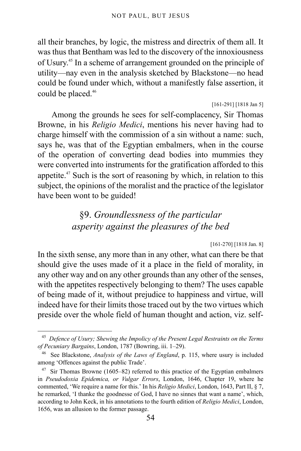all their branches, by logic, the mistress and directrix of them all. It was thus that Bentham was led to the discovery of the innoxiousness of Usury.[45](#page-53-0) In a scheme of arrangement grounded on the principle of utility—nay even in the analysis sketched by Blackstone—no head could be found under which, without a manifestly false assertion, it could be placed.<sup>[46](#page-53-1)</sup>

```
[161-291] [1818 Jan 5]
```
Among the grounds he sees for self-complacency, Sir Thomas Browne, in his *Religio Medici*, mentions his never having had to charge himself with the commission of a sin without a name: such, says he, was that of the Egyptian embalmers, when in the course of the operation of converting dead bodies into mummies they were converted into instruments for the gratification afforded to this appetite.<sup>[47](#page-53-2)</sup> Such is the sort of reasoning by which, in relation to this subject, the opinions of the moralist and the practice of the legislator have been wont to be guided!

## §9. *Groundlessness of the particular asperity against the pleasures of the bed*

[161-270] [1818 Jan. 8]

In the sixth sense, any more than in any other, what can there be that should give the uses made of it a place in the field of morality, in any other way and on any other grounds than any other of the senses, with the appetites respectively belonging to them? The uses capable of being made of it, without prejudice to happiness and virtue, will indeed have for their limits those traced out by the two virtues which preside over the whole field of human thought and action, viz. self-

<span id="page-53-0"></span><sup>45</sup> *Defence of Usury; Shewing the Impolicy of the Present Legal Restraints on the Terms of Pecuniary Bargains*, London, 1787 (Bowring, iii. 1–29).

<span id="page-53-1"></span><sup>46</sup> See Blackstone, *Analysis of the Laws of England*, p. 115, where usury is included among 'Offences against the public Trade'.

<span id="page-53-2"></span> $47$  Sir Thomas Browne (1605–82) referred to this practice of the Egyptian embalmers in *Pseudodoxia Epidemica, or Vulgar Errors*, London, 1646, Chapter 19, where he commented, 'We require a name for this.' In his *Religio Medici*, London, 1643, Part II, § 7, he remarked, 'I thanke the goodnesse of God, I have no sinnes that want a name', which, according to John Keck, in his annotations to the fourth edition of *Religio Medici*, London, 1656, was an allusion to the former passage.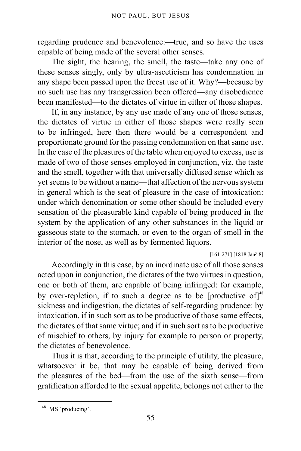regarding prudence and benevolence:—true, and so have the uses capable of being made of the several other senses.

The sight, the hearing, the smell, the taste—take any one of these senses singly, only by ultra-asceticism has condemnation in any shape been passed upon the freest use of it. Why?—because by no such use has any transgression been offered—any disobedience been manifested—to the dictates of virtue in either of those shapes.

If, in any instance, by any use made of any one of those senses, the dictates of virtue in either of those shapes were really seen to be infringed, here then there would be a correspondent and proportionate ground for the passing condemnation on that same use. In the case of the pleasures of the table when enjoyed to excess, use is made of two of those senses employed in conjunction, viz. the taste and the smell, together with that universally diffused sense which as yet seems to be without a name—that affection of the nervous system in general which is the seat of pleasure in the case of intoxication: under which denomination or some other should be included every sensation of the pleasurable kind capable of being produced in the system by the application of any other substances in the liquid or gasseous state to the stomach, or even to the organ of smell in the interior of the nose, as well as by fermented liquors.

 $[161-271]$   $[1818$  Jan<sup>y</sup> 8]

Accordingly in this case, by an inordinate use of all those senses acted upon in conjunction, the dictates of the two virtues in question, one or both of them, are capable of being infringed: for example, by over-repletion, if to such a degree as to be [productive of] $48$ sickness and indigestion, the dictates of self-regarding prudence: by intoxication, if in such sort as to be productive of those same effects, the dictates of that same virtue; and if in such sort as to be productive of mischief to others, by injury for example to person or property, the dictates of benevolence.

Thus it is that, according to the principle of utility, the pleasure, whatsoever it be, that may be capable of being derived from the pleasures of the bed—from the use of the sixth sense—from gratification afforded to the sexual appetite, belongs not either to the

<span id="page-54-0"></span><sup>48</sup> MS 'producing'.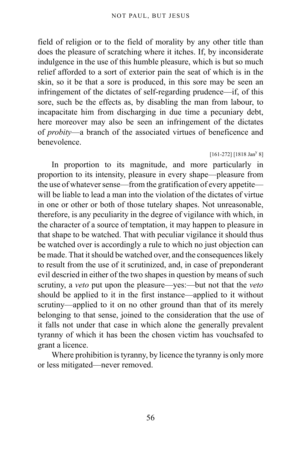field of religion or to the field of morality by any other title than does the pleasure of scratching where it itches. If, by inconsiderate indulgence in the use of this humble pleasure, which is but so much relief afforded to a sort of exterior pain the seat of which is in the skin, so it be that a sore is produced, in this sore may be seen an infringement of the dictates of self-regarding prudence—if, of this sore, such be the effects as, by disabling the man from labour, to incapacitate him from discharging in due time a pecuniary debt, here moreover may also be seen an infringement of the dictates of *probity*—a branch of the associated virtues of beneficence and benevolence.

### $[161-272]$   $[1818$  Jan<sup>y</sup> 8]

In proportion to its magnitude, and more particularly in proportion to its intensity, pleasure in every shape—pleasure from the use of whatever sense—from the gratification of every appetite will be liable to lead a man into the violation of the dictates of virtue in one or other or both of those tutelary shapes. Not unreasonable, therefore, is any peculiarity in the degree of vigilance with which, in the character of a source of temptation, it may happen to pleasure in that shape to be watched. That with peculiar vigilance it should thus be watched over is accordingly a rule to which no just objection can be made. That it should be watched over, and the consequences likely to result from the use of it scrutinized, and, in case of preponderant evil descried in either of the two shapes in question by means of such scrutiny, a *veto* put upon the pleasure—yes:—but not that the *veto* should be applied to it in the first instance—applied to it without scrutiny—applied to it on no other ground than that of its merely belonging to that sense, joined to the consideration that the use of it falls not under that case in which alone the generally prevalent tyranny of which it has been the chosen victim has vouchsafed to grant a licence.

Where prohibition is tyranny, by licence the tyranny is only more or less mitigated—never removed.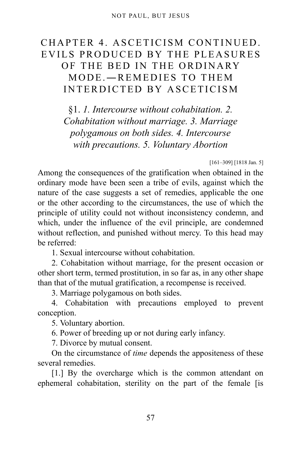# CHAPTER 4. ASCETICISM CONTINUED. EVILS PRODUCED BY THE PLEASURES OF THE BED IN THE ORDINARY MODE.―REMEDIES TO THEM INTERDICTED BY ASCETICISM

§1. *1. Intercourse without cohabitation. 2. Cohabitation without marriage. 3. Marriage polygamous on both sides. 4. Intercourse with precautions. 5. Voluntary Abortion*

[161–309] [1818 Jan. 5]

Among the consequences of the gratification when obtained in the ordinary mode have been seen a tribe of evils, against which the nature of the case suggests a set of remedies, applicable the one or the other according to the circumstances, the use of which the principle of utility could not without inconsistency condemn, and which, under the influence of the evil principle, are condemned without reflection, and punished without mercy. To this head may be referred:

1. Sexual intercourse without cohabitation.

2. Cohabitation without marriage, for the present occasion or other short term, termed prostitution, in so far as, in any other shape than that of the mutual gratification, a recompense is received.

3. Marriage polygamous on both sides.

4. Cohabitation with precautions employed to prevent conception.

5. Voluntary abortion.

6. Power of breeding up or not during early infancy.

7. Divorce by mutual consent.

On the circumstance of *time* depends the appositeness of these several remedies.

[1.] By the overcharge which is the common attendant on ephemeral cohabitation, sterility on the part of the female [is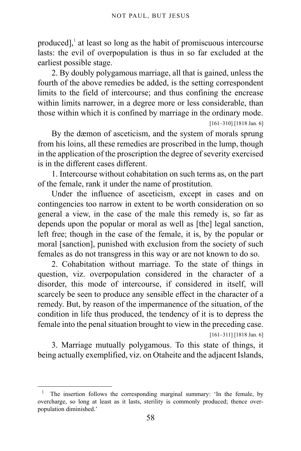produced], [1](#page-57-0) at least so long as the habit of promiscuous intercourse lasts: the evil of overpopulation is thus in so far excluded at the earliest possible stage.

2. By doubly polygamous marriage, all that is gained, unless the fourth of the above remedies be added, is the setting correspondent limits to the field of intercourse; and thus confining the encrease within limits narrower, in a degree more or less considerable, than those within which it is confined by marriage in the ordinary mode.

[161–310] [1818 Jan. 6]

By the dæmon of asceticism, and the system of morals sprung from his loins, all these remedies are proscribed in the lump, though in the application of the proscription the degree of severity exercised is in the different cases different.

1. Intercourse without cohabitation on such terms as, on the part of the female, rank it under the name of prostitution.

Under the influence of asceticism, except in cases and on contingencies too narrow in extent to be worth consideration on so general a view, in the case of the male this remedy is, so far as depends upon the popular or moral as well as [the] legal sanction, left free; though in the case of the female, it is, by the popular or moral [sanction], punished with exclusion from the society of such females as do not transgress in this way or are not known to do so.

2. Cohabitation without marriage. To the state of things in question, viz. overpopulation considered in the character of a disorder, this mode of intercourse, if considered in itself, will scarcely be seen to produce any sensible effect in the character of a remedy. But, by reason of the impermanence of the situation, of the condition in life thus produced, the tendency of it is to depress the female into the penal situation brought to view in the preceding case.

[161–311] [1818 Jan. 6]

3. Marriage mutually polygamous. To this state of things, it being actually exemplified, viz. on Otaheite and the adjacent Islands,

<span id="page-57-0"></span><sup>&</sup>lt;sup>1</sup> The insertion follows the corresponding marginal summary: 'In the female, by overcharge, so long at least as it lasts, sterility is commonly produced; thence overpopulation diminished.'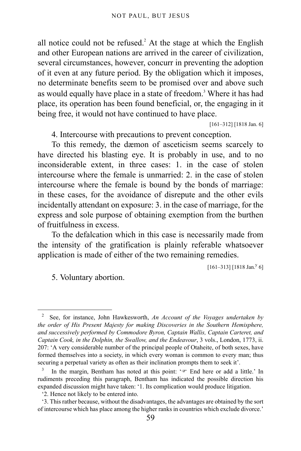all notice could not be refused.<sup>[2](#page-58-0)</sup> At the stage at which the English and other European nations are arrived in the career of civilization, several circumstances, however, concurr in preventing the adoption of it even at any future period. By the obligation which it imposes, no determinate benefits seem to be promised over and above such as would equally have place in a state of freedom.<sup>[3](#page-58-1)</sup> Where it has had place, its operation has been found beneficial, or, the engaging in it being free, it would not have continued to have place.

[161–312] [1818 Jan. 6]

4. Intercourse with precautions to prevent conception.

To this remedy, the dæmon of asceticism seems scarcely to have directed his blasting eye. It is probably in use, and to no inconsiderable extent, in three cases: 1. in the case of stolen intercourse where the female is unmarried: 2. in the case of stolen intercourse where the female is bound by the bonds of marriage: in these cases, for the avoidance of disrepute and the other evils incidentally attendant on exposure: 3. in the case of marriage, for the express and sole purpose of obtaining exemption from the burthen of fruitfulness in excess.

To the defalcation which in this case is necessarily made from the intensity of the gratification is plainly referable whatsoever application is made of either of the two remaining remedies.

 $[161-313]$   $[1818$  Jan.<sup>y</sup> 6]

5. Voluntary abortion.

<span id="page-58-0"></span><sup>2</sup> See, for instance, John Hawkesworth, *An Account of the Voyages undertaken by the order of His Present Majesty for making Discoveries in the Southern Hemisphere, and successively performed by Commodore Byron, Captain Wallis, Captain Carteret, and Captain Cook, in the Dolphin, the Swallow, and the Endeavour*, 3 vols., London, 1773, ii. 207: 'A very considerable number of the principal people of Otaheite, of both sexes, have formed themselves into a society, in which every woman is common to every man; thus securing a perpetual variety as often as their inclination prompts them to seek it'.

<span id="page-58-1"></span><sup>3</sup> In the margin, Bentham has noted at this point: ' $\mathcal{F}$  End here or add a little.' In rudiments preceding this paragraph, Bentham has indicated the possible direction his expanded discussion might have taken: '1. Its complication would produce litigation.

<sup>&#</sup>x27;2. Hence not likely to be entered into.

<sup>&#</sup>x27;3. This rather because, without the disadvantages, the advantages are obtained by the sort of intercourse which has place among the higher ranks in countries which exclude divorce.'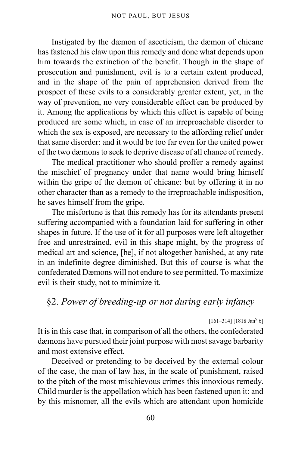Instigated by the dæmon of asceticism, the dæmon of chicane has fastened his claw upon this remedy and done what depends upon him towards the extinction of the benefit. Though in the shape of prosecution and punishment, evil is to a certain extent produced, and in the shape of the pain of apprehension derived from the prospect of these evils to a considerably greater extent, yet, in the way of prevention, no very considerable effect can be produced by it. Among the applications by which this effect is capable of being produced are some which, in case of an irreproachable disorder to which the sex is exposed, are necessary to the affording relief under that same disorder: and it would be too far even for the united power of the two dæmons to seek to deprive disease of all chance of remedy.

The medical practitioner who should proffer a remedy against the mischief of pregnancy under that name would bring himself within the gripe of the dæmon of chicane: but by offering it in no other character than as a remedy to the irreproachable indisposition, he saves himself from the gripe.

The misfortune is that this remedy has for its attendants present suffering accompanied with a foundation laid for suffering in other shapes in future. If the use of it for all purposes were left altogether free and unrestrained, evil in this shape might, by the progress of medical art and science, [be], if not altogether banished, at any rate in an indefinite degree diminished. But this of course is what the confederated Dæmons will not endure to see permitted. To maximize evil is their study, not to minimize it.

## §2. *Power of breeding-up or not during early infancy*

### $[161-314]$  [1818 Jan<sup>y</sup> 6]

It is in this case that, in comparison of all the others, the confederated dæmons have pursued their joint purpose with most savage barbarity and most extensive effect.

Deceived or pretending to be deceived by the external colour of the case, the man of law has, in the scale of punishment, raised to the pitch of the most mischievous crimes this innoxious remedy. Child murder is the appellation which has been fastened upon it: and by this misnomer, all the evils which are attendant upon homicide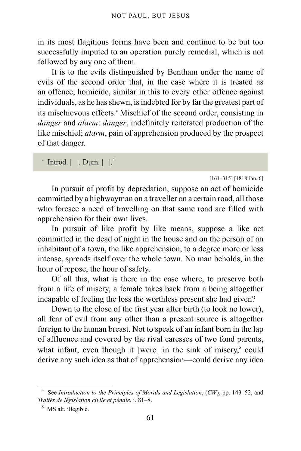in its most flagitious forms have been and continue to be but too successfully imputed to an operation purely remedial, which is not followed by any one of them.

It is to the evils distinguished by Bentham under the name of evils of the second order that, in the case where it is treated as an offence, homicide, similar in this to every other offence against individuals, as he has shewn, is indebted for by far the greatest part of its mischievous effects.<sup>ª</sup> Mischief of the second order, consisting in *danger* and *alarm*: *danger*, indefinitely reiterated production of the like mischief; *alarm*, pain of apprehension produced by the prospect of that danger.

```
^{\circ} Introd. | |. Dum. | \vert4</sup>
```
[161–315] [1818 Jan. 6]

In pursuit of profit by depredation, suppose an act of homicide committed by a highwayman on a traveller on a certain road, all those who foresee a need of travelling on that same road are filled with apprehension for their own lives.

In pursuit of like profit by like means, suppose a like act committed in the dead of night in the house and on the person of an inhabitant of a town, the like apprehension, to a degree more or less intense, spreads itself over the whole town. No man beholds, in the hour of repose, the hour of safety.

Of all this, what is there in the case where, to preserve both from a life of misery, a female takes back from a being altogether incapable of feeling the loss the worthless present she had given?

Down to the close of the first year after birth (to look no lower), all fear of evil from any other than a present source is altogether foreign to the human breast. Not to speak of an infant born in the lap of affluence and covered by the rival caresses of two fond parents, what infant, even though it [were] in the sink of misery,<sup>[5](#page-60-1)</sup> could derive any such idea as that of apprehension—could derive any idea

<span id="page-60-0"></span><sup>4</sup> See *Introduction to the Principles of Morals and Legislation*, (*CW*), pp. 143–52, and *Traités de législation civile et pénale*, i. 81–8.

<span id="page-60-1"></span><sup>&</sup>lt;sup>5</sup> MS alt. illegible.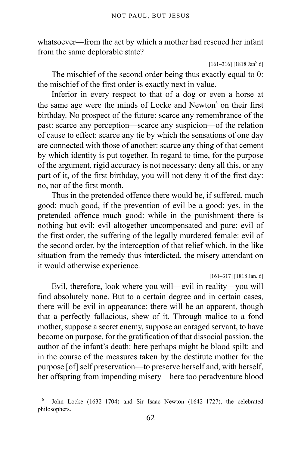whatsoever—from the act by which a mother had rescued her infant from the same deplorable state?

 $[161-316]$   $[1818$  Jan<sup>y</sup> 6]

The mischief of the second order being thus exactly equal to 0: the mischief of the first order is exactly next in value.

Inferior in every respect to that of a dog or even a horse at the same age were the minds of Locke and Newton<sup>[6](#page-61-0)</sup> on their first birthday. No prospect of the future: scarce any remembrance of the past: scarce any perception—scarce any suspicion—of the relation of cause to effect: scarce any tie by which the sensations of one day are connected with those of another: scarce any thing of that cement by which identity is put together. In regard to time, for the purpose of the argument, rigid accuracy is not necessary: deny all this, or any part of it, of the first birthday, you will not deny it of the first day: no, nor of the first month.

Thus in the pretended offence there would be, if suffered, much good: much good, if the prevention of evil be a good: yes, in the pretended offence much good: while in the punishment there is nothing but evil: evil altogether uncompensated and pure: evil of the first order, the suffering of the legally murdered female: evil of the second order, by the interception of that relief which, in the like situation from the remedy thus interdicted, the misery attendant on it would otherwise experience.

[161–317] [1818 Jan. 6]

Evil, therefore, look where you will—evil in reality—you will find absolutely none. But to a certain degree and in certain cases, there will be evil in appearance: there will be an apparent, though that a perfectly fallacious, shew of it. Through malice to a fond mother, suppose a secret enemy, suppose an enraged servant, to have become on purpose, for the gratification of that dissocial passion, the author of the infant's death: here perhaps might be blood spilt: and in the course of the measures taken by the destitute mother for the purpose [of] self preservation—to preserve herself and, with herself, her offspring from impending misery—here too peradventure blood

<span id="page-61-0"></span><sup>6</sup> John Locke (1632–1704) and Sir Isaac Newton (1642–1727), the celebrated philosophers.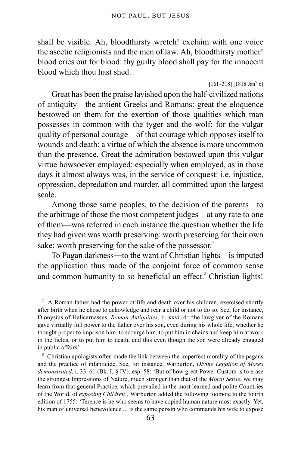shall be visible. Ah, bloodthirsty wretch! exclaim with one voice the ascetic religionists and the men of law. Ah, bloodthirsty mother! blood cries out for blood: thy guilty blood shall pay for the innocent blood which thou hast shed.

 $[161-318]$   $[1818$  Jan<sup>y</sup> 6]

Great has been the praise lavished upon the half-civilized nations of antiquity—the antient Greeks and Romans: great the eloquence bestowed on them for the exertion of those qualities which man possesses in common with the tyger and the wolf: for the vulgar quality of personal courage—of that courage which opposes itself to wounds and death: a virtue of which the absence is more uncommon than the presence. Great the admiration bestowed upon this vulgar virtue howsoever employed: especially when employed, as in those days it almost always was, in the service of conquest: i.e. injustice, oppression, depredation and murder, all committed upon the largest scale.

Among those same peoples, to the decision of the parents—to the arbitrage of those the most competent judges—at any rate to one of them—was referred in each instance the question whether the life they had given was worth preserving: worth preserving for their own sake; worth preserving for the sake of the possessor.<sup>[7](#page-62-0)</sup>

To Pagan darkness―to the want of Christian lights—is imputed the application thus made of the conjoint force of common sense and common humanity to so beneficial an effect.<sup>[8](#page-62-1)</sup> Christian lights!

<span id="page-62-0"></span><sup>7</sup> A Roman father had the power of life and death over his children, exercised shortly after birth when he chose to ackowledge and rear a child or not to do so. See, for instance, Dionysius of Halicarnassus, *Roman Antiquities*, ii. xxvi. 4: 'the lawgiver of the Romans gave virtually full power to the father over his son, even during his whole life, whether he thought proper to imprison him, to scourge him, to put him in chains and keep him at work in the fields, or to put him to death, and this even though the son were already engaged in public affairs'.

<span id="page-62-1"></span><sup>&</sup>lt;sup>8</sup> Christian apologists often made the link between the imperfect morality of the pagans and the practice of infanticide. See, for instance, Warburton, *Divine Legation of Moses demonstrated,* i. 33–61 (Bk. I, § IV), esp. 58: 'But of how great Power Custom is to erase the strongest Impressions of Nature, much stronger than that of the *Moral Sense*, we may learn from that general Practice, which prevailed in the most learned and polite Countries of the World, of *exposing Children*'. Warburton added the following footnote to the fourth edition of 1755: 'Terence is he who seems to have copied human nature most exactly. Yet, his man of universal benevolence ... is the same person who commands his wife to expose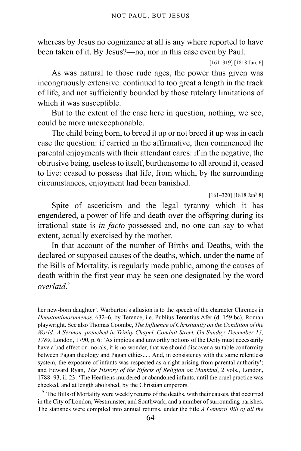whereas by Jesus no cognizance at all is any where reported to have been taken of it. By Jesus?—no, nor in this case even by Paul.

```
[161–319] [1818 Jan. 6]
```
As was natural to those rude ages, the power thus given was incongruously extensive: continued to too great a length in the track of life, and not sufficiently bounded by those tutelary limitations of which it was susceptible.

But to the extent of the case here in question, nothing, we see, could be more unexceptionable.

The child being born, to breed it up or not breed it up was in each case the question: if carried in the affirmative, then commenced the parental enjoyments with their attendant cares: if in the negative, the obtrusive being, useless to itself, burthensome to all around it, ceased to live: ceased to possess that life, from which, by the surrounding circumstances, enjoyment had been banished.

 $[161-320]$  [1818 Jan<sup>y</sup> 8]

Spite of asceticism and the legal tyranny which it has engendered, a power of life and death over the offspring during its irrational state is *in facto* possessed and, no one can say to what extent, actually exercised by the mother.

In that account of the number of Births and Deaths, with the declared or supposed causes of the deaths, which, under the name of the Bills of Mortality, is regularly made public, among the causes of death within the first year may be seen one designated by the word *overlaid*. [9](#page-63-0)

her new-born daughter'. Warburton's allusion is to the speech of the character Chremes in *Heautontimorumenos*, 632–6, by Terence, i.e. Publius Terentius Afer (d. 159 bc), Roman playwright. See also Thomas Coombe, *The Influence of Christianity on the Condition of the World: A Sermon, preached in Trinity Chapel, Conduit Street, On Sunday, December 13, 1789*, London, 1790, p. 6: 'As impious and unworthy notions of the Deity must necessarily have a bad effect on morals, it is no wonder, that we should discover a suitable conformity between Pagan theology and Pagan ethics... . And, in consistency with the same relentless system, the exposure of infants was respected as a right arising from parental authority'; and Edward Ryan, *The History of the Effects of Religion on Mankind*, 2 vols., London, 1788–93, ii. 23: 'The Heathens murdered or abandoned infants, until the cruel practice was checked, and at length abolished, by the Christian emperors.'

<span id="page-63-0"></span><sup>&</sup>lt;sup>9</sup> The Bills of Mortality were weekly returns of the deaths, with their causes, that occurred in the City of London, Westminster, and Southwark, and a number of surrounding parishes. The statistics were compiled into annual returns, under the title *A General Bill of all the*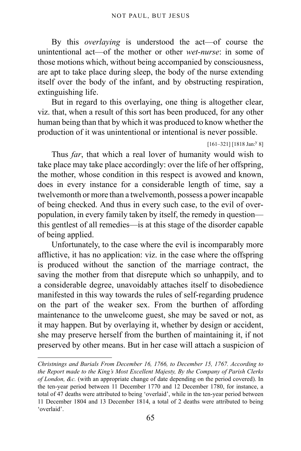By this *overlaying* is understood the act—of course the unintentional act—of the mother or other *wet-nurse*: in some of those motions which, without being accompanied by consciousness, are apt to take place during sleep, the body of the nurse extending itself over the body of the infant, and by obstructing respiration, extinguishing life.

But in regard to this overlaying, one thing is altogether clear, viz. that, when a result of this sort has been produced, for any other human being than that by which it was produced to know whether the production of it was unintentional or intentional is never possible.

```
[161-321] [1818 Jan:<sup>y</sup> 8]
```
Thus *far*, that which a real lover of humanity would wish to take place may take place accordingly: over the life of her offspring, the mother, whose condition in this respect is avowed and known, does in every instance for a considerable length of time, say a twelvemonth or more than a twelvemonth, possess a power incapable of being checked. And thus in every such case, to the evil of overpopulation, in every family taken by itself, the remedy in question this gentlest of all remedies—is at this stage of the disorder capable of being applied.

Unfortunately, to the case where the evil is incomparably more afflictive, it has no application: viz. in the case where the offspring is produced without the sanction of the marriage contract, the saving the mother from that disrepute which so unhappily, and to a considerable degree, unavoidably attaches itself to disobedience manifested in this way towards the rules of self-regarding prudence on the part of the weaker sex. From the burthen of affording maintenance to the unwelcome guest, she may be saved or not, as it may happen. But by overlaying it, whether by design or accident, she may preserve herself from the burthen of maintaining it, if not preserved by other means. But in her case will attach a suspicion of

*Christnings and Burials From December 16, 1766, to December 15, 1767. According to the Report made to the King's Most Excellent Majesty, By the Company of Parish Clerks of London, &c.* (with an appropriate change of date depending on the period covered). In the ten-year period between 11 December 1770 and 12 December 1780, for instance, a total of 47 deaths were attributed to being 'overlaid', while in the ten-year period between 11 December 1804 and 13 December 1814, a total of 2 deaths were attributed to being 'overlaid'.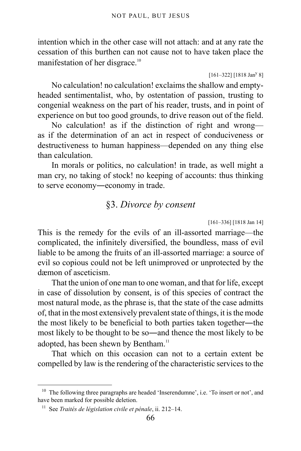intention which in the other case will not attach: and at any rate the cessation of this burthen can not cause not to have taken place the manifestation of her disgrace.[10](#page-65-0)

 $[161-322]$   $[1818$  Jan<sup>y</sup> 8]

No calculation! no calculation! exclaims the shallow and emptyheaded sentimentalist, who, by ostentation of passion, trusting to congenial weakness on the part of his reader, trusts, and in point of experience on but too good grounds, to drive reason out of the field.

No calculation! as if the distinction of right and wrong as if the determination of an act in respect of conduciveness or destructiveness to human happiness—depended on any thing else than calculation.

In morals or politics, no calculation! in trade, as well might a man cry, no taking of stock! no keeping of accounts: thus thinking to serve economy―economy in trade.

### §3. *Divorce by consent*

[161–336] [1818 Jan 14]

This is the remedy for the evils of an ill-assorted marriage—the complicated, the infinitely diversified, the boundless, mass of evil liable to be among the fruits of an ill-assorted marriage: a source of evil so copious could not be left unimproved or unprotected by the dæmon of asceticism.

That the union of one man to one woman, and that for life, except in case of dissolution by consent, is of this species of contract the most natural mode, as the phrase is, that the state of the case admitts of, that in the most extensively prevalent state of things, it is the mode the most likely to be beneficial to both parties taken together―the most likely to be thought to be so―and thence the most likely to be adopted, has been shewn by Bentham.<sup>[11](#page-65-1)</sup>

That which on this occasion can not to a certain extent be compelled by law is the rendering of the characteristic services to the

<span id="page-65-0"></span><sup>&</sup>lt;sup>10</sup> The following three paragraphs are headed 'Inserendumne', i.e. 'To insert or not', and have been marked for possible deletion.

<span id="page-65-1"></span><sup>11</sup> See *Traités de législation civile et pénale*, ii. 212–14.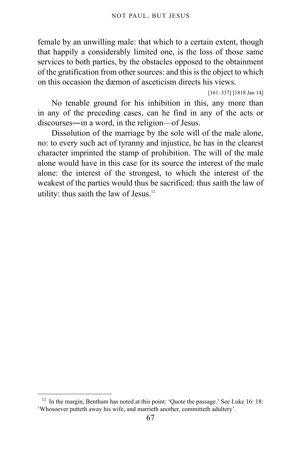female by an unwilling male: that which to a certain extent, though that happily a considerably limited one, is the loss of those same services to both parties, by the obstacles opposed to the obtainment of the gratification from other sources: and this is the object to which on this occasion the dæmon of asceticism directs his views.

[161–337] [1818 Jan 14]

No tenable ground for his inhibition in this, any more than in any of the preceding cases, can he find in any of the acts or discourses―in a word, in the religion—of Jesus.

Dissolution of the marriage by the sole will of the male alone, no: to every such act of tyranny and injustice, he has in the clearest character imprinted the stamp of prohibition. The will of the male alone would have in this case for its source the interest of the male alone: the interest of the strongest, to which the interest of the weakest of the parties would thus be sacrificed: thus saith the law of utility: thus saith the law of Jesus.<sup>[12](#page-66-0)</sup>

<span id="page-66-0"></span><sup>&</sup>lt;sup>12</sup> In the margin, Bentham has noted at this point: 'Ouote the passage.' See Luke 16: 18: 'Whosoever putteth away his wife, and marrieth another, committeth adultery'.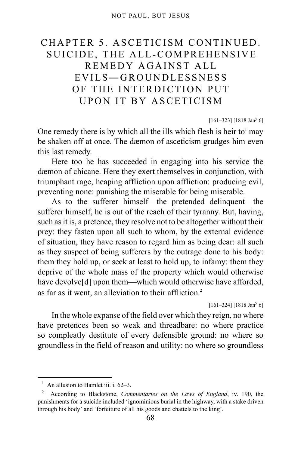# CHAPTER 5. ASCETICISM CONTINUED. SUICIDE, THE ALL-COMPREHENSIVE REMEDY AGAINST ALL EVILS―GROUNDLESSNESS OF THE INTERDICTION PUT UPON IT BY ASCETICISM

### $[161-323]$  [1818 Jan<sup>y</sup> 6]

One remedy there is by which all the ills which flesh is heir to $<sup>1</sup>$  $<sup>1</sup>$  $<sup>1</sup>$  may</sup> be shaken off at once. The dæmon of asceticism grudges him even this last remedy.

Here too he has succeeded in engaging into his service the dæmon of chicane. Here they exert themselves in conjunction, with triumphant rage, heaping affliction upon affliction: producing evil, preventing none: punishing the miserable for being miserable.

As to the sufferer himself—the pretended delinquent—the sufferer himself, he is out of the reach of their tyranny. But, having, such as it is, a pretence, they resolve not to be altogether without their prey: they fasten upon all such to whom, by the external evidence of situation, they have reason to regard him as being dear: all such as they suspect of being sufferers by the outrage done to his body: them they hold up, or seek at least to hold up, to infamy: them they deprive of the whole mass of the property which would otherwise have devolve<sup>[d]</sup> upon them—which would otherwise have afforded, as far as it went, an alleviation to their affliction.<sup>[2](#page-67-1)</sup>

 $[161-324]$  [1818 Jan<sup>y</sup> 6]

In the whole expanse of the field over which they reign, no where have pretences been so weak and threadbare: no where practice so compleatly destitute of every defensible ground: no where so groundless in the field of reason and utility: no where so groundless

<span id="page-67-0"></span><sup>&</sup>lt;sup>1</sup> An allusion to Hamlet iii. i. 62–3.

<span id="page-67-1"></span><sup>2</sup> According to Blackstone, *Commentaries on the Laws of England*, iv. 190, the punishments for a suicide included 'ignominious burial in the highway, with a stake driven through his body' and 'forfeiture of all his goods and chattels to the king'.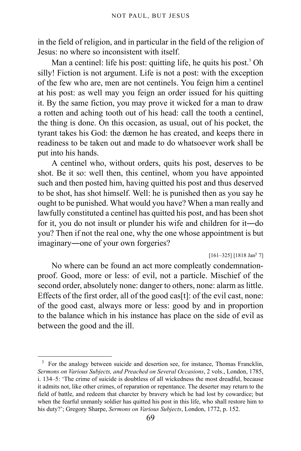in the field of religion, and in particular in the field of the religion of Jesus: no where so inconsistent with itself.

Man a centinel: life his post: quitting life, he quits his post.<sup>[3](#page-68-0)</sup> Oh silly! Fiction is not argument. Life is not a post: with the exception of the few who are, men are not centinels. You feign him a centinel at his post: as well may you feign an order issued for his quitting it. By the same fiction, you may prove it wicked for a man to draw a rotten and aching tooth out of his head: call the tooth a centinel, the thing is done. On this occasion, as usual, out of his pocket, the tyrant takes his God: the dæmon he has created, and keeps there in readiness to be taken out and made to do whatsoever work shall be put into his hands.

A centinel who, without orders, quits his post, deserves to be shot. Be it so: well then, this centinel, whom you have appointed such and then posted him, having quitted his post and thus deserved to be shot, has shot himself. Well: he is punished then as you say he ought to be punished. What would you have? When a man really and lawfully constituted a centinel has quitted his post, and has been shot for it, you do not insult or plunder his wife and children for it―do you? Then if not the real one, why the one whose appointment is but imaginary―one of your own forgeries?

 $[161-325]$  [1818 Jan<sup>y</sup> 7]

No where can be found an act more compleatly condemnationproof. Good, more or less: of evil, not a particle. Mischief of the second order, absolutely none: danger to others, none: alarm as little. Effects of the first order, all of the good cas[t]: of the evil cast, none: of the good cast, always more or less: good by and in proportion to the balance which in his instance has place on the side of evil as between the good and the ill.

<span id="page-68-0"></span><sup>&</sup>lt;sup>3</sup> For the analogy between suicide and desertion see, for instance, Thomas Francklin, *Sermons on Various Subjects, and Preached on Several Occasions*, 2 vols., London, 1785, i. 134–5: 'The crime of suicide is doubtless of all wickedness the most dreadful, because it admits not, like other crimes, of reparation or repentance. The deserter may return to the field of battle, and redeem that charcter by bravery which he had lost by cowardice; but when the fearful unmanly soldier has quitted his post in this life, who shall restore him to his duty?'; Gregory Sharpe, *Sermons on Various Subjects*, London, 1772, p. 152.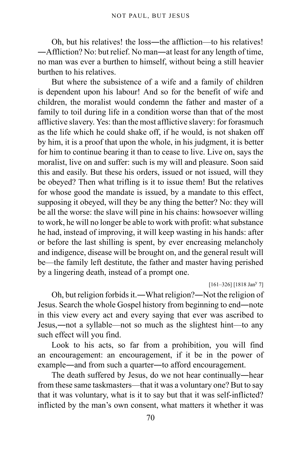Oh, but his relatives! the loss―the affliction—to his relatives! ―Affliction? No: but relief. No man―at least for any length of time, no man was ever a burthen to himself, without being a still heavier burthen to his relatives.

But where the subsistence of a wife and a family of children is dependent upon his labour! And so for the benefit of wife and children, the moralist would condemn the father and master of a family to toil during life in a condition worse than that of the most afflictive slavery. Yes: than the most afflictive slavery: for forasmuch as the life which he could shake off, if he would, is not shaken off by him, it is a proof that upon the whole, in his judgment, it is better for him to continue bearing it than to cease to live. Live on, says the moralist, live on and suffer: such is my will and pleasure. Soon said this and easily. But these his orders, issued or not issued, will they be obeyed? Then what trifling is it to issue them! But the relatives for whose good the mandate is issued, by a mandate to this effect, supposing it obeyed, will they be any thing the better? No: they will be all the worse: the slave will pine in his chains: howsoever willing to work, he will no longer be able to work with profit: what substance he had, instead of improving, it will keep wasting in his hands: after or before the last shilling is spent, by ever encreasing melancholy and indigence, disease will be brought on, and the general result will be—the family left destitute, the father and master having perished by a lingering death, instead of a prompt one.

 $[161-326]$   $[1818$  Jan<sup>y</sup> 7]

Oh, but religion forbids it.―What religion?―Not the religion of Jesus. Search the whole Gospel history from beginning to end―note in this view every act and every saying that ever was ascribed to Jesus,―not a syllable—not so much as the slightest hint—to any such effect will you find.

Look to his acts, so far from a prohibition, you will find an encouragement: an encouragement, if it be in the power of example―and from such a quarter―to afford encouragement.

The death suffered by Jesus, do we not hear continually―hear from these same taskmasters—that it was a voluntary one? But to say that it was voluntary, what is it to say but that it was self-inflicted? inflicted by the man's own consent, what matters it whether it was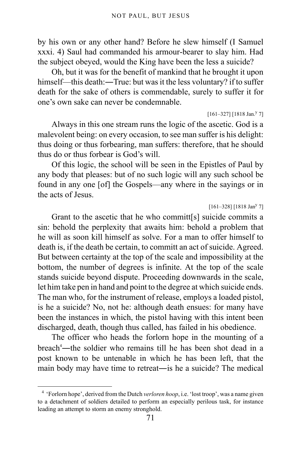by his own or any other hand? Before he slew himself (I Samuel xxxi. 4) Saul had commanded his armour-bearer to slay him. Had the subject obeyed, would the King have been the less a suicide?

Oh, but it was for the benefit of mankind that he brought it upon himself—this death:—True: but was it the less voluntary? if to suffer death for the sake of others is commendable, surely to suffer it for one's own sake can never be condemnable.

#### $[161-327]$   $[1818$  Jan.<sup>y</sup> 7]

Always in this one stream runs the logic of the ascetic. God is a malevolent being: on every occasion, to see man suffer is his delight: thus doing or thus forbearing, man suffers: therefore, that he should thus do or thus forbear is God's will.

Of this logic, the school will be seen in the Epistles of Paul by any body that pleases: but of no such logic will any such school be found in any one [of] the Gospels—any where in the sayings or in the acts of Jesus.

### $[161-328]$  [1818 Jan<sup>y</sup> 7]

Grant to the ascetic that he who committ[s] suicide commits a sin: behold the perplexity that awaits him: behold a problem that he will as soon kill himself as solve. For a man to offer himself to death is, if the death be certain, to committ an act of suicide. Agreed. But between certainty at the top of the scale and impossibility at the bottom, the number of degrees is infinite. At the top of the scale stands suicide beyond dispute. Proceeding downwards in the scale, let him take pen in hand and point to the degree at which suicide ends. The man who, for the instrument of release, employs a loaded pistol, is he a suicide? No, not he: although death ensues: for many have been the instances in which, the pistol having with this intent been discharged, death, though thus called, has failed in his obedience.

The officer who heads the forlorn hope in the mounting of a breach<sup>[4](#page-70-0)</sup>—the soldier who remains till he has been shot dead in a post known to be untenable in which he has been left, that the main body may have time to retreat―is he a suicide? The medical

<span id="page-70-0"></span><sup>&</sup>lt;sup>4</sup> 'Forlorn hope', derived from the Dutch *verloren hoop*, i.e. 'lost troop', was a name given to a detachment of soldiers detailed to perform an especially perilous task, for instance leading an attempt to storm an enemy stronghold.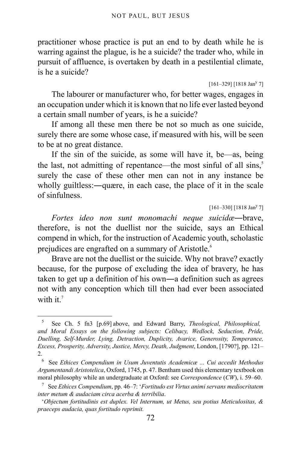practitioner whose practice is put an end to by death while he is warring against the plague, is he a suicide? the trader who, while in pursuit of affluence, is overtaken by death in a pestilential climate, is he a suicide?

 $[161-329]$   $[1818$  Jan<sup>y</sup> 7]

The labourer or manufacturer who, for better wages, engages in an occupation under which it is known that no life ever lasted beyond a certain small number of years, is he a suicide?

If among all these men there be not so much as one suicide, surely there are some whose case, if measured with his, will be seen to be at no great distance.

If the sin of the suicide, as some will have it, be—as, being the last, not admitting of repentance—the most sinful of all sins, $5$ surely the case of these other men can not in any instance be wholly guiltless:—quære, in each case, the place of it in the scale of sinfulness.

 $[161-330]$   $[1818$  Jan<sup>y 7</sup>]

*Fortes ideo non sunt monomachi neque suicidæ*―brave, therefore, is not the duellist nor the suicide, says an Ethical compend in which, for the instruction of Academic youth, scholastic prejudices are engrafted on a summary of Aristotle.<sup>[6](#page-71-1)</sup>

Brave are not the duellist or the suicide. Why not brave? exactly because, for the purpose of excluding the idea of bravery, he has taken to get up a definition of his own―a definition such as agrees not with any conception which till then had ever been associated with it.<sup>[7](#page-71-2)</sup>

<span id="page-71-0"></span><sup>5</sup> See Ch. 5 fn3 [p.69] above, and Edward Barry, *Theological, Philosophical, and Moral Essays on the following subjects: Celibacy, Wedlock, Seduction, Pride, Duelling, Self-Murder, Lying, Detraction, Duplicity, Avarice, Generosity, Temperance, Excess, Prosperity, Adversity, Justice, Mercy, Death, Judgment*, London, [1790?], pp. 121– 2.

<span id="page-71-1"></span><sup>6</sup> See *Ethices Compendium in Usum Juventutis Academicæ ... Cui accedit Methodus Argumentandi Aristotelica*, Oxford, 1745, p. 47. Bentham used this elementary textbook on moral philosophy while an undergraduate at Oxford: see *Correspondence* (*CW*), i. 59–60.

<span id="page-71-2"></span><sup>7</sup> See *Ethices Compendium*, pp. 46–7: '*Fortitudo est Virtus animi servans mediocritatem inter metum & audaciam circa acerba & terribilia*.

<sup>&#</sup>x27;*Objectum fortitudinis est duplex. Vel Internum, ut Metus, seu potius Meticulositas, & praeceps audacia, quas fortitudo reprimit.*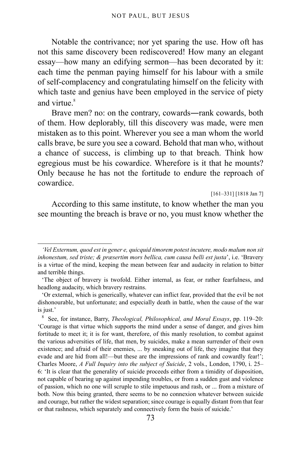Notable the contrivance; nor yet sparing the use. How oft has not this same discovery been rediscovered! How many an elegant essay—how many an edifying sermon—has been decorated by it: each time the penman paying himself for his labour with a smile of self-complacency and congratulating himself on the felicity with which taste and genius have been employed in the service of piety and virtue.<sup>[8](#page-72-0)</sup>

Brave men? no: on the contrary, cowards―rank cowards, both of them. How deplorably, till this discovery was made, were men mistaken as to this point. Wherever you see a man whom the world calls brave, be sure you see a coward. Behold that man who, without a chance of success, is climbing up to that breach. Think how egregious must be his cowardice. Wherefore is it that he mounts? Only because he has not the fortitude to endure the reproach of cowardice.

[161–331] [1818 Jan 7]

According to this same institute, to know whether the man you see mounting the breach is brave or no, you must know whether the

*<sup>&#</sup>x27;Vel Externum, quod est in gener e, quicquid timorem potest incutere, modo malum non sit inhonestum, sed triste; & præsertim mors bellica, cum causa belli est justa*', i.e. 'Bravery is a virtue of the mind, keeping the mean between fear and audacity in relation to bitter and terrible things.

<sup>&#</sup>x27;The object of bravery is twofold. Either internal, as fear, or rather fearfulness, and headlong audacity, which bravery restrains.

<sup>&#</sup>x27;Or external, which is generically, whatever can inflict fear, provided that the evil be not dishonourable, but unfortunate; and especially death in battle, when the cause of the war is just.'

<span id="page-72-0"></span><sup>8</sup> See, for instance, Barry, *Theological, Philosophical, and Moral Essays*, pp. 119–20: 'Courage is that virtue which supports the mind under a sense of danger, and gives him fortitude to meet it; it is for want, therefore, of this manly resolution, to combat against the various adversities of life, that men, by suicides, make a mean surrender of their own existence; and afraid of their enemies, ... by sneaking out of life, they imagine that they evade and are hid from all!—but these are the impressions of rank and cowardly fear!'; Charles Moore, *A Full Inquiry into the subject of Suicide*, 2 vols., London, 1790, i. 25– 6: 'It is clear that the generality of suicide proceeds either from a timidity of disposition, not capable of bearing up against impending troubles, or from a sudden gust and violence of passion, which no one will scruple to stile impetuous and rash, or ... from a mixture of both. Now this being granted, there seems to be no connexion whatever between suicide and courage, but rather the widest separation; since courage is equally distant from that fear or that rashness, which separately and connectively form the basis of suicide.'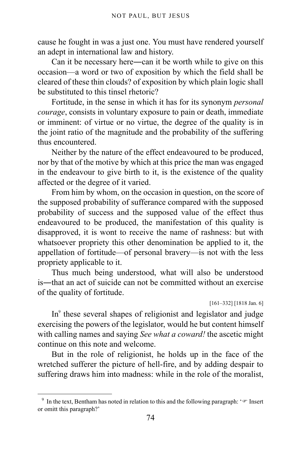cause he fought in was a just one. You must have rendered yourself an adept in international law and history.

Can it be necessary here―can it be worth while to give on this occasion—a word or two of exposition by which the field shall be cleared of these thin clouds? of exposition by which plain logic shall be substituted to this tinsel rhetoric?

Fortitude, in the sense in which it has for its synonym *personal courage*, consists in voluntary exposure to pain or death, immediate or imminent: of virtue or no virtue, the degree of the quality is in the joint ratio of the magnitude and the probability of the suffering thus encountered.

Neither by the nature of the effect endeavoured to be produced, nor by that of the motive by which at this price the man was engaged in the endeavour to give birth to it, is the existence of the quality affected or the degree of it varied.

From him by whom, on the occasion in question, on the score of the supposed probability of sufferance compared with the supposed probability of success and the supposed value of the effect thus endeavoured to be produced, the manifestation of this quality is disapproved, it is wont to receive the name of rashness: but with whatsoever propriety this other denomination be applied to it, the appellation of fortitude—of personal bravery—is not with the less propriety applicable to it.

Thus much being understood, what will also be understood is―that an act of suicide can not be committed without an exercise of the quality of fortitude.

[161–332] [1818 Jan. 6]

In<sup>[9](#page-73-0)</sup> these several shapes of religionist and legislator and judge exercising the powers of the legislator, would he but content himself with calling names and saying *See what a coward!* the ascetic might continue on this note and welcome.

But in the role of religionist, he holds up in the face of the wretched sufferer the picture of hell-fire, and by adding despair to suffering draws him into madness: while in the role of the moralist,

<span id="page-73-0"></span><sup>&</sup>lt;sup>9</sup> In the text, Bentham has noted in relation to this and the following paragraph:  $\sqrt{\ }$  Insert or omitt this paragraph?'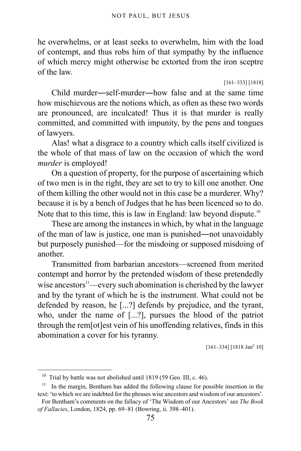he overwhelms, or at least seeks to overwhelm, him with the load of contempt, and thus robs him of that sympathy by the influence of which mercy might otherwise be extorted from the iron sceptre of the law.

[161–333] [1818]

Child murder―self-murder―how false and at the same time how mischievous are the notions which, as often as these two words are pronounced, are inculcated! Thus it is that murder is really committed, and committed with impunity, by the pens and tongues of lawyers.

Alas! what a disgrace to a country which calls itself civilized is the whole of that mass of law on the occasion of which the word *murder* is employed!

On a question of property, for the purpose of ascertaining which of two men is in the right, they are set to try to kill one another. One of them killing the other would not in this case be a murderer. Why? because it is by a bench of Judges that he has been licenced so to do. Note that to this time, this is law in England: law beyond dispute.<sup>[10](#page-74-0)</sup>

These are among the instances in which, by what in the language of the man of law is justice, one man is punished―not unavoidably but purposely punished—for the misdoing or supposed misdoing of another.

Transmitted from barbarian ancestors—screened from merited contempt and horror by the pretended wisdom of these pretendedly wise ancestors<sup>[11](#page-74-1)</sup>—every such abomination is cherished by the lawyer and by the tyrant of which he is the instrument. What could not be defended by reason, he [...?] defends by prejudice, and the tyrant, who, under the name of [...?], pursues the blood of the patriot through the rem[ot]est vein of his unoffending relatives, finds in this abomination a cover for his tyranny.

 $[161-334]$   $[1818$  Jan<sup>y</sup> 10]

<span id="page-74-0"></span><sup>&</sup>lt;sup>10</sup> Trial by battle was not abolished until 1819 (59 Geo. III, c. 46).

<span id="page-74-1"></span><sup>&</sup>lt;sup>11</sup> In the margin, Bentham has added the following clause for possible insertion in the text: 'to which we are indebted for the phrases wise ancestors and wisdom of our ancestors'.

For Bentham's comments on the fallacy of 'The Wisdom of our Ancestors' see *The Book of Fallacies*, London, 1824, pp. 69–81 (Bowring, ii. 398–401).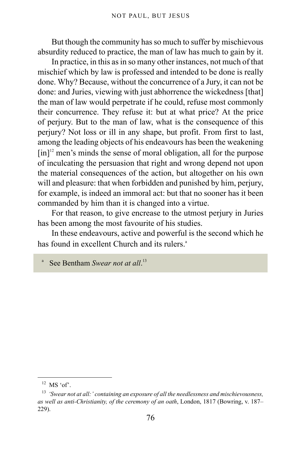But though the community has so much to suffer by mischievous absurdity reduced to practice, the man of law has much to gain by it.

In practice, in this as in so many other instances, not much of that mischief which by law is professed and intended to be done is really done. Why? Because, without the concurrence of a Jury, it can not be done: and Juries, viewing with just abhorrence the wickedness [that] the man of law would perpetrate if he could, refuse most commonly their concurrence. They refuse it: but at what price? At the price of perjury. But to the man of law, what is the consequence of this perjury? Not loss or ill in any shape, but profit. From first to last, among the leading objects of his endeavours has been the weakening  $\lceil$ in]<sup>[12](#page-75-0)</sup> men's minds the sense of moral obligation, all for the purpose of inculcating the persuasion that right and wrong depend not upon the material consequences of the action, but altogether on his own will and pleasure: that when forbidden and punished by him, perjury, for example, is indeed an immoral act: but that no sooner has it been commanded by him than it is changed into a virtue.

For that reason, to give encrease to the utmost perjury in Juries has been among the most favourite of his studies.

In these endeavours, active and powerful is the second which he has found in excellent Church and its rulers.<sup>a</sup>

a See Bentham *Swear not at all*.<sup>[13](#page-75-1)</sup>

<span id="page-75-0"></span> $12$  MS 'of'.

<span id="page-75-1"></span><sup>13</sup> *'Swear not at all:' containing an exposure of all the needlessness and mischievousness, as well as anti-Christianity, of the ceremony of an oath*, London, 1817 (Bowring, v. 187– 229).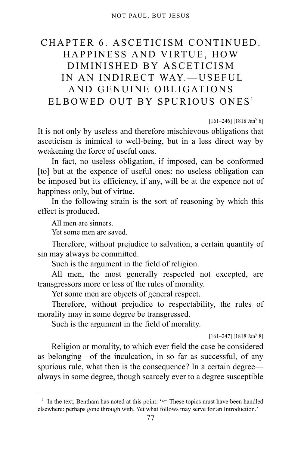## CHAPTER 6. ASCETICISM CONTINUED. HAPPINESS AND VIRTUE, HOW DIMINISHED BY ASCETICISM IN AN INDIRECT WAY.-USEFUL AND GENUINE OBLIGATIONS ELBOWED OUT BY SPURIOUS ONES<sup>[1](#page-76-0)</sup>

 $[161-246]$   $[1818$  Jan<sup>y</sup> 8]

It is not only by useless and therefore mischievous obligations that asceticism is inimical to well-being, but in a less direct way by weakening the force of useful ones.

In fact, no useless obligation, if imposed, can be conformed [to] but at the expence of useful ones: no useless obligation can be imposed but its efficiency, if any, will be at the expence not of happiness only, but of virtue.

In the following strain is the sort of reasoning by which this effect is produced.

All men are sinners.

Yet some men are saved.

Therefore, without prejudice to salvation, a certain quantity of sin may always be committed.

Such is the argument in the field of religion.

All men, the most generally respected not excepted, are transgressors more or less of the rules of morality.

Yet some men are objects of general respect.

Therefore, without prejudice to respectability, the rules of morality may in some degree be transgressed.

Such is the argument in the field of morality.

 $[161-247]$  [1818 Jan<sup>y</sup> 8]

Religion or morality, to which ever field the case be considered as belonging—of the inculcation, in so far as successful, of any spurious rule, what then is the consequence? In a certain degree always in some degree, though scarcely ever to a degree susceptible

<span id="page-76-0"></span><sup>&</sup>lt;sup>1</sup> In the text, Bentham has noted at this point: ' $\mathcal{F}$  These topics must have been handled elsewhere: perhaps gone through with. Yet what follows may serve for an Introduction.'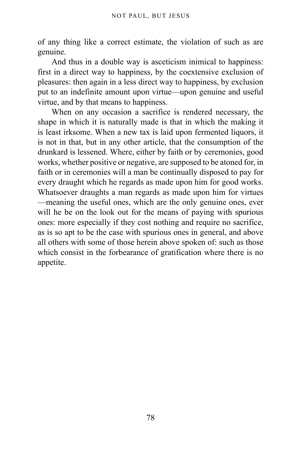of any thing like a correct estimate, the violation of such as are genuine.

And thus in a double way is asceticism inimical to happiness: first in a direct way to happiness, by the coextensive exclusion of pleasures: then again in a less direct way to happiness, by exclusion put to an indefinite amount upon virtue—upon genuine and useful virtue, and by that means to happiness.

When on any occasion a sacrifice is rendered necessary, the shape in which it is naturally made is that in which the making it is least irksome. When a new tax is laid upon fermented liquors, it is not in that, but in any other article, that the consumption of the drunkard is lessened. Where, either by faith or by ceremonies, good works, whether positive or negative, are supposed to be atoned for, in faith or in ceremonies will a man be continually disposed to pay for every draught which he regards as made upon him for good works. Whatsoever draughts a man regards as made upon him for virtues —meaning the useful ones, which are the only genuine ones, ever will he be on the look out for the means of paying with spurious ones: more especially if they cost nothing and require no sacrifice, as is so apt to be the case with spurious ones in general, and above all others with some of those herein above spoken of: such as those which consist in the forbearance of gratification where there is no appetite.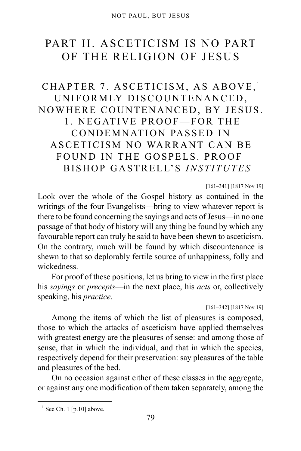# PART II. ASCETICISM IS NO PART OF THE RELIGION OF JESUS

## CHAPTER 7. ASCETICISM, AS ABOVE,<sup>[1](#page-78-0)</sup> UNIFORMLY DISCOUNTENANCED, NOWHERE COUNTENANCED, BY JESUS. 1. NEGATIVE PROOF—FOR THE CONDEMNATION PASSED IN ASCETICISM NO WARRANT CAN BE FOUND IN THE GOSPELS. PROOF —BISHOP GASTRELL'S *INSTITUTES*

[161–341] [1817 Nov 19]

Look over the whole of the Gospel history as contained in the writings of the four Evangelists—bring to view whatever report is there to be found concerning the sayings and acts of Jesus—in no one passage of that body of history will any thing be found by which any favourable report can truly be said to have been shewn to asceticism. On the contrary, much will be found by which discountenance is shewn to that so deplorably fertile source of unhappiness, folly and wickedness.

For proof of these positions, let us bring to view in the first place his *sayings* or *precepts*—in the next place, his *acts* or, collectively speaking, his *practice*.

[161–342] [1817 Nov 19]

Among the items of which the list of pleasures is composed, those to which the attacks of asceticism have applied themselves with greatest energy are the pleasures of sense: and among those of sense, that in which the individual, and that in which the species, respectively depend for their preservation: say pleasures of the table and pleasures of the bed.

On no occasion against either of these classes in the aggregate, or against any one modification of them taken separately, among the

<span id="page-78-0"></span> $<sup>1</sup>$  See [Ch. 1 \[p.10\]](#page-9-0) above.</sup>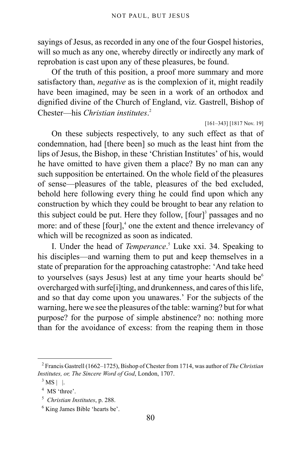sayings of Jesus, as recorded in any one of the four Gospel histories, will so much as any one, whereby directly or indirectly any mark of reprobation is cast upon any of these pleasures, be found.

Of the truth of this position, a proof more summary and more satisfactory than, *negative* as is the complexion of it, might readily have been imagined, may be seen in a work of an orthodox and dignified divine of the Church of England, viz. Gastrell, Bishop of Chester—his *Christian institutes*. [2](#page-79-0)

#### [161–343] [1817 Nov. 19]

On these subjects respectively, to any such effect as that of condemnation, had [there been] so much as the least hint from the lips of Jesus, the Bishop, in these 'Christian Institutes' of his, would he have omitted to have given them a place? By no man can any such supposition be entertained. On the whole field of the pleasures of sense—pleasures of the table, pleasures of the bed excluded, behold here following every thing he could find upon which any construction by which they could be brought to bear any relation to this subject could be put. Here they follow, [four]<sup>[3](#page-79-1)</sup> passages and no more: and of these [four],<sup>[4](#page-79-2)</sup> one the extent and thence irrelevancy of which will be recognized as soon as indicated.

I. Under the head of *Temperance*. [5](#page-79-3) Luke xxi. 34. Speaking to his disciples—and warning them to put and keep themselves in a state of preparation for the approaching catastrophe: 'And take heed to yourselves (says Jesus) lest at any time your hearts should be $<sup>6</sup>$  $<sup>6</sup>$  $<sup>6</sup>$ </sup> overcharged with surfe[i]ting, and drunkenness, and cares of this life, and so that day come upon you unawares.' For the subjects of the warning, here we see the pleasures of the table: warning? but for what purpose? for the purpose of simple abstinence? no: nothing more than for the avoidance of excess: from the reaping them in those

<span id="page-79-0"></span><sup>2</sup> Francis Gastrell (1662–1725), Bishop of Chester from 1714, was author of *The Christian Institutes, or, The Sincere Word of God*, London, 1707.

<span id="page-79-1"></span> $3$  MS | |.

<span id="page-79-2"></span><sup>&</sup>lt;sup>4</sup> MS 'three'.

<span id="page-79-3"></span><sup>5</sup> *Christian Institutes*, p. 288.

<span id="page-79-4"></span><sup>6</sup> King James Bible 'hearts be'.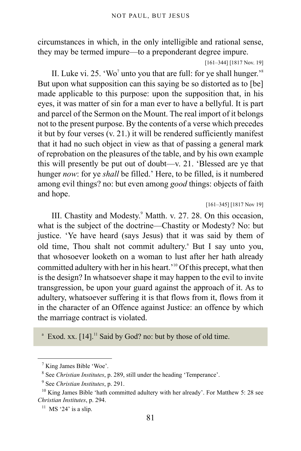circumstances in which, in the only intelligible and rational sense, they may be termed impure—to a preponderant degree impure.

[161–344] [1817 Nov. 19]

II. Luke vi. 25. 'Wo' unto you that are full: for ye shall hunger.<sup>3[8](#page-80-1)</sup> But upon what supposition can this saying be so distorted as to [be] made applicable to this purpose: upon the supposition that, in his eyes, it was matter of sin for a man ever to have a bellyful. It is part and parcel of the Sermon on the Mount. The real import of it belongs not to the present purpose. By the contents of a verse which precedes it but by four verses (v. 21.) it will be rendered sufficiently manifest that it had no such object in view as that of passing a general mark of reprobation on the pleasures of the table, and by his own example this will presently be put out of doubt—v. 21. 'Blessed are ye that hunger *now*: for ye *shall* be filled.' Here, to be filled, is it numbered among evil things? no: but even among *good* things: objects of faith and hope.

[161–345] [1817 Nov 19]

<span id="page-80-6"></span>III. Chastity and Modesty.<sup>[9](#page-80-2)</sup> Matth. v. 27. 28. On this occasion, what is the subject of the doctrine—Chastity or Modesty? No: but justice. 'Ye have heard (says Jesus) that it was said by them of old time, Thou sh[a](#page-80-3)lt not commit adultery.<sup>a</sup> But I say unto you, that whosoever looketh on a woman to lust after her hath already committed adultery with her in his heart.'[10](#page-80-4) Of this precept, what then is the design? In whatsoever shape it may happen to the evil to invite transgression, be upon your guard against the approach of it. As to adultery, whatsoever suffering it is that flows from it, flows from it in the character of an Offence against Justice: an offence by which the marriage contract is violated.

<span id="page-80-3"></span> $^{\circ}$  Exod. xx. [14].<sup>[11](#page-80-5)</sup> Said by God? no: but by those of old time.

<span id="page-80-0"></span><sup>&</sup>lt;sup>7</sup> King James Bible 'Woe'.

<span id="page-80-1"></span><sup>8</sup> See *Christian Institutes*, p. 289, still under the heading 'Temperance'.

<span id="page-80-2"></span><sup>9</sup> See *Christian Institutes*, p. 291.

<span id="page-80-4"></span> $10$  King James Bible 'hath committed adultery with her already'. For Matthew 5: 28 see *Christian Institutes*, p. 294.

<span id="page-80-5"></span> $11$  MS '24' is a slip.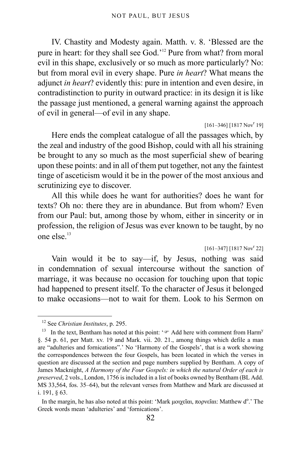IV. Chastity and Modesty again. Matth. v. 8. 'Blessed are the pure in heart: for they shall see God.'<sup>[12](#page-81-0)</sup> Pure from what? from moral evil in this shape, exclusively or so much as more particularly? No: but from moral evil in every shape. Pure *in heart*? What means the adjunct *in heart*? evidently this: pure in intention and even desire, in contradistinction to purity in outward practice: in its design it is like the passage just mentioned, a general warning against the approach of evil in general—of evil in any shape.

#### $[161-346]$   $[1817 Nov<sup>r</sup> 19]$

Here ends the compleat catalogue of all the passages which, by the zeal and industry of the good Bishop, could with all his straining be brought to any so much as the most superficial shew of bearing upon these points: and in all of them put together, not any the faintest tinge of asceticism would it be in the power of the most anxious and scrutinizing eye to discover.

All this while does he want for authorities? does he want for texts? Oh no: there they are in abundance. But from whom? Even from our Paul: but, among those by whom, either in sincerity or in profession, the religion of Jesus was ever known to be taught, by no one else $^{13}$  $^{13}$  $^{13}$ 

 $[161-347]$   $[1817 Nov<sup>r</sup> 22]$ 

Vain would it be to say—if, by Jesus, nothing was said in condemnation of sexual intercourse without the sanction of marriage, it was because no occasion for touching upon that topic had happened to present itself. To the character of Jesus it belonged to make occasions—not to wait for them. Look to his Sermon on

<span id="page-81-0"></span><sup>12</sup> See *Christian Institutes*, p. 295.

<span id="page-81-1"></span><sup>&</sup>lt;sup>13</sup> In the text, Bentham has noted at this point:  $\sqrt{r}$  Add here with comment from Harm<sup>y</sup> §. 54 p. 61, per Matt. xv. 19 and Mark. vii. 20. 21., among things which defile a man are "adulteries and fornications".' No 'Harmony of the Gospels', that is a work showing the correspondences between the four Gospels, has been located in which the verses in question are discussed at the section and page numbers supplied by Bentham. A copy of James Macknight, *A Harmony of the Four Gospels: in which the natural Order of each is preserved*, 2 vols., London, 1756 is included in a list of books owned by Bentham (BL Add. MS 33,564, fos. 35–64), but the relevant verses from Matthew and Mark are discussed at i. 191, § 63.

In the margin, he has also noted at this point: 'Mark μοιχεῖαι, πορνεῖαι: Matthew d<sup>o</sup>.' The Greek words mean 'adulteries' and 'fornications'.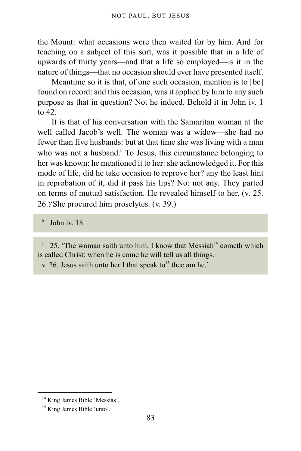the Mount: what occasions were then waited for by him. And for teaching on a subject of this sort, was it possible that in a life of upwards of thirty years—and that a life so employed—is it in the nature of things—that no occasion should ever have presented itself.

<span id="page-82-4"></span>Meantime so it is that, of one such occasion, mention is to [be] found on record: and this occasion, was it applied by him to any such purpose as that in question? Not he indeed. Behold it in John iv. 1 to 42.

It is that of his conversation with the Samaritan woman at the well called Jacob's well. The woman was a widow—she had no fewer than five husbands: but at that time she was living with a man who was not a hus[b](#page-82-0)and.<sup>b</sup> To Jesus, this circumstance belonging to her was known: he mentioned it to her: she acknowledged it. For this mode of life, did he take occasion to reprove her? any the least hint in reprobation of it, did it pass his lips? No: not any. They parted on terms of mutual satisfaction. He revealed himself to her. (v. 25. 26.)°She pro[c](#page-82-1)ured him proselytes. (v. 39.)

<span id="page-82-0"></span>b John iv. 18.

<span id="page-82-1"></span>c 25. 'The woman saith unto him, I know that Messiah<sup>[14](#page-82-2)</sup> cometh which is called Christ: when he is come he will tell us all things.

v. 26. Jesus saith unto her I that speak to<sup>[15](#page-82-3)</sup> thee am he.'

<span id="page-82-2"></span><sup>&</sup>lt;sup>14</sup> King James Bible 'Messias'.

<span id="page-82-3"></span><sup>&</sup>lt;sup>15</sup> King James Bible 'unto'.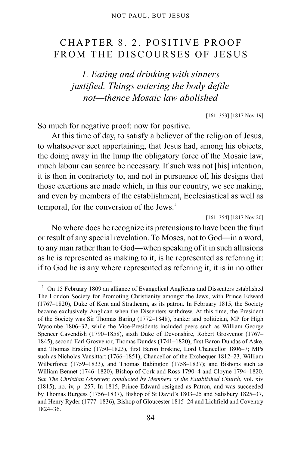## CHAPTER 8. 2. POSITIVE PROOF FROM THE DISCOURSES OF JESUS

*1. Eating and drinking with sinners justified. Things entering the body defile not—thence Mosaic law abolished*

[161–353] [1817 Nov 19]

So much for negative proof: now for positive.

At this time of day, to satisfy a believer of the religion of Jesus, to whatsoever sect appertaining, that Jesus had, among his objects, the doing away in the lump the obligatory force of the Mosaic law, much labour can scarce be necessary. If such was not [his] intention, it is then in contrariety to, and not in pursuance of, his designs that those exertions are made which, in this our country, we see making, and even by members of the establishment, Ecclesiastical as well as temporal, for the conversion of the Jews.<sup>[1](#page-83-0)</sup>

[161–354] [1817 Nov 20]

No where does he recognize its pretensions to have been the fruit or result of any special revelation. To Moses, not to God―in a word, to any man rather than to God—when speaking of it in such allusions as he is represented as making to it, is he represented as referring it: if to God he is any where represented as referring it, it is in no other

<span id="page-83-0"></span><sup>&</sup>lt;sup>1</sup> On 15 February 1809 an alliance of Evangelical Anglicans and Dissenters established The London Society for Promoting Christianity amongst the Jews, with Prince Edward (1767–1820), Duke of Kent and Strathearn, as its patron. In February 1815, the Society became exclusively Anglican when the Dissenters withdrew. At this time, the President of the Society was Sir Thomas Baring (1772–1848), banker and politician, MP for High Wycombe 1806–32, while the Vice-Presidents included peers such as William George Spencer Cavendish (1790–1858), sixth Duke of Devonshire, Robert Grosvenor (1767– 1845), second Earl Grosvenor, Thomas Dundas (1741–1820), first Baron Dundas of Aske, and Thomas Erskine (1750–1823), first Baron Erskine, Lord Chancellor 1806–7; MPs such as Nicholas Vansittart (1766–1851), Chancellor of the Exchequer 1812–23, William Wilberforce (1759–1833), and Thomas Babington (1758–1837); and Bishops such as William Bennet (1746–1820), Bishop of Cork and Ross 1790–4 and Cloyne 1794–1820. See *The Christian Observer, conducted by Members of the Established Church*, vol. xiv (1815), no. iv, p. 257. In 1815, Prince Edward resigned as Patron, and was succeeded by Thomas Burgess (1756–1837), Bishop of St David's 1803–25 and Salisbury 1825–37, and Henry Ryder (1777–1836), Bishop of Gloucester 1815–24 and Lichfield and Coventry 1824–36.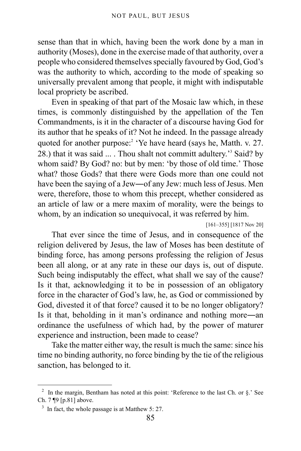sense than that in which, having been the work done by a man in authority (Moses), done in the exercise made of that authority, over a people who considered themselves specially favoured by God, God's was the authority to which, according to the mode of speaking so universally prevalent among that people, it might with indisputable local propriety be ascribed.

Even in speaking of that part of the Mosaic law which, in these times, is commonly distinguished by the appellation of the Ten Commandments, is it in the character of a discourse having God for its author that he speaks of it? Not he indeed. In the passage already quoted for another purpose:<sup>[2](#page-84-0)</sup> 'Ye have heard (says he, Matth. v. 27. 28.) that it was said ... . Thou shalt not committ adultery.<sup>[3](#page-84-1)</sup> Said? by whom said? By God? no: but by men: 'by those of old time.' Those what? those Gods? that there were Gods more than one could not have been the saying of a Jew—of any Jew: much less of Jesus. Men were, therefore, those to whom this precept, whether considered as an article of law or a mere maxim of morality, were the beings to whom, by an indication so unequivocal, it was referred by him.

[161–355] [1817 Nov 20]

That ever since the time of Jesus, and in consequence of the religion delivered by Jesus, the law of Moses has been destitute of binding force, has among persons professing the religion of Jesus been all along, or at any rate in these our days is, out of dispute. Such being indisputably the effect, what shall we say of the cause? Is it that, acknowledging it to be in possession of an obligatory force in the character of God's law, he, as God or commissioned by God, divested it of that force? caused it to be no longer obligatory? Is it that, beholding in it man's ordinance and nothing more―an ordinance the usefulness of which had, by the power of maturer experience and instruction, been made to cease?

Take the matter either way, the result is much the same: since his time no binding authority, no force binding by the tie of the religious sanction, has belonged to it.

<span id="page-84-0"></span><sup>&</sup>lt;sup>2</sup> In the margin, Bentham has noted at this point: 'Reference to the last Ch. or  $\S$ .' See [Ch. 7 ¶9 \[p.81\]](#page-80-6) above.

<span id="page-84-1"></span> $3\,$  In fact, the whole passage is at Matthew 5: 27.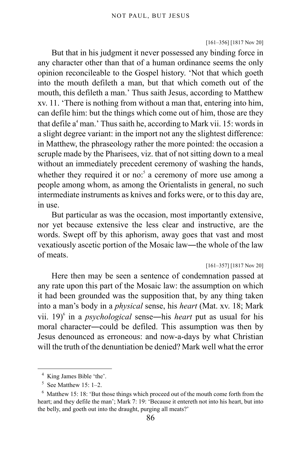#### [161–356] [1817 Nov 20]

But that in his judgment it never possessed any binding force in any character other than that of a human ordinance seems the only opinion reconcileable to the Gospel history. 'Not that which goeth into the mouth defileth a man, but that which cometh out of the mouth, this defileth a man.' Thus saith Jesus, according to Matthew xv. 11. 'There is nothing from without a man that, entering into him, can defile him: but the things which come out of him, those are they that defile a<sup>[4](#page-85-0)</sup> man.' Thus saith he, according to Mark vii. 15: words in a slight degree variant: in the import not any the slightest difference: in Matthew, the phraseology rather the more pointed: the occasion a scruple made by the Pharisees, viz. that of not sitting down to a meal without an immediately precedent ceremony of washing the hands, whether they required it or no: $5$  a ceremony of more use among a people among whom, as among the Orientalists in general, no such intermediate instruments as knives and forks were, or to this day are, in use.

But particular as was the occasion, most importantly extensive, nor yet because extensive the less clear and instructive, are the words. Swept off by this aphorism, away goes that vast and most vexatiously ascetic portion of the Mosaic law―the whole of the law of meats.

[161–357] [1817 Nov 20]

Here then may be seen a sentence of condemnation passed at any rate upon this part of the Mosaic law: the assumption on which it had been grounded was the supposition that, by any thing taken into a man's body in a *physical* sense, his *heart* (Mat. xv. 18; Mark vii. 19)<sup>[6](#page-85-2)</sup> in a *psychological* sense—his *heart* put as usual for his moral character―could be defiled. This assumption was then by Jesus denounced as erroneous: and now-a-days by what Christian will the truth of the denuntiation be denied? Mark well what the error

<span id="page-85-0"></span><sup>4</sup> King James Bible 'the'.

<span id="page-85-1"></span> $5$  See Matthew 15: 1-2.

<span id="page-85-2"></span> $6$  Matthew 15: 18: 'But those things which proceed out of the mouth come forth from the heart; and they defile the man'; Mark 7: 19: 'Because it entereth not into his heart, but into the belly, and goeth out into the draught, purging all meats?'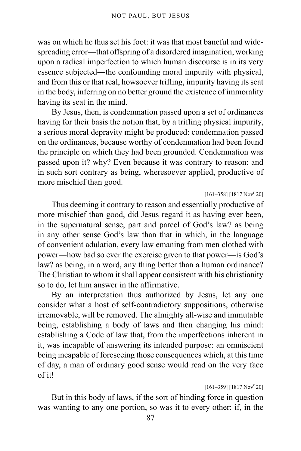was on which he thus set his foot: it was that most baneful and widespreading error―that offspring of a disordered imagination, working upon a radical imperfection to which human discourse is in its very essence subjected―the confounding moral impurity with physical, and from this or that real, howsoever trifling, impurity having its seat in the body, inferring on no better ground the existence of immorality having its seat in the mind.

By Jesus, then, is condemnation passed upon a set of ordinances having for their basis the notion that, by a trifling physical impurity, a serious moral depravity might be produced: condemnation passed on the ordinances, because worthy of condemnation had been found the principle on which they had been grounded. Condemnation was passed upon it? why? Even because it was contrary to reason: and in such sort contrary as being, wheresoever applied, productive of more mischief than good.

 $[161-358]$  [1817 Nov<sup>r</sup> 20]

Thus deeming it contrary to reason and essentially productive of more mischief than good, did Jesus regard it as having ever been, in the supernatural sense, part and parcel of God's law? as being in any other sense God's law than that in which, in the language of convenient adulation, every law emaning from men clothed with power―how bad so ever the exercise given to that power—is God's law? as being, in a word, any thing better than a human ordinance? The Christian to whom it shall appear consistent with his christianity so to do, let him answer in the affirmative.

By an interpretation thus authorized by Jesus, let any one consider what a host of self-contradictory suppositions, otherwise irremovable, will be removed. The almighty all-wise and immutable being, establishing a body of laws and then changing his mind: establishing a Code of law that, from the imperfections inherent in it, was incapable of answering its intended purpose: an omniscient being incapable of foreseeing those consequences which, at this time of day, a man of ordinary good sense would read on the very face of it!

 $[161-359]$   $[1817 Nov<sup>r</sup> 20]$ 

But in this body of laws, if the sort of binding force in question was wanting to any one portion, so was it to every other: if, in the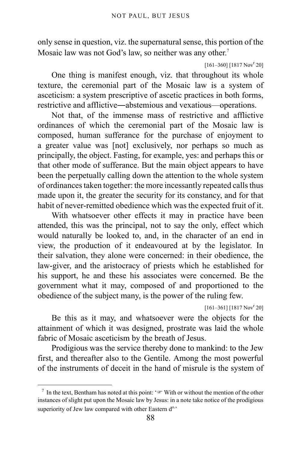only sense in question, viz. the supernatural sense, this portion of the Mosaic law was not God's law, so neither was any other.<sup>[7](#page-87-0)</sup>

 $[161-360]$   $[1817 Nov<sup>r</sup> 20]$ 

One thing is manifest enough, viz. that throughout its whole texture, the ceremonial part of the Mosaic law is a system of asceticism: a system prescriptive of ascetic practices in both forms, restrictive and afflictive―abstemious and vexatious—operations.

Not that, of the immense mass of restrictive and afflictive ordinances of which the ceremonial part of the Mosaic law is composed, human sufferance for the purchase of enjoyment to a greater value was [not] exclusively, nor perhaps so much as principally, the object. Fasting, for example, yes: and perhaps this or that other mode of sufferance. But the main object appears to have been the perpetually calling down the attention to the whole system of ordinances taken together: the more incessantly repeated calls thus made upon it, the greater the security for its constancy, and for that habit of never-remitted obedience which was the expected fruit of it.

With whatsoever other effects it may in practice have been attended, this was the principal, not to say the only, effect which would naturally be looked to, and, in the character of an end in view, the production of it endeavoured at by the legislator. In their salvation, they alone were concerned: in their obedience, the law-giver, and the aristocracy of priests which he established for his support, he and these his associates were concerned. Be the government what it may, composed of and proportioned to the obedience of the subject many, is the power of the ruling few.

 $[161-361]$   $[1817 Nov<sup>r</sup> 20]$ 

Be this as it may, and whatsoever were the objects for the attainment of which it was designed, prostrate was laid the whole fabric of Mosaic asceticism by the breath of Jesus.

Prodigious was the service thereby done to mankind: to the Jew first, and thereafter also to the Gentile. Among the most powerful of the instruments of deceit in the hand of misrule is the system of

<span id="page-87-0"></span>In the text, Bentham has noted at this point: ' $\mathcal{F}$  With or without the mention of the other instances of slight put upon the Mosaic law by Jesus: in a note take notice of the prodigious superiority of Jew law compared with other Eastern d<sup>o.</sup>'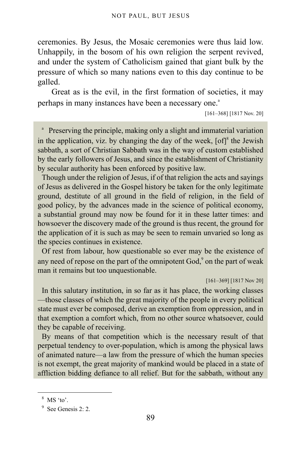ceremonies. By Jesus, the Mosaic ceremonies were thus laid low. Unhappily, in the bosom of his own religion the serpent revived, and under the system of Catholicism gained that giant bulk by the pressure of which so many nations even to this day continue to be galled.

Great as is the evil, in the first formation of societies, it may perh[a](#page-88-0)ps in many instances have been a necessary one.<sup>a</sup>

[161–368] [1817 Nov. 20]

<span id="page-88-0"></span>a Preserving the principle, making only a slight and immaterial variation in the application, viz. by changing the day of the week,  $[of]$ <sup>[8](#page-88-1)</sup> the Jewish sabbath, a sort of Christian Sabbath was in the way of custom established by the early followers of Jesus, and since the establishment of Christianity by secular authority has been enforced by positive law.

Though under the religion of Jesus, if of that religion the acts and sayings of Jesus as delivered in the Gospel history be taken for the only legitimate ground, destitute of all ground in the field of religion, in the field of good policy, by the advances made in the science of political economy, a substantial ground may now be found for it in these latter times: and howsoever the discovery made of the ground is thus recent, the ground for the application of it is such as may be seen to remain unvaried so long as the species continues in existence.

Of rest from labour, how questionable so ever may be the existence of any need of repose on the part of the omnipotent  $God<sub>2</sub><sup>9</sup>$  $God<sub>2</sub><sup>9</sup>$  $God<sub>2</sub><sup>9</sup>$  on the part of weak man it remains but too unquestionable.

[161–369] [1817 Nov 20]

In this salutary institution, in so far as it has place, the working classes —those classes of which the great majority of the people in every political state must ever be composed, derive an exemption from oppression, and in that exemption a comfort which, from no other source whatsoever, could they be capable of receiving.

By means of that competition which is the necessary result of that perpetual tendency to over-population, which is among the physical laws of animated nature—a law from the pressure of which the human species is not exempt, the great majority of mankind would be placed in a state of affliction bidding defiance to all relief. But for the sabbath, without any

<span id="page-88-1"></span><sup>8</sup> MS 'to'.

<span id="page-88-2"></span><sup>9</sup> See Genesis 2: 2.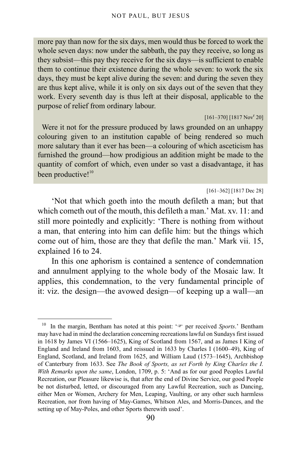more pay than now for the six days, men would thus be forced to work the whole seven days: now under the sabbath, the pay they receive, so long as they subsist—this pay they receive for the six days—is sufficient to enable them to continue their existence during the whole seven: to work the six days, they must be kept alive during the seven: and during the seven they are thus kept alive, while it is only on six days out of the seven that they work. Every seventh day is thus left at their disposal, applicable to the purpose of relief from ordinary labour.

 $[161-370]$   $[1817 Nov<sup>r</sup> 20]$ 

Were it not for the pressure produced by laws grounded on an unhappy colouring given to an institution capable of being rendered so much more salutary than it ever has been—a colouring of which asceticism has furnished the ground—how prodigious an addition might be made to the quantity of comfort of which, even under so vast a disadvantage, it has been productive!<sup>[10](#page-89-0)</sup>

#### [161–362] [1817 Dec 28]

'Not that which goeth into the mouth defileth a man; but that which cometh out of the mouth, this defileth a man.' Mat. xv. 11: and still more pointedly and explicitly: 'There is nothing from without a man, that entering into him can defile him: but the things which come out of him, those are they that defile the man.' Mark vii. 15, explained 16 to 24.

In this one aphorism is contained a sentence of condemnation and annulment applying to the whole body of the Mosaic law. It applies, this condemnation, to the very fundamental principle of it: viz. the design—the avowed design—of keeping up a wall—an

<span id="page-89-0"></span><sup>&</sup>lt;sup>10</sup> In the margin, Bentham has noted at this point: '<sup>®</sup> per received *Sports*.' Bentham may have had in mind the declaration concerning recreations lawful on Sundays first issued in 1618 by James VI (1566–1625), King of Scotland from 1567, and as James I King of England and Ireland from 1603, and reissued in 1633 by Charles I (1600–49), King of England, Scotland, and Ireland from 1625, and William Laud (1573–1645), Archbishop of Canterbury from 1633. See *The Book of Sports, as set Forth by King Charles the I. With Remarks upon the same*, London, 1709, p. 5: 'And as for our good Peoples Lawful Recreation, our Pleasure likewise is, that after the end of Divine Service, our good People be not disturbed, letted, or discouraged from any Lawful Recreation, such as Dancing, either Men or Women, Archery for Men, Leaping, Vaulting, or any other such harmless Recreation, nor from having of May-Games, Whitson Ales, and Morris-Dances, and the setting up of May-Poles, and other Sports therewith used'.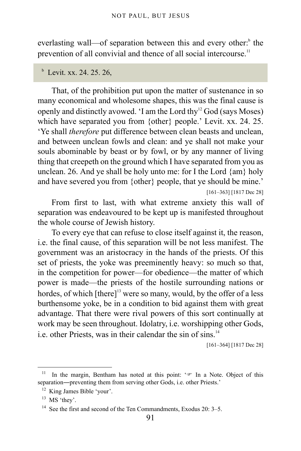everlasting wall—of separation [b](#page-90-0)etween this and every other:<sup>b</sup> the prevention of all convivial and thence of all social intercourse.<sup>[11](#page-90-1)</sup>

#### <span id="page-90-0"></span>b Levit. xx. 24. 25. 26,

That, of the prohibition put upon the matter of sustenance in so many economical and wholesome shapes, this was the final cause is openly and distinctly avowed. 'I am the Lord thy $12$  God (says Moses) which have separated you from {other} people.' Levit. xx. 24. 25. 'Ye shall *therefore* put difference between clean beasts and unclean, and between unclean fowls and clean: and ye shall not make your souls abominable by beast or by fowl, or by any manner of living thing that creepeth on the ground which I have separated from you as unclean. 26. And ye shall be holy unto me: for I the Lord {am} holy and have severed you from {other} people, that ye should be mine.'

[161–363] [1817 Dec 28]

From first to last, with what extreme anxiety this wall of separation was endeavoured to be kept up is manifested throughout the whole course of Jewish history.

To every eye that can refuse to close itself against it, the reason, i.e. the final cause, of this separation will be not less manifest. The government was an aristocracy in the hands of the priests. Of this set of priests, the yoke was preeminently heavy: so much so that, in the competition for power—for obedience—the matter of which power is made—the priests of the hostile surrounding nations or hordes, of which  $[there]$ <sup>3</sup> were so many, would, by the offer of a less burthensome yoke, be in a condition to bid against them with great advantage. That there were rival powers of this sort continually at work may be seen throughout. Idolatry, i.e. worshipping other Gods, i.e. other Priests, was in their calendar the sin of sins. $14$ 

[161–364] [1817 Dec 28]

<span id="page-90-1"></span>In the margin, Bentham has noted at this point: ' $\mathcal{F}$  In a Note. Object of this separation—preventing them from serving other Gods, i.e. other Priests.'

<span id="page-90-2"></span><sup>&</sup>lt;sup>12</sup> King James Bible 'your'.

<span id="page-90-3"></span> $13$  MS 'they'.

<span id="page-90-4"></span><sup>&</sup>lt;sup>14</sup> See the first and second of the Ten Commandments, Exodus 20: 3–5.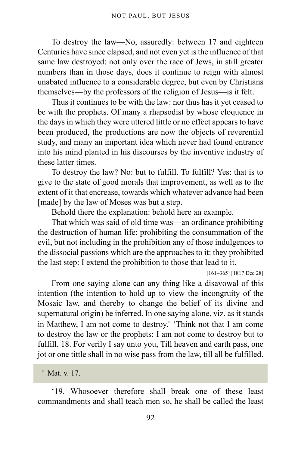To destroy the law—No, assuredly: between 17 and eighteen Centuries have since elapsed, and not even yet is the influence of that same law destroyed: not only over the race of Jews, in still greater numbers than in those days, does it continue to reign with almost unabated influence to a considerable degree, but even by Christians themselves—by the professors of the religion of Jesus—is it felt.

Thus it continues to be with the law: nor thus has it yet ceased to be with the prophets. Of many a rhapsodist by whose eloquence in the days in which they were uttered little or no effect appears to have been produced, the productions are now the objects of reverential study, and many an important idea which never had found entrance into his mind planted in his discourses by the inventive industry of these latter times.

To destroy the law? No: but to fulfill. To fulfill? Yes: that is to give to the state of good morals that improvement, as well as to the extent of it that encrease, towards which whatever advance had been [made] by the law of Moses was but a step.

Behold there the explanation: behold here an example.

That which was said of old time was—an ordinance prohibiting the destruction of human life: prohibiting the consummation of the evil, but not including in the prohibition any of those indulgences to the dissocial passions which are the approaches to it: they prohibited the last step: I extend the prohibition to those that lead to it.

[161–365] [1817 Dec 28]

From one saying alone can any thing like a disavowal of this intention (the intention to hold up to view the incongruity of the Mosaic law, and thereby to change the belief of its divine and supernatural origin) be inferred. In one saying alone, viz. as it stands in Matthew, I am not [c](#page-91-0)ome to destroy. 'Think not that I am come to destroy the law or the prophets: I am not come to destroy but to fulfill. 18. For verily I say unto you, Till heaven and earth pass, one jot or one tittle shall in no wise pass from the law, till all be fulfilled.

'19. Whosoever therefore shall break one of these least commandments and shall teach men so, he shall be called the least

<span id="page-91-0"></span> $\textdegree$  Mat. v. 17.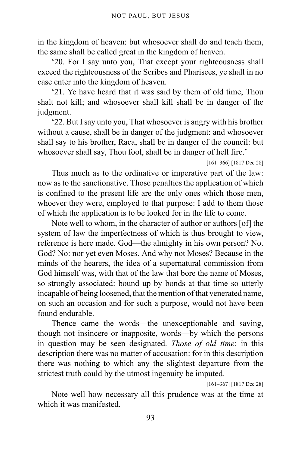in the kingdom of heaven: but whosoever shall do and teach them, the same shall be called great in the kingdom of heaven.

'20. For I say unto you, That except your righteousness shall exceed the righteousness of the Scribes and Pharisees, ye shall in no case enter into the kingdom of heaven.

'21. Ye have heard that it was said by them of old time, Thou shalt not kill; and whosoever shall kill shall be in danger of the judgment.

'22. But I say unto you, That whosoever is angry with his brother without a cause, shall be in danger of the judgment: and whosoever shall say to his brother, Raca, shall be in danger of the council: but whosoever shall say, Thou fool, shall be in danger of hell fire.'

[161–366] [1817 Dec 28]

Thus much as to the ordinative or imperative part of the law: now as to the sanctionative. Those penalties the application of which is confined to the present life are the only ones which those men, whoever they were, employed to that purpose: I add to them those of which the application is to be looked for in the life to come.

Note well to whom, in the character of author or authors [of] the system of law the imperfectness of which is thus brought to view, reference is here made. God—the almighty in his own person? No. God? No: nor yet even Moses. And why not Moses? Because in the minds of the hearers, the idea of a supernatural commission from God himself was, with that of the law that bore the name of Moses, so strongly associated: bound up by bonds at that time so utterly incapable of being loosened, that the mention of that venerated name, on such an occasion and for such a purpose, would not have been found endurable.

Thence came the words—the unexceptionable and saving, though not insincere or inapposite, words—by which the persons in question may be seen designated. *Those of old time*: in this description there was no matter of accusation: for in this description there was nothing to which any the slightest departure from the strictest truth could by the utmost ingenuity be imputed.

[161–367] [1817 Dec 28]

Note well how necessary all this prudence was at the time at which it was manifested.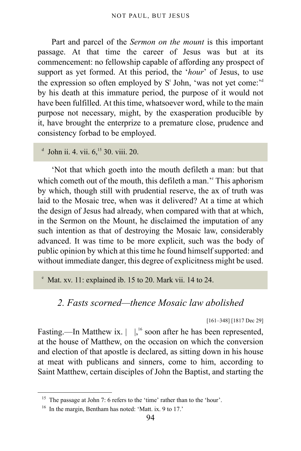Part and parcel of the *Sermon on the mount* is this important passage. At that time the career of Jesus was but at its commencement: no fellowship capable of affording any prospect of support as yet formed. At this period, the '*hour*' of Jesus, to use the expression so often employe[d](#page-93-0) by  $S<sup>t</sup>$  John, 'was not yet come:<sup>24</sup> by his death at this immature period, the purpose of it would not have been fulfilled. At this time, whatsoever word, while to the main purpose not necessary, might, by the exasperation producible by it, have brought the enterprize to a premature close, prudence and consistency forbad to be employed.

<span id="page-93-0"></span> $d$  John ii. 4. vii.  $6,$ <sup>[15](#page-93-1)</sup> 30. viii. 20.

'Not that which goeth into the mouth defileth a man: but that which com[e](#page-93-2)th out of the mouth, this defileth a man." This aphorism by which, though still with prudential reserve, the ax of truth was laid to the Mosaic tree, when was it delivered? At a time at which the design of Jesus had already, when compared with that at which, in the Sermon on the Mount, he disclaimed the imputation of any such intention as that of destroying the Mosaic law, considerably advanced. It was time to be more explicit, such was the body of public opinion by which at this time he found himself supported: and without immediate danger, this degree of explicitness might be used.

<span id="page-93-2"></span>e Mat. xv. 11: explained ib. 15 to 20. Mark vii. 14 to 24.

## *2. Fasts scorned—thence Mosaic law abolished*

[161–348] [1817 Dec 29]

Fasting.—In Matthew ix.  $\vert \vert \vert^{16}$  $\vert \vert \vert^{16}$  $\vert \vert \vert^{16}$  soon after he has been represented, at the house of Matthew, on the occasion on which the conversion and election of that apostle is declared, as sitting down in his house at meat with publicans and sinners, come to him, according to Saint Matthew, certain disciples of John the Baptist, and starting the

<span id="page-93-1"></span><sup>&</sup>lt;sup>15</sup> The passage at John 7: 6 refers to the 'time' rather than to the 'hour'.

<span id="page-93-3"></span><sup>&</sup>lt;sup>16</sup> In the margin, Bentham has noted: 'Matt. ix. 9 to 17.'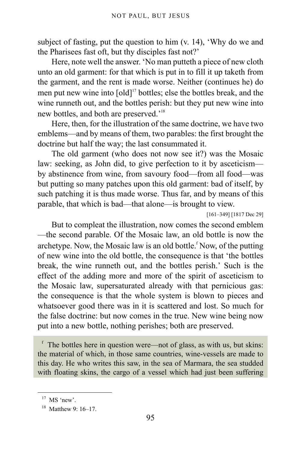subject of fasting, put the question to him (v. 14), 'Why do we and the Pharisees fast oft, but thy disciples fast not?'

Here, note well the answer. 'No man putteth a piece of new cloth unto an old garment: for that which is put in to fill it up taketh from the garment, and the rent is made worse. Neither (continues he) do men put new wine into  $[old]^{17}$  $[old]^{17}$  $[old]^{17}$  bottles; else the bottles break, and the wine runneth out, and the bottles perish: but they put new wine into new bottles, and both are preserved.'[18](#page-94-1)

Here, then, for the illustration of the same doctrine, we have two emblems—and by means of them, two parables: the first brought the doctrine but half the way; the last consummated it.

The old garment (who does not now see it?) was the Mosaic law: seeking, as John did, to give perfection to it by asceticism by abstinence from wine, from savoury food—from all food—was but putting so many patches upon this old garment: bad of itself, by such patching it is thus made worse. Thus far, and by means of this parable, that which is bad—that alone—is brought to view.

[161–349] [1817 Dec 29]

But to compleat the illustration, now comes the second emblem —the second parable. Of the Mosaic law, an old bottle is now the archetype. Now, the Mosaic law is an old bottle. Now, o[f](#page-94-2) the putting of new wine into the old bottle, the consequence is that 'the bottles break, the wine runneth out, and the bottles perish.' Such is the effect of the adding more and more of the spirit of asceticism to the Mosaic law, supersaturated already with that pernicious gas: the consequence is that the whole system is blown to pieces and whatsoever good there was in it is scattered and lost. So much for the false doctrine: but now comes in the true. New wine being now put into a new bottle, nothing perishes; both are preserved.

<span id="page-94-2"></span>f The bottles here in question were—not of glass, as with us, but skins: the material of which, in those same countries, wine-vessels are made to this day. He who writes this saw, in the sea of Marmara, the sea studded with floating skins, the cargo of a vessel which had just been suffering

<span id="page-94-0"></span> $17$  MS 'new'.

<span id="page-94-1"></span><sup>18</sup> Matthew 9: 16–17.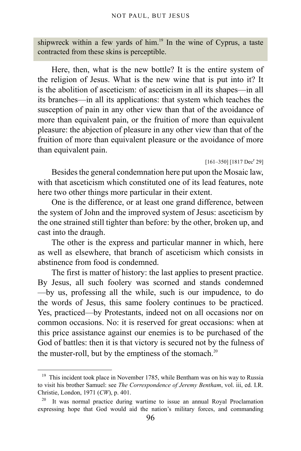shipwreck within a few yards of him.<sup>[19](#page-95-0)</sup> In the wine of Cyprus, a taste contracted from these skins is perceptible.

Here, then, what is the new bottle? It is the entire system of the religion of Jesus. What is the new wine that is put into it? It is the abolition of asceticism: of asceticism in all its shapes—in all its branches—in all its applications: that system which teaches the susception of pain in any other view than that of the avoidance of more than equivalent pain, or the fruition of more than equivalent pleasure: the abjection of pleasure in any other view than that of the fruition of more than equivalent pleasure or the avoidance of more than equivalent pain.

#### $[161-350]$   $[1817 \text{ Dec}^r 29]$

Besides the general condemnation here put upon the Mosaic law, with that asceticism which constituted one of its lead features, note here two other things more particular in their extent.

One is the difference, or at least one grand difference, between the system of John and the improved system of Jesus: asceticism by the one strained still tighter than before: by the other, broken up, and cast into the draugh.

The other is the express and particular manner in which, here as well as elsewhere, that branch of asceticism which consists in abstinence from food is condemned.

The first is matter of history: the last applies to present practice. By Jesus, all such foolery was scorned and stands condemned —by us, professing all the while, such is our impudence, to do the words of Jesus, this same foolery continues to be practiced. Yes, practiced—by Protestants, indeed not on all occasions nor on common occasions. No: it is reserved for great occasions: when at this price assistance against our enemies is to be purchased of the God of battles: then it is that victory is secured not by the fulness of the muster-roll, but by the emptiness of the stomach. $20$ 

<span id="page-95-0"></span><sup>&</sup>lt;sup>19</sup> This incident took place in November 1785, while Bentham was on his way to Russia to visit his brother Samuel: see *The Correspondence of Jeremy Bentham*, vol. iii, ed. I.R. Christie, London, 1971 (*CW*), p. 401.

<span id="page-95-1"></span> $20$  It was normal practice during wartime to issue an annual Royal Proclamation expressing hope that God would aid the nation's military forces, and commanding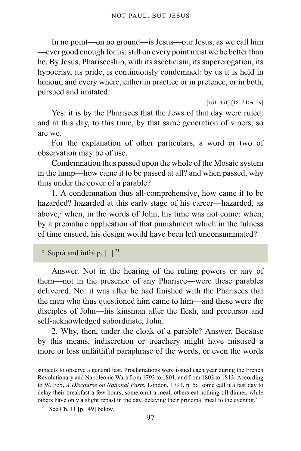In no point—on no ground—is Jesus—our Jesus, as we call him —ever good enough for us: still on every point must we be better than he. By Jesus, Phariseeship, with its asceticism, its supererogation, its hypocrisy, its pride, is continuously condemned: by us it is held in honour, and every where, either in practice or in pretence, or in both, pursued and imitated.

[161–351] [1817 Dec 29]

Yes: it is by the Pharisees that the Jews of that day were ruled: and at this day, to this time, by that same generation of vipers, so are we.

For the explanation of other particulars, a word or two of observation may be of use.

Condemnation thus passed upon the whole of the Mosaic system in the lump—how came it to be passed at all? and when passed, why thus under the cover of a parable?

1. A condemnation thus all-comprehensive, how came it to be hazarded? hazarded at this early stage of his career—hazarded, as above,<sup>[g](#page-96-0)</sup> when, in the words of John, his time was not come: when, by a premature application of that punishment which in the fulness of time ensued, his design would have been left unconsummated?

<span id="page-96-0"></span><sup>g</sup> Suprà and infrà p.  $\vert \cdot \vert^{21}$  $\vert \cdot \vert^{21}$  $\vert \cdot \vert^{21}$ 

Answer. Not in the hearing of the ruling powers or any of them—not in the presence of any Pharisee—were these parables delivered. No: it was after he had finished with the Pharisees that the men who thus questioned him came to him—and these were the disciples of John—his kinsman after the flesh, and precursor and self-acknowledged subordinate, John.

2. Why, then, under the cloak of a parable? Answer. Because by this means, indiscretion or treachery might have misused a more or less unfaithful paraphrase of the words, or even the words

subjects to observe a general fast. Proclamations were issued each year during the French Revolutionary and Napoleonic Wars from 1793 to 1801, and from 1803 to 1813. According to W. Fox, *A Discourse on National Fasts*, London, 1793, p. 5: 'some call it a fast day to delay their breakfast a few hours, some omit a meal, others eat nothing till dinner, while others have only a slight repast in the day, delaying their principal meal to the evening.'

<span id="page-96-1"></span> $21$  See [Ch. 11 \[p.149\]](#page-148-0) below.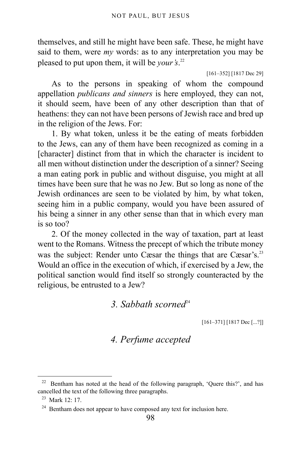themselves, and still he might have been safe. These, he might have said to them, were *my* words: as to any interpretation you may be pleased to put upon them, it will be *your's*. [22](#page-97-0)

[161–352] [1817 Dec 29]

As to the persons in speaking of whom the compound appellation *publicans and sinners* is here employed, they can not, it should seem, have been of any other description than that of heathens: they can not have been persons of Jewish race and bred up in the religion of the Jews. For:

1. By what token, unless it be the eating of meats forbidden to the Jews, can any of them have been recognized as coming in a [character] distinct from that in which the character is incident to all men without distinction under the description of a sinner? Seeing a man eating pork in public and without disguise, you might at all times have been sure that he was no Jew. But so long as none of the Jewish ordinances are seen to be violated by him, by what token, seeing him in a public company, would you have been assured of his being a sinner in any other sense than that in which every man is so too?

2. Of the money collected in the way of taxation, part at least went to the Romans. Witness the precept of which the tribute money was the subject: Render unto Cæsar the things that are Cæsar's.<sup>[23](#page-97-1)</sup> Would an office in the execution of which, if exercised by a Jew, the political sanction would find itself so strongly counteracted by the religious, be entrusted to a Jew?

3. Sabbath scorned<sup>[24](#page-97-2)</sup>

[161–371] [1817 Dec [...?]]

### *4. Perfume accepted*

<span id="page-97-0"></span><sup>22</sup> Bentham has noted at the head of the following paragraph, 'Quere this?', and has cancelled the text of the following three paragraphs.

<span id="page-97-1"></span><sup>23</sup> Mark 12: 17.

<span id="page-97-2"></span><sup>&</sup>lt;sup>24</sup> Bentham does not appear to have composed any text for inclusion here.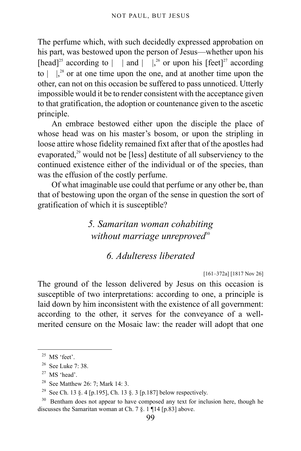The perfume which, with such decidedly expressed approbation on his part, was bestowed upon the person of Jesus—whether upon his [head]<sup>[25](#page-98-0)</sup> according to  $|$  | and  $|$  |,<sup>[26](#page-98-1)</sup> or upon his [feet]<sup>[27](#page-98-2)</sup> according to  $\left| \right|$ ,<sup>[28](#page-98-3)</sup> or at one time upon the one, and at another time upon the other, can not on this occasion be suffered to pass unnoticed. Utterly impossible would it be to render consistent with the acceptance given to that gratification, the adoption or countenance given to the ascetic principle.

An embrace bestowed either upon the disciple the place of whose head was on his master's bosom, or upon the stripling in loose attire whose fidelity remained fixt after that of the apostles had evaporated, $29$  would not be [less] destitute of all subserviency to the continued existence either of the individual or of the species, than was the effusion of the costly perfume.

Of what imaginable use could that perfume or any other be, than that of bestowing upon the organ of the sense in question the sort of gratification of which it is susceptible?

> *5. Samaritan woman cohabiting* without marriage unreproved<sup>[30](#page-98-5)</sup>

## *6. Adulteress liberated*

[161–372a] [1817 Nov 26]

The ground of the lesson delivered by Jesus on this occasion is susceptible of two interpretations: according to one, a principle is laid down by him inconsistent with the existence of all government: according to the other, it serves for the conveyance of a wellmerited censure on the Mosaic law: the reader will adopt that one

<span id="page-98-0"></span> $25$  MS 'feet'.

<span id="page-98-1"></span> $26$  See Luke 7: 38.

<span id="page-98-2"></span> $27$  MS 'head'.

<span id="page-98-3"></span><sup>28</sup> See Matthew 26: 7; Mark 14: 3.

<span id="page-98-4"></span><sup>&</sup>lt;sup>29</sup> See [Ch. 13 §. 4 \[p.195\],](#page-194-0) [Ch. 13 §. 3 \[p.187\]](#page-186-0) below respectively.

<span id="page-98-5"></span><sup>&</sup>lt;sup>30</sup> Bentham does not appear to have composed any text for inclusion here, though he discusses the Samaritan woman at [Ch. 7 §. 1 ¶14 \[p.83\]](#page-82-4) above.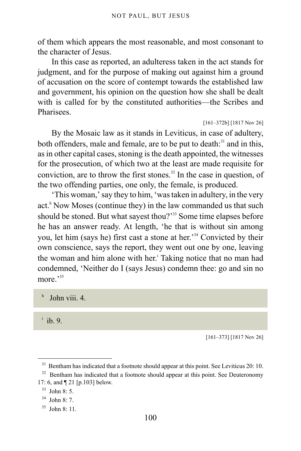of them which appears the most reasonable, and most consonant to the character of Jesus.

In this case as reported, an adulteress taken in the act stands for judgment, and for the purpose of making out against him a ground of accusation on the score of contempt towards the established law and government, his opinion on the question how she shall be dealt with is called for by the constituted authorities—the Scribes and **Pharisees** 

```
[161–372b] [1817 Nov 26]
```
By the Mosaic law as it stands in Leviticus, in case of adultery, both offenders, male and female, are to be put to death:<sup>[31](#page-99-0)</sup> and in this, as in other capital cases, stoning is the death appointed, the witnesses for the prosecution, of which two at the least are made requisite for conviction, are to throw the first stones.<sup>[32](#page-99-1)</sup> In the case in question, of the two offending parties, one only, the female, is produced.

'This woman,' say they to him, 'was taken in adultery, in the very act.<sup>[h](#page-99-2)</sup> Now Moses (continue they) in the law commanded us that such should be stoned. But what sayest thou?'<sup>[33](#page-99-3)</sup> Some time elapses before he has an answer ready. At length, 'he that is without sin among you, let him (says he) first cast a stone at her.'[34](#page-99-4) Convicted by their own conscience, says the report, they went out one by one, leaving the woman and h[i](#page-99-5)m alone with her. Taking notice that no man had condemned, 'Neither do I (says Jesus) condemn thee: go and sin no more<sup>[35](#page-99-6)</sup>

<span id="page-99-2"></span>h John viii. 4.

<span id="page-99-5"></span> $\mathbf{i}$  ib. 9.

[161–373] [1817 Nov 26]

<span id="page-99-0"></span><sup>&</sup>lt;sup>31</sup> Bentham has indicated that a footnote should appear at this point. See Leviticus 20: 10.

<span id="page-99-1"></span><sup>&</sup>lt;sup>32</sup> Bentham has indicated that a footnote should appear at this point. See Deuteronomy 17: 6, and [¶ 21 \[p.103\]](#page-102-0) below.

<span id="page-99-3"></span><sup>33</sup> John 8: 5.

<span id="page-99-4"></span><sup>34</sup> John 8: 7.

<span id="page-99-6"></span><sup>35</sup> John 8: 11.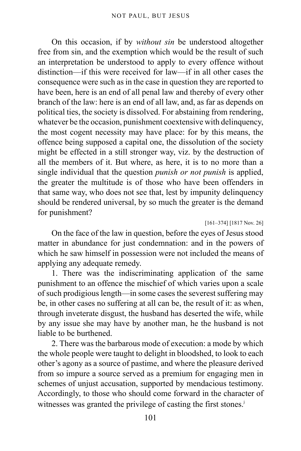On this occasion, if by *without sin* be understood altogether free from sin, and the exemption which would be the result of such an interpretation be understood to apply to every offence without distinction—if this were received for law—if in all other cases the consequence were such as in the case in question they are reported to have been, here is an end of all penal law and thereby of every other branch of the law: here is an end of all law, and, as far as depends on political ties, the society is dissolved. For abstaining from rendering, whatever be the occasion, punishment coextensive with delinquency, the most cogent necessity may have place: for by this means, the offence being supposed a capital one, the dissolution of the society might be effected in a still stronger way, viz. by the destruction of all the members of it. But where, as here, it is to no more than a single individual that the question *punish or not punish* is applied, the greater the multitude is of those who have been offenders in that same way, who does not see that, lest by impunity delinquency should be rendered universal, by so much the greater is the demand for punishment?

[161–374] [1817 Nov. 26]

On the face of the law in question, before the eyes of Jesus stood matter in abundance for just condemnation: and in the powers of which he saw himself in possession were not included the means of applying any adequate remedy.

1. There was the indiscriminating application of the same punishment to an offence the mischief of which varies upon a scale of such prodigious length—in some cases the severest suffering may be, in other cases no suffering at all can be, the result of it: as when, through inveterate disgust, the husband has deserted the wife, while by any issue she may have by another man, he the husband is not liable to be burthened.

2. There was the barbarous mode of execution: a mode by which the whole people were taught to delight in bloodshed, to look to each other's agony as a source of pastime, and where the pleasure derived from so impure a source served as a premium for engaging men in schemes of unjust accusation, supported by mendacious testimony. Accordingly, to those who should come forward in the character of witnesses was granted the privilege of casting the first stones.<sup>[j](#page-101-0)</sup>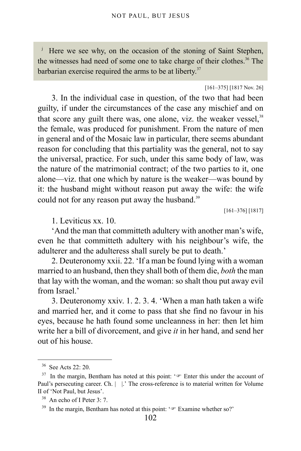<span id="page-101-0"></span><sup>j</sup> Here we see why, on the occasion of the stoning of Saint Stephen, the witnesses had need of some one to take charge of their clothes.<sup>[36](#page-101-1)</sup> The barbarian exercise required the arms to be at liberty. $37$ 

[161–375] [1817 Nov. 26]

3. In the individual case in question, of the two that had been guilty, if under the circumstances of the case any mischief and on that score any guilt there was, one alone, viz. the weaker vessel. $38$ the female, was produced for punishment. From the nature of men in general and of the Mosaic law in particular, there seems abundant reason for concluding that this partiality was the general, not to say the universal, practice. For such, under this same body of law, was the nature of the matrimonial contract; of the two parties to it, one alone—viz. that one which by nature is the weaker—was bound by it: the husband might without reason put away the wife: the wife could not for any reason put away the husband.<sup>[39](#page-101-4)</sup>

[161–376] [1817]

1. Leviticus xx. 10.

'And the man that committeth adultery with another man's wife, even he that committeth adultery with his neighbour's wife, the adulterer and the adulteress shall surely be put to death.'

2. Deuteronomy xxii. 22. 'If a man be found lying with a woman married to an husband, then they shall both of them die, *both* the man that lay with the woman, and the woman: so shalt thou put away evil from Israel<sup>'</sup>

3. Deuteronomy xxiv. 1. 2. 3. 4. 'When a man hath taken a wife and married her, and it come to pass that she find no favour in his eyes, because he hath found some uncleanness in her: then let him write her a bill of divorcement, and give *it* in her hand, and send her out of his house.

<span id="page-101-1"></span><sup>36</sup> See Acts 22: 20.

<span id="page-101-2"></span> $37$  In the margin, Bentham has noted at this point:  $\circ$  Enter this under the account of Paul's persecuting career. Ch. | |.' The cross-reference is to material written for Volume II of 'Not Paul, but Jesus'.

<span id="page-101-3"></span><sup>38</sup> An echo of I Peter 3: 7.

<span id="page-101-4"></span><sup>&</sup>lt;sup>39</sup> In the margin, Bentham has noted at this point: ' $\mathcal{F}$  Examine whether so?'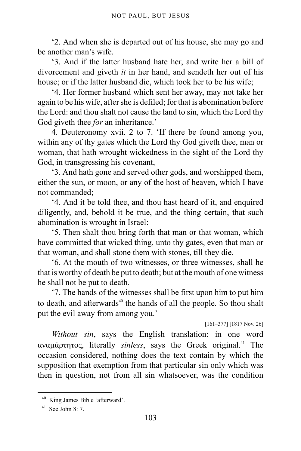'2. And when she is departed out of his house, she may go and be another man's wife.

'3. And if the latter husband hate her, and write her a bill of divorcement and giveth *it* in her hand, and sendeth her out of his house; or if the latter husband die, which took her to be his wife;

'4. Her former husband which sent her away, may not take her again to be his wife, after she is defiled; for that is abomination before the Lord: and thou shalt not cause the land to sin, which the Lord thy God giveth thee *for* an inheritance.'

4. Deuteronomy xvii. 2 to 7. 'If there be found among you, within any of thy gates which the Lord thy God giveth thee, man or woman, that hath wrought wickedness in the sight of the Lord thy God, in transgressing his covenant,

'3. And hath gone and served other gods, and worshipped them, either the sun, or moon, or any of the host of heaven, which I have not commanded;

'4. And it be told thee, and thou hast heard of it, and enquired diligently, and, behold it be true, and the thing certain, that such abomination is wrought in Israel:

'5. Then shalt thou bring forth that man or that woman, which have committed that wicked thing, unto thy gates, even that man or that woman, and shall stone them with stones, till they die.

<span id="page-102-0"></span>'6. At the mouth of two witnesses, or three witnesses, shall he that is worthy of death be put to death; but at the mouth of one witness he shall not be put to death.

'7. The hands of the witnesses shall be first upon him to put him to death, and afterwards<sup>[40](#page-102-1)</sup> the hands of all the people. So thou shalt put the evil away from among you.'

[161–377] [1817 Nov. 26]

*Without sin*, says the English translation: in one word αναμάρτητος, literally *sinless*, says the Greek original.[41](#page-102-2) The occasion considered, nothing does the text contain by which the supposition that exemption from that particular sin only which was then in question, not from all sin whatsoever, was the condition

<span id="page-102-1"></span><sup>40</sup> King James Bible 'afterward'.

<span id="page-102-2"></span> $41$  See John 8: 7.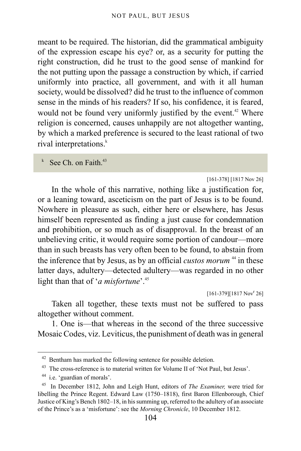meant to be required. The historian, did the grammatical ambiguity of the expression escape his eye? or, as a security for putting the right construction, did he trust to the good sense of mankind for the not putting upon the passage a construction by which, if carried uniformly into practice, all government, and with it all human society, would be dissolved? did he trust to the influence of common sense in the minds of his readers? If so, his confidence, it is feared, would not be found very uniformly justified by the event.<sup>[42](#page-103-0)</sup> Where religion is concerned, causes unhappily are not altogether wanting, by which a marked preference is secured to the least rational of two rival interpretations.<sup>[k](#page-103-1)</sup>

<span id="page-103-1"></span>k See Ch. on Faith.<sup>[43](#page-103-2)</sup>

[161-378] [1817 Nov 26]

In the whole of this narrative, nothing like a justification for, or a leaning toward, asceticism on the part of Jesus is to be found. Nowhere in pleasure as such, either here or elsewhere, has Jesus himself been represented as finding a just cause for condemnation and prohibition, or so much as of disapproval. In the breast of an unbelieving critic, it would require some portion of candour—more than in such breasts has very often been to be found, to abstain from the inference that by Jesus, as by an official *custos morum*<sup>[44](#page-103-3)</sup> in these latter days, adultery—detected adultery—was regarded in no other light than that of '*a misfortune*'.[45](#page-103-4)

 $[161-379][1817 Nov<sup>r</sup> 26]$ 

Taken all together, these texts must not be suffered to pass altogether without comment.

1. One is—that whereas in the second of the three successive Mosaic Codes, viz. Leviticus, the punishment of death was in general

<span id="page-103-0"></span><sup>&</sup>lt;sup>42</sup> Bentham has marked the following sentence for possible deletion.

<span id="page-103-2"></span><sup>&</sup>lt;sup>43</sup> The cross-reference is to material written for Volume II of 'Not Paul, but Jesus'.

<span id="page-103-3"></span><sup>44</sup> i.e. 'guardian of morals'.

<span id="page-103-4"></span><sup>45</sup> In December 1812, John and Leigh Hunt, editors of *The Examiner,* were tried for libelling the Prince Regent. Edward Law (1750–1818), first Baron Ellenborough, Chief Justice of King's Bench 1802–18, in his summing up, referred to the adultery of an associate of the Prince's as a 'misfortune': see the *Morning Chronicle*, 10 December 1812.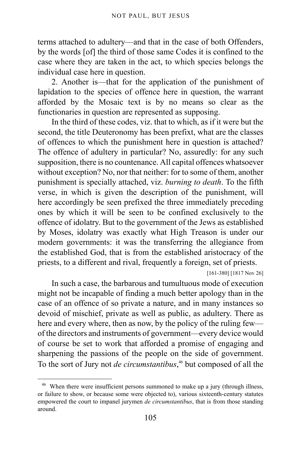terms attached to adultery—and that in the case of both Offenders, by the words [of] the third of those same Codes it is confined to the case where they are taken in the act, to which species belongs the individual case here in question.

2. Another is—that for the application of the punishment of lapidation to the species of offence here in question, the warrant afforded by the Mosaic text is by no means so clear as the functionaries in question are represented as supposing.

In the third of these codes, viz. that to which, as if it were but the second, the title Deuteronomy has been prefixt, what are the classes of offences to which the punishment here in question is attached? The offence of adultery in particular? No, assuredly: for any such supposition, there is no countenance. All capital offences whatsoever without exception? No, nor that neither: for to some of them, another punishment is specially attached, viz. *burning to death*. To the fifth verse, in which is given the description of the punishment, will here accordingly be seen prefixed the three immediately preceding ones by which it will be seen to be confined exclusively to the offence of idolatry. But to the government of the Jews as established by Moses, idolatry was exactly what High Treason is under our modern governments: it was the transferring the allegiance from the established God, that is from the established aristocracy of the priests, to a different and rival, frequently a foreign, set of priests.

[161-380] [1817 Nov 26]

In such a case, the barbarous and tumultuous mode of execution might not be incapable of finding a much better apology than in the case of an offence of so private a nature, and in many instances so devoid of mischief, private as well as public, as adultery. There as here and every where, then as now, by the policy of the ruling few of the directors and instruments of government—every device would of course be set to work that afforded a promise of engaging and sharpening the passions of the people on the side of government. To the sort of Jury not *de circumstantibus*, [46](#page-104-0) but composed of all the

<span id="page-104-0"></span><sup>&</sup>lt;sup>46</sup> When there were insufficient persons summoned to make up a jury (through illness, or failure to show, or because some were objected to), various sixteenth-century statutes empowered the court to impanel jurymen *de circumstantibus*, that is from those standing around.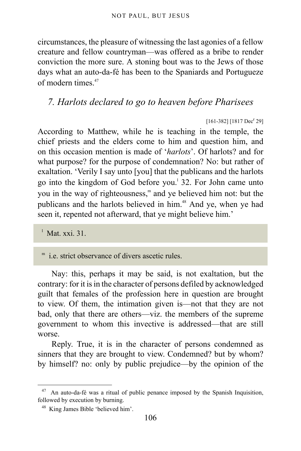circumstances, the pleasure of witnessing the last agonies of a fellow creature and fellow countryman—was offered as a bribe to render conviction the more sure. A stoning bout was to the Jews of those days what an auto-da-fé has been to the Spaniards and Portugueze of modern times  $47$ 

## *7. Harlots declared to go to heaven before Pharisees*

#### $[161-382]$   $[1817$  Dec<sup>r</sup> 29]

According to Matthew, while he is teaching in the temple, the chief priests and the elders come to him and question him, and on this occasion mention is made of '*harlots*'. Of harlots? and for what purpose? for the purpose of condemnation? No: but rather of exaltation. 'Verily I say unto [you] that the publicans and the harlots go into the kingdom of God before you.<sup>1</sup> 32. For John came unto you in the way of righteousness,<sup>[m](#page-105-2)</sup> and ye believed him not: but the publicans and the harlots believed in him.<sup>[48](#page-105-3)</sup> And ye, when ye had seen it, repented not afterward, that ye might believe him.'

<span id="page-105-1"></span>l Mat. xxi. 31.

<span id="page-105-2"></span>m i.e. strict observance of divers ascetic rules.

Nay: this, perhaps it may be said, is not exaltation, but the contrary: for it is in the character of persons defiled by acknowledged guilt that females of the profession here in question are brought to view. Of them, the intimation given is—not that they are not bad, only that there are others—viz. the members of the supreme government to whom this invective is addressed—that are still worse.

Reply. True, it is in the character of persons condemned as sinners that they are brought to view. Condemned? but by whom? by himself? no: only by public prejudice—by the opinion of the

<span id="page-105-0"></span> $47$  An auto-da-fé was a ritual of public penance imposed by the Spanish Inquisition, followed by execution by burning.

<span id="page-105-3"></span><sup>48</sup> King James Bible 'believed him'.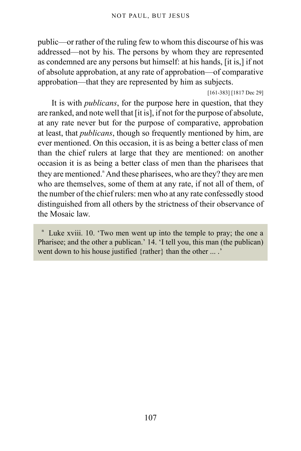public—or rather of the ruling few to whom this discourse of his was addressed—not by his. The persons by whom they are represented as condemned are any persons but himself: at his hands, [it is,] if not of absolute approbation, at any rate of approbation—of comparative approbation—that they are represented by him as subjects.

[161-383] [1817 Dec 29]

It is with *publicans*, for the purpose here in question, that they are ranked, and note well that [it is], if not for the purpose of absolute, at any rate never but for the purpose of comparative, approbation at least, that *publicans*, though so frequently mentioned by him, are ever mentioned. On this occasion, it is as being a better class of men than the chief rulers at large that they are mentioned: on another occasion it is as being a better class of men than the pharisees that they are me[n](#page-106-0)tioned." And these pharisees, who are they? they are men who are themselves, some of them at any rate, if not all of them, of the number of the chief rulers: men who at any rate confessedly stood distinguished from all others by the strictness of their observance of the Mosaic law.

<span id="page-106-0"></span><sup>n</sup> Luke xviii. 10. 'Two men went up into the temple to pray; the one a Pharisee; and the other a publican.' 14. 'I tell you, this man (the publican) went down to his house justified {rather} than the other ... .'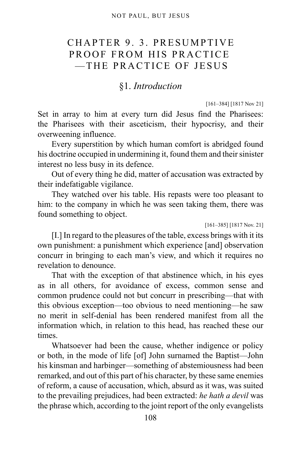## CHAPTER 9. 3. PRESUMPTIVE PROOF FROM HIS PRACTICE —THE PRACTICE OF JESUS

### §1. *Introduction*

#### [161–384] [1817 Nov 21]

Set in array to him at every turn did Jesus find the Pharisees: the Pharisees with their asceticism, their hypocrisy, and their overweening influence.

Every superstition by which human comfort is abridged found his doctrine occupied in undermining it, found them and their sinister interest no less busy in its defence.

Out of every thing he did, matter of accusation was extracted by their indefatigable vigilance.

They watched over his table. His repasts were too pleasant to him: to the company in which he was seen taking them, there was found something to object.

#### [161–385] [1817 Nov. 21]

[I.] In regard to the pleasures of the table, excess brings with it its own punishment: a punishment which experience [and] observation concurr in bringing to each man's view, and which it requires no revelation to denounce.

That with the exception of that abstinence which, in his eyes as in all others, for avoidance of excess, common sense and common prudence could not but concurr in prescribing—that with this obvious exception—too obvious to need mentioning—he saw no merit in self-denial has been rendered manifest from all the information which, in relation to this head, has reached these our times.

Whatsoever had been the cause, whether indigence or policy or both, in the mode of life [of] John surnamed the Baptist—John his kinsman and harbinger—something of abstemiousness had been remarked, and out of this part of his character, by these same enemies of reform, a cause of accusation, which, absurd as it was, was suited to the prevailing prejudices, had been extracted: *he hath a devil* was the phrase which, according to the joint report of the only evangelists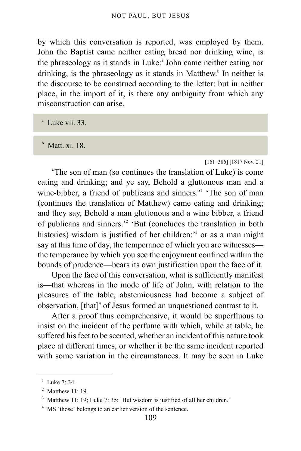by which this conversation is reported, was employed by them. John the Baptist came neither eating bread nor drinking wine, is the phr[a](#page-108-0)seology as it stands in Luke:<sup>a</sup> John came neither eating nor drinking, is the phraseology as it stands in Matthew.<sup>[b](#page-108-1)</sup> In neither is the discourse to be construed according to the letter: but in neither place, in the import of it, is there any ambiguity from which any misconstruction can arise.

<span id="page-108-0"></span>a Luke vii. 33.

<span id="page-108-1"></span>b Matt. xi. 18.

#### [161–386] [1817 Nov. 21]

'The son of man (so continues the translation of Luke) is come eating and drinking; and ye say, Behold a gluttonous man and a wine-bibber, a friend of publicans and sinners.<sup>'[1](#page-108-2)</sup> 'The son of man (continues the translation of Matthew) came eating and drinking; and they say, Behold a man gluttonous and a wine bibber, a friend of publicans and sinners.<sup>[2](#page-108-3)</sup> 'But (concludes the translation in both histories) wisdom is justified of her children:<sup>[3](#page-108-4)</sup> or as a man might say at this time of day, the temperance of which you are witnesses the temperance by which you see the enjoyment confined within the bounds of prudence—bears its own justification upon the face of it.

Upon the face of this conversation, what is sufficiently manifest is—that whereas in the mode of life of John, with relation to the pleasures of the table, abstemiousness had become a subject of observation, [that]<sup>[4](#page-108-5)</sup> of Jesus formed an unquestioned contrast to it.

After a proof thus comprehensive, it would be superfluous to insist on the incident of the perfume with which, while at table, he suffered his feet to be scented, whether an incident of this nature took place at different times, or whether it be the same incident reported with some variation in the circumstances. It may be seen in Luke

<span id="page-108-2"></span> $1$  Luke 7: 34.

<span id="page-108-3"></span><sup>&</sup>lt;sup>2</sup> Matthew 11: 19.

<span id="page-108-4"></span><sup>3</sup> Matthew 11: 19; Luke 7: 35: 'But wisdom is justified of all her children.'

<span id="page-108-5"></span><sup>&</sup>lt;sup>4</sup> MS 'those' belongs to an earlier version of the sentence.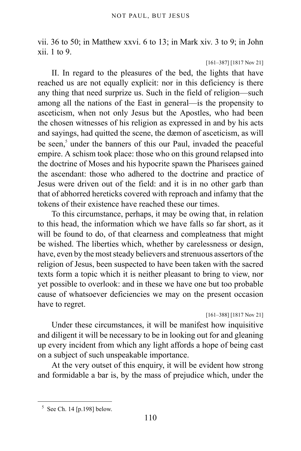vii. 36 to 50; in Matthew xxvi. 6 to 13; in Mark xiv. 3 to 9; in John xii. 1 to 9.

[161–387] [1817 Nov 21]

II. In regard to the pleasures of the bed, the lights that have reached us are not equally explicit: nor in this deficiency is there any thing that need surprize us. Such in the field of religion—such among all the nations of the East in general—is the propensity to asceticism, when not only Jesus but the Apostles, who had been the chosen witnesses of his religion as expressed in and by his acts and sayings, had quitted the scene, the dæmon of asceticism, as will be seen,<sup>[5](#page-109-0)</sup> under the banners of this our Paul, invaded the peaceful empire. A schism took place: those who on this ground relapsed into the doctrine of Moses and his hypocrite spawn the Pharisees gained the ascendant: those who adhered to the doctrine and practice of Jesus were driven out of the field: and it is in no other garb than that of abhorred hereticks covered with reproach and infamy that the tokens of their existence have reached these our times.

To this circumstance, perhaps, it may be owing that, in relation to this head, the information which we have falls so far short, as it will be found to do, of that clearness and compleatness that might be wished. The liberties which, whether by carelessness or design, have, even by the most steady believers and strenuous assertors of the religion of Jesus, been suspected to have been taken with the sacred texts form a topic which it is neither pleasant to bring to view, nor yet possible to overlook: and in these we have one but too probable cause of whatsoever deficiencies we may on the present occasion have to regret.

[161–388] [1817 Nov 21]

Under these circumstances, it will be manifest how inquisitive and diligent it will be necessary to be in looking out for and gleaning up every incident from which any light affords a hope of being cast on a subject of such unspeakable importance.

At the very outset of this enquiry, it will be evident how strong and formidable a bar is, by the mass of prejudice which, under the

<span id="page-109-0"></span> $5$  See [Ch. 14 \[p.198\]](#page-197-0) below.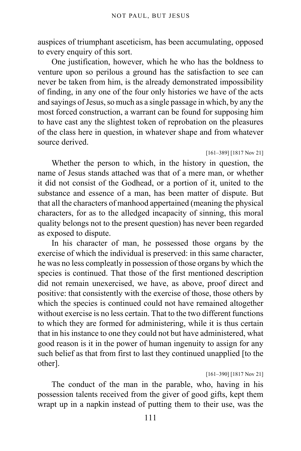auspices of triumphant asceticism, has been accumulating, opposed to every enquiry of this sort.

One justification, however, which he who has the boldness to venture upon so perilous a ground has the satisfaction to see can never be taken from him, is the already demonstrated impossibility of finding, in any one of the four only histories we have of the acts and sayings of Jesus, so much as a single passage in which, by any the most forced construction, a warrant can be found for supposing him to have cast any the slightest token of reprobation on the pleasures of the class here in question, in whatever shape and from whatever source derived.

### [161–389] [1817 Nov 21]

Whether the person to which, in the history in question, the name of Jesus stands attached was that of a mere man, or whether it did not consist of the Godhead, or a portion of it, united to the substance and essence of a man, has been matter of dispute. But that all the characters of manhood appertained (meaning the physical characters, for as to the alledged incapacity of sinning, this moral quality belongs not to the present question) has never been regarded as exposed to dispute.

In his character of man, he possessed those organs by the exercise of which the individual is preserved: in this same character, he was no less compleatly in possession of those organs by which the species is continued. That those of the first mentioned description did not remain unexercised, we have, as above, proof direct and positive: that consistently with the exercise of those, those others by which the species is continued could not have remained altogether without exercise is no less certain. That to the two different functions to which they are formed for administering, while it is thus certain that in his instance to one they could not but have administered, what good reason is it in the power of human ingenuity to assign for any such belief as that from first to last they continued unapplied [to the other].

## [161–390] [1817 Nov 21]

The conduct of the man in the parable, who, having in his possession talents received from the giver of good gifts, kept them wrapt up in a napkin instead of putting them to their use, was the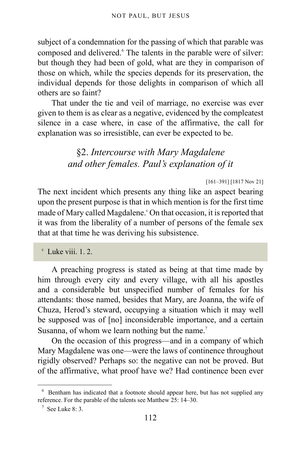subject of a condemnation for the passing of which that parable was composed and delivered.<sup>[6](#page-111-0)</sup> The talents in the parable were of silver: but though they had been of gold, what are they in comparison of those on which, while the species depends for its preservation, the individual depends for those delights in comparison of which all others are so faint?

That under the tie and veil of marriage, no exercise was ever given to them is as clear as a negative, evidenced by the compleatest silence in a case where, in case of the affirmative, the call for explanation was so irresistible, can ever be expected to be.

# §2. *Intercourse with Mary Magdalene and other females. Paul's explanation of it*

[161–391] [1817 Nov 21]

The next incident which presents any thing like an aspect bearing upon the present purpose is that in which mention is for the first time made of Mary called Magdalene. <sup>c</sup> On that occasion, it is reported that it was from the liberality of a number of persons of the female sex that at that time he was deriving his subsistence.

c Luke viii. 1. 2.

A preaching progress is stated as being at that time made by him through every city and every village, with all his apostles and a considerable but unspecified number of females for his attendants: those named, besides that Mary, are Joanna, the wife of Chuza, Herod's steward, occupying a situation which it may well be supposed was of [no] inconsiderable importance, and a certain Susanna, of whom we learn nothing but the name.<sup>[7](#page-111-1)</sup>

On the occasion of this progress—and in a company of which Mary Magdalene was one—were the laws of continence throughout rigidly observed? Perhaps so: the negative can not be proved. But of the affirmative, what proof have we? Had continence been ever

<span id="page-111-0"></span><sup>&</sup>lt;sup>6</sup> Bentham has indicated that a footnote should appear here, but has not supplied any reference. For the parable of the talents see Matthew 25: 14–30.

<span id="page-111-1"></span> $7$  See Luke 8: 3.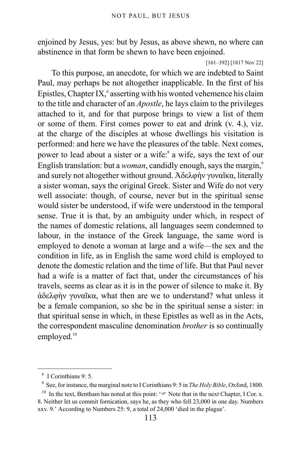enjoined by Jesus, yes: but by Jesus, as above shewn, no where can abstinence in that form be shewn to have been enjoined.

[161–392] [1817 Nov 22]

To this purpose, an anecdote, for which we are indebted to Saint Paul, may perhaps be not altogether inapplicable. In the first of his Epistles, Chapter IX, $^d$  asserting with his wonted vehemence his claim to the title and character of an *Apostle*, he lays claim to the privileges attached to it, and for that purpose brings to view a list of them or some of them. First comes power to eat and drink (v. 4.), viz. at the charge of the disciples at whose dwellings his visitation is performed: and here we have the pleasures of the table. Next comes, power to lead about a sister or a wife:<sup>[8](#page-112-0)</sup> a wife, says the text of our English translation: but a *woman*, candidly enough, says the margin,<sup>[9](#page-112-1)</sup> and surely not altogether without ground. Ἀδελφὴν γυναῖκα, literally a sister woman, says the original Greek. Sister and Wife do not very well associate: though, of course, never but in the spiritual sense would sister be understood, if wife were understood in the temporal sense. True it is that, by an ambiguity under which, in respect of the names of domestic relations, all languages seem condemned to labour, in the instance of the Greek language, the same word is employed to denote a woman at large and a wife—the sex and the condition in life, as in English the same word child is employed to denote the domestic relation and the time of life. But that Paul never had a wife is a matter of fact that, under the circumstances of his travels, seems as clear as it is in the power of silence to make it. By ἀδελφὴν γυναῖκα, what then are we to understand? what unless it be a female companion, so she be in the spiritual sense a sister: in that spiritual sense in which, in these Epistles as well as in the Acts, the correspondent masculine denomination *brother* is so continually employed.<sup>[10](#page-112-2)</sup>

<span id="page-112-0"></span><sup>8</sup> I Corinthians 9: 5.

<span id="page-112-1"></span><sup>9</sup> See, for instance, the marginal note to I Corinthians 9: 5 in *The Holy Bible*, Oxford, 1800.

<span id="page-112-2"></span><sup>&</sup>lt;sup>10</sup> In the text, Bentham has noted at this point: ' $\mathcal{F}$  Note that in the next Chapter, I Cor. x. 8. Neither let us commit fornication, says he, as they who fell 23,000 in one day. Numbers xxv. 9.' According to Numbers 25: 9, a total of 24,000 'died in the plague'.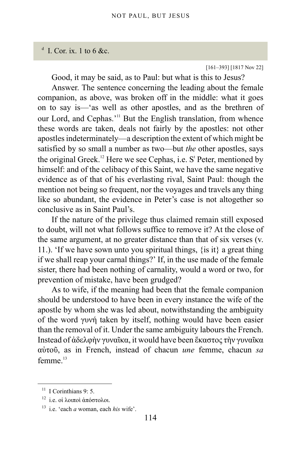# $d$  I. Cor. ix. 1 to 6 &c.

[161–393] [1817 Nov 22]

Good, it may be said, as to Paul: but what is this to Jesus?

Answer. The sentence concerning the leading about the female companion, as above, was broken off in the middle: what it goes on to say is—'as well as other apostles, and as the brethren of our Lord, and Cephas.<sup>'[11](#page-113-0)</sup> But the English translation, from whence these words are taken, deals not fairly by the apostles: not other apostles indeterminately—a description the extent of which might be satisfied by so small a number as two—but *the* other apostles, says the original Greek.<sup>[12](#page-113-1)</sup> Here we see Cephas, i.e. S<sup>t</sup> Peter, mentioned by himself: and of the celibacy of this Saint, we have the same negative evidence as of that of his everlasting rival, Saint Paul: though the mention not being so frequent, nor the voyages and travels any thing like so abundant, the evidence in Peter's case is not altogether so conclusive as in Saint Paul's.

If the nature of the privilege thus claimed remain still exposed to doubt, will not what follows suffice to remove it? At the close of the same argument, at no greater distance than that of six verses (v. 11.). 'If we have sown unto you spiritual things,  $\{is it\}$  a great thing if we shall reap your carnal things?' If, in the use made of the female sister, there had been nothing of carnality, would a word or two, for prevention of mistake, have been grudged?

As to wife, if the meaning had been that the female companion should be understood to have been in every instance the wife of the apostle by whom she was led about, notwithstanding the ambiguity of the word γυνή taken by itself, nothing would have been easier than the removal of it. Under the same ambiguity labours the French. Instead of ἀδελφὴν γυναῖκα, it would have been ἕκαστος τὴν γυναῖκα αὐτοῦ, as in French, instead of chacun *une* femme, chacun *sa* femme $13$ 

<span id="page-113-0"></span> $11$  I Corinthians 9: 5.

<span id="page-113-1"></span><sup>12</sup> i.e. οἱ λοιποὶ ἀπόστολοι.

<span id="page-113-2"></span><sup>13</sup> i.e. 'each *a* woman, each *his* wife'.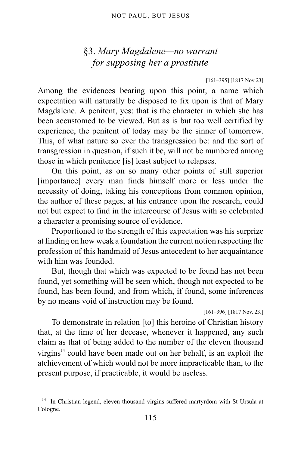# §3. *Mary Magdalene—no warrant for supposing her a prostitute*

#### [161–395] [1817 Nov 23]

Among the evidences bearing upon this point, a name which expectation will naturally be disposed to fix upon is that of Mary Magdalene. A penitent, yes: that is the character in which she has been accustomed to be viewed. But as is but too well certified by experience, the penitent of today may be the sinner of tomorrow. This, of what nature so ever the transgression be: and the sort of transgression in question, if such it be, will not be numbered among those in which penitence [is] least subject to relapses.

On this point, as on so many other points of still superior [importance] every man finds himself more or less under the necessity of doing, taking his conceptions from common opinion, the author of these pages, at his entrance upon the research, could not but expect to find in the intercourse of Jesus with so celebrated a character a promising source of evidence.

Proportioned to the strength of this expectation was his surprize at finding on how weak a foundation the current notion respecting the profession of this handmaid of Jesus antecedent to her acquaintance with him was founded

But, though that which was expected to be found has not been found, yet something will be seen which, though not expected to be found, has been found, and from which, if found, some inferences by no means void of instruction may be found.

[161–396] [1817 Nov. 23.]

To demonstrate in relation [to] this heroine of Christian history that, at the time of her decease, whenever it happened, any such claim as that of being added to the number of the eleven thousand virgins $14$  could have been made out on her behalf, is an exploit the atchievement of which would not be more impracticable than, to the present purpose, if practicable, it would be useless.

<span id="page-114-0"></span><sup>&</sup>lt;sup>14</sup> In Christian legend, eleven thousand virgins suffered martyrdom with St Ursula at Cologne.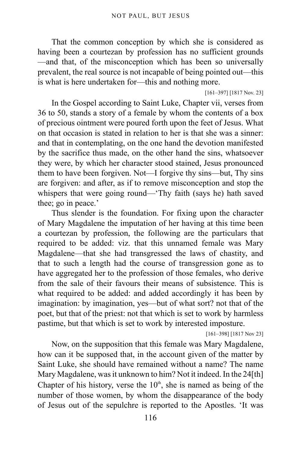That the common conception by which she is considered as having been a courtezan by profession has no sufficient grounds —and that, of the misconception which has been so universally prevalent, the real source is not incapable of being pointed out—this is what is here undertaken for—this and nothing more.

[161–397] [1817 Nov. 23]

In the Gospel according to Saint Luke, Chapter vii, verses from 36 to 50, stands a story of a female by whom the contents of a box of precious ointment were poured forth upon the feet of Jesus. What on that occasion is stated in relation to her is that she was a sinner: and that in contemplating, on the one hand the devotion manifested by the sacrifice thus made, on the other hand the sins, whatsoever they were, by which her character stood stained, Jesus pronounced them to have been forgiven. Not—I forgive thy sins—but, Thy sins are forgiven: and after, as if to remove misconception and stop the whispers that were going round—'Thy faith (says he) hath saved thee; go in peace.'

Thus slender is the foundation. For fixing upon the character of Mary Magdalene the imputation of her having at this time been a courtezan by profession, the following are the particulars that required to be added: viz. that this unnamed female was Mary Magdalene—that she had transgressed the laws of chastity, and that to such a length had the course of transgression gone as to have aggregated her to the profession of those females, who derive from the sale of their favours their means of subsistence. This is what required to be added: and added accordingly it has been by imagination: by imagination, yes—but of what sort? not that of the poet, but that of the priest: not that which is set to work by harmless pastime, but that which is set to work by interested imposture.

[161–398] [1817 Nov 23]

Now, on the supposition that this female was Mary Magdalene, how can it be supposed that, in the account given of the matter by Saint Luke, she should have remained without a name? The name Mary Magdalene, was it unknown to him? Not it indeed. In the 24[th] Chapter of his history, verse the  $10<sup>th</sup>$ , she is named as being of the number of those women, by whom the disappearance of the body of Jesus out of the sepulchre is reported to the Apostles. 'It was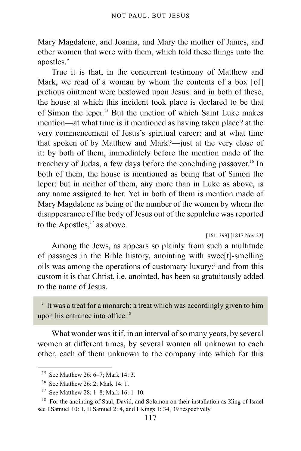Mary Magdalene, and Joanna, and Mary the mother of James, and other women that were with them, which told these things unto the apostles.'

True it is that, in the concurrent testimony of Matthew and Mark, we read of a woman by whom the contents of a box [of] pretious ointment were bestowed upon Jesus: and in both of these, the house at which this incident took place is declared to be that of Simon the leper.[15](#page-116-0) But the unction of which Saint Luke makes mention—at what time is it mentioned as having taken place? at the very commencement of Jesus's spiritual career: and at what time that spoken of by Matthew and Mark?—just at the very close of it: by both of them, immediately before the mention made of the treachery of Judas, a few days before the concluding passover.<sup>[16](#page-116-1)</sup> In both of them, the house is mentioned as being that of Simon the leper: but in neither of them, any more than in Luke as above, is any name assigned to her. Yet in both of them is mention made of Mary Magdalene as being of the number of the women by whom the disappearance of the body of Jesus out of the sepulchre was reported to the Apostles, $17$  as above.

### [161–399] [1817 Nov 23]

Among the Jews, as appears so plainly from such a multitude of passages in the Bible history, anointing with swee[t]-smelling oils was among th[e](#page-116-3) operations of customary luxury:<sup>e</sup> and from this custom it is that Christ, i.e. anointed, has been so gratuitously added to the name of Jesus.

<span id="page-116-3"></span>e It was a treat for a monarch: a treat which was accordingly given to him upon his entrance into office.<sup>[18](#page-116-4)</sup>

What wonder was it if, in an interval of so many years, by several women at different times, by several women all unknown to each other, each of them unknown to the company into which for this

<span id="page-116-0"></span><sup>&</sup>lt;sup>15</sup> See Matthew 26: 6–7; Mark 14: 3.

<span id="page-116-1"></span><sup>16</sup> See Matthew 26: 2; Mark 14: 1.

<span id="page-116-2"></span><sup>17</sup> See Matthew 28: 1–8; Mark 16: 1–10.

<span id="page-116-4"></span><sup>&</sup>lt;sup>18</sup> For the anointing of Saul, David, and Solomon on their installation as King of Israel see I Samuel 10: 1, II Samuel 2: 4, and I Kings 1: 34, 39 respectively.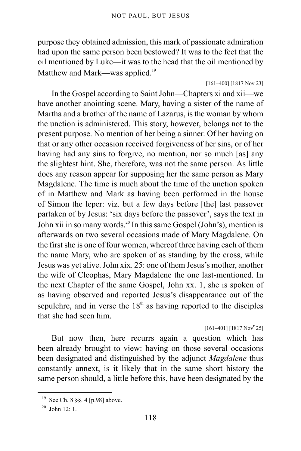purpose they obtained admission, this mark of passionate admiration had upon the same person been bestowed? It was to the feet that the oil mentioned by Luke—it was to the head that the oil mentioned by Matthew and Mark—was applied.<sup>[19](#page-117-0)</sup>

### [161–400] [1817 Nov 23]

<span id="page-117-2"></span>In the Gospel according to Saint John—Chapters xi and xii—we have another anointing scene. Mary, having a sister of the name of Martha and a brother of the name of Lazarus, is the woman by whom the unction is administered. This story, however, belongs not to the present purpose. No mention of her being a sinner. Of her having on that or any other occasion received forgiveness of her sins, or of her having had any sins to forgive, no mention, nor so much [as] any the slightest hint. She, therefore, was not the same person. As little does any reason appear for supposing her the same person as Mary Magdalene. The time is much about the time of the unction spoken of in Matthew and Mark as having been performed in the house of Simon the leper: viz. but a few days before [the] last passover partaken of by Jesus: 'six days before the passover', says the text in John xii in so many words.<sup>[20](#page-117-1)</sup> In this same Gospel (John's), mention is afterwards on two several occasions made of Mary Magdalene. On the first she is one of four women, whereof three having each of them the name Mary, who are spoken of as standing by the cross, while Jesus was yet alive. John xix. 25: one of them Jesus's mother, another the wife of Cleophas, Mary Magdalene the one last-mentioned. In the next Chapter of the same Gospel, John xx. 1, she is spoken of as having observed and reported Jesus's disappearance out of the sepulchre, and in verse the  $18<sup>th</sup>$  as having reported to the disciples that she had seen him.

## $[161-401]$   $[1817 Nov<sup>r</sup> 25]$

But now then, here recurrs again a question which has been already brought to view: having on those several occasions been designated and distinguished by the adjunct *Magdalene* thus constantly annext, is it likely that in the same short history the same person should, a little before this, have been designated by the

<span id="page-117-0"></span><sup>19</sup> See [Ch. 8 §§. 4 \[p.98\]](#page-97-0) above.

<span id="page-117-1"></span> $20$  John  $12 \cdot 1$ .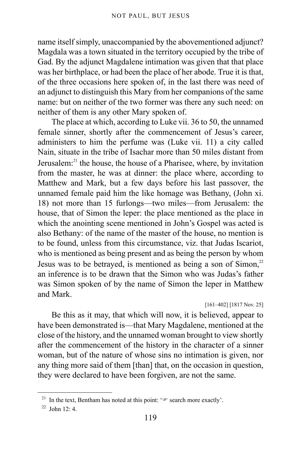name itself simply, unaccompanied by the abovementioned adjunct? Magdala was a town situated in the territory occupied by the tribe of Gad. By the adjunct Magdalene intimation was given that that place was her birthplace, or had been the place of her abode. True it is that, of the three occasions here spoken of, in the last there was need of an adjunct to distinguish this Mary from her companions of the same name: but on neither of the two former was there any such need: on neither of them is any other Mary spoken of.

The place at which, according to Luke vii. 36 to 50, the unnamed female sinner, shortly after the commencement of Jesus's career, administers to him the perfume was (Luke vii. 11) a city called Nain, situate in the tribe of Isachar more than 50 miles distant from Jerusalem:<sup>[21](#page-118-0)</sup> the house, the house of a Pharisee, where, by invitation from the master, he was at dinner: the place where, according to Matthew and Mark, but a few days before his last passover, the unnamed female paid him the like homage was Bethany, (John xi. 18) not more than 15 furlongs—two miles—from Jerusalem: the house, that of Simon the leper: the place mentioned as the place in which the anointing scene mentioned in John's Gospel was acted is also Bethany: of the name of the master of the house, no mention is to be found, unless from this circumstance, viz. that Judas Iscariot, who is mentioned as being present and as being the person by whom Jesus was to be betraved, is mentioned as being a son of Simon.<sup>[22](#page-118-1)</sup> an inference is to be drawn that the Simon who was Judas's father was Simon spoken of by the name of Simon the leper in Matthew and Mark.

### [161–402] [1817 Nov. 25]

Be this as it may, that which will now, it is believed, appear to have been demonstrated is—that Mary Magdalene, mentioned at the close of the history, and the unnamed woman brought to view shortly after the commencement of the history in the character of a sinner woman, but of the nature of whose sins no intimation is given, nor any thing more said of them [than] that, on the occasion in question, they were declared to have been forgiven, are not the same.

<span id="page-118-0"></span><sup>&</sup>lt;sup>21</sup> In the text, Bentham has noted at this point: ' $\mathcal{F}$  search more exactly'.

<span id="page-118-1"></span> $22$  John 12: 4.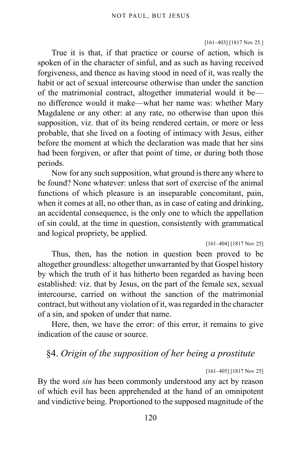#### [161–403] [1817 Nov 25.]

True it is that, if that practice or course of action, which is spoken of in the character of sinful, and as such as having received forgiveness, and thence as having stood in need of it, was really the habit or act of sexual intercourse otherwise than under the sanction of the matrimonial contract, altogether immaterial would it be no difference would it make—what her name was: whether Mary Magdalene or any other: at any rate, no otherwise than upon this supposition, viz. that of its being rendered certain, or more or less probable, that she lived on a footing of intimacy with Jesus, either before the moment at which the declaration was made that her sins had been forgiven, or after that point of time, or during both those periods.

Now for any such supposition, what ground is there any where to be found? None whatever: unless that sort of exercise of the animal functions of which pleasure is an inseparable concomitant, pain, when it comes at all, no other than, as in case of eating and drinking, an accidental consequence, is the only one to which the appellation of sin could, at the time in question, consistently with grammatical and logical propriety, be applied.

[161–404] [1817 Nov 25]

Thus, then, has the notion in question been proved to be altogether groundless: altogether unwarranted by that Gospel history by which the truth of it has hitherto been regarded as having been established: viz. that by Jesus, on the part of the female sex, sexual intercourse, carried on without the sanction of the matrimonial contract, but without any violation of it, was regarded in the character of a sin, and spoken of under that name.

Here, then, we have the error: of this error, it remains to give indication of the cause or source.

# §4. *Origin of the supposition of her being a prostitute*

[161–405] [1817 Nov 25]

By the word *sin* has been commonly understood any act by reason of which evil has been apprehended at the hand of an omnipotent and vindictive being. Proportioned to the supposed magnitude of the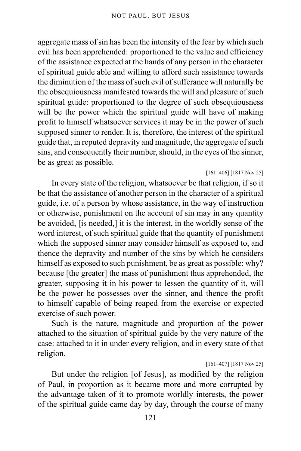aggregate mass of sin has been the intensity of the fear by which such evil has been apprehended: proportioned to the value and efficiency of the assistance expected at the hands of any person in the character of spiritual guide able and willing to afford such assistance towards the diminution of the mass of such evil of sufferance will naturally be the obsequiousness manifested towards the will and pleasure of such spiritual guide: proportioned to the degree of such obsequiousness will be the power which the spiritual guide will have of making profit to himself whatsoever services it may be in the power of such supposed sinner to render. It is, therefore, the interest of the spiritual guide that, in reputed depravity and magnitude, the aggregate of such sins, and consequently their number, should, in the eyes of the sinner, be as great as possible.

### [161–406] [1817 Nov 25]

In every state of the religion, whatsoever be that religion, if so it be that the assistance of another person in the character of a spiritual guide, i.e. of a person by whose assistance, in the way of instruction or otherwise, punishment on the account of sin may in any quantity be avoided, [is needed,] it is the interest, in the worldly sense of the word interest, of such spiritual guide that the quantity of punishment which the supposed sinner may consider himself as exposed to, and thence the depravity and number of the sins by which he considers himself as exposed to such punishment, be as great as possible: why? because [the greater] the mass of punishment thus apprehended, the greater, supposing it in his power to lessen the quantity of it, will be the power he possesses over the sinner, and thence the profit to himself capable of being reaped from the exercise or expected exercise of such power.

Such is the nature, magnitude and proportion of the power attached to the situation of spiritual guide by the very nature of the case: attached to it in under every religion, and in every state of that religion.

#### [161–407] [1817 Nov 25]

But under the religion [of Jesus], as modified by the religion of Paul, in proportion as it became more and more corrupted by the advantage taken of it to promote worldly interests, the power of the spiritual guide came day by day, through the course of many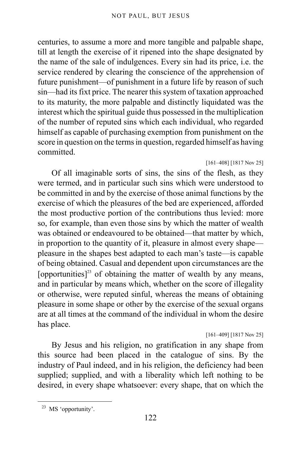centuries, to assume a more and more tangible and palpable shape, till at length the exercise of it ripened into the shape designated by the name of the sale of indulgences. Every sin had its price, i.e. the service rendered by clearing the conscience of the apprehension of future punishment—of punishment in a future life by reason of such sin—had its fixt price. The nearer this system of taxation approached to its maturity, the more palpable and distinctly liquidated was the interest which the spiritual guide thus possessed in the multiplication of the number of reputed sins which each individual, who regarded himself as capable of purchasing exemption from punishment on the score in question on the terms in question, regarded himself as having committed.

### [161–408] [1817 Nov 25]

Of all imaginable sorts of sins, the sins of the flesh, as they were termed, and in particular such sins which were understood to be committed in and by the exercise of those animal functions by the exercise of which the pleasures of the bed are experienced, afforded the most productive portion of the contributions thus levied: more so, for example, than even those sins by which the matter of wealth was obtained or endeavoured to be obtained—that matter by which, in proportion to the quantity of it, pleasure in almost every shape pleasure in the shapes best adapted to each man's taste—is capable of being obtained. Casual and dependent upon circumstances are the [opportunities]<sup>[23](#page-121-0)</sup> of obtaining the matter of wealth by any means, and in particular by means which, whether on the score of illegality or otherwise, were reputed sinful, whereas the means of obtaining pleasure in some shape or other by the exercise of the sexual organs are at all times at the command of the individual in whom the desire has place.

### [161–409] [1817 Nov 25]

By Jesus and his religion, no gratification in any shape from this source had been placed in the catalogue of sins. By the industry of Paul indeed, and in his religion, the deficiency had been supplied; supplied, and with a liberality which left nothing to be desired, in every shape whatsoever: every shape, that on which the

<span id="page-121-0"></span><sup>23</sup> MS 'opportunity'.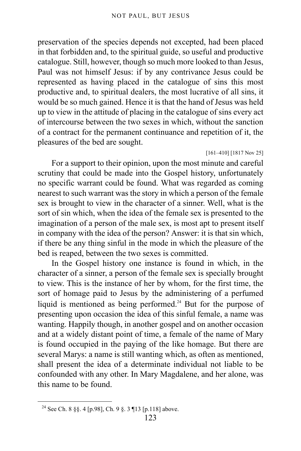preservation of the species depends not excepted, had been placed in that forbidden and, to the spiritual guide, so useful and productive catalogue. Still, however, though so much more looked to than Jesus, Paul was not himself Jesus: if by any contrivance Jesus could be represented as having placed in the catalogue of sins this most productive and, to spiritual dealers, the most lucrative of all sins, it would be so much gained. Hence it is that the hand of Jesus was held up to view in the attitude of placing in the catalogue of sins every act of intercourse between the two sexes in which, without the sanction of a contract for the permanent continuance and repetition of it, the pleasures of the bed are sought.

#### [161–410] [1817 Nov 25]

For a support to their opinion, upon the most minute and careful scrutiny that could be made into the Gospel history, unfortunately no specific warrant could be found. What was regarded as coming nearest to such warrant was the story in which a person of the female sex is brought to view in the character of a sinner. Well, what is the sort of sin which, when the idea of the female sex is presented to the imagination of a person of the male sex, is most apt to present itself in company with the idea of the person? Answer: it is that sin which, if there be any thing sinful in the mode in which the pleasure of the bed is reaped, between the two sexes is committed.

In the Gospel history one instance is found in which, in the character of a sinner, a person of the female sex is specially brought to view. This is the instance of her by whom, for the first time, the sort of homage paid to Jesus by the administering of a perfumed liquid is mentioned as being performed.<sup>[24](#page-122-0)</sup> But for the purpose of presenting upon occasion the idea of this sinful female, a name was wanting. Happily though, in another gospel and on another occasion and at a widely distant point of time, a female of the name of Mary is found occupied in the paying of the like homage. But there are several Marys: a name is still wanting which, as often as mentioned, shall present the idea of a determinate individual not liable to be confounded with any other. In Mary Magdalene, and her alone, was this name to be found.

<span id="page-122-0"></span><sup>24</sup> See [Ch. 8 §§. 4 \[p.98\]](#page-97-0), [Ch. 9 §. 3 ¶13 \[p.118\]](#page-117-2) above.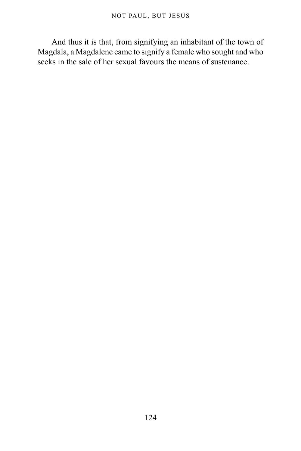And thus it is that, from signifying an inhabitant of the town of Magdala, a Magdalene came to signify a female who sought and who seeks in the sale of her sexual favours the means of sustenance.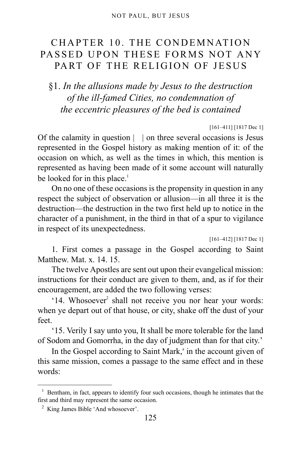# CHAPTER 10. THE CONDEMNATION PASSED UPON THESE FORMS NOT ANY PART OF THE RELIGION OF JESUS

# §1. *In the allusions made by Jesus to the destruction of the ill-famed Cities, no condemnation of the eccentric pleasures of the bed is contained*

### [161–411] [1817 Dec 1]

Of the calamity in question | | on three several occasions is Jesus represented in the Gospel history as making mention of it: of the occasion on which, as well as the times in which, this mention is represented as having been made of it some account will naturally be looked for in this place.<sup>[1](#page-124-0)</sup>

On no one of these occasions is the propensity in question in any respect the subject of observation or allusion—in all three it is the destruction—the destruction in the two first held up to notice in the character of a punishment, in the third in that of a spur to vigilance in respect of its unexpectedness.

[161–412] [1817 Dec 1]

1. First comes a passage in the Gospel according to Saint Matthew. Mat. x. 14. 15.

The twelve Apostles are sent out upon their evangelical mission: instructions for their conduct are given to them, and, as if for their encouragement, are added the two following verses:

'14. Whosoever<sup>[2](#page-124-1)</sup> shall not receive you nor hear your words: when ye depart out of that house, or city, shake off the dust of your feet.

'15. Verily I say unto you, It shall be more tolerable for the land of Sodom and Gomorrha, in the day of judgment than for that city.'

In the Gospel [a](#page-125-0)ccording to Saint Mark,<sup>a</sup> in the account given of this same mission, comes a passage to the same effect and in these words:

<span id="page-124-0"></span><sup>&</sup>lt;sup>1</sup> Bentham, in fact, appears to identify four such occasions, though he intimates that the first and third may represent the same occasion.

<span id="page-124-1"></span><sup>&</sup>lt;sup>2</sup> King James Bible 'And whosoever'.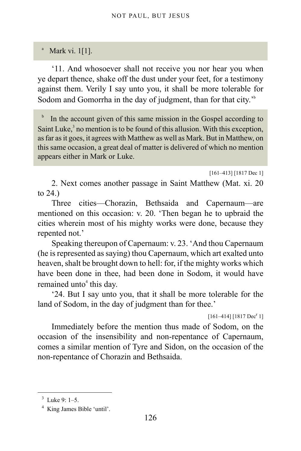# <span id="page-125-0"></span><sup>a</sup> Mark vi. 1[1].

'11. And whosoever shall not receive you nor hear you when ye depart thence, shake off the dust under your feet, for a testimony against them. Verily I say unto you, it shall be more tolerable for Sodom and Gomorrha in the day of judgment, than for that city.<sup>3[b](#page-125-1)</sup>

<span id="page-125-1"></span>b In the account given of this same mission in the Gospel according to Saint Luke, $<sup>3</sup>$  $<sup>3</sup>$  $<sup>3</sup>$  no mention is to be found of this allusion. With this exception,</sup> as far as it goes, it agrees with Matthew as well as Mark. But in Matthew, on this same occasion, a great deal of matter is delivered of which no mention appears either in Mark or Luke.

[161–413] [1817 Dec 1]

2. Next comes another passage in Saint Matthew (Mat. xi. 20 to 24.)

Three cities—Chorazin, Bethsaida and Capernaum—are mentioned on this occasion: v. 20. 'Then began he to upbraid the cities wherein most of his mighty works were done, because they repented not.'

Speaking thereupon of Capernaum: v. 23. 'And thou Capernaum (he is represented as saying) thou Capernaum, which art exalted unto heaven, shalt be brought down to hell: for, if the mighty works which have been done in thee, had been done in Sodom, it would have remained unto<sup>[4](#page-125-3)</sup> this day.

'24. But I say unto you, that it shall be more tolerable for the land of Sodom, in the day of judgment than for thee.'

 $[161-414]$   $[1817$  Dec<sup>r</sup> 1]

Immediately before the mention thus made of Sodom, on the occasion of the insensibility and non-repentance of Capernaum, comes a similar mention of Tyre and Sidon, on the occasion of the non-repentance of Chorazin and Bethsaida.

<span id="page-125-2"></span> $3$  Luke 9: 1–5.

<span id="page-125-3"></span><sup>4</sup> King James Bible 'until'.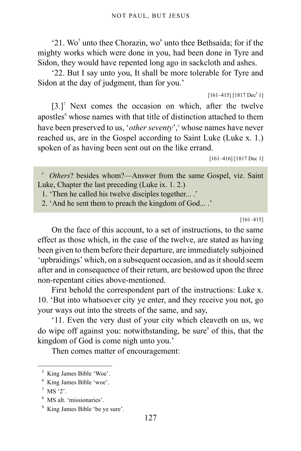'21. Wo<sup>[5](#page-126-0)</sup> unto thee Chorazin, wo<sup>[6](#page-126-1)</sup> unto thee Bethsaida; for if the mighty works which were done in you, had been done in Tyre and Sidon, they would have repented long ago in sackcloth and ashes.

'22. But I say unto you, It shall be more tolerable for Tyre and Sidon at the day of judgment, than for you.'

```
[161-415] [1817 Dec<sup>r</sup> 1]
```
 $[3.]$ <sup>[7](#page-126-2)</sup> Next comes the occasion on which, after the twelve apostles<sup>[8](#page-126-3)</sup> whose names with that title of distinction attached to them have been preserved to us, 'other seventy', " whose names have never reached us, are in the Gospel according to Saint Luke (Luke x. 1.) spoken of as having been sent out on the like errand.

[161–416] [1817 Dec 1]

<span id="page-126-4"></span><sup>c</sup> Others? besides whom?—Answer from the same Gospel, viz. Saint Luke, Chapter the last preceding (Luke ix. 1. 2.)

1. 'Then he called his twelve disciples together... .'

2. 'And he sent them to preach the kingdom of God... .'

[161–415]

On the face of this account, to a set of instructions, to the same effect as those which, in the case of the twelve, are stated as having been given to them before their departure, are immediately subjoined 'upbraidings' which, on a subsequent occasion, and as it should seem after and in consequence of their return, are bestowed upon the three non-repentant cities above-mentioned.

First behold the correspondent part of the instructions: Luke x. 10. 'But into whatsoever city ye enter, and they receive you not, go your ways out into the streets of the same, and say,

'11. Even the very dust of your city which cleaveth on us, we do wipe off against you: notwithstanding, be sure<sup>[9](#page-126-5)</sup> of this, that the kingdom of God is come nigh unto you.'

Then comes matter of encouragement:

<span id="page-126-0"></span><sup>5</sup> King James Bible 'Woe'.

<span id="page-126-1"></span><sup>6</sup> King James Bible 'woe'.

<span id="page-126-2"></span> $7$  MS '2'.

<span id="page-126-3"></span><sup>8</sup> MS alt. 'missionaries'.

<span id="page-126-5"></span><sup>9</sup> King James Bible 'be ye sure'.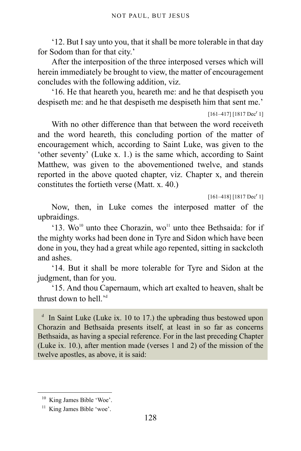'12. But I say unto you, that it shall be more tolerable in that day for Sodom than for that city.'

After the interposition of the three interposed verses which will herein immediately be brought to view, the matter of encouragement concludes with the following addition, viz.

'16. He that heareth you, heareth me: and he that despiseth you despiseth me: and he that despiseth me despiseth him that sent me.'

 $[161-417]$   $[1817$  Dec<sup>r</sup> 1]

With no other difference than that between the word receiveth and the word heareth, this concluding portion of the matter of encouragement which, according to Saint Luke, was given to the 'other seventy' (Luke x. 1.) is the same which, according to Saint Matthew, was given to the abovementioned twelve, and stands reported in the above quoted chapter, viz. Chapter x, and therein constitutes the fortieth verse (Matt. x. 40.)

 $[161-418]$   $[1817$  Dec<sup>r</sup> 1]

Now, then, in Luke comes the interposed matter of the upbraidings.

'13.  $\text{Wo}^{10}$  $\text{Wo}^{10}$  $\text{Wo}^{10}$  unto thee Chorazin, wo<sup>[11](#page-127-1)</sup> unto thee Bethsaida: for if the mighty works had been done in Tyre and Sidon which have been done in you, they had a great while ago repented, sitting in sackcloth and ashes.

'14. But it shall be more tolerable for Tyre and Sidon at the judgment, than for you.

'15. And thou Capernaum, which art exalted to heaven, shalt be thrust down to hell.'[d](#page-127-2)

<span id="page-127-2"></span><sup>d</sup> In Saint Luke (Luke ix. 10 to 17.) the upbrading thus bestowed upon Chorazin and Bethsaida presents itself, at least in so far as concerns Bethsaida, as having a special reference. For in the last preceding Chapter (Luke ix. 10.), after mention made (verses 1 and 2) of the mission of the twelve apostles, as above, it is said:

<span id="page-127-0"></span><sup>&</sup>lt;sup>10</sup> King James Bible 'Woe'.

<span id="page-127-1"></span><sup>&</sup>lt;sup>11</sup> King James Bible 'woe'.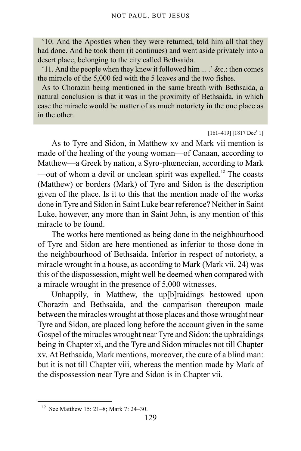'10. And the Apostles when they were returned, told him all that they had done. And he took them (it continues) and went aside privately into a desert place, belonging to the city called Bethsaida.

'11. And the people when they knew it followed him ... .' &c.: then comes the miracle of the 5,000 fed with the 5 loaves and the two fishes.

As to Chorazin being mentioned in the same breath with Bethsaida, a natural conclusion is that it was in the proximity of Bethsaida, in which case the miracle would be matter of as much notoriety in the one place as in the other.

#### $[161-419]$   $[1817$  Dec<sup>r</sup> 1]

As to Tyre and Sidon, in Matthew xv and Mark vii mention is made of the healing of the young woman—of Canaan, according to Matthew—a Greek by nation, a Syro-phœnecian, according to Mark —out of whom a devil or unclean spirit was expelled.<sup>[12](#page-128-0)</sup> The coasts (Matthew) or borders (Mark) of Tyre and Sidon is the description given of the place. Is it to this that the mention made of the works done in Tyre and Sidon in Saint Luke bear reference? Neither in Saint Luke, however, any more than in Saint John, is any mention of this miracle to be found.

The works here mentioned as being done in the neighbourhood of Tyre and Sidon are here mentioned as inferior to those done in the neighbourhood of Bethsaida. Inferior in respect of notoriety, a miracle wrought in a house, as according to Mark (Mark vii. 24) was this of the dispossession, might well be deemed when compared with a miracle wrought in the presence of 5,000 witnesses.

Unhappily, in Matthew, the up[b]raidings bestowed upon Chorazin and Bethsaida, and the comparison thereupon made between the miracles wrought at those places and those wrought near Tyre and Sidon, are placed long before the account given in the same Gospel of the miracles wrought near Tyre and Sidon: the upbraidings being in Chapter xi, and the Tyre and Sidon miracles not till Chapter xv. At Bethsaida, Mark mentions, moreover, the cure of a blind man: but it is not till Chapter viii, whereas the mention made by Mark of the dispossession near Tyre and Sidon is in Chapter vii.

<span id="page-128-0"></span><sup>12</sup> See Matthew 15: 21–8; Mark 7: 24–30.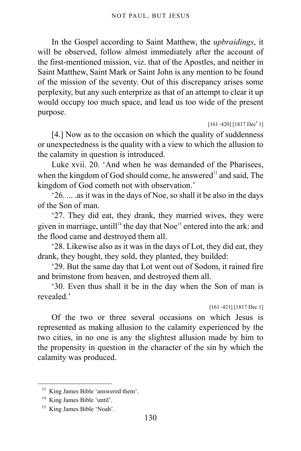In the Gospel according to Saint Matthew, the *upbraidings*, it will be observed, follow almost immediately after the account of the first-mentioned mission, viz. that of the Apostles, and neither in Saint Matthew, Saint Mark or Saint John is any mention to be found of the mission of the seventy. Out of this discrepancy arises some perplexity, but any such enterprize as that of an attempt to clear it up would occupy too much space, and lead us too wide of the present purpose.

 $[161-420]$   $[1817$  Dec<sup>r</sup> 1]

[4.] Now as to the occasion on which the quality of suddenness or unexpectedness is the quality with a view to which the allusion to the calamity in question is introduced.

Luke xvii. 20. 'And when he was demanded of the Pharisees, when the kingdom of God should come, he answered<sup>[13](#page-129-0)</sup> and said. The kingdom of God cometh not with observation.'

'26. ... .as it was in the days of Noe, so shall it be also in the days of the Son of man.

'27. They did eat, they drank, they married wives, they were given in marriage, untill<sup>[14](#page-129-1)</sup> the day that Noe<sup>[15](#page-129-2)</sup> entered into the ark: and the flood came and destroyed them all.

'28. Likewise also as it was in the days of Lot, they did eat, they drank, they bought, they sold, they planted, they builded:

'29. But the same day that Lot went out of Sodom, it rained fire and brimstone from heaven, and destroyed them all.

'30. Even thus shall it be in the day when the Son of man is revealed.

[161–421] [1817 Dec 1]

Of the two or three several occasions on which Jesus is represented as making allusion to the calamity experienced by the two cities, in no one is any the slightest allusion made by him to the propensity in question in the character of the sin by which the calamity was produced.

<span id="page-129-0"></span><sup>&</sup>lt;sup>13</sup> King James Bible 'answered them'.

<span id="page-129-1"></span><sup>&</sup>lt;sup>14</sup> King James Bible 'until'.

<span id="page-129-2"></span><sup>&</sup>lt;sup>15</sup> King James Bible 'Noah'.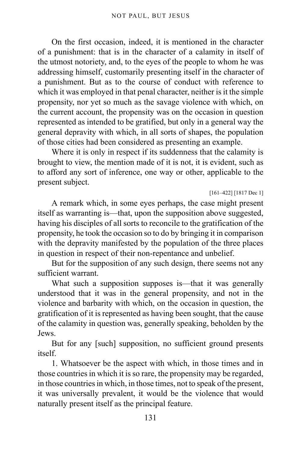On the first occasion, indeed, it is mentioned in the character of a punishment: that is in the character of a calamity in itself of the utmost notoriety, and, to the eyes of the people to whom he was addressing himself, customarily presenting itself in the character of a punishment. But as to the course of conduct with reference to which it was employed in that penal character, neither is it the simple propensity, nor yet so much as the savage violence with which, on the current account, the propensity was on the occasion in question represented as intended to be gratified, but only in a general way the general depravity with which, in all sorts of shapes, the population of those cities had been considered as presenting an example.

Where it is only in respect if its suddenness that the calamity is brought to view, the mention made of it is not, it is evident, such as to afford any sort of inference, one way or other, applicable to the present subject.

[161–422] [1817 Dec 1]

A remark which, in some eyes perhaps, the case might present itself as warranting is—that, upon the supposition above suggested, having his disciples of all sorts to reconcile to the gratification of the propensity, he took the occasion so to do by bringing it in comparison with the depravity manifested by the population of the three places in question in respect of their non-repentance and unbelief.

But for the supposition of any such design, there seems not any sufficient warrant.

What such a supposition supposes is—that it was generally understood that it was in the general propensity, and not in the violence and barbarity with which, on the occasion in question, the gratification of it is represented as having been sought, that the cause of the calamity in question was, generally speaking, beholden by the Jews.

But for any [such] supposition, no sufficient ground presents itself.

1. Whatsoever be the aspect with which, in those times and in those countries in which it is so rare, the propensity may be regarded, in those countries in which, in those times, not to speak of the present, it was universally prevalent, it would be the violence that would naturally present itself as the principal feature.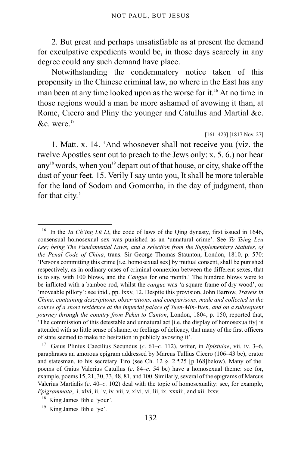2. But great and perhaps unsatisfiable as at present the demand for exculpative expedients would be, in those days scarcely in any degree could any such demand have place.

Notwithstanding the condemnatory notice taken of this propensity in the Chinese criminal law, no where in the East has any man been at any time looked upon as the worse for it.<sup>[16](#page-131-0)</sup> At no time in those regions would a man be more ashamed of avowing it than, at Rome, Cicero and Pliny the younger and Catullus and Martial &c.  $\&c$  were.<sup>[17](#page-131-1)</sup>

#### [161–423] [1817 Nov. 27]

1. Matt. x. 14. 'And whosoever shall not receive you (viz. the twelve Apostles sent out to preach to the Jews only: x. 5. 6.) nor hear  $\text{any}^{18}$  $\text{any}^{18}$  $\text{any}^{18}$  words, when you<sup>[19](#page-131-3)</sup> depart out of that house, or city, shake off the dust of your feet. 15. Verily I say unto you, It shall be more tolerable for the land of Sodom and Gomorrha, in the day of judgment, than for that city.'

<span id="page-131-0"></span><sup>&</sup>lt;sup>16</sup> In the *Ta Ch'ing Lü Li*, the code of laws of the Qing dynasty, first issued in 1646, consensual homosexual sex was punished as an 'unnatural crime'. See *Ta Tsing Leu Lee; being The Fundamental Laws, and a selection from the Supplementary Statutes, of the Penal Code of China*, trans. Sir George Thomas Staunton, London, 1810, p. 570: 'Persons committing this crime [i.e. homosexual sex] by mutual consent, shall be punished respectively, as in ordinary cases of criminal connexion between the different sexes, that is to say, with 100 blows, and the *Cangue* for one month.' The hundred blows were to be inflicted with a bamboo rod, whilst the *cangue* was 'a square frame of dry wood', or 'moveable pillory': see ibid., pp. lxxv, 12. Despite this provision, John Barrow, *Travels in China, containing descriptions, observations, and comparisons, made and collected in the course of a short residence at the imperial palace of Yuen-Min-Yuen, and on a subsequent journey through the country from Pekin to Canton*, London, 1804, p. 150, reported that, 'The commission of this detestable and unnatural act [i.e. the display of homosexuality] is attended with so little sense of shame, or feelings of delicacy, that many of the first officers of state seemed to make no hesitation in publicly avowing it'.

<span id="page-131-1"></span><sup>17</sup> Gaius Plinius Caecilius Secundus (*c*. 61–*c.* 112), writer, in *Epistulae*, vii. iv. 3–6, paraphrases an amorous epigram addressed by Marcus Tullius Cicero (106–43 bc), orator and statesman, to his secretary Tiro (see Ch. 12  $\S$ . 2 [25 [p.168] below). Many of the poems of Gaius Valerius Catullus (*c*. 84–*c*. 54 bc) have a homosexual theme: see for, example, poems 15, 21, 30, 33, 48, 81, and 100. Similarly, several of the epigrams of Marcus Valerius Martialis (*c*. 40–*c*. 102) deal with the topic of homosexuality: see, for example, *Epigrammata*, i. xlvi, ii. lv, iv. vii, v. xlvi, vi. lii, ix. xxxiii, and xii. lxxv.

<span id="page-131-2"></span><sup>18</sup> King James Bible 'your'.

<span id="page-131-3"></span><sup>&</sup>lt;sup>19</sup> King James Bible 'ye'.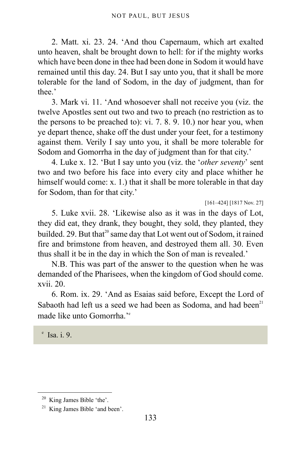2. Matt. xi. 23. 24. 'And thou Capernaum, which art exalted unto heaven, shalt be brought down to hell: for if the mighty works which have been done in thee had been done in Sodom it would have remained until this day. 24. But I say unto you, that it shall be more tolerable for the land of Sodom, in the day of judgment, than for thee.'

3. Mark vi. 11. 'And whosoever shall not receive you (viz. the twelve Apostles sent out two and two to preach (no restriction as to the persons to be preached to): vi. 7. 8. 9. 10.) nor hear you, when ye depart thence, shake off the dust under your feet, for a testimony against them. Verily I say unto you, it shall be more tolerable for Sodom and Gomorrha in the day of judgment than for that city.'

4. Luke x. 12. 'But I say unto you (viz. the '*other seventy*' sent two and two before his face into every city and place whither he himself would come: x. 1.) that it shall be more tolerable in that day for Sodom, than for that city.'

[161–424] [1817 Nov. 27]

5. Luke xvii. 28. 'Likewise also as it was in the days of Lot, they did eat, they drank, they bought, they sold, they planted, they builded. 29. But that<sup>[20](#page-132-0)</sup> same day that Lot went out of Sodom, it rained fire and brimstone from heaven, and destroyed them all. 30. Even thus shall it be in the day in which the Son of man is revealed.'

N.B. This was part of the answer to the question when he was demanded of the Pharisees, when the kingdom of God should come. xvii. 20.

6. Rom. ix. 29. 'And as Esaias said before, Except the Lord of Sabaoth had left us a seed we had been as Sodoma, and had been<sup>[21](#page-132-1)</sup> mad[e](#page-132-2) like unto Gomorrha<sup>'e</sup>

<span id="page-132-2"></span>e Isa. i. 9.

<span id="page-132-0"></span><sup>20</sup> King James Bible 'the'.

<span id="page-132-1"></span><sup>21</sup> King James Bible 'and been'.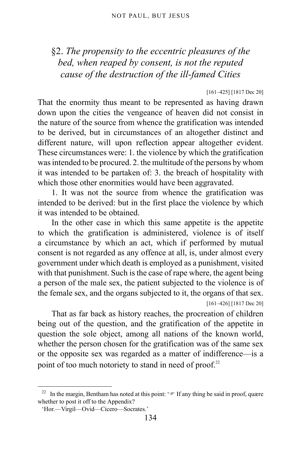# §2. *The propensity to the eccentric pleasures of the bed, when reaped by consent, is not the reputed cause of the destruction of the ill-famed Cities*

#### [161–425] [1817 Dec 20]

That the enormity thus meant to be represented as having drawn down upon the cities the vengeance of heaven did not consist in the nature of the source from whence the gratification was intended to be derived, but in circumstances of an altogether distinct and different nature, will upon reflection appear altogether evident. These circumstances were: 1. the violence by which the gratification was intended to be procured. 2. the multitude of the persons by whom it was intended to be partaken of: 3. the breach of hospitality with which those other enormities would have been aggravated.

1. It was not the source from whence the gratification was intended to be derived: but in the first place the violence by which it was intended to be obtained.

In the other case in which this same appetite is the appetite to which the gratification is administered, violence is of itself a circumstance by which an act, which if performed by mutual consent is not regarded as any offence at all, is, under almost every government under which death is employed as a punishment, visited with that punishment. Such is the case of rape where, the agent being a person of the male sex, the patient subjected to the violence is of the female sex, and the organs subjected to it, the organs of that sex. [161–426] [1817 Dec 20]

That as far back as history reaches, the procreation of children being out of the question, and the gratification of the appetite in question the sole object, among all nations of the known world, whether the person chosen for the gratification was of the same sex or the opposite sex was regarded as a matter of indifference—is a point of too much notoriety to stand in need of proof.<sup>[22](#page-133-0)</sup>

<span id="page-133-0"></span><sup>&</sup>lt;sup>22</sup> In the margin, Bentham has noted at this point: ' $\mathcal{F}$  If any thing be said in proof, quære whether to post it off to the Appendix?

<sup>&#</sup>x27;Hor.—Virgil—Ovid—Cicero—Socrates.'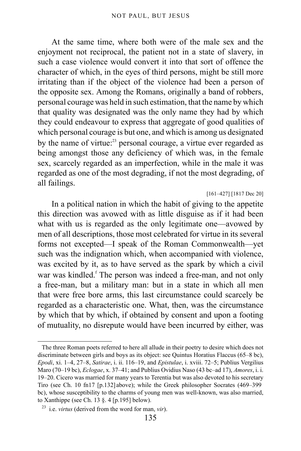At the same time, where both were of the male sex and the enjoyment not reciprocal, the patient not in a state of slavery, in such a case violence would convert it into that sort of offence the character of which, in the eyes of third persons, might be still more irritating than if the object of the violence had been a person of the opposite sex. Among the Romans, originally a band of robbers, personal courage was held in such estimation, that the name by which that quality was designated was the only name they had by which they could endeavour to express that aggregate of good qualities of which personal courage is but one, and which is among us designated by the name of virtue:<sup>[23](#page-134-0)</sup> personal courage, a virtue ever regarded as being amongst those any deficiency of which was, in the female sex, scarcely regarded as an imperfection, while in the male it was regarded as one of the most degrading, if not the most degrading, of all failings.

[161–427] [1817 Dec 20]

In a political nation in which the habit of giving to the appetite this direction was avowed with as little disguise as if it had been what with us is regarded as the only legitimate one—avowed by men of all descriptions, those most celebrated for virtue in its several forms not excepted—I speak of the Roman Commonwealth—yet such was the indignation which, when accompanied with violence, was excited by it, as to have served as the spark by which a civil war was kindled.<sup>[f](#page-135-0)</sup> The person was indeed a free-man, and not only a free-man, but a military man: but in a state in which all men that were free bore arms, this last circumstance could scarcely be regarded as a characteristic one. What, then, was the circumstance by which that by which, if obtained by consent and upon a footing of mutuality, no disrepute would have been incurred by either, was

The three Roman poets referred to here all allude in their poetry to desire which does not discriminate between girls and boys as its object: see Quintus Horatius Flaccus (65–8 bc), *Epodi*, xi. 1–4, 27–8, *Satirae*, i. ii. 116–19, and *Epistulae*, i. xviii. 72–5; Publius Vergilius Maro (70–19 bc), *Eclogae*, x. 37–41; and Publius Ovidius Naso (43 bc–ad 17), *Amores*, i. i. 19–20. Cicero was married for many years to Terentia but was also devoted to his secretary Tiro (see [Ch. 10 fn17 \[p.132\]](#page-131-1) above); while the Greek philosopher Socrates (469–399 bc), whose susceptibility to the charms of young men was well-known, was also married, to Xanthippe (see [Ch. 13 §. 4 \[p.195\]](#page-194-0) below).

<span id="page-134-0"></span><sup>23</sup> i.e. *virtus* (derived from the word for man, *vir*).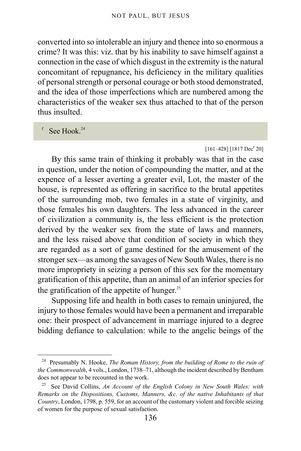converted into so intolerable an injury and thence into so enormous a crime? It was this: viz. that by his inability to save himself against a connection in the case of which disgust in the extremity is the natural concomitant of repugnance, his deficiency in the military qualities of personal strength or personal courage or both stood demonstrated, and the idea of those imperfections which are numbered among the characteristics of the weaker sex thus attached to that of the person thus insulted.

<span id="page-135-0"></span> $f$  See Hook.<sup>[24](#page-135-1)</sup>

#### $[161-428]$  [1817 Dec<sup>r</sup> 20]

By this same train of thinking it probably was that in the case in question, under the notion of compounding the matter, and at the expence of a lesser averting a greater evil, Lot, the master of the house, is represented as offering in sacrifice to the brutal appetites of the surrounding mob, two females in a state of virginity, and those females his own daughters. The less advanced in the career of civilization a community is, the less efficient is the protection derived by the weaker sex from the state of laws and manners, and the less raised above that condition of society in which they are regarded as a sort of game destined for the amusement of the stronger sex—as among the savages of New South Wales, there is no more impropriety in seizing a person of this sex for the momentary gratification of this appetite, than an animal of an inferior species for the gratification of the appetite of hunger.<sup>[25](#page-135-2)</sup>

Supposing life and health in both cases to remain uninjured, the injury to those females would have been a permanent and irreparable one: their prospect of advancement in marriage injured to a degree bidding defiance to calculation: while to the angelic beings of the

<span id="page-135-1"></span><sup>24</sup> Presumably N. Hooke, *The Roman History, from the building of Rome to the ruin of the Commonwealth*, 4 vols., London, 1738–71, although the incident described by Bentham does not appear to be recounted in the work.

<span id="page-135-2"></span><sup>25</sup> See David Collins, *An Account of the English Colony in New South Wales: with Remarks on the Dispositions, Customs, Manners, &c. of the native Inhabitants of that Country*, London, 1798, p. 559, for an account of the customary violent and forcible seizing of women for the purpose of sexual satisfaction.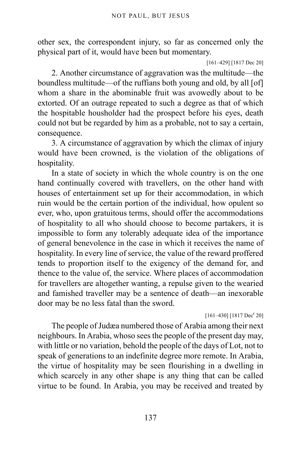other sex, the correspondent injury, so far as concerned only the physical part of it, would have been but momentary.

```
[161–429] [1817 Dec 20]
```
2. Another circumstance of aggravation was the multitude—the boundless multitude—of the ruffians both young and old, by all [of] whom a share in the abominable fruit was avowedly about to be extorted. Of an outrage repeated to such a degree as that of which the hospitable housholder had the prospect before his eyes, death could not but be regarded by him as a probable, not to say a certain, consequence.

3. A circumstance of aggravation by which the climax of injury would have been crowned, is the violation of the obligations of hospitality.

In a state of society in which the whole country is on the one hand continually covered with travellers, on the other hand with houses of entertainment set up for their accommodation, in which ruin would be the certain portion of the individual, how opulent so ever, who, upon gratuitous terms, should offer the accommodations of hospitality to all who should choose to become partakers, it is impossible to form any tolerably adequate idea of the importance of general benevolence in the case in which it receives the name of hospitality. In every line of service, the value of the reward proffered tends to proportion itself to the exigency of the demand for, and thence to the value of, the service. Where places of accommodation for travellers are altogether wanting, a repulse given to the wearied and famished traveller may be a sentence of death—an inexorable door may be no less fatal than the sword.

 $[161-430]$   $[1817 \text{ Dec}^r 20]$ 

The people of Judæa numbered those of Arabia among their next neighbours. In Arabia, whoso sees the people of the present day may, with little or no variation, behold the people of the days of Lot, not to speak of generations to an indefinite degree more remote. In Arabia, the virtue of hospitality may be seen flourishing in a dwelling in which scarcely in any other shape is any thing that can be called virtue to be found. In Arabia, you may be received and treated by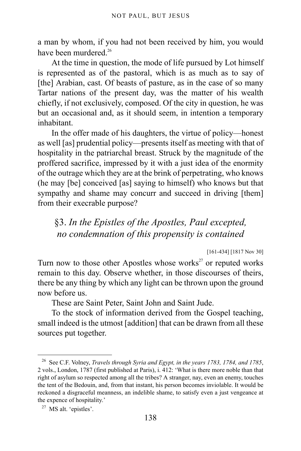a man by whom, if you had not been received by him, you would have been murdered  $^{26}$  $^{26}$  $^{26}$ 

At the time in question, the mode of life pursued by Lot himself is represented as of the pastoral, which is as much as to say of [the] Arabian, cast. Of beasts of pasture, as in the case of so many Tartar nations of the present day, was the matter of his wealth chiefly, if not exclusively, composed. Of the city in question, he was but an occasional and, as it should seem, in intention a temporary inhabitant.

In the offer made of his daughters, the virtue of policy—honest as well [as] prudential policy—presents itself as meeting with that of hospitality in the patriarchal breast. Struck by the magnitude of the proffered sacrifice, impressed by it with a just idea of the enormity of the outrage which they are at the brink of perpetrating, who knows (he may [be] conceived [as] saying to himself) who knows but that sympathy and shame may concurr and succeed in driving [them] from their execrable purpose?

# §3. *In the Epistles of the Apostles, Paul excepted, no condemnation of this propensity is contained*

[161-434] [1817 Nov 30]

Turn now to those other Apostles whose works<sup>[27](#page-137-1)</sup> or reputed works remain to this day. Observe whether, in those discourses of theirs, there be any thing by which any light can be thrown upon the ground now before us.

These are Saint Peter, Saint John and Saint Jude.

To the stock of information derived from the Gospel teaching, small indeed is the utmost [addition] that can be drawn from all these sources put together.

<span id="page-137-0"></span><sup>26</sup> See C.F. Volney, *Travels through Syria and Egypt, in the years 1783, 1784, and 1785*, 2 vols., London, 1787 (first published at Paris), i. 412: 'What is there more noble than that right of asylum so respected among all the tribes? A stranger, nay, even an enemy, touches the tent of the Bedouin, and, from that instant, his person becomes inviolable. It would be reckoned a disgraceful meanness, an indelible shame, to satisfy even a just vengeance at the expence of hospitality.'

<span id="page-137-1"></span><sup>27</sup> MS alt. 'epistles'.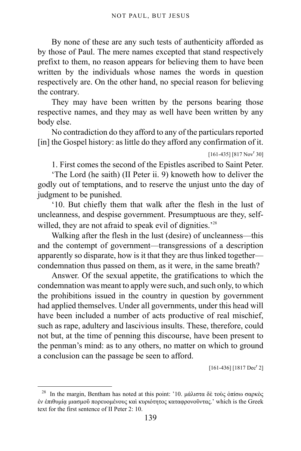By none of these are any such tests of authenticity afforded as by those of Paul. The mere names excepted that stand respectively prefixt to them, no reason appears for believing them to have been written by the individuals whose names the words in question respectively are. On the other hand, no special reason for believing the contrary.

They may have been written by the persons bearing those respective names, and they may as well have been written by any body else.

No contradiction do they afford to any of the particulars reported [in] the Gospel history: as little do they afford any confirmation of it.

 $[161-435]$   $[817 Nov<sup>r</sup> 30]$ 

1. First comes the second of the Epistles ascribed to Saint Peter.

'The Lord (he saith) (II Peter ii. 9) knoweth how to deliver the godly out of temptations, and to reserve the unjust unto the day of judgment to be punished.

'10. But chiefly them that walk after the flesh in the lust of uncleanness, and despise government. Presumptuous are they, self-willed, they are not afraid to speak evil of dignities.<sup>[28](#page-138-0)</sup>

Walking after the flesh in the lust (desire) of uncleanness—this and the contempt of government—transgressions of a description apparently so disparate, how is it that they are thus linked together condemnation thus passed on them, as it were, in the same breath?

Answer. Of the sexual appetite, the gratifications to which the condemnation was meant to apply were such, and such only, to which the prohibitions issued in the country in question by government had applied themselves. Under all governments, under this head will have been included a number of acts productive of real mischief, such as rape, adultery and lascivious insults. These, therefore, could not but, at the time of penning this discourse, have been present to the penman's mind: as to any others, no matter on which to ground a conclusion can the passage be seen to afford.

 $[161-436]$   $[1817$  Dec<sup>r</sup> 2]

<span id="page-138-0"></span><sup>&</sup>lt;sup>28</sup> In the margin, Bentham has noted at this point: '10. μάλιστα δὲ τοὺς ὀπίσω σαρκὸς ἐν ἐπιθυμίᾳ μιασμοῦ πορευομένους καὶ κυριότητος καταφρονοῦντας.' which is the Greek text for the first sentence of II Peter 2: 10.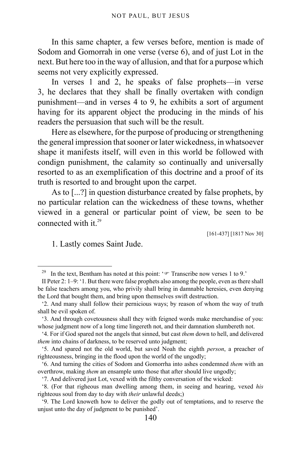In this same chapter, a few verses before, mention is made of Sodom and Gomorrah in one verse (verse 6), and of just Lot in the next. But here too in the way of allusion, and that for a purpose which seems not very explicitly expressed.

In verses 1 and 2, he speaks of false prophets—in verse 3, he declares that they shall be finally overtaken with condign punishment—and in verses 4 to 9, he exhibits a sort of argument having for its apparent object the producing in the minds of his readers the persuasion that such will be the result.

Here as elsewhere, for the purpose of producing or strengthening the general impression that sooner or later wickedness, in whatsoever shape it manifests itself, will even in this world be followed with condign punishment, the calamity so continually and universally resorted to as an exemplification of this doctrine and a proof of its truth is resorted to and brought upon the carpet.

As to [...?] in question disturbance created by false prophets, by no particular relation can the wickedness of these towns, whether viewed in a general or particular point of view, be seen to be connected with it.<sup>[29](#page-139-0)</sup>

[161-437] [1817 Nov 30]

1. Lastly comes Saint Jude.

<span id="page-139-0"></span><sup>&</sup>lt;sup>29</sup> In the text, Bentham has noted at this point: ' $\mathcal{F}$  Transcribe now verses 1 to 9.'

II Peter 2: 1–9: '1. But there were false prophets also among the people, even as there shall be false teachers among you, who privily shall bring in damnable heresies, even denying the Lord that bought them, and bring upon themselves swift destruction.

<sup>&#</sup>x27;2. And many shall follow their pernicious ways; by reason of whom the way of truth shall be evil spoken of.

<sup>&#</sup>x27;3. And through covetousness shall they with feigned words make merchandise of you: whose judgment now of a long time lingereth not, and their damnation slumbereth not.

<sup>&#</sup>x27;4. For if God spared not the angels that sinned, but cast *them* down to hell, and delivered *them* into chains of darkness, to be reserved unto judgment;

<sup>&#</sup>x27;5. And spared not the old world, but saved Noah the eighth *person*, a preacher of righteousness, bringing in the flood upon the world of the ungodly;

<sup>&#</sup>x27;6. And turning the cities of Sodom and Gomorrha into ashes condemned *them* with an overthrow, making *them* an ensample unto those that after should live ungodly;

<sup>&#</sup>x27;7. And delivered just Lot, vexed with the filthy conversation of the wicked:

<sup>&#</sup>x27;8. (For that righeous man dwelling among them, in seeing and hearing, vexed *his* righteous soul from day to day with *their* unlawful deeds;)

<sup>&#</sup>x27;9. The Lord knoweth how to deliver the godly out of temptations, and to reserve the unjust unto the day of judgment to be punished'.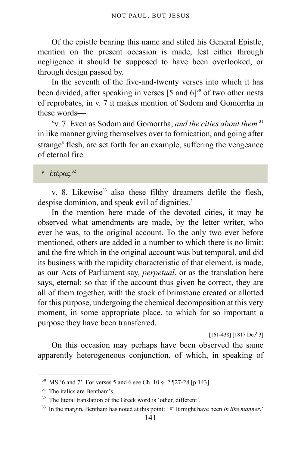Of the epistle bearing this name and stiled his General Epistle, mention on the present occasion is made, lest either through negligence it should be supposed to have been overlooked, or through design passed by.

<span id="page-140-5"></span>In the seventh of the five-and-twenty verses into which it has been divided, after speaking in verses  $[5 \text{ and } 6]$ <sup>[30](#page-140-0)</sup> of two other nests of reprobates, in v. 7 it makes mention of Sodom and Gomorrha in these words—

'v. 7. Even as Sodom and Gomorrha, *and the cities about them* [31](#page-140-1) in like manner giving themselves over to fornication, and going after stran[g](#page-140-2)e<sup>®</sup> flesh, are set forth for an example, suffering the vengeance of eternal fire.

<span id="page-140-2"></span> $^{\rm g}$  ἑτέρας. $^{32}$  $^{32}$  $^{32}$ 

v. 8. Likewise<sup>[33](#page-140-4)</sup> also these filthy dreamers defile the flesh, despise dominion, and speak evil of dignities.'

In the mention here made of the devoted cities, it may be observed what amendments are made, by the letter writer, who ever he was, to the original account. To the only two ever before mentioned, others are added in a number to which there is no limit: and the fire which in the original account was but temporal, and did its business with the rapidity characteristic of that element, is made, as our Acts of Parliament say, *perpetual*, or as the translation here says, eternal: so that if the account thus given be correct, they are all of them together, with the stock of brimstone created or allotted for this purpose, undergoing the chemical decomposition at this very moment, in some appropriate place, to which for so important a purpose they have been transferred.

 $[161-438]$   $[1817$  Dec<sup>r</sup> 3]

On this occasion may perhaps have been observed the same apparently heterogeneous conjunction, of which, in speaking of

<span id="page-140-0"></span><sup>30</sup> MS '6 and 7'. For verses 5 and 6 see [Ch. 10 §. 2 ¶27-28 \[p.143\]](#page-142-0)

<span id="page-140-1"></span><sup>&</sup>lt;sup>31</sup> The italics are Bentham's.

<span id="page-140-3"></span><sup>32</sup> The literal translation of the Greek word is 'other, different'.

<span id="page-140-4"></span><sup>&</sup>lt;sup>33</sup> In the margin, Bentham has noted at this point:  $\infty$  It might have been *In like manner*.'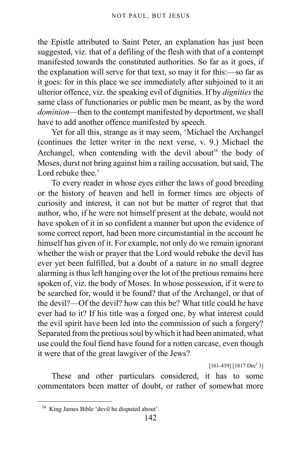the Epistle attributed to Saint Peter, an explanation has just been suggested, viz. that of a defiling of the flesh with that of a contempt manifested towards the constituted authorities. So far as it goes, if the explanation will serve for that text, so may it for this:—so far as it goes: for in this place we see immediately after subjoined to it an ulterior offence, viz. the speaking evil of dignities. If by *dignities* the same class of functionaries or public men be meant, as by the word *dominion*—then to the contempt manifested by deportment, we shall have to add another offence manifested by speech.

Yet for all this, strange as it may seem, 'Michael the Archangel (continues the letter writer in the next verse, v. 9.) Michael the Archangel, when contending with the devil about<sup>[34](#page-141-0)</sup> the body of Moses, durst not bring against him a railing accusation, but said, The Lord rebuke thee.'

To every reader in whose eyes either the laws of good breeding or the history of heaven and hell in former times are objects of curiosity and interest, it can not but be matter of regret that that author, who, if he were not himself present at the debate, would not have spoken of it in so confident a manner but upon the evidence of some correct report, had been more circumstantial in the account he himself has given of it. For example, not only do we remain ignorant whether the wish or prayer that the Lord would rebuke the devil has ever yet been fulfilled, but a doubt of a nature in no small degree alarming is thus left hanging over the lot of the pretious remains here spoken of, viz. the body of Moses. In whose possession, if it were to be searched for, would it be found? that of the Archangel, or that of the devil?—Of the devil? how can this be? What title could he have ever had to it? If his title was a forged one, by what interest could the evil spirit have been led into the commission of such a forgery? Separated from the pretious soul by which it had been animated, what use could the foul fiend have found for a rotten carcase, even though it were that of the great lawgiver of the Jews?

 $[161-439]$   $[1817$  Dec<sup>r</sup> 3]

These and other particulars considered, it has to some commentators been matter of doubt, or rather of somewhat more

<span id="page-141-0"></span><sup>34</sup> King James Bible 'devil he disputed about'.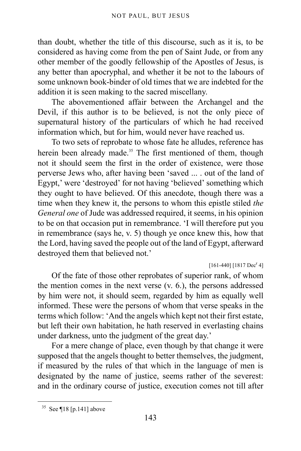than doubt, whether the title of this discourse, such as it is, to be considered as having come from the pen of Saint Jude, or from any other member of the goodly fellowship of the Apostles of Jesus, is any better than apocryphal, and whether it be not to the labours of some unknown book-binder of old times that we are indebted for the addition it is seen making to the sacred miscellany.

The abovementioned affair between the Archangel and the Devil, if this author is to be believed, is not the only piece of supernatural history of the particulars of which he had received information which, but for him, would never have reached us.

<span id="page-142-0"></span>To two sets of reprobate to whose fate he alludes, reference has herein been already made.<sup>[35](#page-142-1)</sup> The first mentioned of them, though not it should seem the first in the order of existence, were those perverse Jews who, after having been 'saved ... . out of the land of Egypt,' were 'destroyed' for not having 'believed' something which they ought to have believed. Of this anecdote, though there was a time when they knew it, the persons to whom this epistle stiled *the General one* of Jude was addressed required, it seems, in his opinion to be on that occasion put in remembrance. 'I will therefore put you in remembrance (says he, v. 5) though ye once knew this, how that the Lord, having saved the people out of the land of Egypt, afterward destroyed them that believed not.'

 $[161-440]$   $[1817$  Dec<sup>r</sup> 4]

Of the fate of those other reprobates of superior rank, of whom the mention comes in the next verse (v. 6.), the persons addressed by him were not, it should seem, regarded by him as equally well informed. These were the persons of whom that verse speaks in the terms which follow: 'And the angels which kept not their first estate, but left their own habitation, he hath reserved in everlasting chains under darkness, unto the judgment of the great day.'

For a mere change of place, even though by that change it were supposed that the angels thought to better themselves, the judgment, if measured by the rules of that which in the language of men is designated by the name of justice, seems rather of the severest: and in the ordinary course of justice, execution comes not till after

<span id="page-142-1"></span> $35$  See [¶18 \[p.141\]](#page-140-5) above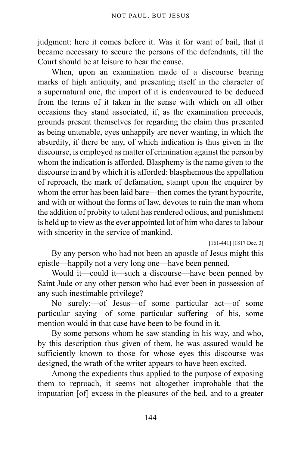judgment: here it comes before it. Was it for want of bail, that it became necessary to secure the persons of the defendants, till the Court should be at leisure to hear the cause.

When, upon an examination made of a discourse bearing marks of high antiquity, and presenting itself in the character of a supernatural one, the import of it is endeavoured to be deduced from the terms of it taken in the sense with which on all other occasions they stand associated, if, as the examination proceeds, grounds present themselves for regarding the claim thus presented as being untenable, eyes unhappily are never wanting, in which the absurdity, if there be any, of which indication is thus given in the discourse, is employed as matter of crimination against the person by whom the indication is afforded. Blasphemy is the name given to the discourse in and by which it is afforded: blasphemous the appellation of reproach, the mark of defamation, stampt upon the enquirer by whom the error has been laid bare—then comes the tyrant hypocrite, and with or without the forms of law, devotes to ruin the man whom the addition of probity to talent has rendered odious, and punishment is held up to view as the ever appointed lot of him who dares to labour with sincerity in the service of mankind.

[161-441] [1817 Dec. 3]

By any person who had not been an apostle of Jesus might this epistle—happily not a very long one—have been penned.

Would it—could it—such a discourse—have been penned by Saint Jude or any other person who had ever been in possession of any such inestimable privilege?

No surely:—of Jesus—of some particular act—of some particular saying—of some particular suffering—of his, some mention would in that case have been to be found in it.

By some persons whom he saw standing in his way, and who, by this description thus given of them, he was assured would be sufficiently known to those for whose eyes this discourse was designed, the wrath of the writer appears to have been excited.

Among the expedients thus applied to the purpose of exposing them to reproach, it seems not altogether improbable that the imputation [of] excess in the pleasures of the bed, and to a greater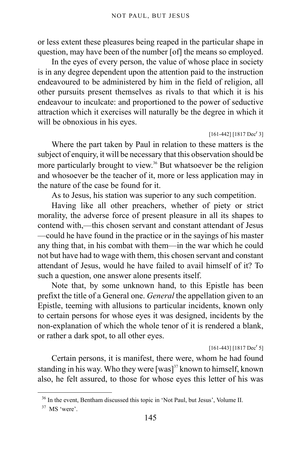or less extent these pleasures being reaped in the particular shape in question, may have been of the number [of] the means so employed.

In the eyes of every person, the value of whose place in society is in any degree dependent upon the attention paid to the instruction endeavoured to be administered by him in the field of religion, all other pursuits present themselves as rivals to that which it is his endeavour to inculcate: and proportioned to the power of seductive attraction which it exercises will naturally be the degree in which it will be obnoxious in his eyes.

 $[161-442]$   $[1817$  Dec<sup>r</sup> 3]

Where the part taken by Paul in relation to these matters is the subject of enquiry, it will be necessary that this observation should be more particularly brought to view.<sup>[36](#page-144-0)</sup> But whatsoever be the religion and whosoever be the teacher of it, more or less application may in the nature of the case be found for it.

As to Jesus, his station was superior to any such competition.

Having like all other preachers, whether of piety or strict morality, the adverse force of present pleasure in all its shapes to contend with,—this chosen servant and constant attendant of Jesus —could he have found in the practice or in the sayings of his master any thing that, in his combat with them—in the war which he could not but have had to wage with them, this chosen servant and constant attendant of Jesus, would he have failed to avail himself of it? To such a question, one answer alone presents itself.

Note that, by some unknown hand, to this Epistle has been prefixt the title of a General one. *General* the appellation given to an Epistle, teeming with allusions to particular incidents, known only to certain persons for whose eyes it was designed, incidents by the non-explanation of which the whole tenor of it is rendered a blank, or rather a dark spot, to all other eyes.

 $[161-443]$  [1817 Dec<sup>r</sup> 5]

Certain persons, it is manifest, there were, whom he had found standing in his way. Who they were  $[was]^3$  known to himself, known also, he felt assured, to those for whose eyes this letter of his was

<span id="page-144-0"></span><sup>36</sup> In the event, Bentham discussed this topic in 'Not Paul, but Jesus', Volume II.

<span id="page-144-1"></span><sup>&</sup>lt;sup>37</sup> MS 'were'.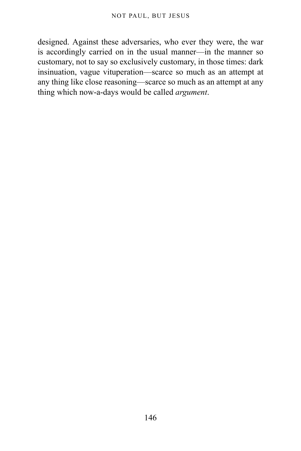designed. Against these adversaries, who ever they were, the war is accordingly carried on in the usual manner—in the manner so customary, not to say so exclusively customary, in those times: dark insinuation, vague vituperation—scarce so much as an attempt at any thing like close reasoning—scarce so much as an attempt at any thing which now-a-days would be called *argument*.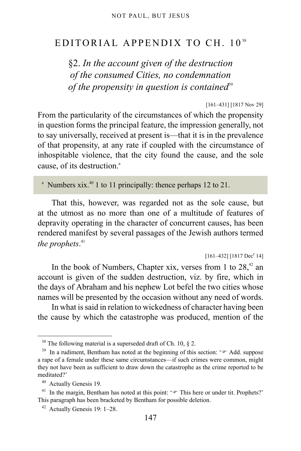### EDITORIAL APPENDIX TO CH. 10<sup>[38](#page-146-0)</sup>

§2. *In the account given of the destruction of the consumed Cities, no condemnation of the propensity in question is contained*<sup>[39](#page-146-1)</sup>

[161–431] [1817 Nov 29]

From the particularity of the circumstances of which the propensity in question forms the principal feature, the impression generally, not to say universally, received at present is—that it is in the prevalence of that propensity, at any rate if coupled with the circumstance of inhospitable violence, that the city found the cause, and the sole c[a](#page-146-2)use, of its destruction.<sup>a</sup>

<span id="page-146-2"></span><sup>a</sup> Numbers xix.<sup>[40](#page-146-3)</sup> 1 to 11 principally: thence perhaps 12 to 21.

That this, however, was regarded not as the sole cause, but at the utmost as no more than one of a multitude of features of depravity operating in the character of concurrent causes, has been rendered manifest by several passages of the Jewish authors termed *the prophets*. [41](#page-146-4)

 $[161-432]$   $[1817 \text{ Dec}^r 14]$ 

In the book of Numbers, Chapter xix, verses from 1 to  $28<sup>42</sup>$  $28<sup>42</sup>$  $28<sup>42</sup>$  an account is given of the sudden destruction, viz. by fire, which in the days of Abraham and his nephew Lot befel the two cities whose names will be presented by the occasion without any need of words.

In what is said in relation to wickedness of character having been the cause by which the catastrophe was produced, mention of the

<span id="page-146-0"></span> $38$  The following material is a superseded draft of Ch. 10, § 2.

<span id="page-146-1"></span><sup>&</sup>lt;sup>39</sup> In a rudiment, Bentham has noted at the beginning of this section: ' $\mathcal{F}$  Add. suppose a rape of a female under these same circumstances—if such crimes were common, might they not have been as sufficient to draw down the catastrophe as the crime reported to be meditated?'

<span id="page-146-3"></span><sup>40</sup> Actually Genesis 19.

<span id="page-146-4"></span><sup>&</sup>lt;sup>41</sup> In the margin, Bentham has noted at this point:  $\mathscr{F}$  This here or under tit. Prophets?' This paragraph has been bracketed by Bentham for possible deletion.

<span id="page-146-5"></span><sup>42</sup> Actually Genesis 19: 1–28.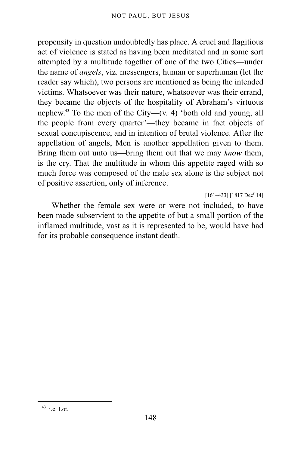propensity in question undoubtedly has place. A cruel and flagitious act of violence is stated as having been meditated and in some sort attempted by a multitude together of one of the two Cities—under the name of *angels*, viz. messengers, human or superhuman (let the reader say which), two persons are mentioned as being the intended victims. Whatsoever was their nature, whatsoever was their errand, they became the objects of the hospitality of Abraham's virtuous nephew.<sup>[43](#page-147-0)</sup> To the men of the City—(v. 4) 'both old and young, all the people from every quarter'—they became in fact objects of sexual concupiscence, and in intention of brutal violence. After the appellation of angels, Men is another appellation given to them. Bring them out unto us—bring them out that we may *know* them, is the cry. That the multitude in whom this appetite raged with so much force was composed of the male sex alone is the subject not of positive assertion, only of inference.

 $[161-433]$   $[1817 \text{ Dec}^r 14]$ 

Whether the female sex were or were not included, to have been made subservient to the appetite of but a small portion of the inflamed multitude, vast as it is represented to be, would have had for its probable consequence instant death.

<span id="page-147-0"></span> $43$  i.e. Lot.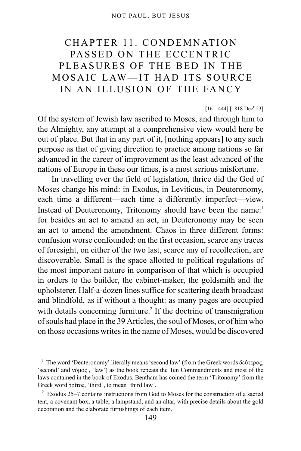# CHAPTER 11. CONDEMNATION PASSED ON THE ECCENTRIC PLEASURES OF THE BED IN THE MOSAIC LAW—IT HAD ITS SOURCE IN AN ILLUSION OF THE FANCY

 $[161-444]$  [1818 Dec<sup>r</sup> 23]

Of the system of Jewish law ascribed to Moses, and through him to the Almighty, any attempt at a comprehensive view would here be out of place. But that in any part of it, [nothing appears] to any such purpose as that of giving direction to practice among nations so far advanced in the career of improvement as the least advanced of the nations of Europe in these our times, is a most serious misfortune.

In travelling over the field of legislation, thrice did the God of Moses change his mind: in Exodus, in Leviticus, in Deuteronomy, each time a different—each time a differently imperfect—view. Instead of Deuteronomy, Tritonomy should have been the name:<sup>[1](#page-148-0)</sup> for besides an act to amend an act, in Deuteronomy may be seen an act to amend the amendment. Chaos in three different forms: confusion worse confounded: on the first occasion, scarce any traces of foresight, on either of the two last, scarce any of recollection, are discoverable. Small is the space allotted to political regulations of the most important nature in comparison of that which is occupied in orders to the builder, the cabinet-maker, the goldsmith and the upholsterer. Half-a-dozen lines suffice for scattering death broadcast and blindfold, as if without a thought: as many pages are occupied with details concerning furniture.<sup>[2](#page-148-1)</sup> If the doctrine of transmigration of souls had place in the 39 Articles, the soul of Moses, or of him who on those occasions writes in the name of Moses, would be discovered

<span id="page-148-0"></span><sup>&</sup>lt;sup>1</sup> The word 'Deuteronomy' literally means 'second law' (from the Greek words δεύτερος, 'second' and νόμος , 'law') as the book repeats the Ten Commandments and most of the laws contained in the book of Exodus. Bentham has coined the term 'Tritonomy' from the Greek word τρίτος, 'third', to mean 'third law'.

<span id="page-148-1"></span> $2$  Exodus 25–7 contains instructions from God to Moses for the construction of a sacred tent, a covenant box, a table, a lampstand, and an altar, with precise details about the gold decoration and the elaborate furnishings of each item.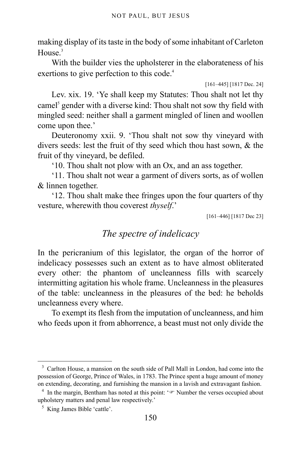making display of its taste in the body of some inhabitant of Carleton House $3$ 

With the builder vies the upholsterer in the elaborateness of his exertions to give perfection to this code.<sup>[4](#page-149-1)</sup>

```
[161–445] [1817 Dec. 24]
```
Lev. xix. 19. 'Ye shall keep my Statutes: Thou shalt not let thy camel<sup>[5](#page-149-2)</sup> gender with a diverse kind: Thou shalt not sow thy field with mingled seed: neither shall a garment mingled of linen and woollen come upon thee.'

Deuteronomy xxii. 9. 'Thou shalt not sow thy vineyard with divers seeds: lest the fruit of thy seed which thou hast sown, & the fruit of thy vineyard, be defiled.

'10. Thou shalt not plow with an Ox, and an ass together.

'11. Thou shalt not wear a garment of divers sorts, as of wollen & linnen together.

'12. Thou shalt make thee fringes upon the four quarters of thy vesture, wherewith thou coverest *thyself*.'

[161–446] [1817 Dec 23]

### *The spectre of indelicacy*

In the pericranium of this legislator, the organ of the horror of indelicacy possesses such an extent as to have almost obliterated every other: the phantom of uncleanness fills with scarcely intermitting agitation his whole frame. Uncleanness in the pleasures of the table: uncleanness in the pleasures of the bed: he beholds uncleanness every where.

To exempt its flesh from the imputation of uncleanness, and him who feeds upon it from abhorrence, a beast must not only divide the

<span id="page-149-0"></span><sup>&</sup>lt;sup>3</sup> Carlton House, a mansion on the south side of Pall Mall in London, had come into the possession of George, Prince of Wales, in 1783. The Prince spent a huge amount of money on extending, decorating, and furnishing the mansion in a lavish and extravagant fashion.

<span id="page-149-1"></span> $4$  In the margin, Bentham has noted at this point:  $\sqrt{ }$  Number the verses occupied about upholstery matters and penal law respectively.'

<span id="page-149-2"></span><sup>5</sup> King James Bible 'cattle'.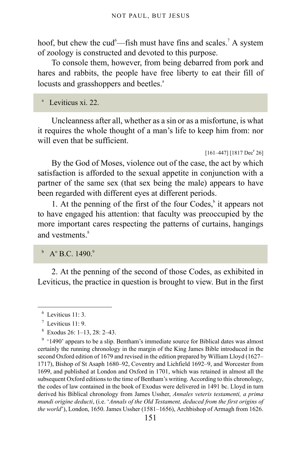hoof, but chew the cud<sup>[6](#page-150-0)</sup>—fish must have fins and scales.<sup>[7](#page-150-1)</sup> A system of zoology is constructed and devoted to this purpose.

To console them, however, from being debarred from pork and hares and rabbits, the people have free liberty to eat their fill of locusts [a](#page-150-2)nd grasshoppers and beetles.<sup>a</sup>

<span id="page-150-2"></span>a Leviticus xi. 22.

Uncleanness after all, whether as a sin or as a misfortune, is what it requires the whole thought of a man's life to keep him from: nor will even that be sufficient.

 $[161-447]$   $[1817 \text{ Dec}^r 26]$ 

By the God of Moses, violence out of the case, the act by which satisfaction is afforded to the sexual appetite in conjunction with a partner of the same sex (that sex being the male) appears to have been regarded with different eyes at different periods.

1. At the penning of the first of the four Codes, $\frac{b}{b}$  $\frac{b}{b}$  $\frac{b}{b}$  it appears not to have engaged his attention: that faculty was preoccupied by the more important cares respecting the patterns of curtains, hangings and vestments<sup>[8](#page-150-4)</sup>

<span id="page-150-3"></span> $^{\circ}$  A $^{\circ}$  B.C. 14[9](#page-150-5)0. $^{\circ}$ 

2. At the penning of the second of those Codes, as exhibited in Leviticus, the practice in question is brought to view. But in the first

<span id="page-150-0"></span><sup>6</sup> Leviticus 11: 3.

<span id="page-150-1"></span> $^7$  Leviticus 11: 9.

<span id="page-150-4"></span><sup>8</sup> Exodus 26: 1–13, 28: 2–43.

<span id="page-150-5"></span><sup>&</sup>lt;sup>9</sup> '1490' appears to be a slip. Bentham's immediate source for Biblical dates was almost certainly the running chronology in the margin of the King James Bible introduced in the second Oxford edition of 1679 and revised in the edition prepared by William Lloyd (1627– 1717), Bishop of St Asaph 1680–92, Coventry and Lichfield 1692–9, and Worcester from 1699, and published at London and Oxford in 1701, which was retained in almost all the subsequent Oxford editions to the time of Bentham's writing. According to this chronology, the codes of law contained in the book of Exodus were delivered in 1491 bc. Lloyd in turn derived his Biblical chronology from James Ussher, *Annales veteris testamenti, a prima mundi origine deducti*, (i.e. '*Annals of the Old Testament, deduced from the first origins of the world*'), London, 1650. James Ussher (1581–1656), Archbishop of Armagh from 1626.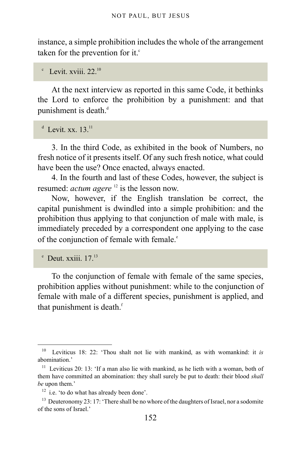instance, a simple prohibition includes the whole of the arrangement taken for the prevention for it. $\epsilon$ 

<span id="page-151-0"></span> $\rm^c$  Levit. xviii. 22.<sup>[10](#page-151-1)</sup>

At the next interview as reported in this same Code, it bethinks the Lord to enforce the prohibition by a punishment: and that punishment is [d](#page-151-2)eath.<sup>d</sup>

<span id="page-151-2"></span> $^d$  Levit. xx. 13. $^{11}$  $^{11}$  $^{11}$ 

3. In the third Code, as exhibited in the book of Numbers, no fresh notice of it presents itself. Of any such fresh notice, what could have been the use? Once enacted, always enacted.

4. In the fourth and last of these Codes, however, the subject is resumed: *actum agere* <sup>[12](#page-151-4)</sup> is the lesson now.

Now, however, if the English translation be correct, the capital punishment is dwindled into a simple prohibition: and the prohibition thus applying to that conjunction of male with male, is immediately preceded by a correspondent one applying to the case of th[e](#page-151-5) conjunction of female with female.<sup>e</sup>

<span id="page-151-5"></span> $^{\circ}$  Deut. xxiii. 17.<sup>[13](#page-151-6)</sup>

To the conjunction of female with female of the same species, prohibition applies without punishment: while to the conjunction of female with male of a different species, punishment is applied, and that punishment is death.<sup>[f](#page-152-0)</sup>

<span id="page-151-1"></span><sup>10</sup> Leviticus 18: 22: 'Thou shalt not lie with mankind, as with womankind: it *is* abomination.'

<span id="page-151-3"></span> $11$  Leviticus 20: 13: 'If a man also lie with mankind, as he lieth with a woman, both of them have committed an abomination: they shall surely be put to death: their blood *shall be* upon them.'

<span id="page-151-4"></span> $12$  i.e. 'to do what has already been done'.

<span id="page-151-6"></span><sup>&</sup>lt;sup>13</sup> Deuteronomy 23: 17: 'There shall be no whore of the daughters of Israel, nor a sodomite of the sons of Israel.'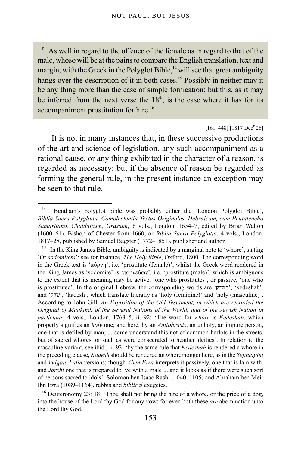<span id="page-152-0"></span>f As well in regard to the offence of the female as in regard to that of the male, whoso will be at the pains to compare the English translation, text and margin, with the Greek in the Polyglot Bible, $14$  will see that great ambiguity hangs over the description of it in both cases.<sup>[15](#page-152-2)</sup> Possibly in neither may it be any thing more than the case of simple fornication: but this, as it may be inferred from the next verse the  $18<sup>th</sup>$ , is the case where it has for its accompaniment prostitution for hire.<sup>[16](#page-152-3)</sup>

#### $[161-448]$  [1817 Dec<sup>r</sup> 26]

It is not in many instances that, in these successive productions of the art and science of legislation, any such accompaniment as a rational cause, or any thing exhibited in the character of a reason, is regarded as necessary: but if the absence of reason be regarded as forming the general rule, in the present instance an exception may be seen to that rule.

<span id="page-152-1"></span><sup>&</sup>lt;sup>14</sup> Bentham's polyglot bible was probably either the 'London Polyglot Bible', *Biblia Sacra Polyglotta, Complectentia Textus Originales, Hebraicum, cum Pentateucho Samaritano, Chaldaicum, Græcum;* 6 vols., London, 1654–7, edited by Brian Walton (1600–61), Bishop of Chester from 1660, or *Biblia Sacra Polyglotta*, 4 vols., London, 1817–28, published by Samuel Bagster (1772–1851), publisher and author.

<span id="page-152-2"></span><sup>&</sup>lt;sup>15</sup> In the King James Bible, ambiguity is indicated by a marginal note to 'whore', stating 'Or *sodomitess*': see for instance, *The Holy Bible*, Oxford, 1800. The corresponding word in the Greek text is 'πόρνη', i.e. 'prostitute (female)', whilst the Greek word rendered in the King James as 'sodomite' is 'πορνεύων', i.e. 'prostitute (male)', which is ambiguous to the extent that its meaning may be active, 'one who prostitutes', or passive, 'one who is prostituted'. In the original Hebrew, the corresponding words are 'השדק',' kedeshah', and 'שדק',' kadesh', which translate literally as 'holy (feminine)' and 'holy (masculine)'. According to John Gill, *An Exposition of the Old Testament, in which are recorded the Original of Mankind, of the Several Nations of the World, and of the Jewish Nation in particular*, 4 vols., London, 1763–5, ii. 92: 'The word for *whore* is *Kedeshah*, which properly signifies an *holy* one; and here, by an *Antiphrasis*, an unholy, an impure person, one that is defiled by man; ... some understand this not of common harlots in the streets, but of sacred whores, or such as were consecrated to heathen deities'. In relation to the masculine variant, see ibid., ii. 93: 'by the same rule that *Kedeshah* is rendered a whore in the preceding clause, *Kadesh* should be rendered an whoremonger here, as in the *Septuagint* and *Vulgate Latin* versions; though *Aben Ezra* interprets it passively, one that is lain with, and *Jarchi* one that is prepared to lye with a male ... and it looks as if there were such sort of persons sacred to idols'. Solomon ben Isaac Rashi (1040–1105) and Abraham ben Meir Ibn Ezra (1089–1164), rabbis and *biblical* exegetes.

<span id="page-152-3"></span><sup>&</sup>lt;sup>16</sup> Deuteronomy 23: 18: 'Thou shalt not bring the hire of a whore, or the price of a dog, into the house of the Lord thy God for any vow: for even both these *are* abomination unto the Lord thy God.'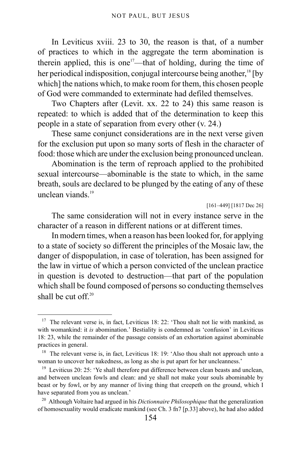In Leviticus xviii. 23 to 30, the reason is that, of a number of practices to which in the aggregate the term abomination is therein applied, this is one<sup>[17](#page-153-0)</sup>—that of holding, during the time of her periodical indisposition, conjugal intercourse being another,<sup>[18](#page-153-1)</sup> [by which] the nations which, to make room for them, this chosen people of God were commanded to exterminate had defiled themselves.

Two Chapters after (Levit. xx. 22 to 24) this same reason is repeated: to which is added that of the determination to keep this people in a state of separation from every other (v. 24.)

These same conjunct considerations are in the next verse given for the exclusion put upon so many sorts of flesh in the character of food: those which are under the exclusion being pronounced unclean.

Abomination is the term of reproach applied to the prohibited sexual intercourse—abominable is the state to which, in the same breath, souls are declared to be plunged by the eating of any of these unclean viands $19$ 

[161–449] [1817 Dec 26]

The same consideration will not in every instance serve in the character of a reason in different nations or at different times.

In modern times, when a reason has been looked for, for applying to a state of society so different the principles of the Mosaic law, the danger of dispopulation, in case of toleration, has been assigned for the law in virtue of which a person convicted of the unclean practice in question is devoted to destruction—that part of the population which shall be found composed of persons so conducting themselves shall be cut off $20$ 

<span id="page-153-0"></span><sup>&</sup>lt;sup>17</sup> The relevant verse is, in fact, Leviticus 18: 22: 'Thou shalt not lie with mankind, as with womankind: it *is* abomination.' Bestiality is condemned as 'confusion' in Leviticus 18: 23, while the remainder of the passage consists of an exhortation against abominable practices in general.

<span id="page-153-1"></span><sup>&</sup>lt;sup>18</sup> The relevant verse is, in fact, Leviticus 18: 19: 'Also thou shalt not approach unto a woman to uncover her nakedness, as long as she is put apart for her uncleanness.'

<span id="page-153-2"></span><sup>&</sup>lt;sup>19</sup> Leviticus 20: 25: 'Ye shall therefore put difference between clean beasts and unclean, and between unclean fowls and clean: and ye shall not make your souls abominable by beast or by fowl, or by any manner of living thing that creepeth on the ground, which I have separated from you as unclean.'

<span id="page-153-3"></span><sup>20</sup> Although Voltaire had argued in his *Dictionnaire Philosophique* that the generalization of homosexuality would eradicate mankind (see [Ch. 3 fn7 \[p.33\]](#page-32-0) above), he had also added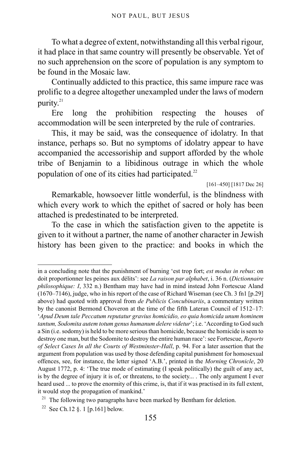To what a degree of extent, notwithstanding all this verbal rigour, it had place in that same country will presently be observable. Yet of no such apprehension on the score of population is any symptom to be found in the Mosaic law.

Continually addicted to this practice, this same impure race was prolific to a degree altogether unexampled under the laws of modern purity.<sup>[21](#page-154-0)</sup>

Ere long the prohibition respecting the houses of accommodation will be seen interpreted by the rule of contraries.

This, it may be said, was the consequence of idolatry. In that instance, perhaps so. But no symptoms of idolatry appear to have accompanied the accessoriship and support afforded by the whole tribe of Benjamin to a libidinous outrage in which the whole population of one of its cities had participated. $^{22}$  $^{22}$  $^{22}$ 

[161–450] [1817 Dec 26]

Remarkable, howsoever little wonderful, is the blindness with which every work to which the epithet of sacred or holy has been attached is predestinated to be interpreted.

To the case in which the satisfaction given to the appetite is given to it without a partner, the name of another character in Jewish history has been given to the practice: and books in which the

in a concluding note that the punishment of burning 'est trop fort; *est modus in rebus*: on doit proportionner les peines aux délits': see *La raison par alphabet*, i. 36 n. (*Dictionnaire philosophique: I*, 332 n.) Bentham may have had in mind instead John Fortescue Aland (1670–7146), judge, who in his report of the case of Richard Wiseman (see [Ch. 3 fn1 \[p.29\]](#page-28-0) above) had quoted with approval from *de Publicis Concubinariis*, a commentary written by the canonist Bermond Choveron at the time of the fifth Lateran Council of 1512–17: '*Apud Deum tale Peccatum reputatur gravius homicidio, eo quia homicida unum hominem tantum, Sodomita autem totum genus humanum delere videtur*'; i.e. 'According to God such a Sin (i.e. sodomy) is held to be more serious than homicide, because the homicide is seen to destroy one man, but the Sodomite to destroy the entire human race': see Fortescue, *Reports of Select Cases In all the Courts of Westminster-Hall*, p. 94. For a later assertion that the argument from population was used by those defending capital punishment for homosexual offences, see, for instance, the letter signed 'A.B.', printed in the *Morning Chronicle*, 20 August 1772, p. 4: 'The true mode of estimating (I speak politically) the guilt of any act, is by the degree of injury it is of, or threatens, to the society... . The only argument I ever heard used ... to prove the enormity of this crime, is, that if it was practised in its full extent, it would stop the propagation of mankind.'

<span id="page-154-0"></span> $21$  The following two paragraphs have been marked by Bentham for deletion.

<span id="page-154-1"></span><sup>&</sup>lt;sup>22</sup> See Ch.12  $\S$ . 1 [p.161] below.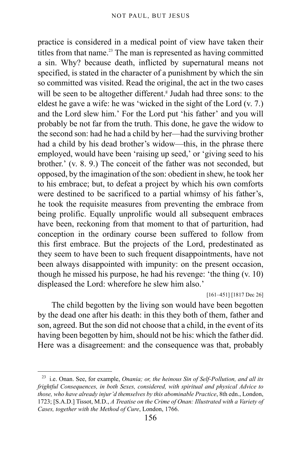practice is considered in a medical point of view have taken their titles from that name. $^{23}$  $^{23}$  $^{23}$  The man is represented as having committed a sin. Why? because death, inflicted by supernatural means not specified, is stated in the character of a punishment by which the sin so committed was visited. Read the original, the act in the two cases will be seen to be altogether different.<sup>8</sup> Judah had three sons: to the eldest he gave a wife: he was 'wicked in the sight of the Lord (v. 7.) and the Lord slew him.' For the Lord put 'his father' and you will probably be not far from the truth. This done, he gave the widow to the second son: had he had a child by her—had the surviving brother had a child by his dead brother's widow—this, in the phrase there employed, would have been 'raising up seed,' or 'giving seed to his brother.' (v. 8. 9.) The conceit of the father was not seconded, but opposed, by the imagination of the son: obedient in shew, he took her to his embrace; but, to defeat a project by which his own comforts were destined to be sacrificed to a partial whimsy of his father's, he took the requisite measures from preventing the embrace from being prolific. Equally unprolific would all subsequent embraces have been, reckoning from that moment to that of parturition, had conception in the ordinary course been suffered to follow from this first embrace. But the projects of the Lord, predestinated as they seem to have been to such frequent disappointments, have not been always disappointed with impunity: on the present occasion, though he missed his purpose, he had his revenge: 'the thing (v. 10) displeased the Lord: wherefore he slew him also.'

[161–451] [1817 Dec 26]

The child begotten by the living son would have been begotten by the dead one after his death: in this they both of them, father and son, agreed. But the son did not choose that a child, in the event of its having been begotten by him, should not be his: which the father did. Here was a disagreement: and the consequence was that, probably

<span id="page-155-0"></span><sup>23</sup> i.e. Onan. See, for example, *Onania; or, the heinous Sin of Self-Pollution, and all its frightful Consequences, in both Sexes, considered, with spiritual and physical Advice to those, who have already injur'd themselves by this abominable Practice*, 8th edn., London, 1723; [S.A.D.] Tissot, M.D., *A Treatise on the Crime of Onan: Illustrated with a Variety of Cases, together with the Method of Cure*, London, 1766.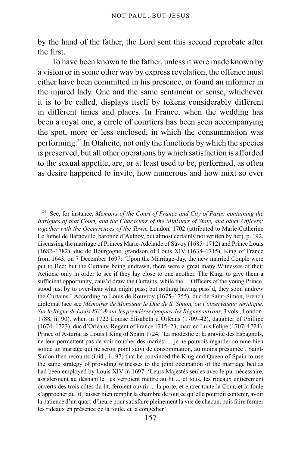by the hand of the father, the Lord sent this second reprobate after the first.

To have been known to the father, unless it were made known by a vision or in some other way by express revelation, the offence must either have been committed in his presence, or found an informer in the injured lady. One and the same sentiment or sense, whichever it is to be called, displays itself by tokens considerably different in different times and places. In France, when the wedding has been a royal one, a circle of courtiers has been seen accompanying the spot, more or less enclosed, in which the consummation was performing.[24](#page-156-0) In Otaheite, not only the functions by which the species is preserved, but all other operations by which satisfaction is afforded to the sexual appetite, are, or at least used to be, performed, as often as desire happened to invite, how numerous and how mixt so ever

<span id="page-156-0"></span><sup>24</sup> See, for instance, *Memoirs of the Court of France and City of Paris: containing the Intrigues of that Court, and the Characters of the Ministers of State, and other Officers; together with the Occurrences of the Town*, London, 1702 (attributed to Marie-Catherine Le Jumel de Barneville, baronne d'Aulnoy, but almost certainly not written by her), p. 192, discussing the marriage of Princes Marie-Adélaïde of Savoy (1685–1712) and Prince Louis (1682–1782), duc de Bourgogne, grandson of Louis XIV (1638–1715), King of France from 1643, on 7 December 1697: 'Upon the Marriage-day, the new married Couple were put to Bed; but the Curtains being undrawn, there were a great many Witnesses of their Actions, only in order to see if they lay close to one another. The King, to give them a sufficient opportunity, caus'd draw the Curtains, while the ... Officers of the young Prince, stood just by to over-hear what might pass; but nothing having pass'd, they soon undrew the Curtains.' According to Louis de Rouvroy (1675–1755), duc de Saint-Simon, French diplomat (see see *Mémoires de Monsieur le Duc de S. Simon, ou l'observateur véridique, Sur le Règne de Louis XIV, & sur les premières époques des Règnes suivans*, 3 vols., London, 1788, ii. 90), when in 1722 Louise Élisabeth d'Orléans (1709–42), daughter of Phillipe (1674–1723), duc d'Orléans, Regent of France 1715–23, married Luis Felipe (1707–1724), Prince of Asturia, as Louis I King of Spain 1724, 'La modestie et la gravité des Espagnols, ne leur permettent pas de voir coucher des mariés: ... je ne pouvois regarder comme bien solide un mariage qui ne seroit point suivi de consommation, au moins présumée'. Saint-Simon then recounts (ibid., ii. 97) that he convinced the King and Queen of Spain to use the same strategy of providing witnesses to the joint occupation of the marriage bed as had been employed by Louis XIV in 1697: 'Leurs Majestés seules avec le pur nécessaire, assisteroient au déshabillé, les verroient mettre au lit ... et tous, les rideaux entièrement ouverts des trois côtés du lit, feroient ouvrir ... la porte, et entrer toute la Cour, et la foule s'approcher du lit, laisser bien remplir la chambre de tout ce qu'elle pourroit contenir, avoir la patience d'un quart-d'heure pour satisfaire pleinement la vue de chacun, puis faire fermer les rideaux en présence de la foule, et la congédier'.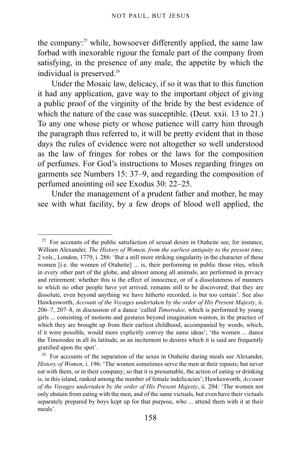the company:<sup>[25](#page-157-0)</sup> while, howsoever differently applied, the same law forbad with inexorable rigour the female part of the company from satisfying, in the presence of any male, the appetite by which the individual is preserved.<sup>[26](#page-157-1)</sup>

Under the Mosaic law, delicacy, if so it was that to this function it had any application, gave way to the important object of giving a public proof of the virginity of the bride by the best evidence of which the nature of the case was susceptible. (Deut. xxii. 13 to 21.) To any one whose piety or whose patience will carry him through the paragraph thus referred to, it will be pretty evident that in those days the rules of evidence were not altogether so well understood as the law of fringes for robes or the laws for the composition of perfumes. For God's instructions to Moses regarding fringes on garments see Numbers 15: 37–9, and regarding the composition of perfumed anointing oil see Exodus 30: 22–25.

Under the management of a prudent father and mother, he may see with what facility, by a few drops of blood well applied, the

<span id="page-157-0"></span><sup>&</sup>lt;sup>25</sup> For accounts of the public satisfaction of sexual desire in Otaheite see, for instance, William Alexander, *The History of Women, from the earliest antiquity to the present time*, 2 vols., London, 1779, i. 286: 'But a still more striking singularity in the character of these women [i.e. the women of Otaheite] ... is, their performing in public those rites, which in every other part of the globe, and almost among all animals, are performed in privacy and retirement: whether this is the effect of innocence, or of a dissoluteness of manners to which no other people have yet arrived, remains still to be discovered; that they are dissolute, even beyond anything we have hitherto recorded, is but too certain'. See also Hawkesworth, *Account of the Voyages undertaken by the order of His Present Majesty*, ii. 206–7, 207–8, in discussion of a dance 'called *Timorodee*, which is performed by young girls ... consisting of motions and gestures beyond imagination wanton, in the practice of which they are brought up from their earliest childhood, accompanied by words, which, if it were possible, would more explicitly convey the same ideas'; 'the women ... dance the Timorodee in all its latitude, as an incitement to desires which it is said are frequently gratified upon the spot'.

<span id="page-157-1"></span><sup>&</sup>lt;sup>26</sup> For accounts of the separation of the sexes in Otaheite during meals see Alexander, *History of Women*, i. 196: 'The women sometimes serve the men at their repasts; but never eat with them, or in their company; so that it is presumable, the action of eating or drinking is, in this island, ranked among the number of female indelicacies'; Hawkesworth, *Account of the Voyages undertaken by the order of His Present Majesty*, ii. 204: 'The women not only abstain from eating with the men, and of the same victuals, but even have their victuals separately prepared by boys kept up for that purpose, who ... attend them with it at their meals'.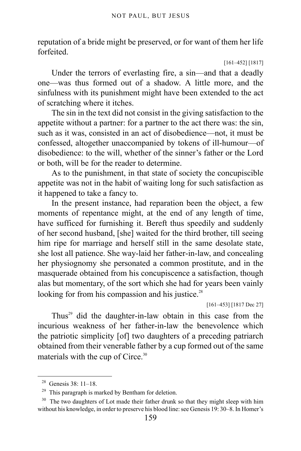reputation of a bride might be preserved, or for want of them her life forfeited.

[161–452] [1817]

Under the terrors of everlasting fire, a sin—and that a deadly one—was thus formed out of a shadow. A little more, and the sinfulness with its punishment might have been extended to the act of scratching where it itches.

The sin in the text did not consist in the giving satisfaction to the appetite without a partner: for a partner to the act there was: the sin, such as it was, consisted in an act of disobedience—not, it must be confessed, altogether unaccompanied by tokens of ill-humour—of disobedience: to the will, whether of the sinner's father or the Lord or both, will be for the reader to determine.

As to the punishment, in that state of society the concupiscible appetite was not in the habit of waiting long for such satisfaction as it happened to take a fancy to.

In the present instance, had reparation been the object, a few moments of repentance might, at the end of any length of time, have sufficed for furnishing it. Bereft thus speedily and suddenly of her second husband, [she] waited for the third brother, till seeing him ripe for marriage and herself still in the same desolate state, she lost all patience. She way-laid her father-in-law, and concealing her physiognomy she personated a common prostitute, and in the masquerade obtained from his concupiscence a satisfaction, though alas but momentary, of the sort which she had for years been vainly looking for from his compassion and his justice.<sup>[28](#page-158-0)</sup>

[161–453] [1817 Dec 27]

Thus<sup>[29](#page-158-1)</sup> did the daughter-in-law obtain in this case from the incurious weakness of her father-in-law the benevolence which the patriotic simplicity [of] two daughters of a preceding patriarch obtained from their venerable father by a cup formed out of the same materials with the cup of Circe.<sup>[30](#page-158-2)</sup>

<span id="page-158-0"></span><sup>28</sup> Genesis 38: 11–18.

<span id="page-158-1"></span><sup>29</sup> This paragraph is marked by Bentham for deletion.

<span id="page-158-2"></span> $30$  The two daughters of Lot made their father drunk so that they might sleep with him without his knowledge, in order to preserve his blood line: see Genesis 19: 30–8. In Homer's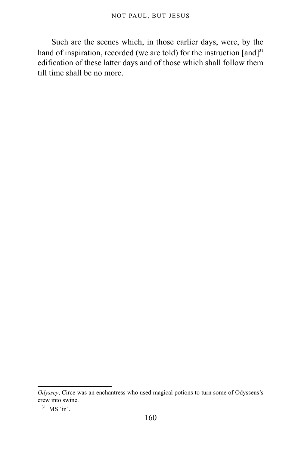Such are the scenes which, in those earlier days, were, by the hand of inspiration, recorded (we are told) for the instruction  $[and]$ <sup>[31](#page-159-0)</sup> edification of these latter days and of those which shall follow them till time shall be no more.

*Odyssey*, Circe was an enchantress who used magical potions to turn some of Odysseus's crew into swine.

<span id="page-159-0"></span> $31$  MS 'in'.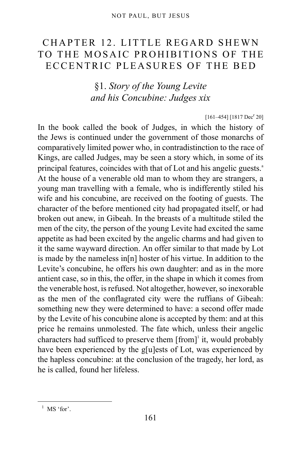## <span id="page-160-0"></span>CHAPTER 12. LITTLE REGARD SHEWN TO THE MOSAIC PROHIBITIONS OF THE ECCENTRIC PLEASURES OF THE BED

§1. *Story of the Young Levite and his Concubine: Judges xix*

 $[161-454]$   $[1817 \text{ Dec}^r 20]$ 

In the book called the book of Judges, in which the history of the Jews is continued under the government of those monarchs of comparatively limited power who, in contradistinction to the race of Kings, are called Judges, may be seen a story which, in some of its princip[a](#page-161-0)l features, coincides with that of Lot and his angelic guests.<sup>a</sup> At the house of a venerable old man to whom they are strangers, a young man travelling with a female, who is indifferently stiled his wife and his concubine, are received on the footing of guests. The character of the before mentioned city had propagated itself, or had broken out anew, in Gibeah. In the breasts of a multitude stiled the men of the city, the person of the young Levite had excited the same appetite as had been excited by the angelic charms and had given to it the same wayward direction. An offer similar to that made by Lot is made by the nameless in[n] hoster of his virtue. In addition to the Levite's concubine, he offers his own daughter: and as in the more antient case, so in this, the offer, in the shape in which it comes from the venerable host, is refused. Not altogether, however, so inexorable as the men of the conflagrated city were the ruffians of Gibeah: something new they were determined to have: a second offer made by the Levite of his concubine alone is accepted by them: and at this price he remains unmolested. The fate which, unless their angelic characters had sufficed to preserve them [from]<sup>[1](#page-160-1)</sup> it, would probably have been experienced by the g[u]ests of Lot, was experienced by the hapless concubine: at the conclusion of the tragedy, her lord, as he is called, found her lifeless.

<span id="page-160-1"></span> $<sup>1</sup>$  MS 'for'.</sup>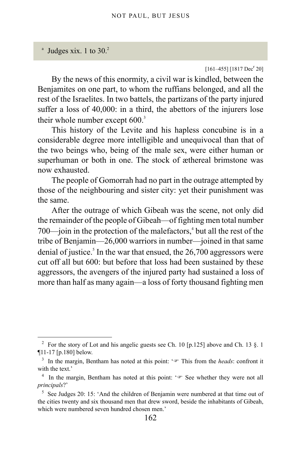<span id="page-161-0"></span> $^{\circ}$  Judges xix. 1 to 30.<sup>[2](#page-161-1)</sup>

#### $[161-455]$   $[1817 \text{ Dec}^r 20]$

By the news of this enormity, a civil war is kindled, between the Benjamites on one part, to whom the ruffians belonged, and all the rest of the Israelites. In two battels, the partizans of the party injured suffer a loss of 40,000: in a third, the abettors of the injurers lose their whole number except 600.<sup>[3](#page-161-2)</sup>

This history of the Levite and his hapless concubine is in a considerable degree more intelligible and unequivocal than that of the two beings who, being of the male sex, were either human or superhuman or both in one. The stock of æthereal brimstone was now exhausted.

The people of Gomorrah had no part in the outrage attempted by those of the neighbouring and sister city: yet their punishment was the same.

After the outrage of which Gibeah was the scene, not only did the remainder of the people of Gibeah—of fighting men total number 700—join in the protection of the malefactors, $4$  but all the rest of the tribe of Benjamin—26,000 warriors in number—joined in that same denial of justice.<sup>[5](#page-161-4)</sup> In the war that ensued, the 26,700 aggressors were cut off all but 600: but before that loss had been sustained by these aggressors, the avengers of the injured party had sustained a loss of more than half as many again—a loss of forty thousand fighting men

<span id="page-161-1"></span><sup>&</sup>lt;sup>2</sup> For the story of Lot and his angelic guests see [Ch. 10 \[p.125\]](#page-124-0) above and Ch. 13  $\S$ . 1 [¶11-17 \[p.180\]](#page-179-0) below.

<span id="page-161-2"></span><sup>&</sup>lt;sup>3</sup> In the margin, Bentham has noted at this point:  $\sqrt{p}$  This from the *heads*: confront it with the text.'

<span id="page-161-3"></span><sup>&</sup>lt;sup>4</sup> In the margin, Bentham has noted at this point:  $\sqrt{r}$  See whether they were not all *principals*?'

<span id="page-161-4"></span><sup>&</sup>lt;sup>5</sup> See Judges 20: 15: 'And the children of Benjamin were numbered at that time out of the cities twenty and six thousand men that drew sword, beside the inhabitants of Gibeah, which were numbered seven hundred chosen men.'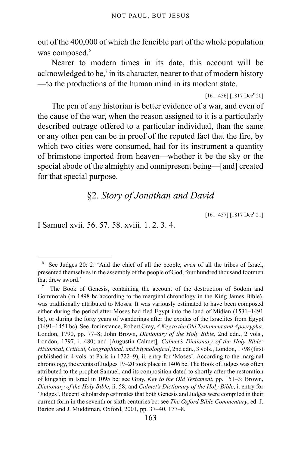out of the 400,000 of which the fencible part of the whole population was composed.<sup>[6](#page-162-0)</sup>

Nearer to modern times in its date, this account will be acknowledged to be,<sup>[7](#page-162-1)</sup> in its character, nearer to that of modern history —to the productions of the human mind in its modern state.

 $[161-456]$   $[1817$  Dec<sup>r</sup> 20]

The pen of any historian is better evidence of a war, and even of the cause of the war, when the reason assigned to it is a particularly described outrage offered to a particular individual, than the same or any other pen can be in proof of the reputed fact that the fire, by which two cities were consumed, had for its instrument a quantity of brimstone imported from heaven—whether it be the sky or the special abode of the almighty and omnipresent being—[and] created for that special purpose.

### §2. *Story of Jonathan and David*

 $[161-457]$   $[1817 \text{ Dec}^r 21]$ 

I Samuel xvii. 56. 57. 58. xviii. 1. 2. 3. 4.

<span id="page-162-0"></span><sup>6</sup> See Judges 20: 2: 'And the chief of all the people, *even* of all the tribes of Israel, presented themselves in the assembly of the people of God, four hundred thousand footmen that drew sword.'

<span id="page-162-1"></span><sup>7</sup> The Book of Genesis, containing the account of the destruction of Sodom and Gommorah (in 1898 bc according to the marginal chronology in the King James Bible), was traditionally attributed to Moses. It was variously estimated to have been composed either during the period after Moses had fled Egypt into the land of Midian (1531–1491 bc), or during the forty years of wanderings after the exodus of the Israelites from Egypt (1491–1451 bc). See, for instance, Robert Gray, *A Key to the Old Testament and Apocrypha*, London, 1790, pp. 77–8; John Brown, *Dictionary of the Holy Bible*, 2nd edn., 2 vols., London, 1797, i. 480; and [Augustin Calmet], *Calmet's Dictionary of the Holy Bible: Historical, Critical, Geographical, and Etymological*, 2nd edn., 3 vols., London, 1798 (first published in 4 vols. at Paris in 1722–9), ii. entry for 'Moses'. According to the marginal chronology, the events of Judges 19–20 took place in 1406 bc. The Book of Judges was often attributed to the prophet Samuel, and its composition dated to shortly after the restoration of kingship in Israel in 1095 bc: see Gray, *Key to the Old Testament*, pp. 151–3; Brown, *Dictionary of the Holy Bible*, ii. 58; and *Calmet's Dictionary of the Holy Bible*, i. entry for 'Judges'. Recent scholarship estimates that both Genesis and Judges were compiled in their current form in the seventh or sixth centuries bc: see *The Oxford Bible Commentary*, ed. J. Barton and J. Muddiman, Oxford, 2001, pp. 37–40, 177–8.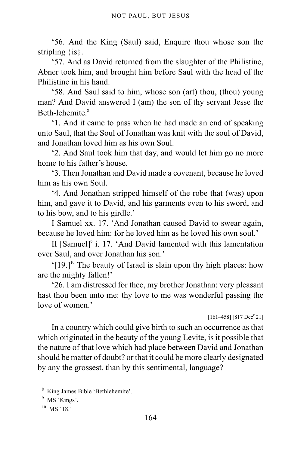'56. And the King (Saul) said, Enquire thou whose son the stripling {is}.

'57. And as David returned from the slaughter of the Philistine, Abner took him, and brought him before Saul with the head of the Philistine in his hand.

'58. And Saul said to him, whose son (art) thou, (thou) young man? And David answered I (am) the son of thy servant Jesse the Beth-lehemite $8$ 

'1. And it came to pass when he had made an end of speaking unto Saul, that the Soul of Jonathan was knit with the soul of David, and Jonathan loved him as his own Soul.

'2. And Saul took him that day, and would let him go no more home to his father's house.

'3. Then Jonathan and David made a covenant, because he loved him as his own Soul.

'4. And Jonathan stripped himself of the robe that (was) upon him, and gave it to David, and his garments even to his sword, and to his bow, and to his girdle.'

I Samuel xx. 17. 'And Jonathan caused David to swear again, because he loved him: for he loved him as he loved his own soul.'

II [Samuel]<sup>[9](#page-163-1)</sup> i. 17. 'And David lamented with this lamentation over Saul, and over Jonathan his son.'

 $[19.]$ <sup>[10](#page-163-2)</sup> The beauty of Israel is slain upon thy high places: how are the mighty fallen!'

'26. I am distressed for thee, my brother Jonathan: very pleasant hast thou been unto me: thy love to me was wonderful passing the love of women<sup>'</sup>

 $[161-458]$   $[817$  Dec<sup>r</sup> 21]

In a country which could give birth to such an occurrence as that which originated in the beauty of the young Levite, is it possible that the nature of that love which had place between David and Jonathan should be matter of doubt? or that it could be more clearly designated by any the grossest, than by this sentimental, language?

<span id="page-163-0"></span><sup>8</sup> King James Bible 'Bethlehemite'.

<span id="page-163-1"></span><sup>&</sup>lt;sup>9</sup> MS 'Kings'.

<span id="page-163-2"></span> $10$  MS '18.'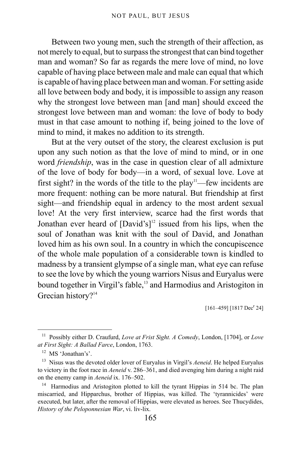Between two young men, such the strength of their affection, as not merely to equal, but to surpass the strongest that can bind together man and woman? So far as regards the mere love of mind, no love capable of having place between male and male can equal that which is capable of having place between man and woman. For setting aside all love between body and body, it is impossible to assign any reason why the strongest love between man [and man] should exceed the strongest love between man and woman: the love of body to body must in that case amount to nothing if, being joined to the love of mind to mind, it makes no addition to its strength.

But at the very outset of the story, the clearest exclusion is put upon any such notion as that the love of mind to mind, or in one word *friendship*, was in the case in question clear of all admixture of the love of body for body—in a word, of sexual love. Love at first sight? in the words of the title to the play<sup>[11](#page-164-0)</sup>—few incidents are more frequent: nothing can be more natural. But friendship at first sight—and friendship equal in ardency to the most ardent sexual love! At the very first interview, scarce had the first words that Jonathan ever heard of  $[David's]<sup>12</sup>$  $[David's]<sup>12</sup>$  $[David's]<sup>12</sup>$  issued from his lips, when the soul of Jonathan was knit with the soul of David, and Jonathan loved him as his own soul. In a country in which the concupiscence of the whole male population of a considerable town is kindled to madness by a transient glympse of a single man, what eye can refuse to see the love by which the young warriors Nisus and Euryalus were bound together in Virgil's fable,<sup>[13](#page-164-2)</sup> and Harmodius and Aristogiton in Grecian history?<sup>[14](#page-164-3)</sup>

 $[161-459]$   $[1817 \text{ Dec}^r 24]$ 

<span id="page-164-0"></span><sup>11</sup> Possibly either D. Craufurd, *Love at Frist Sight. A Comedy*, London, [1704], or *Love at First Sight: A Ballad Farce*, London, 1763.

<span id="page-164-1"></span><sup>12</sup> MS 'Jonathan's'.

<span id="page-164-2"></span><sup>13</sup> Nisus was the devoted older lover of Euryalus in Virgil's *Aeneid*. He helped Euryalus to victory in the foot race in *Aeneid* v. 286–361, and died avenging him during a night raid on the enemy camp in *Aeneid* ix. 176–502.

<span id="page-164-3"></span><sup>&</sup>lt;sup>14</sup> Harmodius and Aristogiton plotted to kill the tyrant Hippias in 514 bc. The plan miscarried, and Hipparchus, brother of Hippias, was killed. The 'tyrannicides' were executed, but later, after the removal of Hippias, were elevated as heroes. See Thucydides, *History of the Peloponnesian War*, vi. liv-lix.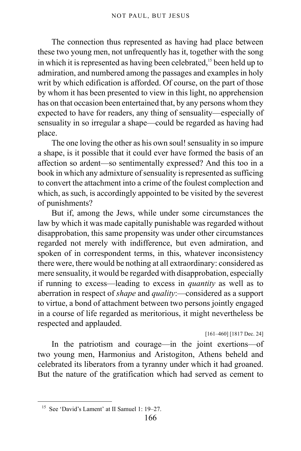The connection thus represented as having had place between these two young men, not unfrequently has it, together with the song in which it is represented as having been celebrated,<sup>[15](#page-165-0)</sup> been held up to admiration, and numbered among the passages and examples in holy writ by which edification is afforded. Of course, on the part of those by whom it has been presented to view in this light, no apprehension has on that occasion been entertained that, by any persons whom they expected to have for readers, any thing of sensuality—especially of sensuality in so irregular a shape—could be regarded as having had place.

The one loving the other as his own soul! sensuality in so impure a shape, is it possible that it could ever have formed the basis of an affection so ardent—so sentimentally expressed? And this too in a book in which any admixture of sensuality is represented as sufficing to convert the attachment into a crime of the foulest complection and which, as such, is accordingly appointed to be visited by the severest of punishments?

But if, among the Jews, while under some circumstances the law by which it was made capitally punishable was regarded without disapprobation, this same propensity was under other circumstances regarded not merely with indifference, but even admiration, and spoken of in correspondent terms, in this, whatever inconsistency there were, there would be nothing at all extraordinary: considered as mere sensuality, it would be regarded with disapprobation, especially if running to excess—leading to excess in *quantity* as well as to aberration in respect of *shape* and *quality*:—considered as a support to virtue, a bond of attachment between two persons jointly engaged in a course of life regarded as meritorious, it might nevertheless be respected and applauded.

[161–460] [1817 Dec. 24]

In the patriotism and courage—in the joint exertions—of two young men, Harmonius and Aristogiton, Athens beheld and celebrated its liberators from a tyranny under which it had groaned. But the nature of the gratification which had served as cement to

<span id="page-165-0"></span><sup>15</sup> See 'David's Lament' at II Samuel 1: 19–27.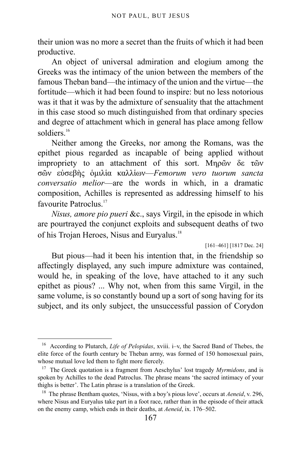their union was no more a secret than the fruits of which it had been productive.

An object of universal admiration and elogium among the Greeks was the intimacy of the union between the members of the famous Theban band—the intimacy of the union and the virtue—the fortitude—which it had been found to inspire: but no less notorious was it that it was by the admixture of sensuality that the attachment in this case stood so much distinguished from that ordinary species and degree of attachment which in general has place among fellow soldiers $16$ 

Neither among the Greeks, nor among the Romans, was the epithet pious regarded as incapable of being applied without impropriety to an attachment of this sort. Mηρῶν δε τῶν σῶν εὐσεβὴς ὁμιλἱα καλλἱων—*Femorum vero tuorum sancta conversatio melior*—are the words in which, in a dramatic composition, Achilles is represented as addressing himself to his favourite Patroclus.<sup>[17](#page-166-1)</sup>

*Nisus, amore pio pueri* &c., says Virgil, in the episode in which are pourtrayed the conjunct exploits and subsequent deaths of two of his Trojan Heroes, Nisus and Euryalus.<sup>[18](#page-166-2)</sup>

[161–461] [1817 Dec. 24]

But pious—had it been his intention that, in the friendship so affectingly displayed, any such impure admixture was contained, would he, in speaking of the love, have attached to it any such epithet as pious? ... Why not, when from this same Virgil, in the same volume, is so constantly bound up a sort of song having for its subject, and its only subject, the unsuccessful passion of Corydon

<span id="page-166-0"></span><sup>16</sup> According to Plutarch, *Life of Pelopidas*, xviii. i–v, the Sacred Band of Thebes, the elite force of the fourth century bc Theban army, was formed of 150 homosexual pairs, whose mutual love led them to fight more fiercely.

<span id="page-166-1"></span><sup>17</sup> The Greek quotation is a fragment from Aeschylus' lost tragedy *Myrmidons*, and is spoken by Achilles to the dead Patroclus. The phrase means 'the sacred intimacy of your thighs is better'. The Latin phrase is a translation of the Greek.

<span id="page-166-2"></span><sup>&</sup>lt;sup>18</sup> The phrase Bentham quotes, 'Nisus, with a boy's pious love', occurs at *Aeneid*, v. 296, where Nisus and Euryalus take part in a foot race, rather than in the episode of their attack on the enemy camp, which ends in their deaths, at *Aeneid*, ix. 176–502.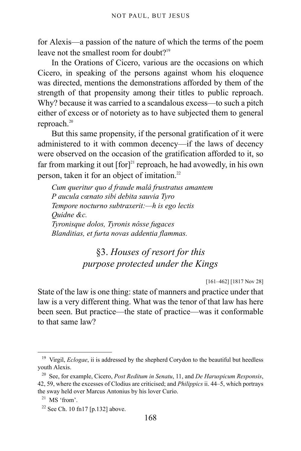for Alexis—a passion of the nature of which the terms of the poem leave not the smallest room for doubt?<sup>[19](#page-167-0)</sup>

In the Orations of Cicero, various are the occasions on which Cicero, in speaking of the persons against whom his eloquence was directed, mentions the demonstrations afforded by them of the strength of that propensity among their titles to public reproach. Why? because it was carried to a scandalous excess—to such a pitch either of excess or of notoriety as to have subjected them to general reproach.<sup>[20](#page-167-1)</sup>

But this same propensity, if the personal gratification of it were administered to it with common decency—if the laws of decency were observed on the occasion of the gratification afforded to it, so far from marking it out  $[for]$ <sup>[21](#page-167-2)</sup> reproach, he had avowedly, in his own person, taken it for an object of imitation.<sup>[22](#page-167-3)</sup>

*Cum queritur quo d fraude malâ frustratus amantem P aucula cœnato sibi debita sauvia Tyro Tempore nocturno subtraxerit:—h is ego lectis Quidne &c. Tyronisque dolos, Tyronis nôsse fugaces Blanditias, et furta novas addentia flammas.*

## §3. *Houses of resort for this purpose protected under the Kings*

[161–462] [1817 Nov 28]

State of the law is one thing: state of manners and practice under that law is a very different thing. What was the tenor of that law has here been seen. But practice—the state of practice—was it conformable to that same law?

<span id="page-167-0"></span><sup>&</sup>lt;sup>19</sup> Virgil, *Eclogae*, ii is addressed by the shepherd Corydon to the beautiful but heedless youth Alexis.

<span id="page-167-1"></span><sup>20</sup> See, for example, Cicero, *Post Reditum in Senatu*, 11, and *De Haruspicum Responsis*, 42, 59, where the excesses of Clodius are criticised; and *Philippics* ii. 44–5, which portrays the sway held over Marcus Antonius by his lover Curio.

<span id="page-167-2"></span> $21$  MS 'from'.

<span id="page-167-3"></span><sup>&</sup>lt;sup>22</sup> See [Ch. 10 fn17 \[p.132\]](#page-131-0) above.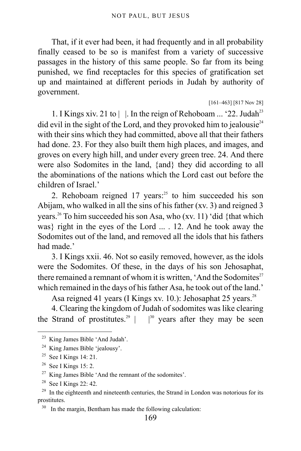That, if it ever had been, it had frequently and in all probability finally ceased to be so is manifest from a variety of successive passages in the history of this same people. So far from its being punished, we find receptacles for this species of gratification set up and maintained at different periods in Judah by authority of government.

[161–463] [817 Nov 28]

1. I Kings xiv. 21 to  $| \cdot |$ . In the reign of Rehoboam ... '22. Judah<sup>[23](#page-168-0)</sup> did evil in the sight of the Lord, and they provoked him to jealousie<sup>[24](#page-168-1)</sup> with their sins which they had committed, above all that their fathers had done. 23. For they also built them high places, and images, and groves on every high hill, and under every green tree. 24. And there were also Sodomites in the land, {and} they did according to all the abominations of the nations which the Lord cast out before the children of Israel.'

2. Rehoboam reigned  $17$  years:<sup>[25](#page-168-2)</sup> to him succeeded his son Abijam, who walked in all the sins of his father (xv. 3) and reigned 3 years.<sup>[26](#page-168-3)</sup> To him succeeded his son Asa, who (xv. 11) 'did {that which was} right in the eyes of the Lord ... . 12. And he took away the Sodomites out of the land, and removed all the idols that his fathers had made<sup>'</sup>

3. I Kings xxii. 46. Not so easily removed, however, as the idols were the Sodomites. Of these, in the days of his son Jehosaphat, there remained a remnant of whom it is written, 'And the Sodomites $2^7$ which remained in the days of his father Asa, he took out of the land.'

Asa reigned 41 years (I Kings xv. 10.): Jehosaphat 25 years.<sup>[28](#page-168-5)</sup>

4. Clearing the kingdom of Judah of sodomites was like clearing the Strand of prostitutes.<sup>[29](#page-168-6)</sup> |  $|30 \text{ years}$  $|30 \text{ years}$  $|30 \text{ years}$  after they may be seen

<span id="page-168-0"></span><sup>23</sup> King James Bible 'And Judah'.

<span id="page-168-1"></span><sup>&</sup>lt;sup>24</sup> King James Bible 'jealousy'.

<span id="page-168-2"></span><sup>&</sup>lt;sup>25</sup> See I Kings 14: 21.

<span id="page-168-3"></span> $26$  See I Kings 15: 2.

<span id="page-168-4"></span> $27$  King James Bible 'And the remnant of the sodomites'.

<span id="page-168-5"></span><sup>28</sup> See I Kings 22: 42.

<span id="page-168-6"></span> $29$  In the eighteenth and nineteenth centuries, the Strand in London was notorious for its prostitutes.

<span id="page-168-7"></span><sup>&</sup>lt;sup>30</sup> In the margin, Bentham has made the following calculation: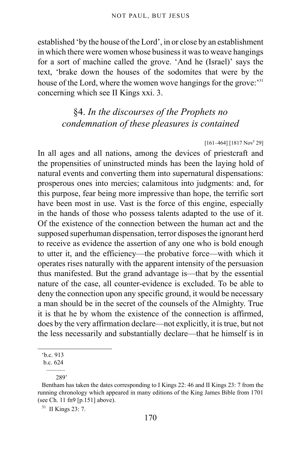established 'by the house of the Lord', in or close by an establishment in which there were women whose business it was to weave hangings for a sort of machine called the grove. 'And he (Israel)' says the text, 'brake down the houses of the sodomites that were by the house of the Lord, where the women wove hangings for the grove:<sup>[31](#page-169-0)</sup> concerning which see II Kings xxi. 3.

### §4. *In the discourses of the Prophets no condemnation of these pleasures is contained*

#### $[161-464]$  [1817 Nov<sup>r</sup> 29]

In all ages and all nations, among the devices of priestcraft and the propensities of uninstructed minds has been the laying hold of natural events and converting them into supernatural dispensations: prosperous ones into mercies; calamitous into judgments: and, for this purpose, fear being more impressive than hope, the terrific sort have been most in use. Vast is the force of this engine, especially in the hands of those who possess talents adapted to the use of it. Of the existence of the connection between the human act and the supposed superhuman dispensation, terror disposes the ignorant herd to receive as evidence the assertion of any one who is bold enough to utter it, and the efficiency—the probative force—with which it operates rises naturally with the apparent intensity of the persuasion thus manifested. But the grand advantage is—that by the essential nature of the case, all counter-evidence is excluded. To be able to deny the connection upon any specific ground, it would be necessary a man should be in the secret of the counsels of the Almighty. True it is that he by whom the existence of the connection is affirmed, does by the very affirmation declare—not explicitly, it is true, but not the less necessarily and substantially declare—that he himself is in

b.c. 624

<span id="page-169-0"></span><sup>31</sup> II Kings 23: 7.

<sup>&#</sup>x27;b.c. 913

 <sup>———</sup> 289'

Bentham has taken the dates corresponding to I Kings 22: 46 and II Kings 23: 7 from the running chronology which appeared in many editions of the King James Bible from 1701 (see [Ch. 11 fn9 \[p.151\]](#page-150-5) above).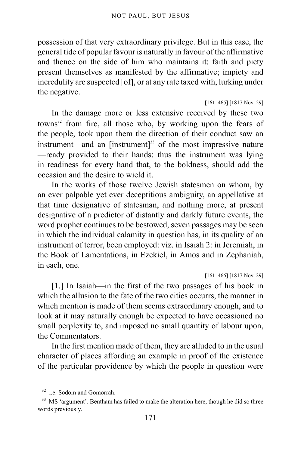possession of that very extraordinary privilege. But in this case, the general tide of popular favour is naturally in favour of the affirmative and thence on the side of him who maintains it: faith and piety present themselves as manifested by the affirmative; impiety and incredulity are suspected [of], or at any rate taxed with, lurking under the negative.

#### [161–465] [1817 Nov. 29]

In the damage more or less extensive received by these two towns<sup>[32](#page-170-0)</sup> from fire, all those who, by working upon the fears of the people, took upon them the direction of their conduct saw an instrument—and an  $[instrument]$ <sup>[33](#page-170-1)</sup> of the most impressive nature —ready provided to their hands: thus the instrument was lying in readiness for every hand that, to the boldness, should add the occasion and the desire to wield it.

In the works of those twelve Jewish statesmen on whom, by an ever palpable yet ever deceptitious ambiguity, an appellative at that time designative of statesman, and nothing more, at present designative of a predictor of distantly and darkly future events, the word prophet continues to be bestowed, seven passages may be seen in which the individual calamity in question has, in its quality of an instrument of terror, been employed: viz. in Isaiah 2: in Jeremiah, in the Book of Lamentations, in Ezekiel, in Amos and in Zephaniah, in each, one.

[161–466] [1817 Nov. 29]

[1.] In Isaiah—in the first of the two passages of his book in which the allusion to the fate of the two cities occurrs, the manner in which mention is made of them seems extraordinary enough, and to look at it may naturally enough be expected to have occasioned no small perplexity to, and imposed no small quantity of labour upon, the Commentators.

In the first mention made of them, they are alluded to in the usual character of places affording an example in proof of the existence of the particular providence by which the people in question were

<span id="page-170-0"></span><sup>32</sup> i.e. Sodom and Gomorrah.

<span id="page-170-1"></span><sup>&</sup>lt;sup>33</sup> MS 'argument'. Bentham has failed to make the alteration here, though he did so three words previously.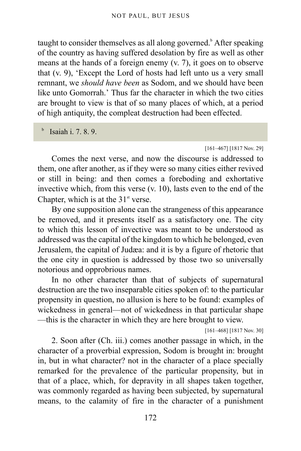taught to consider themselves as all along governed.<sup>[b](#page-171-0)</sup> After speaking of the country as having suffered desolation by fire as well as other means at the hands of a foreign enemy (v. 7), it goes on to observe that (v. 9), 'Except the Lord of hosts had left unto us a very small remnant, we *should have been* as Sodom, and we should have been like unto Gomorrah.' Thus far the character in which the two cities are brought to view is that of so many places of which, at a period of high antiquity, the compleat destruction had been effected.

Isaiah i. 7. 8. 9.

<span id="page-171-0"></span>b

[161–467] [1817 Nov. 29]

Comes the next verse, and now the discourse is addressed to them, one after another, as if they were so many cities either revived or still in being: and then comes a foreboding and exhortative invective which, from this verse (v. 10), lasts even to the end of the Chapter, which is at the  $31<sup>st</sup>$  verse.

By one supposition alone can the strangeness of this appearance be removed, and it presents itself as a satisfactory one. The city to which this lesson of invective was meant to be understood as addressed was the capital of the kingdom to which he belonged, even Jerusalem, the capital of Judæa: and it is by a figure of rhetoric that the one city in question is addressed by those two so universally notorious and opprobrious names.

In no other character than that of subjects of supernatural destruction are the two inseparable cities spoken of: to the particular propensity in question, no allusion is here to be found: examples of wickedness in general—not of wickedness in that particular shape —this is the character in which they are here brought to view.

[161–468] [1817 Nov. 30]

2. Soon after (Ch. iii.) comes another passage in which, in the character of a proverbial expression, Sodom is brought in: brought in, but in what character? not in the character of a place specially remarked for the prevalence of the particular propensity, but in that of a place, which, for depravity in all shapes taken together, was commonly regarded as having been subjected, by supernatural means, to the calamity of fire in the character of a punishment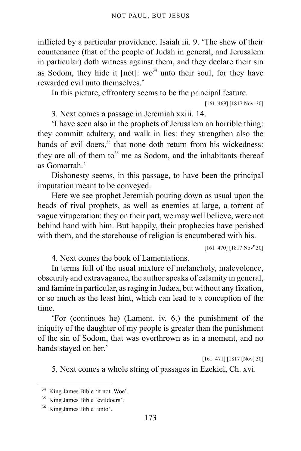inflicted by a particular providence. Isaiah iii. 9. 'The shew of their countenance (that of the people of Judah in general, and Jerusalem in particular) doth witness against them, and they declare their sin as Sodom, they hide it  $[not]$ : wo<sup>[34](#page-172-0)</sup> unto their soul, for they have rewarded evil unto themselves.'

In this picture, effrontery seems to be the principal feature.

[161–469] [1817 Nov. 30]

3. Next comes a passage in Jeremiah xxiii. 14.

'I have seen also in the prophets of Jerusalem an horrible thing: they committ adultery, and walk in lies: they strengthen also the hands of evil doers,<sup>[35](#page-172-1)</sup> that none doth return from his wickedness: they are all of them to<sup>[36](#page-172-2)</sup> me as Sodom, and the inhabitants thereof as Gomorrah.'

Dishonesty seems, in this passage, to have been the principal imputation meant to be conveyed.

Here we see prophet Jeremiah pouring down as usual upon the heads of rival prophets, as well as enemies at large, a torrent of vague vituperation: they on their part, we may well believe, were not behind hand with him. But happily, their prophecies have perished with them, and the storehouse of religion is encumbered with his.

 $[161-470]$   $[1817 Nov<sup>r</sup> 30]$ 

4. Next comes the book of Lamentations.

In terms full of the usual mixture of melancholy, malevolence, obscurity and extravagance, the author speaks of calamity in general, and famine in particular, as raging in Judæa, but without any fixation, or so much as the least hint, which can lead to a conception of the time.

'For (continues he) (Lament. iv. 6.) the punishment of the iniquity of the daughter of my people is greater than the punishment of the sin of Sodom, that was overthrown as in a moment, and no hands stayed on her.'

[161–471] [1817 [Nov] 30]

5. Next comes a whole string of passages in Ezekiel, Ch. xvi.

<span id="page-172-0"></span><sup>34</sup> King James Bible 'it not. Woe'.

<span id="page-172-1"></span><sup>35</sup> King James Bible 'evildoers'.

<span id="page-172-2"></span><sup>36</sup> King James Bible 'unto'.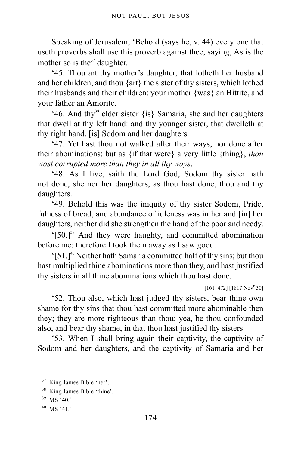Speaking of Jerusalem, 'Behold (says he, v. 44) every one that useth proverbs shall use this proverb against thee, saying, As is the mother so is the  $37$  daughter.

'45. Thou art thy mother's daughter, that lotheth her husband and her children, and thou {art} the sister of thy sisters, which lothed their husbands and their children: your mother {was} an Hittite, and your father an Amorite.

'46. And thy<sup>[38](#page-173-1)</sup> elder sister  $\{is\}$  Samaria, she and her daughters that dwell at thy left hand: and thy younger sister, that dwelleth at thy right hand, [is] Sodom and her daughters.

'47. Yet hast thou not walked after their ways, nor done after their abominations: but as {if that were} a very little {thing}, *thou wast corrupted more than they in all thy ways*.

'48. As I live, saith the Lord God, Sodom thy sister hath not done, she nor her daughters, as thou hast done, thou and thy daughters.

'49. Behold this was the iniquity of thy sister Sodom, Pride, fulness of bread, and abundance of idleness was in her and [in] her daughters, neither did she strengthen the hand of the poor and needy.

'[50.][39](#page-173-2) And they were haughty, and committed abomination before me: therefore I took them away as I saw good.

'[51.][40](#page-173-3) Neither hath Samaria committed half of thy sins; but thou hast multiplied thine abominations more than they, and hast justified thy sisters in all thine abominations which thou hast done.

 $[161-472]$   $[1817 Nov<sup>r</sup> 30]$ 

'52. Thou also, which hast judged thy sisters, bear thine own shame for thy sins that thou hast committed more abominable then they; they are more righteous than thou: yea, be thou confounded also, and bear thy shame, in that thou hast justified thy sisters.

'53. When I shall bring again their captivity, the captivity of Sodom and her daughters, and the captivity of Samaria and her

<span id="page-173-0"></span><sup>37</sup> King James Bible 'her'.

<span id="page-173-1"></span><sup>38</sup> King James Bible 'thine'.

<span id="page-173-2"></span><sup>39</sup> MS '40.'

<span id="page-173-3"></span> $40$  MS '41.'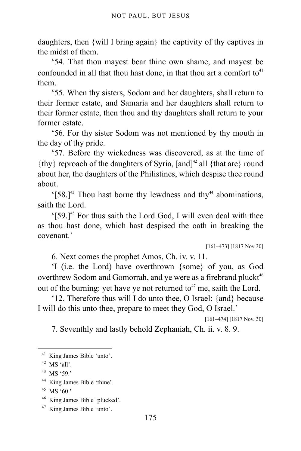daughters, then {will I bring again} the captivity of thy captives in the midst of them.

'54. That thou mayest bear thine own shame, and mayest be confounded in all that thou hast done, in that thou art a comfort to<sup>[41](#page-174-0)</sup> them.

'55. When thy sisters, Sodom and her daughters, shall return to their former estate, and Samaria and her daughters shall return to their former estate, then thou and thy daughters shall return to your former estate.

'56. For thy sister Sodom was not mentioned by thy mouth in the day of thy pride.

'57. Before thy wickedness was discovered, as at the time of  $\{$ thy $\}$  reproach of the daughters of Syria, [and]<sup>[42](#page-174-1)</sup> all  $\{$ that are $\}$  round about her, the daughters of the Philistines, which despise thee round about.

 $[58.]^{43}$  $[58.]^{43}$  $[58.]^{43}$  Thou hast borne thy lewdness and thy<sup>[44](#page-174-3)</sup> abominations, saith the Lord.

'[59.][45](#page-174-4) For thus saith the Lord God, I will even deal with thee as thou hast done, which hast despised the oath in breaking the covenant.'

[161–473] [1817 Nov 30]

6. Next comes the prophet Amos, Ch. iv. v. 11.

'I (i.e. the Lord) have overthrown {some} of you, as God overthrew Sodom and Gomorrah, and ye were as a firebrand pluckt<sup>[46](#page-174-5)</sup> out of the burning: yet have ye not returned to<sup> $47$ </sup> me, saith the Lord.

'12. Therefore thus will I do unto thee, O Israel: {and} because I will do this unto thee, prepare to meet they God, O Israel.'

[161–474] [1817 Nov. 30]

7. Seventhly and lastly behold Zephaniah, Ch. ii. v. 8. 9.

<span id="page-174-0"></span><sup>41</sup> King James Bible 'unto'.

<span id="page-174-1"></span> $42$  MS 'all'.

<span id="page-174-2"></span><sup>43</sup> MS '59.'

<span id="page-174-3"></span><sup>44</sup> King James Bible 'thine'.

<span id="page-174-4"></span><sup>45</sup> MS '60.'

<span id="page-174-5"></span><sup>46</sup> King James Bible 'plucked'.

<span id="page-174-6"></span><sup>47</sup> King James Bible 'unto'.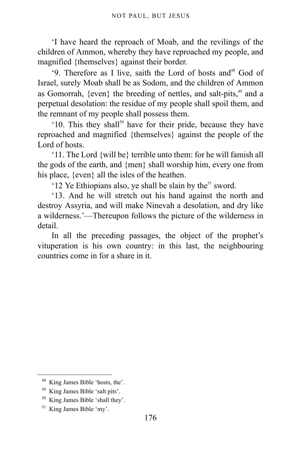'I have heard the reproach of Moab, and the revilings of the children of Ammon, whereby they have reproached my people, and magnified {themselves} against their border.

'9. Therefore as I live, saith the Lord of hosts and<sup>[48](#page-175-0)</sup> God of Israel, surely Moab shall be as Sodom, and the children of Ammon as Gomorrah, {even} the breeding of nettles, and salt-pits,<sup>[49](#page-175-1)</sup> and a perpetual desolation: the residue of my people shall spoil them, and the remnant of my people shall possess them.

 $10$ . This they shall<sup>[50](#page-175-2)</sup> have for their pride, because they have reproached and magnified {themselves} against the people of the Lord of hosts.

'11. The Lord {will be} terrible unto them: for he will famish all the gods of the earth, and {men} shall worship him, every one from his place, {even} all the isles of the heathen.

'12 Ye Ethiopians also, ye shall be slain by the $51$  sword.

'13. And he will stretch out his hand against the north and destroy Assyria, and will make Ninevah a desolation, and dry like a wilderness.'—Thereupon follows the picture of the wilderness in detail.

In all the preceding passages, the object of the prophet's vituperation is his own country: in this last, the neighbouring countries come in for a share in it.

<span id="page-175-0"></span><sup>48</sup> King James Bible 'hosts, the'.

<span id="page-175-1"></span><sup>49</sup> King James Bible 'salt pits'.

<span id="page-175-2"></span><sup>50</sup> King James Bible 'shall they'.

<span id="page-175-3"></span><sup>51</sup> King James Bible 'my'.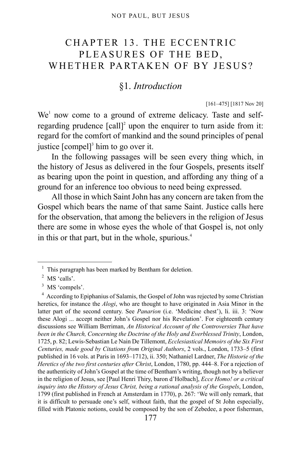## CHAPTER 13. THE ECCENTRIC PLEASURES OF THE BED, WHETHER PARTAKEN OF BY JESUS?

### §1. *Introduction*

[161–475] [1817 Nov 20]

We<sup>[1](#page-176-0)</sup> now come to a ground of extreme delicacy. Taste and selfregarding prudence  $\lbrack \text{call} \rbrack^2$  $\lbrack \text{call} \rbrack^2$  upon the enquirer to turn aside from it: regard for the comfort of mankind and the sound principles of penal justice  $[{\rm comple}]^3$  $[{\rm comple}]^3$  him to go over it.

In the following passages will be seen every thing which, in the history of Jesus as delivered in the four Gospels, presents itself as bearing upon the point in question, and affording any thing of a ground for an inference too obvious to need being expressed.

All those in which Saint John has any concern are taken from the Gospel which bears the name of that same Saint. Justice calls here for the observation, that among the believers in the religion of Jesus there are some in whose eyes the whole of that Gospel is, not only in this or that part, but in the whole, spurious.<sup>[4](#page-176-3)</sup>

<span id="page-176-0"></span><sup>&</sup>lt;sup>1</sup> This paragraph has been marked by Bentham for deletion.

<span id="page-176-1"></span><sup>&</sup>lt;sup>2</sup> MS 'calls'.

<span id="page-176-2"></span><sup>&</sup>lt;sup>3</sup> MS 'compels'.

<span id="page-176-3"></span><sup>&</sup>lt;sup>4</sup> According to Epiphanius of Salamis, the Gospel of John was rejected by some Christian heretics, for instance the *Alogi*, who are thought to have originated in Asia Minor in the latter part of the second century. See *Panarion* (i.e. 'Medicine chest'), li. iii. 3: 'Now these Alogi ... accept neither John's Gospel nor his Revelation'. For eighteenth century discussions see William Berriman, *An Historical Account of the Controversies That have been in the Church, Concerning the Doctrine of the Holy and Everblessed Trinity*, London, 1725, p. 82; Lewis-Sebastian Le Nain De Tillemont, *Ecclesiastical Memoirs of the Six First Centuries, made good by Citations from Original Authors*, 2 vols., London, 1733–5 (first published in 16 vols. at Paris in 1693–1712), ii. 350; Nathaniel Lardner, *The Historie of the Heretics of the two first centuries after Christ*, London, 1780, pp. 444–8. For a rejection of the authenticity of John's Gospel at the time of Bentham's writing, though not by a believer in the religion of Jesus, see [Paul Henri Thiry, baron d'Holbach], *Ecce Homo! or a critical inquiry into the History of Jesus Christ, being a rational analysis of the Gospels*, London, 1799 (first published in French at Amsterdam in 1770), p. 267: 'We will only remark, that it is difficult to persuade one's self, without faith, that the gospel of St John especially, filled with Platonic notions, could be composed by the son of Zebedee, a poor fisherman,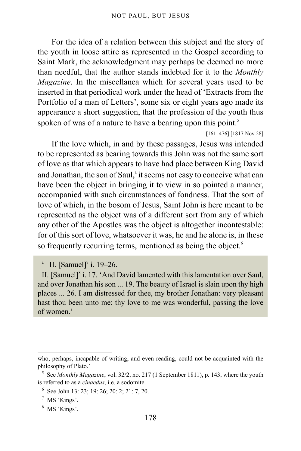For the idea of a relation between this subject and the story of the youth in loose attire as represented in the Gospel according to Saint Mark, the acknowledgment may perhaps be deemed no more than needful, that the author stands indebted for it to the *Monthly Magazine*. In the miscellanea which for several years used to be inserted in that periodical work under the head of 'Extracts from the Portfolio of a man of Letters', some six or eight years ago made its appearance a short suggestion, that the profession of the youth thus spoken of was of a nature to have a bearing upon this point.<sup>[5](#page-177-0)</sup>

[161–476] [1817 Nov 28]

If the love which, in and by these passages, Jesus was intended to be represented as bearing towards this John was not the same sort of love as that which appears to have had place between King David [a](#page-177-1)nd Jonathan, the son of Saul,<sup>a</sup> it seems not easy to conceive what can have been the object in bringing it to view in so pointed a manner, accompanied with such circumstances of fondness. That the sort of love of which, in the bosom of Jesus, Saint John is here meant to be represented as the object was of a different sort from any of which any other of the Apostles was the object is altogether incontestable: for of this sort of love, whatsoever it was, he and he alone is, in these so frequently recurring terms, mentioned as being the object.<sup>[6](#page-177-2)</sup>

II. [Samuel] $\delta$  i. 17. 'And David lamented with this lamentation over Saul, and over Jonathan his son ... 19. The beauty of Israel is slain upon thy high places ... 26. I am distressed for thee, my brother Jonathan: very pleasant hast thou been unto me: thy love to me was wonderful, passing the love of women.'

<span id="page-177-1"></span>a II. [Samuel]<sup>[7](#page-177-3)</sup> i. 19–26.

who, perhaps, incapable of writing, and even reading, could not be acquainted with the philosophy of Plato.'

<span id="page-177-0"></span><sup>&</sup>lt;sup>5</sup> See *Monthly Magazine*, vol. 32/2, no. 217 (1 September 1811), p. 143, where the youth is referred to as a *cinaedus*, i.e. a sodomite.

<span id="page-177-2"></span><sup>6</sup> See John 13: 23; 19: 26; 20: 2; 21: 7, 20.

<span id="page-177-3"></span><sup>7</sup> MS 'Kings'.

<span id="page-177-4"></span><sup>8</sup> MS 'Kings'.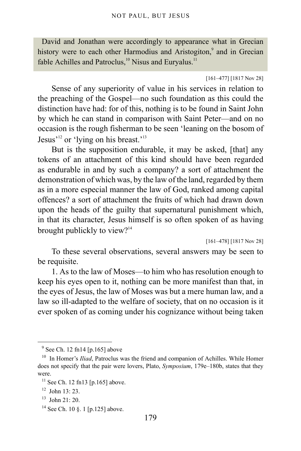David and Jonathan were accordingly to appearance what in Grecian history were to each other Harmodius and Aristogiton,<sup>[9](#page-178-0)</sup> and in Grecian fable Achilles and Patroclus, $10$  Nisus and Euryalus.<sup>[11](#page-178-2)</sup>

[161–477] [1817 Nov 28]

Sense of any superiority of value in his services in relation to the preaching of the Gospel—no such foundation as this could the distinction have had: for of this, nothing is to be found in Saint John by which he can stand in comparison with Saint Peter—and on no occasion is the rough fisherman to be seen 'leaning on the bosom of Jesus<sup>'[12](#page-178-3)</sup> or 'lying on his breast.'<sup>[13](#page-178-4)</sup>

But is the supposition endurable, it may be asked, [that] any tokens of an attachment of this kind should have been regarded as endurable in and by such a company? a sort of attachment the demonstration of which was, by the law of the land, regarded by them as in a more especial manner the law of God, ranked among capital offences? a sort of attachment the fruits of which had drawn down upon the heads of the guilty that supernatural punishment which, in that its character, Jesus himself is so often spoken of as having brought publickly to view? $14$ 

[161–478] [1817 Nov 28]

To these several observations, several answers may be seen to be requisite.

1. As to the law of Moses—to him who has resolution enough to keep his eyes open to it, nothing can be more manifest than that, in the eyes of Jesus, the law of Moses was but a mere human law, and a law so ill-adapted to the welfare of society, that on no occasion is it ever spoken of as coming under his cognizance without being taken

<span id="page-178-0"></span> $9^9$  See [Ch. 12 fn14 \[p.165\]](#page-164-3) above

<span id="page-178-1"></span><sup>&</sup>lt;sup>10</sup> In Homer's *Iliad*, Patroclus was the friend and companion of Achilles. While Homer does not specify that the pair were lovers, Plato, *Symposium*, 179e–180b, states that they were.

<span id="page-178-2"></span> $11$  See [Ch. 12 fn13 \[p.165\]](#page-164-2) above.

<span id="page-178-3"></span><sup>12</sup> John 13: 23.

<span id="page-178-4"></span> $13$  John 21: 20.

<span id="page-178-5"></span><sup>&</sup>lt;sup>14</sup> See [Ch. 10 §. 1 \[p.125\]](#page-124-1) above.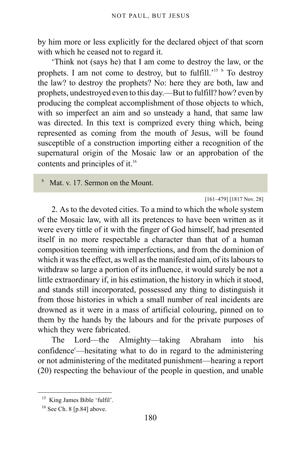by him more or less explicitly for the declared object of that scorn with which he ceased not to regard it.

'Think not (says he) that I am come to destroy the law, or the prophets. I am not come to destroy, but to fulfill.<sup>2[15](#page-179-1)</sup> [b](#page-179-2) To destroy the law? to destroy the prophets? No: here they are both, law and prophets, undestroyed even to this day.—But to fulfill? how? even by producing the compleat accomplishment of those objects to which, with so imperfect an aim and so unsteady a hand, that same law was directed. In this text is comprized every thing which, being represented as coming from the mouth of Jesus, will be found susceptible of a construction importing either a recognition of the supernatural origin of the Mosaic law or an approbation of the contents and principles of it.<sup>[16](#page-179-3)</sup>

<span id="page-179-2"></span>b Mat. v. 17. Sermon on the Mount.

#### [161–479] [1817 Nov. 28]

<span id="page-179-0"></span>2. As to the devoted cities. To a mind to which the whole system of the Mosaic law, with all its pretences to have been written as it were every tittle of it with the finger of God himself, had presented itself in no more respectable a character than that of a human composition teeming with imperfections, and from the dominion of which it was the effect, as well as the manifested aim, of its labours to withdraw so large a portion of its influence, it would surely be not a little extraordinary if, in his estimation, the history in which it stood, and stands still incorporated, possessed any thing to distinguish it from those histories in which a small number of real incidents are drowned as it were in a mass of artificial colouring, pinned on to them by the hands by the labours and for the private purposes of which they were fabricated.

The Lord—the Almighty—taking Abraham into his  $confidence<sup>c</sup>$  $confidence<sup>c</sup>$ —hesitating what to do in regard to the administering or not administering of the meditated punishment—hearing a report (20) respecting the behaviour of the people in question, and unable

<span id="page-179-1"></span><sup>&</sup>lt;sup>15</sup> King James Bible 'fulfil'.

<span id="page-179-3"></span><sup>&</sup>lt;sup>16</sup> See [Ch. 8 \[p.84\]](#page-83-0) above.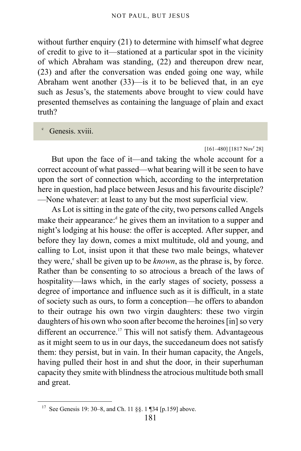without further enquiry (21) to determine with himself what degree of credit to give to it—stationed at a particular spot in the vicinity of which Abraham was standing, (22) and thereupon drew near, (23) and after the conversation was ended going one way, while Abraham went another (33)—is it to be believed that, in an eye such as Jesus's, the statements above brought to view could have presented themselves as containing the language of plain and exact truth?

c Genesis. xviii.

### $[161-480]$   $[1817 Nov<sup>r</sup> 28]$

But upon the face of it—and taking the whole account for a correct account of what passed—what bearing will it be seen to have upon the sort of connection which, according to the interpretation here in question, had place between Jesus and his favourite disciple? —None whatever: at least to any but the most superficial view.

As Lot is sitting in the gate of the city, two persons called Angels make their appearance:<sup>[d](#page-181-0)</sup> he gives them an invitation to a supper and night's lodging at his house: the offer is accepted. After supper, and before they lay down, comes a mixt multitude, old and young, and calling to Lot, insist upon it that these two male beings, whatever th[e](#page-181-1)y were,<sup>e</sup> shall be given up to be *known*, as the phrase is, by force. Rather than be consenting to so atrocious a breach of the laws of hospitality—laws which, in the early stages of society, possess a degree of importance and influence such as it is difficult, in a state of society such as ours, to form a conception—he offers to abandon to their outrage his own two virgin daughters: these two virgin daughters of his own who soon after become the heroines [in] so very different an occurrence.<sup>[17](#page-180-0)</sup> This will not satisfy them. Advantageous as it might seem to us in our days, the succedaneum does not satisfy them: they persist, but in vain. In their human capacity, the Angels, having pulled their host in and shut the door, in their superhuman capacity they smite with blindness the atrocious multitude both small and great.

<span id="page-180-0"></span><sup>17</sup> See Genesis 19: 30–8, and [Ch. 11 §§. 1 ¶34 \[p.159\]](#page-158-0) above.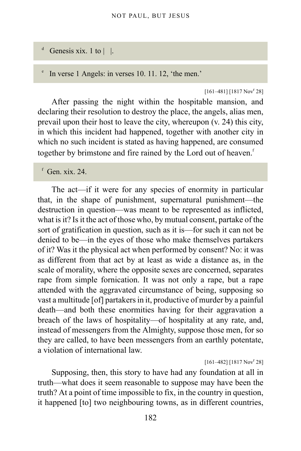#### <span id="page-181-0"></span>d Genesis xix. 1 to  $| \cdot |$ .

<span id="page-181-1"></span>e In verse 1 Angels: in verses 10. 11. 12, 'the men.'

 $[161-481]$   $[1817 Nov<sup>r</sup> 28]$ 

After passing the night within the hospitable mansion, and declaring their resolution to destroy the place, the angels, alias men, prevail upon their host to leave the city, whereupon (v. 24) this city, in which this incident had happened, together with another city in which no such incident is stated as having happened, are consumed together by brimstone and [f](#page-181-2)ire rained by the Lord out of heaven.<sup>f</sup>

<span id="page-181-2"></span> $f$  Gen. xix. 24.

The act—if it were for any species of enormity in particular that, in the shape of punishment, supernatural punishment—the destruction in question—was meant to be represented as inflicted, what is it? Is it the act of those who, by mutual consent, partake of the sort of gratification in question, such as it is—for such it can not be denied to be—in the eyes of those who make themselves partakers of it? Was it the physical act when performed by consent? No: it was as different from that act by at least as wide a distance as, in the scale of morality, where the opposite sexes are concerned, separates rape from simple fornication. It was not only a rape, but a rape attended with the aggravated circumstance of being, supposing so vast a multitude [of] partakers in it, productive of murder by a painful death—and both these enormities having for their aggravation a breach of the laws of hospitality—of hospitality at any rate, and, instead of messengers from the Almighty, suppose those men, for so they are called, to have been messengers from an earthly potentate, a violation of international law.

 $[161-482]$  [1817 Nov<sup>r</sup> 28]

Supposing, then, this story to have had any foundation at all in truth—what does it seem reasonable to suppose may have been the truth? At a point of time impossible to fix, in the country in question, it happened [to] two neighbouring towns, as in different countries,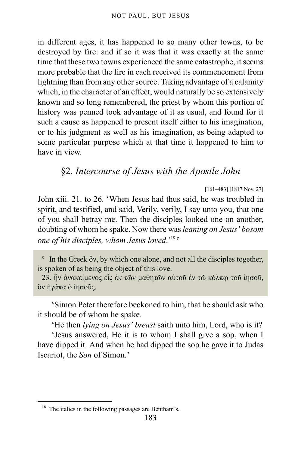in different ages, it has happened to so many other towns, to be destroyed by fire: and if so it was that it was exactly at the same time that these two towns experienced the same catastrophe, it seems more probable that the fire in each received its commencement from lightning than from any other source. Taking advantage of a calamity which, in the character of an effect, would naturally be so extensively known and so long remembered, the priest by whom this portion of history was penned took advantage of it as usual, and found for it such a cause as happened to present itself either to his imagination, or to his judgment as well as his imagination, as being adapted to some particular purpose which at that time it happened to him to have in view.

## §2. *Intercourse of Jesus with the Apostle John*

[161–483] [1817 Nov. 27]

John xiii. 21. to 26. 'When Jesus had thus said, he was troubled in spirit, and testified, and said, Verily, verily, I say unto you, that one of you shall betray me. Then the disciples looked one on another, doubting of whom he spake. Now there was *leaning on Jesus' bosom one of his disciples, whom Jesus loved*.'[18](#page-182-0) [g](#page-182-1)

<span id="page-182-1"></span><sup>g</sup> In the Greek <sub>ov</sub>, by which one alone, and not all the disciples together, is spoken of as being the object of this love.

23. ἦν ἀνακείμενος εἷς ἐκ τῶν μαθητῶν αὐτοῦ ἐν τῶ κόλπῳ τοῦ ἰησοῦ, ὃν ἠγάπα ὁ ἰησοῦς.

'Simon Peter therefore beckoned to him, that he should ask who it should be of whom he spake.

'He then *lying on Jesus' breast* saith unto him, Lord, who is it?

'Jesus answered, He it is to whom I shall give a sop, when I have dipped it. And when he had dipped the sop he gave it to Judas Iscariot, the *Son* of Simon.'

<span id="page-182-0"></span><sup>&</sup>lt;sup>18</sup> The italics in the following passages are Bentham's.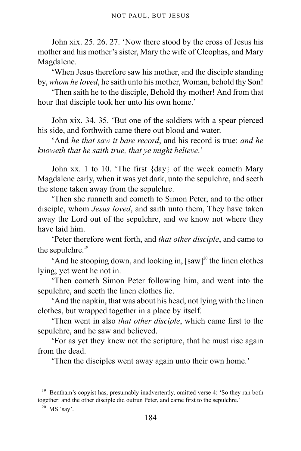John xix. 25. 26. 27. 'Now there stood by the cross of Jesus his mother and his mother's sister, Mary the wife of Cleophas, and Mary Magdalene.

'When Jesus therefore saw his mother, and the disciple standing by, *whom he loved*, he saith unto his mother, Woman, behold thy Son!

'Then saith he to the disciple, Behold thy mother! And from that hour that disciple took her unto his own home.'

John xix. 34. 35. 'But one of the soldiers with a spear pierced his side, and forthwith came there out blood and water.

'And *he that saw it bare record*, and his record is true: *and he knoweth that he saith true, that ye might believe*.'

John xx. 1 to 10. 'The first {day} of the week cometh Mary Magdalene early, when it was yet dark, unto the sepulchre, and seeth the stone taken away from the sepulchre.

'Then she runneth and cometh to Simon Peter, and to the other disciple, whom *Jesus loved*, and saith unto them, They have taken away the Lord out of the sepulchre, and we know not where they have laid him.

'Peter therefore went forth, and *that other disciple*, and came to the sepulchre.<sup>[19](#page-183-0)</sup>

'And he stooping down, and looking in,  $[saw]^{20}$  $[saw]^{20}$  $[saw]^{20}$  the linen clothes lying; yet went he not in.

'Then cometh Simon Peter following him, and went into the sepulchre, and seeth the linen clothes lie.

'And the napkin, that was about his head, not lying with the linen clothes, but wrapped together in a place by itself.

'Then went in also *that other disciple*, which came first to the sepulchre, and he saw and believed.

'For as yet they knew not the scripture, that he must rise again from the dead.

'Then the disciples went away again unto their own home.'

<span id="page-183-0"></span><sup>&</sup>lt;sup>19</sup> Bentham's copyist has, presumably inadvertently, omitted verse 4: 'So they ran both together: and the other disciple did outrun Peter, and came first to the sepulchre.'

<span id="page-183-1"></span> $20$  MS 'say'.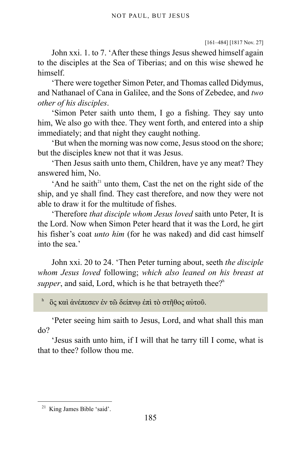```
[161–484] [1817 Nov. 27]
```
John xxi. 1. to 7. 'After these things Jesus shewed himself again to the disciples at the Sea of Tiberias; and on this wise shewed he himself.

'There were together Simon Peter, and Thomas called Didymus, and Nathanael of Cana in Galilee, and the Sons of Zebedee, and *two other of his disciples*.

'Simon Peter saith unto them, I go a fishing. They say unto him, We also go with thee. They went forth, and entered into a ship immediately; and that night they caught nothing.

'But when the morning was now come, Jesus stood on the shore; but the disciples knew not that it was Jesus.

'Then Jesus saith unto them, Children, have ye any meat? They answered him, No.

'And he saith $2<sup>1</sup>$  unto them, Cast the net on the right side of the ship, and ye shall find. They cast therefore, and now they were not able to draw it for the multitude of fishes.

'Therefore *that disciple whom Jesus loved* saith unto Peter, It is the Lord. Now when Simon Peter heard that it was the Lord, he girt his fisher's coat *unto him* (for he was naked) and did cast himself into the sea.'

John xxi. 20 to 24. 'Then Peter turning about, seeth *the disciple whom Jesus loved* following; *which also leaned on his breast at supper*, and said, Lord, w[h](#page-184-1)ich is he that betrayeth thee?<sup>h</sup>

ὃς καὶ ἀνέπεσεν ἐν τῶ δείπνῳ ἐπὶ τὸ στῆθος αὐτοῦ.

'Peter seeing him saith to Jesus, Lord, and what shall this man do?

'Jesus saith unto him, if I will that he tarry till I come, what is that to thee? follow thou me.

<span id="page-184-1"></span>h

<span id="page-184-0"></span><sup>21</sup> King James Bible 'said'.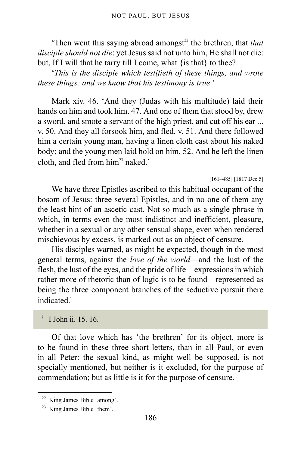'Then went this saying abroad amongst<sup>[22](#page-185-0)</sup> the brethren, that *that disciple should not die*: yet Jesus said not unto him, He shall not die: but, If I will that he tarry till I come, what {is that} to thee?

'*This is the disciple which testifieth of these things, and wrote these things: and we know that his testimony is true*.'

Mark xiv. 46. 'And they (Judas with his multitude) laid their hands on him and took him. 47. And one of them that stood by, drew a sword, and smote a servant of the high priest, and cut off his ear ... v. 50. And they all forsook him, and fled. v. 51. And there followed him a certain young man, having a linen cloth cast about his naked body; and the young men laid hold on him. 52. And he left the linen cloth, and fled from  $him<sup>23</sup>$  $him<sup>23</sup>$  $him<sup>23</sup>$  naked.'

```
[161–485] [1817 Dec 5]
```
We have three Epistles ascribed to this habitual occupant of the bosom of Jesus: three several Epistles, and in no one of them any the least hint of an ascetic cast. Not so much as a single phrase in which, in terms even the most indistinct and inefficient, pleasure, whether in a sexual or any other sensual shape, even when rendered mischievous by excess, is marked out as an object of censure.

His disciples warned, as might be expected, though in the most general terms, against the *love of the world*—and the lust of the flesh, the lust of the eyes, and the pride of life—expressions in which rather more of rhetoric than of logic is to be found—represented as being the three component branches of the seductive pursuit there [i](#page-185-2)ndicated<sup>i</sup>

<span id="page-185-2"></span>i I John ii. 15. 16.

Of that love which has 'the brethren' for its object, more is to be found in these three short letters, than in all Paul, or even in all Peter: the sexual kind, as might well be supposed, is not specially mentioned, but neither is it excluded, for the purpose of commendation; but as little is it for the purpose of censure.

<span id="page-185-0"></span><sup>22</sup> King James Bible 'among'.

<span id="page-185-1"></span><sup>23</sup> King James Bible 'them'.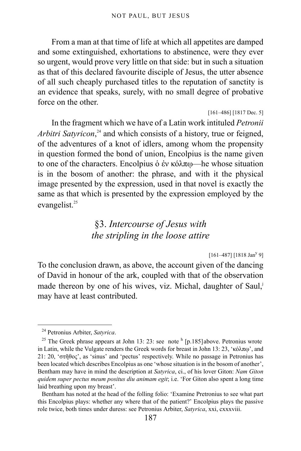From a man at that time of life at which all appetites are damped and some extinguished, exhortations to abstinence, were they ever so urgent, would prove very little on that side: but in such a situation as that of this declared favourite disciple of Jesus, the utter absence of all such cheaply purchased titles to the reputation of sanctity is an evidence that speaks, surely, with no small degree of probative force on the other.

[161–486] [1817 Dec. 5]

In the fragment which we have of a Latin work intituled *Petronii* Arbitri Satyricon,<sup>[24](#page-186-0)</sup> and which consists of a history, true or feigned, of the adventures of a knot of idlers, among whom the propensity in question formed the bond of union, Encolpius is the name given to one of the characters. Encolpius ὁ ἐν κόλπῳ—he whose situation is in the bosom of another: the phrase, and with it the physical image presented by the expression, used in that novel is exactly the same as that which is presented by the expression employed by the evangelist.<sup>[25](#page-186-1)</sup>

## §3. *Intercourse of Jesus with the stripling in the loose attire*

 $[161-487]$  [1818 Jan<sup>y</sup> 9]

To the conclusion drawn, as above, the account given of the dancing of David in honour of the ark, coupled with that of the observation made thereon by one of his wives, viz. Michal, daughter of Saul, may have at least contributed.

<span id="page-186-0"></span><sup>24</sup> Petronius Arbiter, *Satyrica*.

<span id="page-186-1"></span><sup>&</sup>lt;sup>25</sup> The Greek phrase appears at John 13: 23: see note  $h$  [\[p.185\]](#page-184-1) above. Petronius wrote in Latin, while the Vulgate renders the Greek words for breast in John 13: 23, ' $\kappa \delta \lambda \pi \omega$ ', and 21: 20, 'στῆθος', as 'sinus' and 'pectus' respectively. While no passage in Petronius has been located which describes Encolpius as one 'whose situation is in the bosom of another', Bentham may have in mind the description at *Satyrica*, ci., of his lover Giton: *Nam Giton quidem super pectus meum positus diu animam egit*; i.e. 'For Giton also spent a long time laid breathing upon my breast'.

Bentham has noted at the head of the folling folio: 'Examine Pretronius to see what part this Encolpius plays: whether any where that of the patient?' Encolpius plays the passive role twice, both times under duress: see Petronius Arbiter, *Satyrica*, xxi, cxxxviii.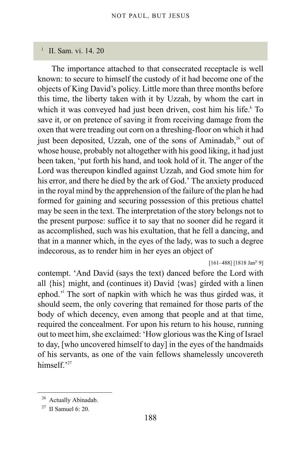## <span id="page-187-0"></span>j II. Sam. vi. 14. 20

The importance attached to that consecrated receptacle is well known: to secure to himself the custody of it had become one of the objects of King David's policy. Little more than three months before this time, the liberty taken with it by Uzzah, by whom the cart in which it was conveyed had just been driven, cost him his life.<sup>[k](#page-188-0)</sup> To save it, or on pretence of saving it from receiving damage from the oxen that were treading out corn on a threshing-floor on which it had just been deposited, Uzzah, one of the sons of Aminadab,<sup>[26](#page-187-1)</sup> out of whose house, probably not altogether with his good liking, it had just been taken, 'put forth his hand, and took hold of it. The anger of the Lord was thereupon kindled against Uzzah, and God smote him for his error, and there he died by the ark of God.' The anxiety produced in the royal mind by the apprehension of the failure of the plan he had formed for gaining and securing possession of this pretious chattel may be seen in the text. The interpretation of the story belongs not to the present purpose: suffice it to say that no sooner did he regard it as accomplished, such was his exultation, that he fell a dancing, and that in a manner which, in the eyes of the lady, was to such a degree indecorous, as to render him in her eyes an object of

 $[161-488]$  [1818 Jan<sup>y</sup> 9]

contempt. 'And David (says the text) danced before the Lord with all {his} might, and (continues it) David {was} girded with a linen ephod.<sup>'</sup> The sort of napkin with which he was thus girded was, it should seem, the only covering that remained for those parts of the body of which decency, even among that people and at that time, required the concealment. For upon his return to his house, running out to meet him, she exclaimed: 'How glorious was the King of Israel to day, [who uncovered himself to day] in the eyes of the handmaids of his servants, as one of the vain fellows shamelessly uncovereth himself.'[27](#page-187-2)

<span id="page-187-1"></span><sup>&</sup>lt;sup>26</sup> Actually Abinadab.

<span id="page-187-2"></span><sup>&</sup>lt;sup>27</sup> II Samuel 6: 20.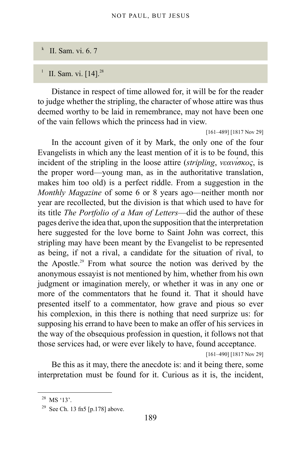#### <span id="page-188-0"></span>k II. Sam. vi. 6. 7

#### <span id="page-188-1"></span>l II. Sam. vi. [14].<sup>[28](#page-188-2)</sup>

Distance in respect of time allowed for, it will be for the reader to judge whether the stripling, the character of whose attire was thus deemed worthy to be laid in remembrance, may not have been one of the vain fellows which the princess had in view.

[161–489] [1817 Nov 29]

In the account given of it by Mark, the only one of the four Evangelists in which any the least mention of it is to be found, this incident of the stripling in the loose attire (*stripling*, *νεανίσκος*, is the proper word—young man, as in the authoritative translation, makes him too old) is a perfect riddle. From a suggestion in the *Monthly Magazine* of some 6 or 8 years ago—neither month nor year are recollected, but the division is that which used to have for its title *The Portfolio of a Man of Letters*—did the author of these pages derive the idea that, upon the supposition that the interpretation here suggested for the love borne to Saint John was correct, this stripling may have been meant by the Evangelist to be represented as being, if not a rival, a candidate for the situation of rival, to the Apostle.<sup>[29](#page-188-3)</sup> From what source the notion was derived by the anonymous essayist is not mentioned by him, whether from his own judgment or imagination merely, or whether it was in any one or more of the commentators that he found it. That it should have presented itself to a commentator, how grave and pious so ever his complexion, in this there is nothing that need surprize us: for supposing his errand to have been to make an offer of his services in the way of the obsequious profession in question, it follows not that those services had, or were ever likely to have, found acceptance.

[161–490] [1817 Nov 29]

Be this as it may, there the anecdote is: and it being there, some interpretation must be found for it. Curious as it is, the incident,

<span id="page-188-2"></span><sup>&</sup>lt;sup>28</sup> MS '13'.

<span id="page-188-3"></span><sup>&</sup>lt;sup>29</sup> See [Ch. 13 fn5 \[p.178\]](#page-177-0) above.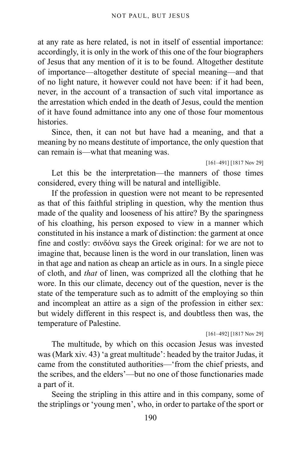at any rate as here related, is not in itself of essential importance: accordingly, it is only in the work of this one of the four biographers of Jesus that any mention of it is to be found. Altogether destitute of importance—altogether destitute of special meaning—and that of no light nature, it however could not have been: if it had been, never, in the account of a transaction of such vital importance as the arrestation which ended in the death of Jesus, could the mention of it have found admittance into any one of those four momentous **histories** 

Since, then, it can not but have had a meaning, and that a meaning by no means destitute of importance, the only question that can remain is—what that meaning was.

[161–491] [1817 Nov 29]

Let this be the interpretation—the manners of those times considered, every thing will be natural and intelligible.

If the profession in question were not meant to be represented as that of this faithful stripling in question, why the mention thus made of the quality and looseness of his attire? By the sparingness of his cloathing, his person exposed to view in a manner which constituted in his instance a mark of distinction: the garment at once fine and costly: σινδόνα says the Greek original: for we are not to imagine that, because linen is the word in our translation, linen was in that age and nation as cheap an article as in ours. In a single piece of cloth, and *that* of linen, was comprized all the clothing that he wore. In this our climate, decency out of the question, never is the state of the temperature such as to admitt of the employing so thin and incompleat an attire as a sign of the profession in either sex: but widely different in this respect is, and doubtless then was, the temperature of Palestine.

[161–492] [1817 Nov 29]

The multitude, by which on this occasion Jesus was invested was (Mark xiv. 43) 'a great multitude': headed by the traitor Judas, it came from the constituted authorities—'from the chief priests, and the scribes, and the elders'—but no one of those functionaries made a part of it.

Seeing the stripling in this attire and in this company, some of the striplings or 'young men', who, in order to partake of the sport or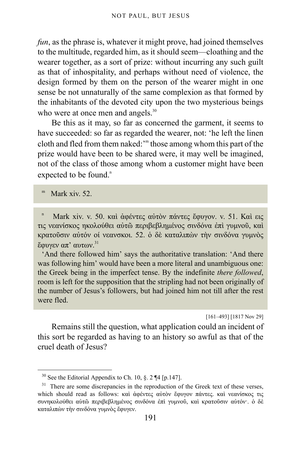*fun*, as the phrase is, whatever it might prove, had joined themselves to the multitude, regarded him, as it should seem—cloathing and the wearer together, as a sort of prize: without incurring any such guilt as that of inhospitality, and perhaps without need of violence, the design formed by them on the person of the wearer might in one sense be not unnaturally of the same complexion as that formed by the inhabitants of the devoted city upon the two mysterious beings who were at once men and angels.<sup>[30](#page-190-0)</sup>

Be this as it may, so far as concerned the garment, it seems to have succeeded: so far as regarded the wearer, not: 'he left the linen cloth and fled fro[m](#page-190-1) them naked: '" those among whom this part of the prize would have been to be shared were, it may well be imagined, not of the class of those among whom a customer might have been expected to be fou[n](#page-190-2)d.<sup>n</sup>

<span id="page-190-1"></span>m Mark xiv. 52.

<span id="page-190-2"></span>n Mark xiv. v. 50. καὶ ἀφέντες αὐτὸν πάντες ἔφυγον. v. 51. Καὶ εις τις νεανίσκος ηκολούθει αὐτῶ περιβεβλημένος σινδόνα ἐπὶ γυμνοῦ, καὶ κρατοῦσιν αὐτόν οί νεανσκοι. 52. ὁ δὲ καταλιπὼν τὴν σινδόνα γυμνὸς ἔφυγεν απ' αυτων.[31](#page-190-3)

'And there followed him' says the authoritative translation: 'And there was following him' would have been a more literal and unambiguous one: the Greek being in the imperfect tense. By the indefinite *there followed*, room is left for the supposition that the stripling had not been originally of the number of Jesus's followers, but had joined him not till after the rest were fled.

[161–493] [1817 Nov 29]

Remains still the question, what application could an incident of this sort be regarded as having to an history so awful as that of the cruel death of Jesus?

<span id="page-190-0"></span><sup>&</sup>lt;sup>30</sup> See the Editorial Appendix to Ch. 10, §. 2  $\P$ 4 [p.147].

<span id="page-190-3"></span> $31$  There are some discrepancies in the reproduction of the Greek text of these verses, which should read as follows: καὶ ἀφέντες αὐτὸν ἔφυγον πάντες. καὶ νεανίσκος τις συνηκολούθει αὐτῶ περιβεβλημένος σινδόνα ἐπὶ γυμνοῦ, καὶ κρατοῦσιν αὐτόν·. ὁ δὲ καταλιπὼν τὴν σινδόνα γυμνὸς ἔφυγεν.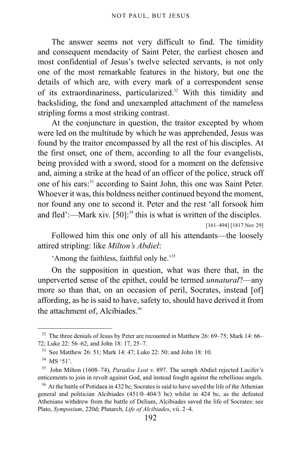The answer seems not very difficult to find. The timidity and consequent mendacity of Saint Peter, the earliest chosen and most confidential of Jesus's twelve selected servants, is not only one of the most remarkable features in the history, but one the details of which are, with every mark of a correspondent sense of its extraordinariness, particularized.<sup>[32](#page-191-0)</sup> With this timidity and backsliding, the fond and unexampled attachment of the nameless stripling forms a most striking contrast.

At the conjuncture in question, the traitor excepted by whom were led on the multitude by which he was apprehended, Jesus was found by the traitor encompassed by all the rest of his disciples. At the first onset, one of them, according to all the four evangelists, being provided with a sword, stood for a moment on the defensive and, aiming a strike at the head of an officer of the police, struck off one of his ears:<sup>[33](#page-191-1)</sup> according to Saint John, this one was Saint Peter. Whoever it was, this boldness neither continued beyond the moment, nor found any one to second it. Peter and the rest 'all forsook him and fled':—Mark xiv. [50]:<sup>[34](#page-191-2)</sup> this is what is written of the disciples. [161–494] [1817 Nov 29]

Followed him this one only of all his attendants—the loosely attired stripling: like *Milton's Abdiel*:

'Among the faithless, faithful only he.'[35](#page-191-3)

On the supposition in question, what was there that, in the unperverted sense of the epithet, could be termed *unnatural*?—any more so than that, on an occasion of peril, Socrates, instead [of] affording, as he is said to have, safety to, should have derived it from the attachment of, Alcibiades.<sup>[36](#page-191-4)</sup>

<span id="page-191-0"></span><sup>&</sup>lt;sup>32</sup> The three denials of Jesus by Peter are recounted in Matthew 26: 69–75; Mark 14: 66– 72; Luke 22: 56–62; and John 18: 17, 25–7.

<span id="page-191-1"></span><sup>33</sup> See Matthew 26: 51; Mark 14: 47; Luke 22: 50; and John 18: 10.

<span id="page-191-2"></span> $34$  MS '51'.

<span id="page-191-3"></span><sup>35</sup> John Milton (1608–74), *Paradise Lost* v. 897. The seraph Abdiel rejected Lucifer's enticements to join in revolt against God, and instead fought against the rebellious angels.

<span id="page-191-4"></span><sup>&</sup>lt;sup>36</sup> At the battle of Potidaea in 432 bc, Socrates is said to have saved the life of the Athenian general and politician Alcibiades (451/0–404/3 bc) whilst in 424 bc, as the defeated Athenians withdrew from the battle of Delium, Alcibiades saved the life of Socrates: see Plato, *Symposium*, 220d; Plutarch, *Life of Alcibiades*, vii. 2–4.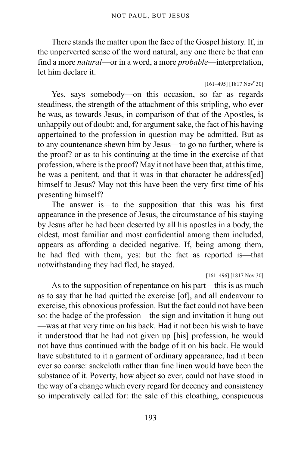There stands the matter upon the face of the Gospel history. If, in the unperverted sense of the word natural, any one there be that can find a more *natural*—or in a word, a more *probable*—interpretation, let him declare it.

### $[161-495]$   $[1817 Nov<sup>r</sup> 30]$

Yes, says somebody—on this occasion, so far as regards steadiness, the strength of the attachment of this stripling, who ever he was, as towards Jesus, in comparison of that of the Apostles, is unhappily out of doubt: and, for argument sake, the fact of his having appertained to the profession in question may be admitted. But as to any countenance shewn him by Jesus—to go no further, where is the proof? or as to his continuing at the time in the exercise of that profession, where is the proof? May it not have been that, at this time, he was a penitent, and that it was in that character he address[ed] himself to Jesus? May not this have been the very first time of his presenting himself?

The answer is—to the supposition that this was his first appearance in the presence of Jesus, the circumstance of his staying by Jesus after he had been deserted by all his apostles in a body, the oldest, most familiar and most confidential among them included, appears as affording a decided negative. If, being among them, he had fled with them, yes: but the fact as reported is—that notwithstanding they had fled, he stayed.

[161–496] [1817 Nov 30]

As to the supposition of repentance on his part—this is as much as to say that he had quitted the exercise [of], and all endeavour to exercise, this obnoxious profession. But the fact could not have been so: the badge of the profession—the sign and invitation it hung out —was at that very time on his back. Had it not been his wish to have it understood that he had not given up [his] profession, he would not have thus continued with the badge of it on his back. He would have substituted to it a garment of ordinary appearance, had it been ever so coarse: sackcloth rather than fine linen would have been the substance of it. Poverty, how abject so ever, could not have stood in the way of a change which every regard for decency and consistency so imperatively called for: the sale of this cloathing, conspicuous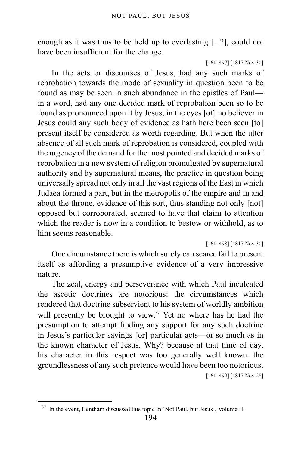enough as it was thus to be held up to everlasting [...?], could not have been insufficient for the change.

[161–497] [1817 Nov 30]

In the acts or discourses of Jesus, had any such marks of reprobation towards the mode of sexuality in question been to be found as may be seen in such abundance in the epistles of Paul in a word, had any one decided mark of reprobation been so to be found as pronounced upon it by Jesus, in the eyes [of] no believer in Jesus could any such body of evidence as hath here been seen [to] present itself be considered as worth regarding. But when the utter absence of all such mark of reprobation is considered, coupled with the urgency of the demand for the most pointed and decided marks of reprobation in a new system of religion promulgated by supernatural authority and by supernatural means, the practice in question being universally spread not only in all the vast regions of the East in which Judaea formed a part, but in the metropolis of the empire and in and about the throne, evidence of this sort, thus standing not only [not] opposed but corroborated, seemed to have that claim to attention which the reader is now in a condition to bestow or withhold, as to him seems reasonable.

[161–498] [1817 Nov 30]

One circumstance there is which surely can scarce fail to present itself as affording a presumptive evidence of a very impressive nature.

The zeal, energy and perseverance with which Paul inculcated the ascetic doctrines are notorious: the circumstances which rendered that doctrine subservient to his system of worldly ambition will presently be brought to view.<sup>[37](#page-193-0)</sup> Yet no where has he had the presumption to attempt finding any support for any such doctrine in Jesus's particular sayings [or] particular acts—or so much as in the known character of Jesus. Why? because at that time of day, his character in this respect was too generally well known: the groundlessness of any such pretence would have been too notorious. [161–499] [1817 Nov 28]

<span id="page-193-0"></span><sup>&</sup>lt;sup>37</sup> In the event, Bentham discussed this topic in 'Not Paul, but Jesus', Volume II.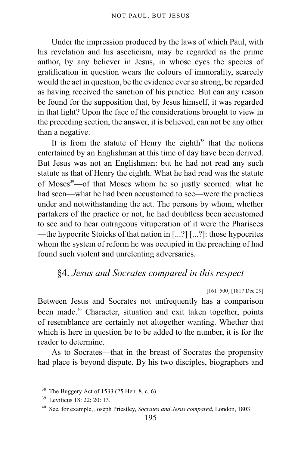Under the impression produced by the laws of which Paul, with his revelation and his asceticism, may be regarded as the prime author, by any believer in Jesus, in whose eyes the species of gratification in question wears the colours of immorality, scarcely would the act in question, be the evidence ever so strong, be regarded as having received the sanction of his practice. But can any reason be found for the supposition that, by Jesus himself, it was regarded in that light? Upon the face of the considerations brought to view in the preceding section, the answer, it is believed, can not be any other than a negative.

It is from the statute of Henry the eighth $38$  that the notions entertained by an Englishman at this time of day have been derived. But Jesus was not an Englishman: but he had not read any such statute as that of Henry the eighth. What he had read was the statute of Moses<sup>[39](#page-194-1)</sup>—of that Moses whom he so justly scorned: what he had seen—what he had been accustomed to see—were the practices under and notwithstanding the act. The persons by whom, whether partakers of the practice or not, he had doubtless been accustomed to see and to hear outrageous vituperation of it were the Pharisees —the hypocrite Stoicks of that nation in [...?] [...?]: those hypocrites whom the system of reform he was occupied in the preaching of had found such violent and unrelenting adversaries.

## §4. *Jesus and Socrates compared in this respect*

[161–500] [1817 Dec 29]

Between Jesus and Socrates not unfrequently has a comparison been made.<sup>[40](#page-194-2)</sup> Character, situation and exit taken together, points of resemblance are certainly not altogether wanting. Whether that which is here in question be to be added to the number, it is for the reader to determine.

As to Socrates—that in the breast of Socrates the propensity had place is beyond dispute. By his two disciples, biographers and

<span id="page-194-0"></span><sup>38</sup> The Buggery Act of 1533 (25 Hen. 8, c. 6).

<span id="page-194-1"></span><sup>39</sup> Leviticus 18: 22; 20: 13.

<span id="page-194-2"></span><sup>40</sup> See, for example, Joseph Priestley, *Socrates and Jesus compared*, London, 1803.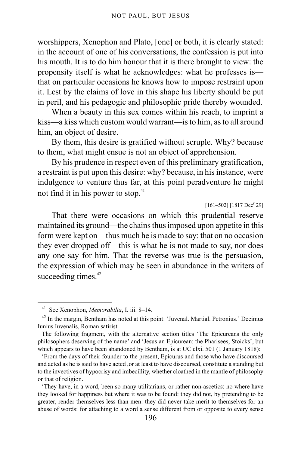worshippers, Xenophon and Plato, [one] or both, it is clearly stated: in the account of one of his conversations, the confession is put into his mouth. It is to do him honour that it is there brought to view: the propensity itself is what he acknowledges: what he professes is that on particular occasions he knows how to impose restraint upon it. Lest by the claims of love in this shape his liberty should be put in peril, and his pedagogic and philosophic pride thereby wounded.

When a beauty in this sex comes within his reach, to imprint a kiss—a kiss which custom would warrant—is to him, as to all around him, an object of desire.

By them, this desire is gratified without scruple. Why? because to them, what might ensue is not an object of apprehension.

By his prudence in respect even of this preliminary gratification, a restraint is put upon this desire: why? because, in his instance, were indulgence to venture thus far, at this point peradventure he might not find it in his power to stop. $41$ 

 $[161 - 502] [1817 \text{ Dec}^r 29]$ 

That there were occasions on which this prudential reserve maintained its ground—the chains thus imposed upon appetite in this form were kept on—thus much he is made to say: that on no occasion they ever dropped off—this is what he is not made to say, nor does any one say for him. That the reverse was true is the persuasion, the expression of which may be seen in abundance in the writers of succeeding times.<sup>[42](#page-195-1)</sup>

<span id="page-195-0"></span><sup>41</sup> See Xenophon, *Memorabilia*, I. iii. 8–14.

<span id="page-195-1"></span><sup>&</sup>lt;sup>42</sup> In the margin, Bentham has noted at this point: 'Juvenal. Martial. Petronius.' Decimus Iunius Iuvenalis, Roman satirist.

The following fragment, with the alternative section titles 'The Epicureans the only philosophers deserving of the name' and 'Jesus an Epicurean: the Pharisees, Stoicks', but which appears to have been abandoned by Bentham, is at UC clxi. 501 (1 January 1818):

<sup>&#</sup>x27;From the days of their founder to the present, Epicurus and those who have discoursed and acted as he is said to have acted ,or at least to have discoursed, constitute a standing but to the invectives of hypocrisy and imbecillity, whether cloathed in the mantle of philosophy or that of religion.

<sup>&#</sup>x27;They have, in a word, been so many utilitarians, or rather non-ascetics: no where have they looked for happiness but where it was to be found: they did not, by pretending to be greater, render themselves less than men: they did never take merit to themselves for an abuse of words: for attaching to a word a sense different from or opposite to every sense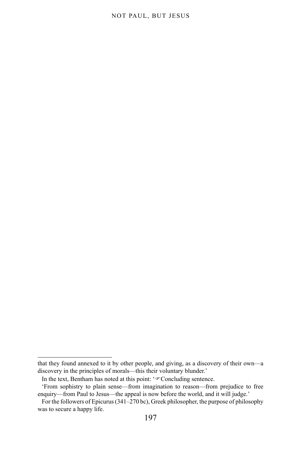### NOT PAUL, BUT JESUS

that they found annexed to it by other people, and giving, as a discovery of their own—a discovery in the principles of morals—this their voluntary blunder.'

In the text, Bentham has noted at this point: ' $\infty$ Concluding sentence.

<sup>&#</sup>x27;From sophistry to plain sense—from imagination to reason—from prejudice to free enquiry—from Paul to Jesus—the appeal is now before the world, and it will judge.'

For the followers of Epicurus (341–270 bc), Greek philosopher, the purpose of philosophy was to secure a happy life.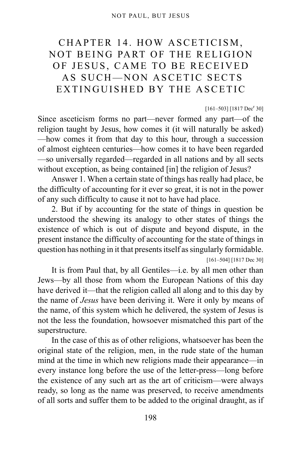# CHAPTER 14. HOW ASCETICISM, NOT BEING PART OF THE RELIGION OF JESUS, CAME TO BE RECEIVED AS SUCH—NON ASCETIC SECTS EXTINGUISHED BY THE ASCETIC

### $[161-503]$   $[1817 \text{ Dec}^r 30]$

Since asceticism forms no part—never formed any part—of the religion taught by Jesus, how comes it (it will naturally be asked) —how comes it from that day to this hour, through a succession of almost eighteen centuries—how comes it to have been regarded —so universally regarded—regarded in all nations and by all sects without exception, as being contained [in] the religion of Jesus?

Answer 1. When a certain state of things has really had place, be the difficulty of accounting for it ever so great, it is not in the power of any such difficulty to cause it not to have had place.

2. But if by accounting for the state of things in question be understood the shewing its analogy to other states of things the existence of which is out of dispute and beyond dispute, in the present instance the difficulty of accounting for the state of things in question has nothing in it that presents itself as singularly formidable.

[161–504] [1817 Dec 30]

It is from Paul that, by all Gentiles—i.e. by all men other than Jews—by all those from whom the European Nations of this day have derived it—that the religion called all along and to this day by the name of *Jesus* have been deriving it. Were it only by means of the name, of this system which he delivered, the system of Jesus is not the less the foundation, howsoever mismatched this part of the superstructure.

In the case of this as of other religions, whatsoever has been the original state of the religion, men, in the rude state of the human mind at the time in which new religions made their appearance—in every instance long before the use of the letter-press—long before the existence of any such art as the art of criticism—were always ready, so long as the name was preserved, to receive amendments of all sorts and suffer them to be added to the original draught, as if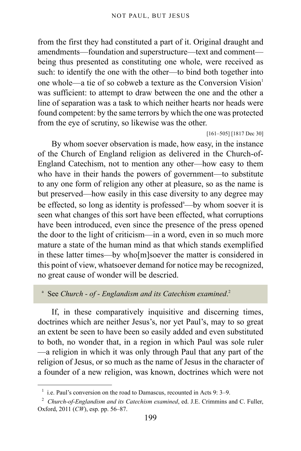from the first they had constituted a part of it. Original draught and amendments—foundation and superstructure—text and comment being thus presented as constituting one whole, were received as such: to identify the one with the other—to bind both together into one whole—a tie of so cobweb a texture as the Conversion Vision $<sup>1</sup>$  $<sup>1</sup>$  $<sup>1</sup>$ </sup> was sufficient: to attempt to draw between the one and the other a line of separation was a task to which neither hearts nor heads were found competent: by the same terrors by which the one was protected from the eye of scrutiny, so likewise was the other.

[161–505] [1817 Dec 30]

By whom soever observation is made, how easy, in the instance of the Church of England religion as delivered in the Church-of-England Catechism, not to mention any other—how easy to them who have in their hands the powers of government—to substitute to any one form of religion any other at pleasure, so as the name is but preserved—how easily in this case diversity to any degree may be effected, so long [a](#page-198-1)s identity is professed<sup>a</sup>—by whom soever it is seen what changes of this sort have been effected, what corruptions have been introduced, even since the presence of the press opened the door to the light of criticism—in a word, even in so much more mature a state of the human mind as that which stands exemplified in these latter times—by who[m]soever the matter is considered in this point of view, whatsoever demand for notice may be recognized, no great cause of wonder will be descried.

#### <span id="page-198-1"></span>a See *Church - of - Englandism and its Catechism examined*. [2](#page-198-2)

If, in these comparatively inquisitive and discerning times, doctrines which are neither Jesus's, nor yet Paul's, may to so great an extent be seen to have been so easily added and even substituted to both, no wonder that, in a region in which Paul was sole ruler —a religion in which it was only through Paul that any part of the religion of Jesus, or so much as the name of Jesus in the character of a founder of a new religion, was known, doctrines which were not

<span id="page-198-0"></span><sup>&</sup>lt;sup>1</sup> i.e. Paul's conversion on the road to Damascus, recounted in Acts 9: 3–9.

<span id="page-198-2"></span><sup>2</sup> *Church-of-Englandism and its Catechism examined*, ed. J.E. Crimmins and C. Fuller, Oxford, 2011 (*CW*), esp. pp. 56–87.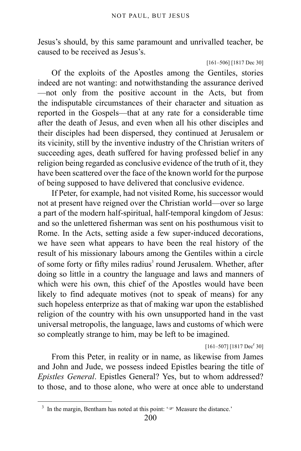Jesus's should, by this same paramount and unrivalled teacher, be caused to be received as Jesus's.

```
[161–506] [1817 Dec 30]
```
Of the exploits of the Apostles among the Gentiles, stories indeed are not wanting: and notwithstanding the assurance derived —not only from the positive account in the Acts, but from the indisputable circumstances of their character and situation as reported in the Gospels—that at any rate for a considerable time after the death of Jesus, and even when all his other disciples and their disciples had been dispersed, they continued at Jerusalem or its vicinity, still by the inventive industry of the Christian writers of succeeding ages, death suffered for having professed belief in any religion being regarded as conclusive evidence of the truth of it, they have been scattered over the face of the known world for the purpose of being supposed to have delivered that conclusive evidence.

If Peter, for example, had not visited Rome, his successor would not at present have reigned over the Christian world—over so large a part of the modern half-spiritual, half-temporal kingdom of Jesus: and so the unlettered fisherman was sent on his posthumous visit to Rome. In the Acts, setting aside a few super-induced decorations, we have seen what appears to have been the real history of the result of his missionary labours among the Gentiles within a circle of some forty or fifty miles radius<sup>[3](#page-199-0)</sup> round Jerusalem. Whether, after doing so little in a country the language and laws and manners of which were his own, this chief of the Apostles would have been likely to find adequate motives (not to speak of means) for any such hopeless enterprize as that of making war upon the established religion of the country with his own unsupported hand in the vast universal metropolis, the language, laws and customs of which were so compleatly strange to him, may be left to be imagined.

 $[161 - 507]$   $[1817 \text{ Dec}^r 30]$ 

From this Peter, in reality or in name, as likewise from James and John and Jude, we possess indeed Epistles bearing the title of *Epistles General*. Epistles General? Yes, but to whom addressed? to those, and to those alone, who were at once able to understand

<span id="page-199-0"></span><sup>&</sup>lt;sup>3</sup> In the margin, Bentham has noted at this point:  $\mathcal{F}$  Measure the distance.'